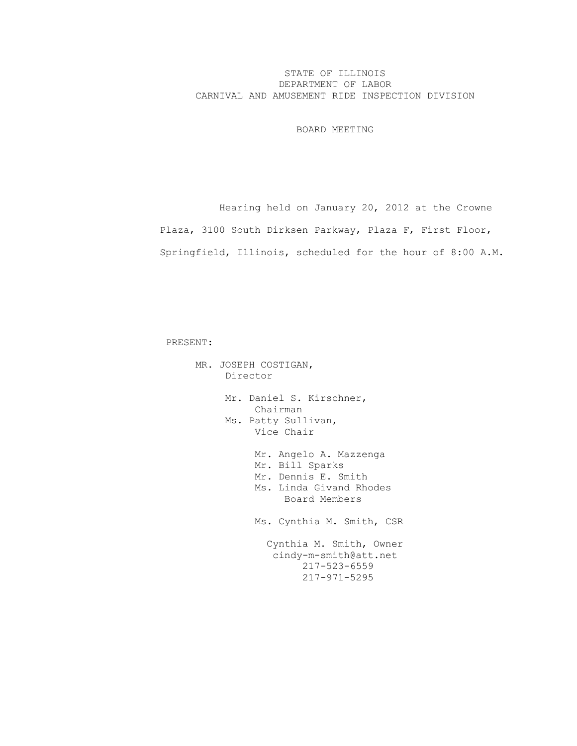## STATE OF ILLINOIS DEPARTMENT OF LABOR CARNIVAL AND AMUSEMENT RIDE INSPECTION DIVISION

BOARD MEETING

 Hearing held on January 20, 2012 at the Crowne Plaza, 3100 South Dirksen Parkway, Plaza F, First Floor, Springfield, Illinois, scheduled for the hour of 8:00 A.M.

PRESENT:

 MR. JOSEPH COSTIGAN, Director Mr. Daniel S. Kirschner, Chairman Ms. Patty Sullivan, Vice Chair Mr. Angelo A. Mazzenga Mr. Bill Sparks Mr. Dennis E. Smith Ms. Linda Givand Rhodes Board Members Ms. Cynthia M. Smith, CSR Cynthia M. Smith, Owner cindy-m-smith@att.net 217-523-6559 217-971-5295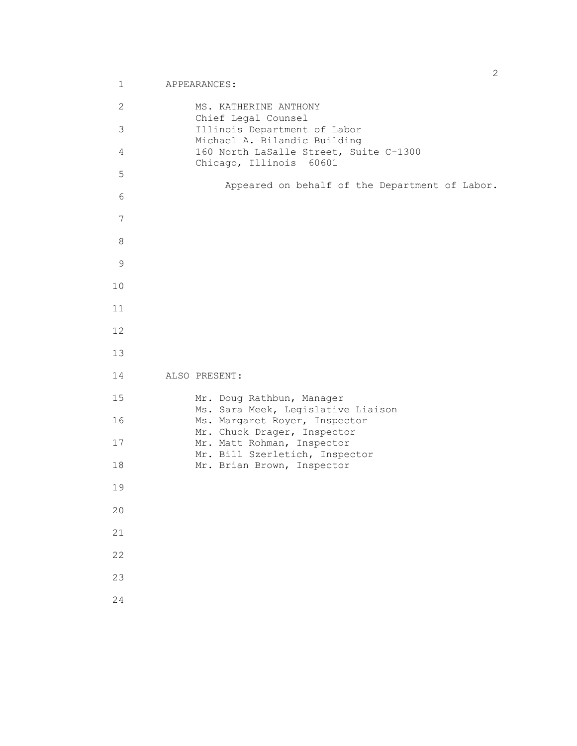```
 2 MS. KATHERINE ANTHONY
                   Chief Legal Counsel
       3 Illinois Department of Labor
                  Michael A. Bilandic Building
       4 160 North LaSalle Street, Suite C-1300
                   Chicago, Illinois 60601
       5
                       Appeared on behalf of the Department of Labor.
       6
       7
       8
       9
      10
      11
      12
      13
      14 ALSO PRESENT:
      15 Mr. Doug Rathbun, Manager
                  Ms. Sara Meek, Legislative Liaison
      16 Ms. Margaret Royer, Inspector
Mr. Chuck Drager, Inspector
17 Mr. Matt Rohman, Inspector
                  Mr. Bill Szerletich, Inspector
     18 Mr. Brian Brown, Inspector
      19
      20
      21
      22
      23
      24
```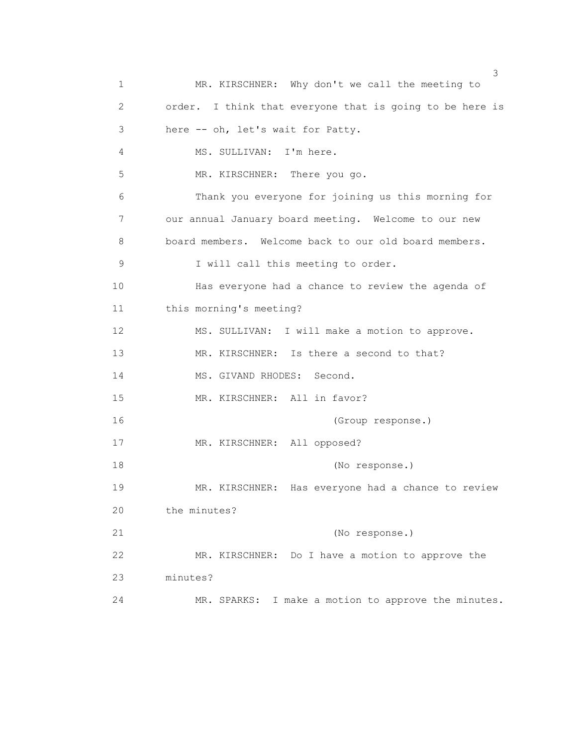$\sim$  3 1 MR. KIRSCHNER: Why don't we call the meeting to 2 order. I think that everyone that is going to be here is 3 here -- oh, let's wait for Patty. 4 MS. SULLIVAN: I'm here. 5 MR. KIRSCHNER: There you go. 6 Thank you everyone for joining us this morning for 7 our annual January board meeting. Welcome to our new 8 board members. Welcome back to our old board members. 9 I will call this meeting to order. 10 Has everyone had a chance to review the agenda of 11 this morning's meeting? 12 MS. SULLIVAN: I will make a motion to approve. 13 MR. KIRSCHNER: Is there a second to that? 14 MS. GIVAND RHODES: Second. 15 MR. KIRSCHNER: All in favor? 16 (Group response.) 17 MR. KIRSCHNER: All opposed? 18 (No response.) 19 MR. KIRSCHNER: Has everyone had a chance to review 20 the minutes? 21 (No response.) 22 MR. KIRSCHNER: Do I have a motion to approve the 23 minutes? 24 MR. SPARKS: I make a motion to approve the minutes.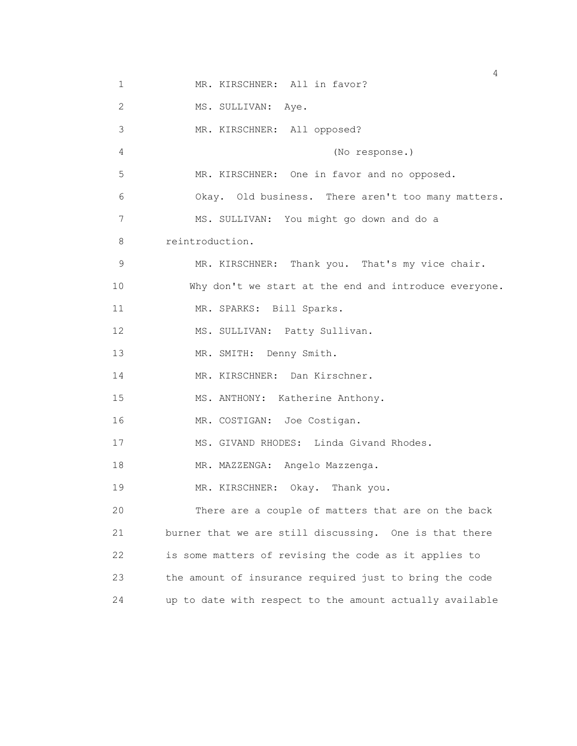1 MR. KIRSCHNER: All in favor? 2 MS. SULLIVAN: Aye. 3 MR. KIRSCHNER: All opposed? 4 (No response.) 5 MR. KIRSCHNER: One in favor and no opposed. 6 Okay. Old business. There aren't too many matters. 7 MS. SULLIVAN: You might go down and do a 8 reintroduction. 9 MR. KIRSCHNER: Thank you. That's my vice chair. 10 Why don't we start at the end and introduce everyone. 11 MR. SPARKS: Bill Sparks. 12 MS. SULLIVAN: Patty Sullivan. 13 MR. SMITH: Denny Smith. 14 MR. KIRSCHNER: Dan Kirschner. 15 MS. ANTHONY: Katherine Anthony. 16 MR. COSTIGAN: Joe Costigan. 17 MS. GIVAND RHODES: Linda Givand Rhodes. 18 MR. MAZZENGA: Angelo Mazzenga. 19 MR. KIRSCHNER: Okay. Thank you. 20 There are a couple of matters that are on the back 21 burner that we are still discussing. One is that there 22 is some matters of revising the code as it applies to 23 the amount of insurance required just to bring the code 24 up to date with respect to the amount actually available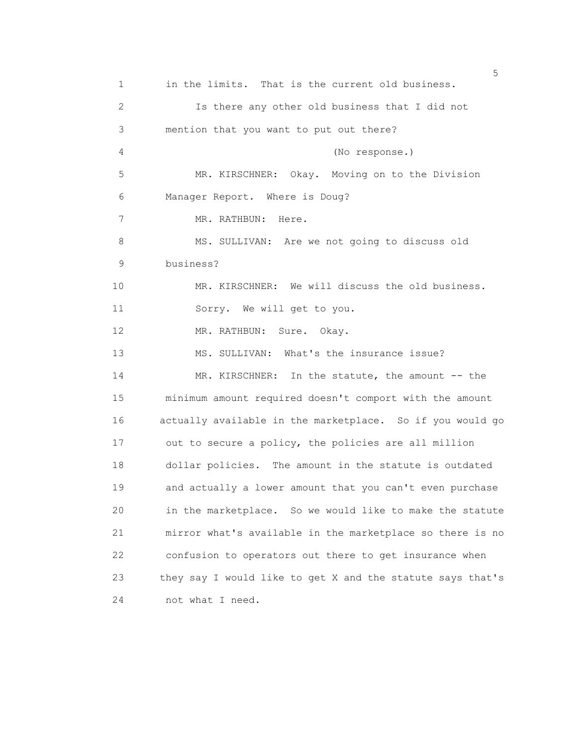<u>5</u> September 2005 and the second control of the second control of the second control of the second control of the second control of the second control of the second control of the second control of the second control of t 1 in the limits. That is the current old business. 2 Is there any other old business that I did not 3 mention that you want to put out there? 4 (No response.) 5 MR. KIRSCHNER: Okay. Moving on to the Division 6 Manager Report. Where is Doug? 7 MR. RATHBUN: Here. 8 MS. SULLIVAN: Are we not going to discuss old 9 business? 10 MR. KIRSCHNER: We will discuss the old business. 11 Sorry. We will get to you. 12 MR. RATHBUN: Sure. Okay. 13 MS. SULLIVAN: What's the insurance issue? 14 MR. KIRSCHNER: In the statute, the amount -- the 15 minimum amount required doesn't comport with the amount 16 actually available in the marketplace. So if you would go 17 out to secure a policy, the policies are all million 18 dollar policies. The amount in the statute is outdated 19 and actually a lower amount that you can't even purchase 20 in the marketplace. So we would like to make the statute 21 mirror what's available in the marketplace so there is no 22 confusion to operators out there to get insurance when 23 they say I would like to get X and the statute says that's 24 not what I need.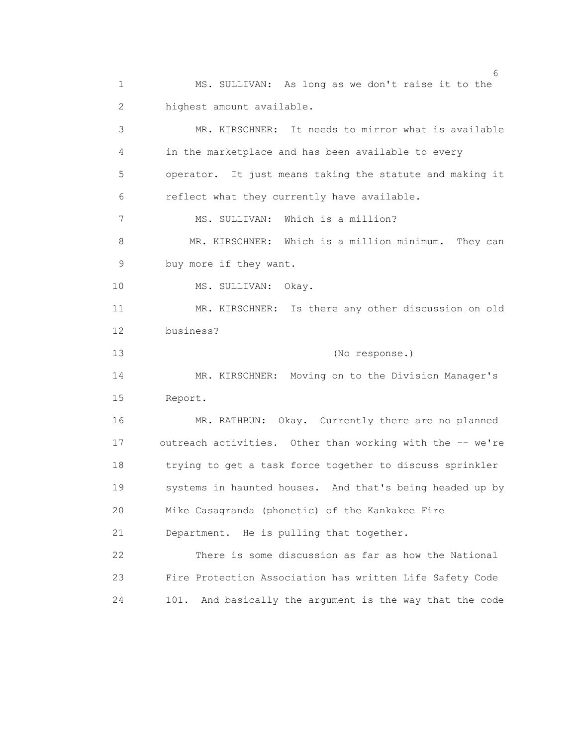1 MS. SULLIVAN: As long as we don't raise it to the 2 highest amount available.

 3 MR. KIRSCHNER: It needs to mirror what is available 4 in the marketplace and has been available to every 5 operator. It just means taking the statute and making it 6 reflect what they currently have available. 7 MS. SULLIVAN: Which is a million? 8 MR. KIRSCHNER: Which is a million minimum. They can 9 buy more if they want. 10 MS. SULLIVAN: Okay. 11 MR. KIRSCHNER: Is there any other discussion on old 12 business? 13 (No response.) 14 MR. KIRSCHNER: Moving on to the Division Manager's 15 Report. 16 MR. RATHBUN: Okay. Currently there are no planned 17 outreach activities. Other than working with the -- we're 18 trying to get a task force together to discuss sprinkler 19 systems in haunted houses. And that's being headed up by 20 Mike Casagranda (phonetic) of the Kankakee Fire 21 Department. He is pulling that together. 22 There is some discussion as far as how the National 23 Fire Protection Association has written Life Safety Code 24 101. And basically the argument is the way that the code

 $\sim$  6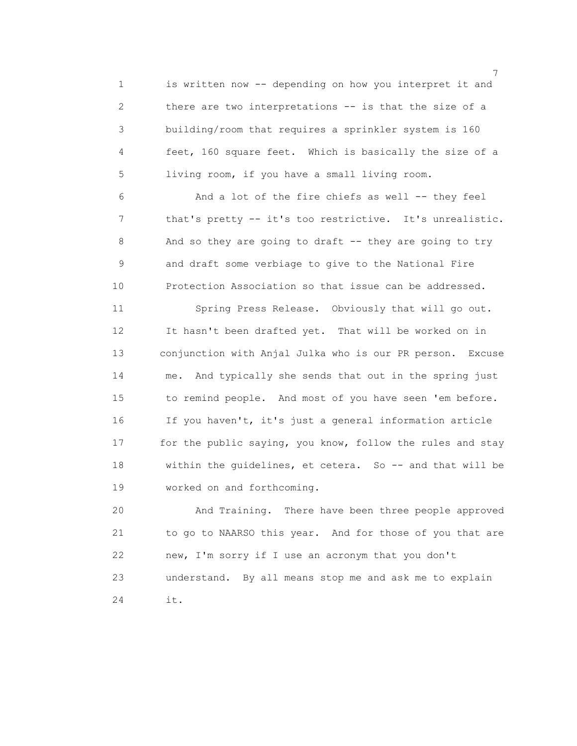1 is written now -- depending on how you interpret it and 2 there are two interpretations -- is that the size of a 3 building/room that requires a sprinkler system is 160 4 feet, 160 square feet. Which is basically the size of a 5 living room, if you have a small living room.

 6 And a lot of the fire chiefs as well -- they feel 7 that's pretty -- it's too restrictive. It's unrealistic. 8 And so they are going to draft -- they are going to try 9 and draft some verbiage to give to the National Fire 10 Protection Association so that issue can be addressed.

 11 Spring Press Release. Obviously that will go out. 12 It hasn't been drafted yet. That will be worked on in 13 conjunction with Anjal Julka who is our PR person. Excuse 14 me. And typically she sends that out in the spring just 15 to remind people. And most of you have seen 'em before. 16 If you haven't, it's just a general information article 17 for the public saying, you know, follow the rules and stay 18 within the guidelines, et cetera. So -- and that will be 19 worked on and forthcoming.

 20 And Training. There have been three people approved 21 to go to NAARSO this year. And for those of you that are 22 new, I'm sorry if I use an acronym that you don't 23 understand. By all means stop me and ask me to explain 24 it.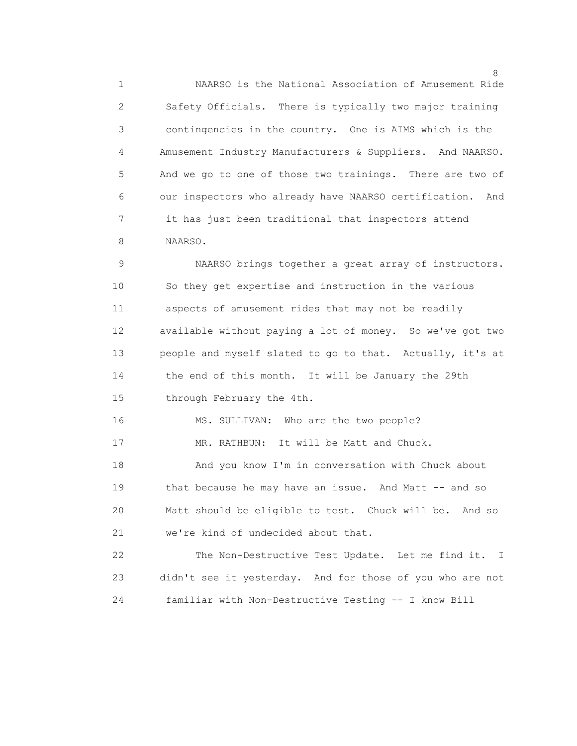1 NAARSO is the National Association of Amusement Ride 2 Safety Officials. There is typically two major training 3 contingencies in the country. One is AIMS which is the 4 Amusement Industry Manufacturers & Suppliers. And NAARSO. 5 And we go to one of those two trainings. There are two of 6 our inspectors who already have NAARSO certification. And 7 it has just been traditional that inspectors attend 8 NAARSO.

 9 NAARSO brings together a great array of instructors. 10 So they get expertise and instruction in the various 11 aspects of amusement rides that may not be readily 12 available without paying a lot of money. So we've got two 13 people and myself slated to go to that. Actually, it's at 14 the end of this month. It will be January the 29th 15 through February the 4th.

16 MS. SULLIVAN: Who are the two people?

17 MR. RATHBUN: It will be Matt and Chuck.

 18 And you know I'm in conversation with Chuck about 19 that because he may have an issue. And Matt -- and so 20 Matt should be eligible to test. Chuck will be. And so 21 we're kind of undecided about that.

 22 The Non-Destructive Test Update. Let me find it. I 23 didn't see it yesterday. And for those of you who are not 24 familiar with Non-Destructive Testing -- I know Bill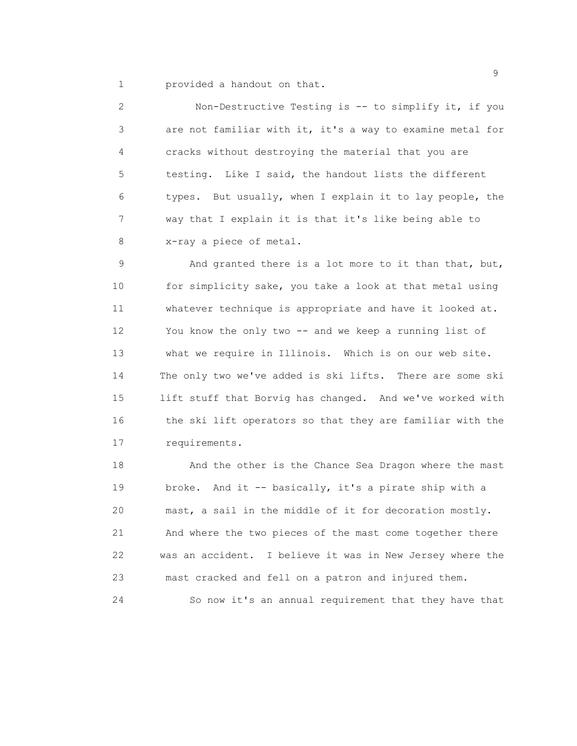1 provided a handout on that.

 2 Non-Destructive Testing is -- to simplify it, if you 3 are not familiar with it, it's a way to examine metal for 4 cracks without destroying the material that you are 5 testing. Like I said, the handout lists the different 6 types. But usually, when I explain it to lay people, the 7 way that I explain it is that it's like being able to 8 x-ray a piece of metal.

 9 And granted there is a lot more to it than that, but, 10 for simplicity sake, you take a look at that metal using 11 whatever technique is appropriate and have it looked at. 12 You know the only two -- and we keep a running list of 13 what we require in Illinois. Which is on our web site. 14 The only two we've added is ski lifts. There are some ski 15 lift stuff that Borvig has changed. And we've worked with 16 the ski lift operators so that they are familiar with the 17 requirements.

 18 And the other is the Chance Sea Dragon where the mast 19 broke. And it -- basically, it's a pirate ship with a 20 mast, a sail in the middle of it for decoration mostly. 21 And where the two pieces of the mast come together there 22 was an accident. I believe it was in New Jersey where the 23 mast cracked and fell on a patron and injured them. 24 So now it's an annual requirement that they have that

en de la construction de la construction de la construction de la construction de la construction de la constr<br>1990 : la construction de la construction de la construction de la construction de la construction de la const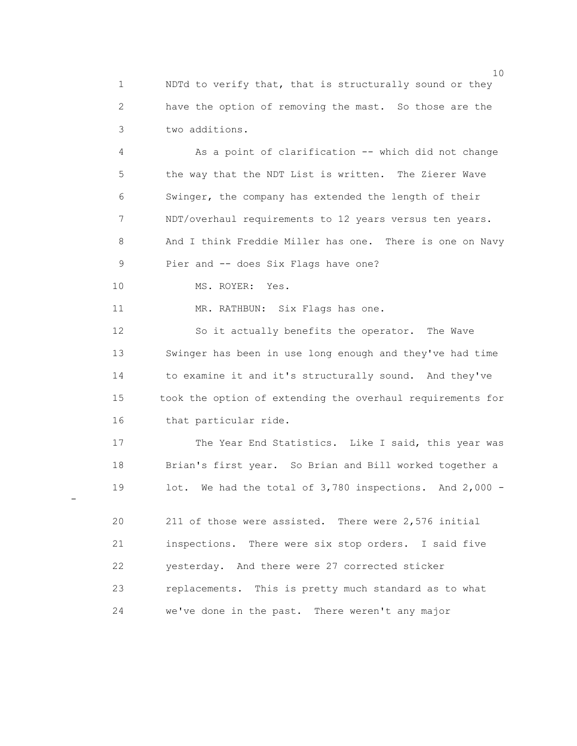1 NDTd to verify that, that is structurally sound or they 2 have the option of removing the mast. So those are the 3 two additions.

 4 As a point of clarification -- which did not change 5 the way that the NDT List is written. The Zierer Wave 6 Swinger, the company has extended the length of their 7 NDT/overhaul requirements to 12 years versus ten years. 8 And I think Freddie Miller has one. There is one on Navy 9 Pier and -- does Six Flags have one?

10 MS. ROYER: Yes.

-

11 MR. RATHBUN: Six Flags has one.

 12 So it actually benefits the operator. The Wave 13 Swinger has been in use long enough and they've had time 14 to examine it and it's structurally sound. And they've 15 took the option of extending the overhaul requirements for 16 that particular ride.

17 The Year End Statistics. Like I said, this year was 18 Brian's first year. So Brian and Bill worked together a 19 lot. We had the total of 3,780 inspections. And 2,000 -

 20 211 of those were assisted. There were 2,576 initial 21 inspections. There were six stop orders. I said five 22 yesterday. And there were 27 corrected sticker 23 replacements. This is pretty much standard as to what 24 we've done in the past. There weren't any major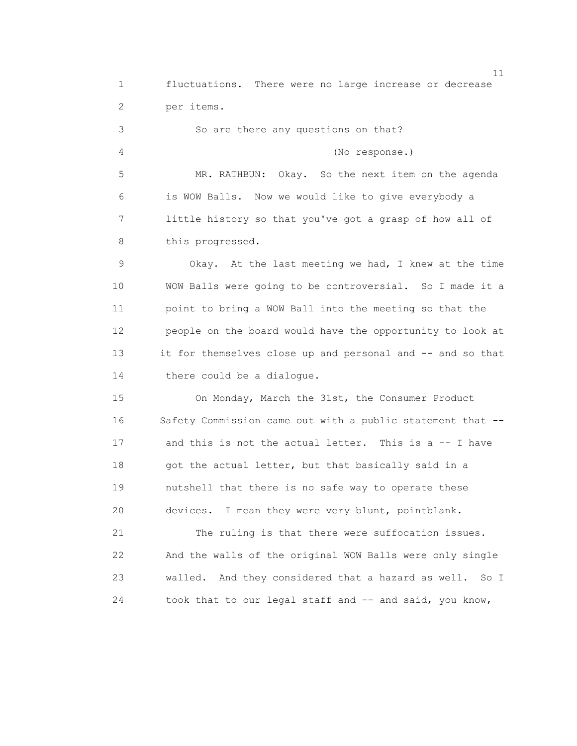11 1 fluctuations. There were no large increase or decrease 2 per items. 3 So are there any questions on that? 4 (No response.) 5 MR. RATHBUN: Okay. So the next item on the agenda 6 is WOW Balls. Now we would like to give everybody a 7 little history so that you've got a grasp of how all of 8 this progressed. 9 Okay. At the last meeting we had, I knew at the time 10 WOW Balls were going to be controversial. So I made it a 11 point to bring a WOW Ball into the meeting so that the 12 people on the board would have the opportunity to look at 13 it for themselves close up and personal and -- and so that 14 there could be a dialogue. 15 On Monday, March the 31st, the Consumer Product 16 Safety Commission came out with a public statement that -- 17 and this is not the actual letter. This is a -- I have 18 got the actual letter, but that basically said in a 19 nutshell that there is no safe way to operate these 20 devices. I mean they were very blunt, pointblank. 21 The ruling is that there were suffocation issues. 22 And the walls of the original WOW Balls were only single 23 walled. And they considered that a hazard as well. So I 24 took that to our legal staff and -- and said, you know,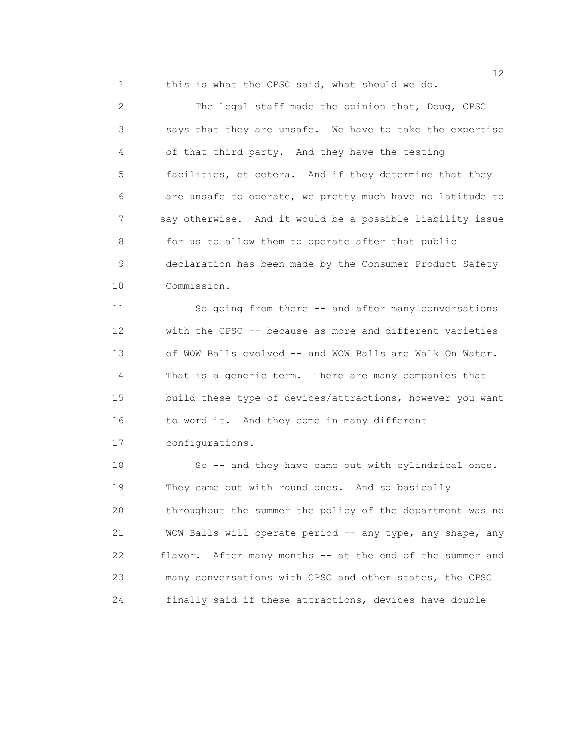1 this is what the CPSC said, what should we do.

 2 The legal staff made the opinion that, Doug, CPSC 3 says that they are unsafe. We have to take the expertise 4 of that third party. And they have the testing 5 facilities, et cetera. And if they determine that they 6 are unsafe to operate, we pretty much have no latitude to 7 say otherwise. And it would be a possible liability issue 8 for us to allow them to operate after that public 9 declaration has been made by the Consumer Product Safety 10 Commission.

 11 So going from there -- and after many conversations 12 with the CPSC -- because as more and different varieties 13 of WOW Balls evolved -- and WOW Balls are Walk On Water. 14 That is a generic term. There are many companies that 15 build these type of devices/attractions, however you want 16 to word it. And they come in many different 17 configurations.

 18 So -- and they have came out with cylindrical ones. 19 They came out with round ones. And so basically 20 throughout the summer the policy of the department was no 21 WOW Balls will operate period -- any type, any shape, any 22 flavor. After many months -- at the end of the summer and 23 many conversations with CPSC and other states, the CPSC 24 finally said if these attractions, devices have double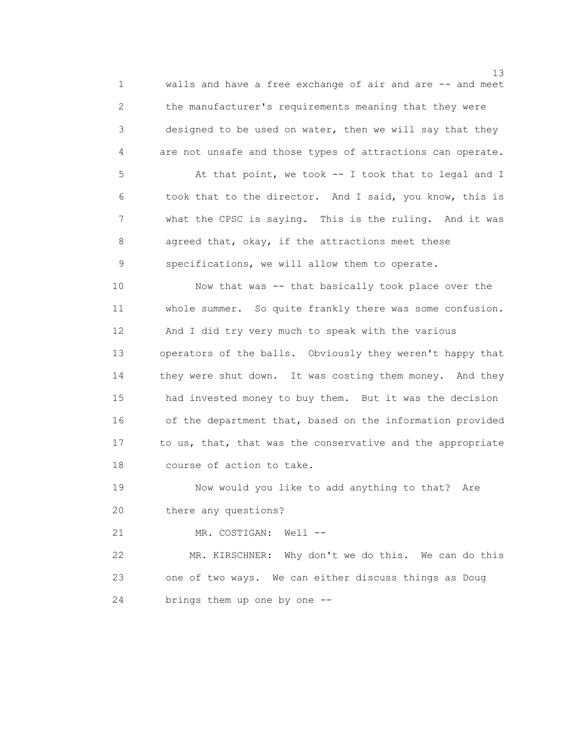1 walls and have a free exchange of air and are -- and meet 2 the manufacturer's requirements meaning that they were 3 designed to be used on water, then we will say that they 4 are not unsafe and those types of attractions can operate.

5 At that point, we took -- I took that to legal and I 6 took that to the director. And I said, you know, this is 7 what the CPSC is saying. This is the ruling. And it was 8 agreed that, okay, if the attractions meet these 9 specifications, we will allow them to operate.

 10 Now that was -- that basically took place over the 11 whole summer. So quite frankly there was some confusion. 12 And I did try very much to speak with the various 13 operators of the balls. Obviously they weren't happy that 14 they were shut down. It was costing them money. And they 15 had invested money to buy them. But it was the decision 16 of the department that, based on the information provided 17 to us, that, that was the conservative and the appropriate 18 course of action to take.

 19 Now would you like to add anything to that? Are 20 there any questions?

21 MR. COSTIGAN: Well --

 22 MR. KIRSCHNER: Why don't we do this. We can do this 23 one of two ways. We can either discuss things as Doug 24 brings them up one by one --

13<sup>3</sup>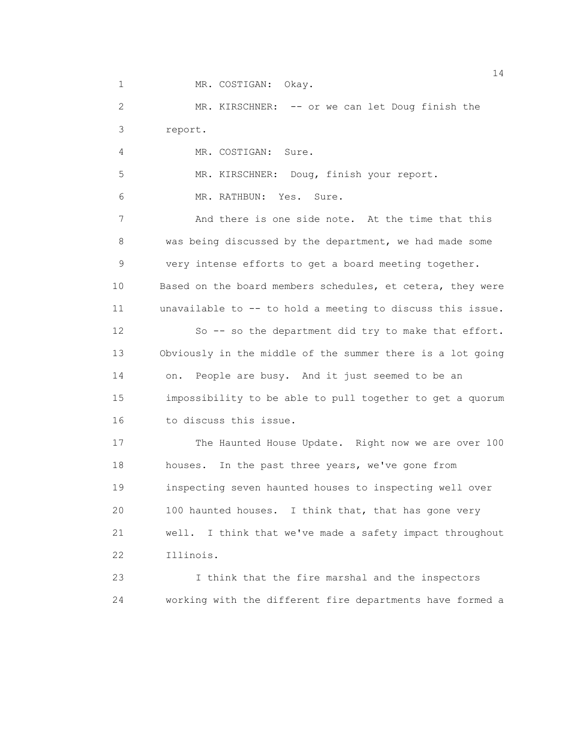1 MR. COSTIGAN: Okay.

 2 MR. KIRSCHNER: -- or we can let Doug finish the 3 report.

4 MR. COSTIGAN: Sure.

5 MR. KIRSCHNER: Doug, finish your report.

6 MR. RATHBUN: Yes. Sure.

 7 And there is one side note. At the time that this 8 was being discussed by the department, we had made some 9 very intense efforts to get a board meeting together. 10 Based on the board members schedules, et cetera, they were 11 unavailable to -- to hold a meeting to discuss this issue. 12 So -- so the department did try to make that effort. 13 Obviously in the middle of the summer there is a lot going

 14 on. People are busy. And it just seemed to be an 15 impossibility to be able to pull together to get a quorum 16 to discuss this issue.

 17 The Haunted House Update. Right now we are over 100 18 houses. In the past three years, we've gone from 19 inspecting seven haunted houses to inspecting well over 20 100 haunted houses. I think that, that has gone very 21 well. I think that we've made a safety impact throughout 22 Illinois.

 23 I think that the fire marshal and the inspectors 24 working with the different fire departments have formed a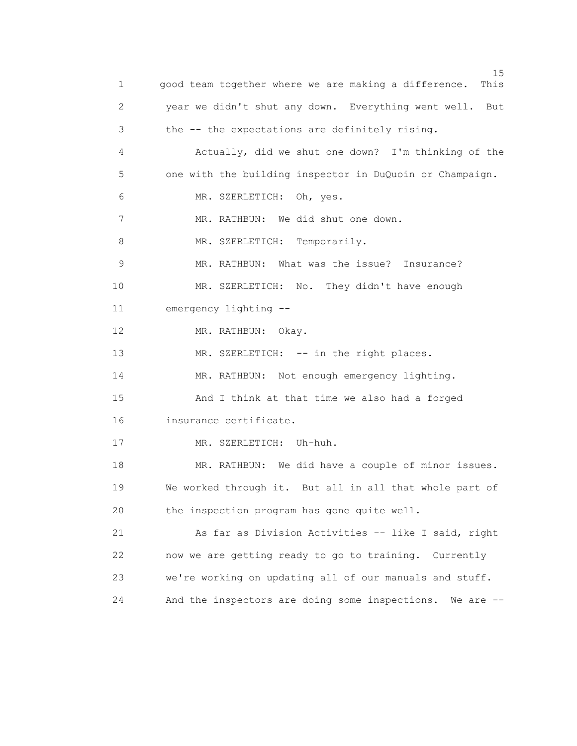15 and 15 and 15 and 15 and 15 and 15 and 15 and 15 and 15 and 15 and 15 and 15 and 15 1 good team together where we are making a difference. This 2 year we didn't shut any down. Everything went well. But 3 the -- the expectations are definitely rising. 4 Actually, did we shut one down? I'm thinking of the 5 one with the building inspector in DuQuoin or Champaign. 6 MR. SZERLETICH: Oh, yes. 7 MR. RATHBUN: We did shut one down. 8 MR. SZERLETICH: Temporarily. 9 MR. RATHBUN: What was the issue? Insurance? 10 MR. SZERLETICH: No. They didn't have enough 11 emergency lighting -- 12 MR. RATHBUN: Okay. 13 MR. SZERLETICH: -- in the right places. 14 MR. RATHBUN: Not enough emergency lighting. 15 And I think at that time we also had a forged 16 insurance certificate. 17 MR. SZERLETICH: Uh-huh. 18 MR. RATHBUN: We did have a couple of minor issues. 19 We worked through it. But all in all that whole part of 20 the inspection program has gone quite well. 21 As far as Division Activities -- like I said, right 22 now we are getting ready to go to training. Currently 23 we're working on updating all of our manuals and stuff. 24 And the inspectors are doing some inspections. We are --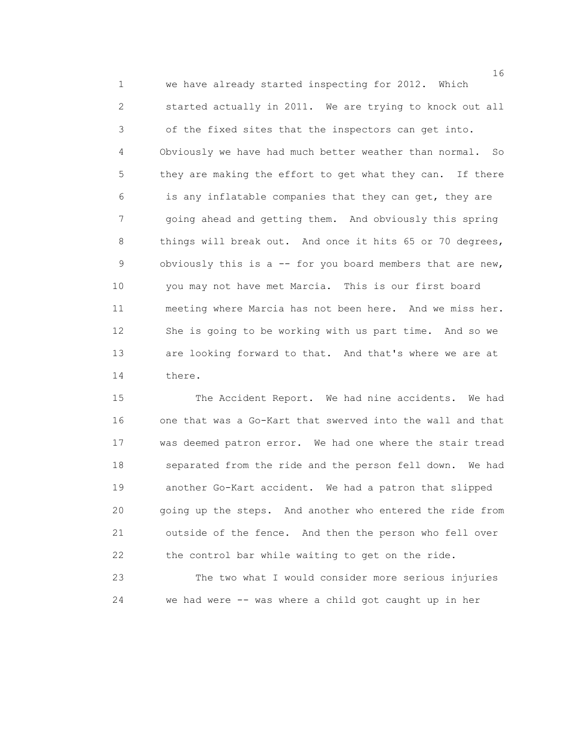1 we have already started inspecting for 2012. Which 2 started actually in 2011. We are trying to knock out all 3 of the fixed sites that the inspectors can get into. 4 Obviously we have had much better weather than normal. So 5 they are making the effort to get what they can. If there 6 is any inflatable companies that they can get, they are 7 going ahead and getting them. And obviously this spring 8 things will break out. And once it hits 65 or 70 degrees, 9 obviously this is a -- for you board members that are new, 10 you may not have met Marcia. This is our first board 11 meeting where Marcia has not been here. And we miss her. 12 She is going to be working with us part time. And so we 13 are looking forward to that. And that's where we are at 14 there.

 15 The Accident Report. We had nine accidents. We had 16 one that was a Go-Kart that swerved into the wall and that 17 was deemed patron error. We had one where the stair tread 18 separated from the ride and the person fell down. We had 19 another Go-Kart accident. We had a patron that slipped 20 going up the steps. And another who entered the ride from 21 outside of the fence. And then the person who fell over 22 the control bar while waiting to get on the ride.

 23 The two what I would consider more serious injuries 24 we had were -- was where a child got caught up in her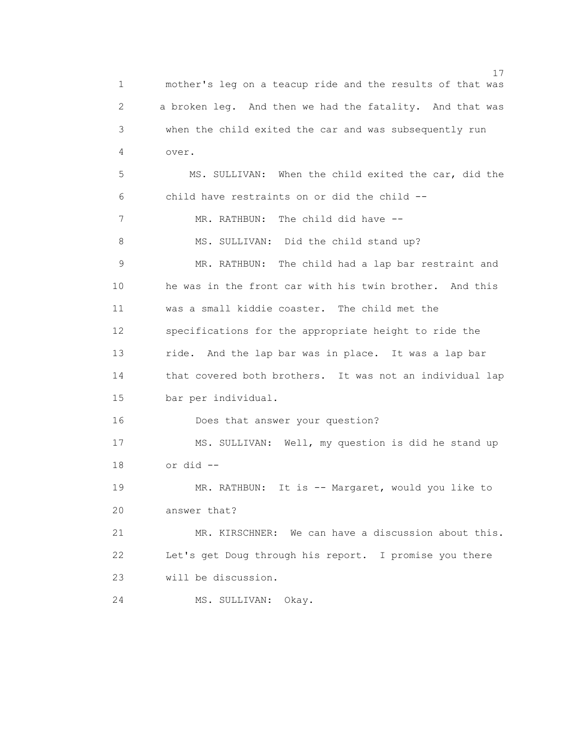17 1 mother's leg on a teacup ride and the results of that was 2 a broken leg. And then we had the fatality. And that was 3 when the child exited the car and was subsequently run 4 over. 5 MS. SULLIVAN: When the child exited the car, did the 6 child have restraints on or did the child -- 7 MR. RATHBUN: The child did have --8 MS. SULLIVAN: Did the child stand up? 9 MR. RATHBUN: The child had a lap bar restraint and 10 he was in the front car with his twin brother. And this 11 was a small kiddie coaster. The child met the 12 specifications for the appropriate height to ride the 13 ride. And the lap bar was in place. It was a lap bar 14 that covered both brothers. It was not an individual lap 15 bar per individual. 16 Does that answer your question? 17 MS. SULLIVAN: Well, my question is did he stand up 18 or did -- 19 MR. RATHBUN: It is -- Margaret, would you like to 20 answer that? 21 MR. KIRSCHNER: We can have a discussion about this. 22 Let's get Doug through his report. I promise you there 23 will be discussion. 24 MS. SULLIVAN: Okay.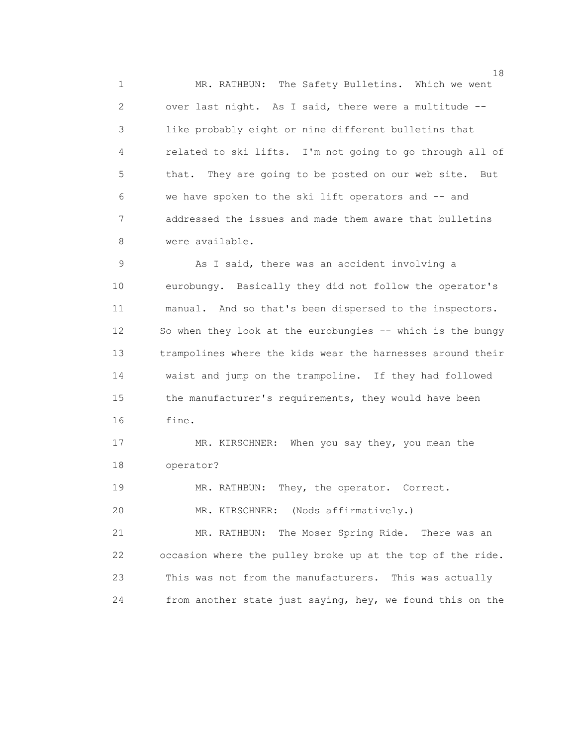1 MR. RATHBUN: The Safety Bulletins. Which we went 2 over last night. As I said, there were a multitude -- 3 like probably eight or nine different bulletins that 4 related to ski lifts. I'm not going to go through all of 5 that. They are going to be posted on our web site. But 6 we have spoken to the ski lift operators and -- and 7 addressed the issues and made them aware that bulletins 8 were available.

9 As I said, there was an accident involving a 10 eurobungy. Basically they did not follow the operator's 11 manual. And so that's been dispersed to the inspectors. 12 So when they look at the eurobungies -- which is the bungy 13 trampolines where the kids wear the harnesses around their 14 waist and jump on the trampoline. If they had followed 15 the manufacturer's requirements, they would have been 16 fine.

 17 MR. KIRSCHNER: When you say they, you mean the 18 operator?

19 MR. RATHBUN: They, the operator. Correct.

20 MR. KIRSCHNER: (Nods affirmatively.)

 21 MR. RATHBUN: The Moser Spring Ride. There was an 22 occasion where the pulley broke up at the top of the ride. 23 This was not from the manufacturers. This was actually 24 from another state just saying, hey, we found this on the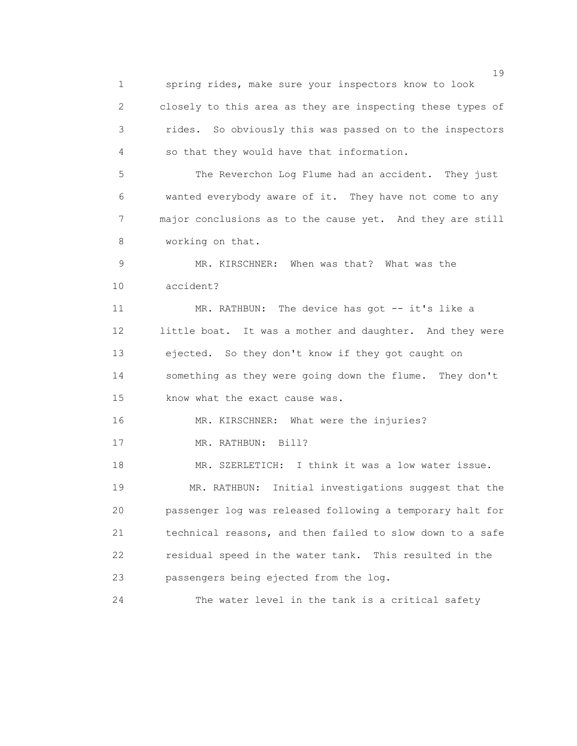19 1 spring rides, make sure your inspectors know to look 2 closely to this area as they are inspecting these types of 3 rides. So obviously this was passed on to the inspectors 4 so that they would have that information. 5 The Reverchon Log Flume had an accident. They just 6 wanted everybody aware of it. They have not come to any 7 major conclusions as to the cause yet. And they are still 8 working on that. 9 MR. KIRSCHNER: When was that? What was the 10 accident? 11 MR. RATHBUN: The device has got -- it's like a 12 little boat. It was a mother and daughter. And they were 13 ejected. So they don't know if they got caught on 14 something as they were going down the flume. They don't 15 know what the exact cause was. 16 MR. KIRSCHNER: What were the injuries? 17 MR. RATHBUN: Bill? 18 MR. SZERLETICH: I think it was a low water issue. 19 MR. RATHBUN: Initial investigations suggest that the 20 passenger log was released following a temporary halt for 21 technical reasons, and then failed to slow down to a safe 22 residual speed in the water tank. This resulted in the 23 passengers being ejected from the log. 24 The water level in the tank is a critical safety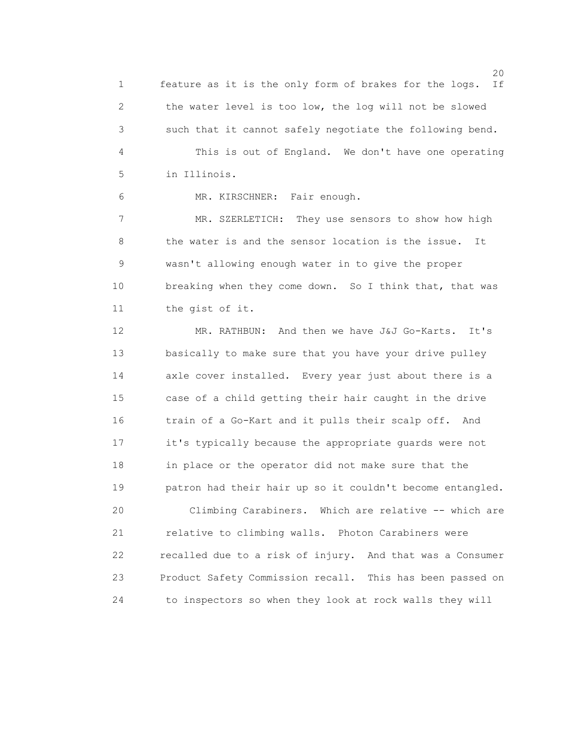1 feature as it is the only form of brakes for the logs. If 2 the water level is too low, the log will not be slowed 3 such that it cannot safely negotiate the following bend. 4 This is out of England. We don't have one operating 5 in Illinois.

6 MR. KIRSCHNER: Fair enough.

 7 MR. SZERLETICH: They use sensors to show how high 8 the water is and the sensor location is the issue. It 9 wasn't allowing enough water in to give the proper 10 breaking when they come down. So I think that, that was 11 the gist of it.

 12 MR. RATHBUN: And then we have J&J Go-Karts. It's 13 basically to make sure that you have your drive pulley 14 axle cover installed. Every year just about there is a 15 case of a child getting their hair caught in the drive 16 train of a Go-Kart and it pulls their scalp off. And 17 it's typically because the appropriate guards were not 18 in place or the operator did not make sure that the 19 patron had their hair up so it couldn't become entangled.

 20 Climbing Carabiners. Which are relative -- which are 21 relative to climbing walls. Photon Carabiners were 22 recalled due to a risk of injury. And that was a Consumer 23 Product Safety Commission recall. This has been passed on 24 to inspectors so when they look at rock walls they will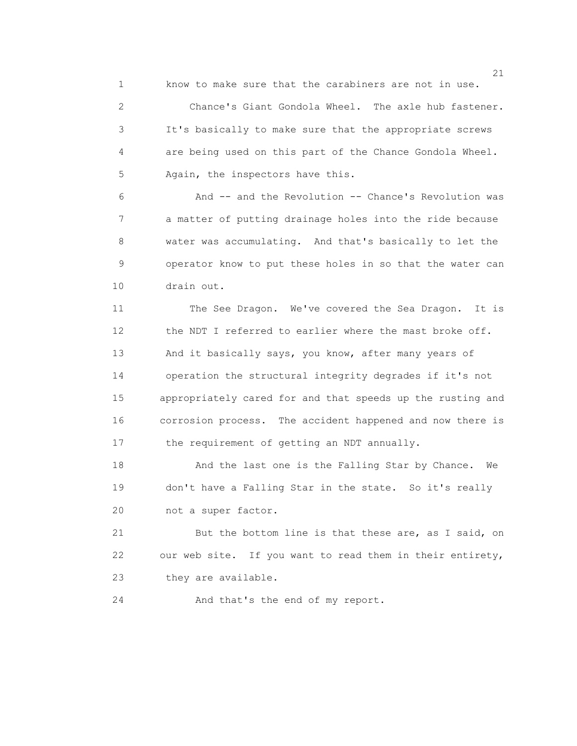1 know to make sure that the carabiners are not in use.

 2 Chance's Giant Gondola Wheel. The axle hub fastener. 3 It's basically to make sure that the appropriate screws 4 are being used on this part of the Chance Gondola Wheel. 5 Again, the inspectors have this.

 6 And -- and the Revolution -- Chance's Revolution was 7 a matter of putting drainage holes into the ride because 8 water was accumulating. And that's basically to let the 9 operator know to put these holes in so that the water can 10 drain out.

 11 The See Dragon. We've covered the Sea Dragon. It is 12 the NDT I referred to earlier where the mast broke off. 13 And it basically says, you know, after many years of 14 operation the structural integrity degrades if it's not 15 appropriately cared for and that speeds up the rusting and 16 corrosion process. The accident happened and now there is 17 the requirement of getting an NDT annually.

18 And the last one is the Falling Star by Chance. We 19 don't have a Falling Star in the state. So it's really 20 not a super factor.

 21 But the bottom line is that these are, as I said, on 22 our web site. If you want to read them in their entirety, 23 they are available.

24 And that's the end of my report.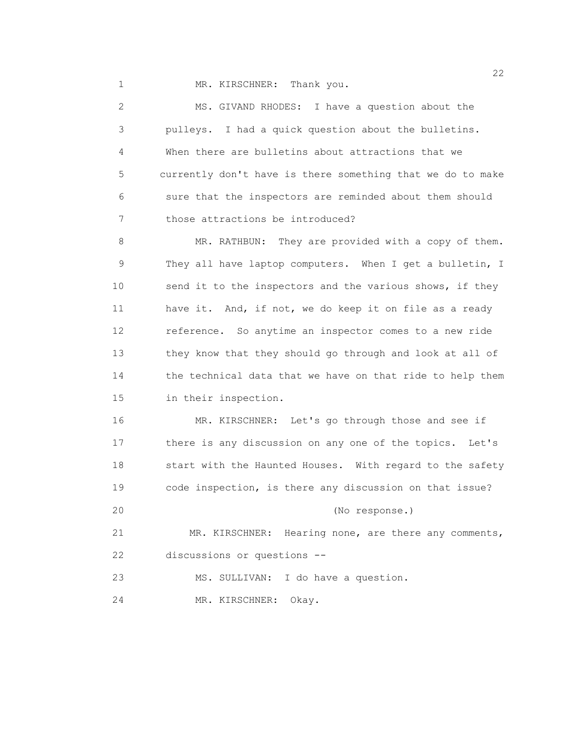1 MR. KIRSCHNER: Thank you.

 2 MS. GIVAND RHODES: I have a question about the 3 pulleys. I had a quick question about the bulletins. 4 When there are bulletins about attractions that we 5 currently don't have is there something that we do to make 6 sure that the inspectors are reminded about them should 7 those attractions be introduced?

 8 MR. RATHBUN: They are provided with a copy of them. 9 They all have laptop computers. When I get a bulletin, I 10 send it to the inspectors and the various shows, if they 11 have it. And, if not, we do keep it on file as a ready 12 reference. So anytime an inspector comes to a new ride 13 they know that they should go through and look at all of 14 the technical data that we have on that ride to help them 15 in their inspection.

 16 MR. KIRSCHNER: Let's go through those and see if 17 there is any discussion on any one of the topics. Let's 18 start with the Haunted Houses. With regard to the safety 19 code inspection, is there any discussion on that issue? 20 (No response.) 21 MR. KIRSCHNER: Hearing none, are there any comments, 22 discussions or questions --

23 MS. SULLIVAN: I do have a question.

24 MR. KIRSCHNER: Okay.

22 and 22 and 23 and 23 and 23 and 23 and 23 and 23 and 23 and 23 and 23 and 23 and 23 and 23 and 23 and 24 and 25 and 26 and 26 and 26 and 26 and 26 and 26 and 26 and 26 and 26 and 26 and 26 and 26 and 26 and 26 and 26 an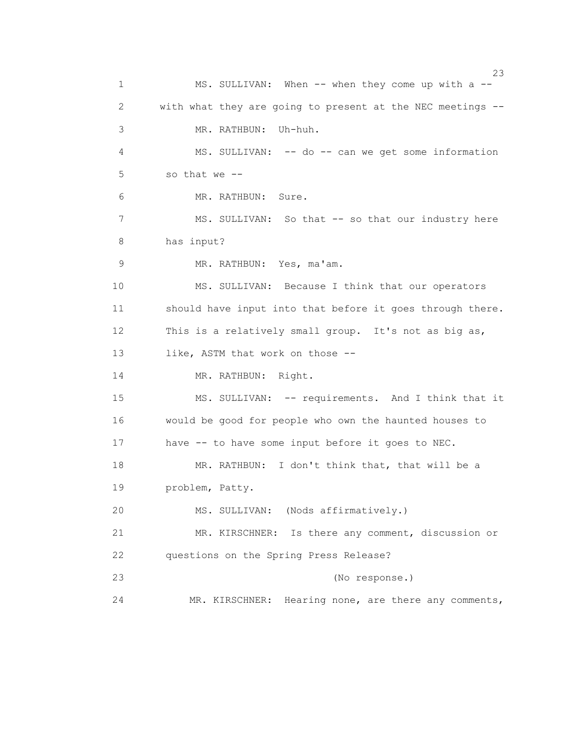$23$  1 MS. SULLIVAN: When -- when they come up with a -- 2 with what they are going to present at the NEC meetings -- 3 MR. RATHBUN: Uh-huh. 4 MS. SULLIVAN: -- do -- can we get some information 5 so that we -- 6 MR. RATHBUN: Sure. 7 MS. SULLIVAN: So that -- so that our industry here 8 has input? 9 MR. RATHBUN: Yes, ma'am. 10 MS. SULLIVAN: Because I think that our operators 11 should have input into that before it goes through there. 12 This is a relatively small group. It's not as big as, 13 like, ASTM that work on those --14 MR. RATHBUN: Right. 15 MS. SULLIVAN: -- requirements. And I think that it 16 would be good for people who own the haunted houses to 17 have -- to have some input before it goes to NEC. 18 MR. RATHBUN: I don't think that, that will be a 19 problem, Patty. 20 MS. SULLIVAN: (Nods affirmatively.) 21 MR. KIRSCHNER: Is there any comment, discussion or 22 questions on the Spring Press Release? 23 (No response.) 24 MR. KIRSCHNER: Hearing none, are there any comments,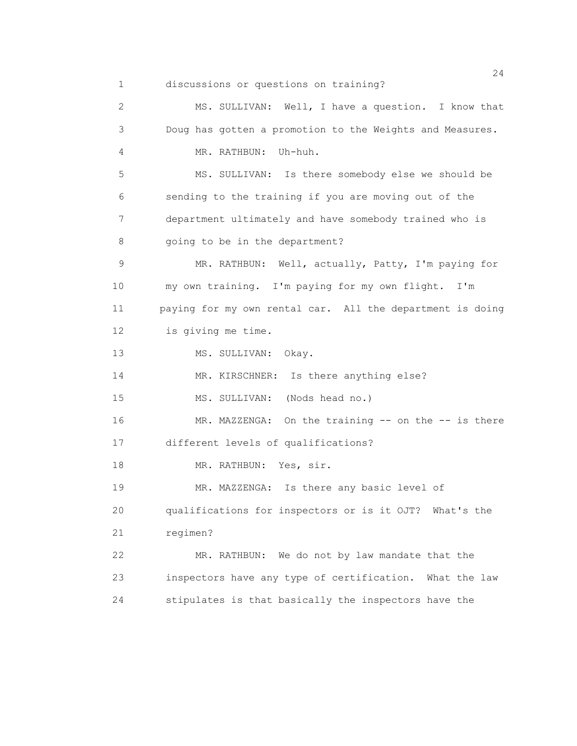1 discussions or questions on training?

 2 MS. SULLIVAN: Well, I have a question. I know that 3 Doug has gotten a promotion to the Weights and Measures. 4 MR. RATHBUN: Uh-huh. 5 MS. SULLIVAN: Is there somebody else we should be 6 sending to the training if you are moving out of the 7 department ultimately and have somebody trained who is 8 going to be in the department? 9 MR. RATHBUN: Well, actually, Patty, I'm paying for 10 my own training. I'm paying for my own flight. I'm 11 paying for my own rental car. All the department is doing 12 is giving me time. 13 MS. SULLIVAN: Okay. 14 MR. KIRSCHNER: Is there anything else? 15 MS. SULLIVAN: (Nods head no.) 16 MR. MAZZENGA: On the training -- on the -- is there 17 different levels of qualifications? 18 MR. RATHBUN: Yes, sir. 19 MR. MAZZENGA: Is there any basic level of 20 qualifications for inspectors or is it OJT? What's the 21 regimen? 22 MR. RATHBUN: We do not by law mandate that the 23 inspectors have any type of certification. What the law 24 stipulates is that basically the inspectors have the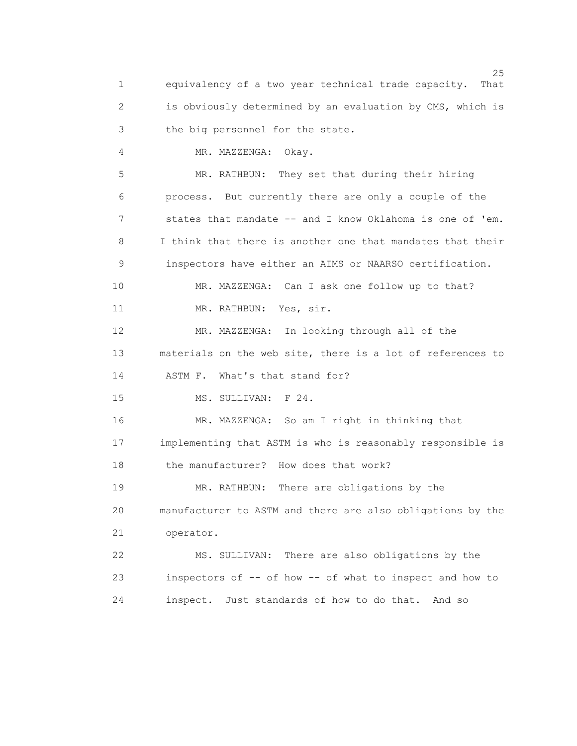$25$  1 equivalency of a two year technical trade capacity. That 2 is obviously determined by an evaluation by CMS, which is 3 the big personnel for the state. 4 MR. MAZZENGA: Okay. 5 MR. RATHBUN: They set that during their hiring 6 process. But currently there are only a couple of the 7 states that mandate -- and I know Oklahoma is one of 'em. 8 I think that there is another one that mandates that their 9 inspectors have either an AIMS or NAARSO certification. 10 MR. MAZZENGA: Can I ask one follow up to that? 11 MR. RATHBUN: Yes, sir. 12 MR. MAZZENGA: In looking through all of the 13 materials on the web site, there is a lot of references to 14 ASTM F. What's that stand for? 15 MS. SULLIVAN: F 24. 16 MR. MAZZENGA: So am I right in thinking that 17 implementing that ASTM is who is reasonably responsible is 18 the manufacturer? How does that work? 19 MR. RATHBUN: There are obligations by the 20 manufacturer to ASTM and there are also obligations by the 21 operator. 22 MS. SULLIVAN: There are also obligations by the 23 inspectors of -- of how -- of what to inspect and how to 24 inspect. Just standards of how to do that. And so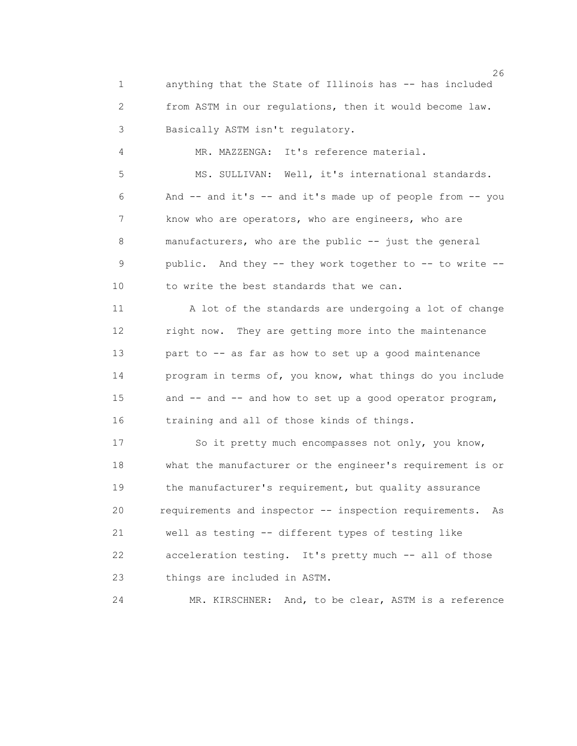1 anything that the State of Illinois has -- has included 2 from ASTM in our regulations, then it would become law. 3 Basically ASTM isn't regulatory.

4 MR. MAZZENGA: It's reference material.

 5 MS. SULLIVAN: Well, it's international standards. 6 And -- and it's -- and it's made up of people from -- you 7 know who are operators, who are engineers, who are 8 manufacturers, who are the public -- just the general 9 public. And they -- they work together to -- to write -- 10 to write the best standards that we can.

 11 A lot of the standards are undergoing a lot of change 12 right now. They are getting more into the maintenance 13 part to -- as far as how to set up a good maintenance 14 program in terms of, you know, what things do you include 15 and -- and -- and how to set up a good operator program, 16 training and all of those kinds of things.

 17 So it pretty much encompasses not only, you know, 18 what the manufacturer or the engineer's requirement is or 19 the manufacturer's requirement, but quality assurance 20 requirements and inspector -- inspection requirements. As 21 well as testing -- different types of testing like 22 acceleration testing. It's pretty much -- all of those 23 things are included in ASTM.

24 MR. KIRSCHNER: And, to be clear, ASTM is a reference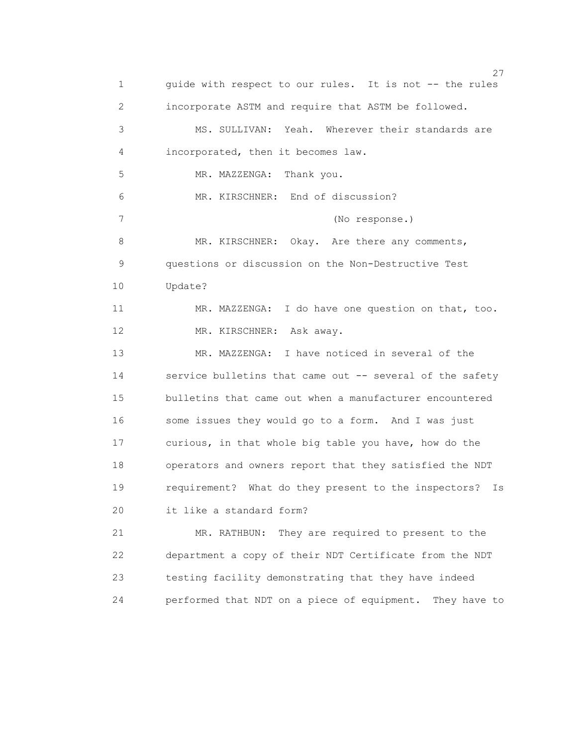<u>27</u> 1 guide with respect to our rules. It is not -- the rules 2 incorporate ASTM and require that ASTM be followed. 3 MS. SULLIVAN: Yeah. Wherever their standards are 4 incorporated, then it becomes law. 5 MR. MAZZENGA: Thank you. 6 MR. KIRSCHNER: End of discussion? 7 (No response.) 8 MR. KIRSCHNER: Okay. Are there any comments, 9 questions or discussion on the Non-Destructive Test 10 Update? 11 MR. MAZZENGA: I do have one question on that, too. 12 MR. KIRSCHNER: Ask away. 13 MR. MAZZENGA: I have noticed in several of the 14 service bulletins that came out -- several of the safety 15 bulletins that came out when a manufacturer encountered 16 some issues they would go to a form. And I was just 17 curious, in that whole big table you have, how do the 18 operators and owners report that they satisfied the NDT 19 requirement? What do they present to the inspectors? Is 20 it like a standard form? 21 MR. RATHBUN: They are required to present to the 22 department a copy of their NDT Certificate from the NDT 23 testing facility demonstrating that they have indeed 24 performed that NDT on a piece of equipment. They have to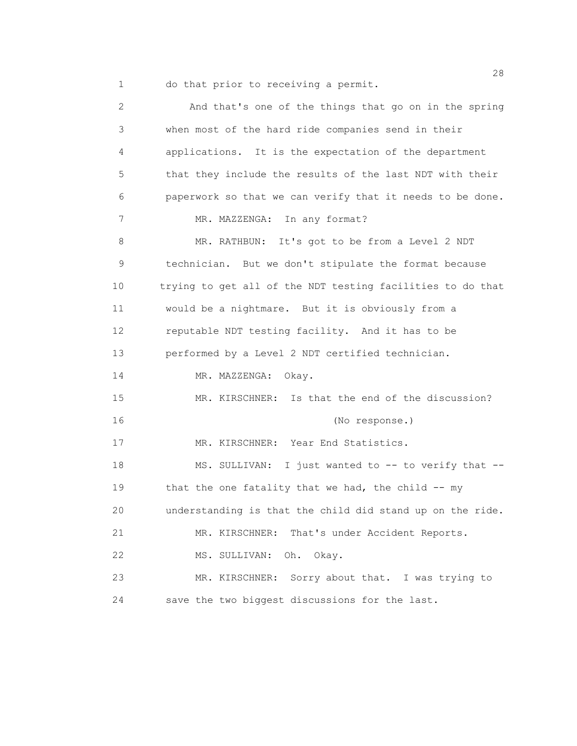1 do that prior to receiving a permit.

| $\mathbf{2}$ | And that's one of the things that go on in the spring      |
|--------------|------------------------------------------------------------|
| 3            | when most of the hard ride companies send in their         |
| 4            | applications. It is the expectation of the department      |
| 5            | that they include the results of the last NDT with their   |
| 6            | paperwork so that we can verify that it needs to be done.  |
| 7            | In any format?<br>MR. MAZZENGA:                            |
| 8            | MR. RATHBUN: It's got to be from a Level 2 NDT             |
| 9            | technician. But we don't stipulate the format because      |
| 10           | trying to get all of the NDT testing facilities to do that |
| 11           | would be a nightmare. But it is obviously from a           |
| 12           | reputable NDT testing facility. And it has to be           |
| 13           | performed by a Level 2 NDT certified technician.           |
| 14           | MR. MAZZENGA: Okay.                                        |
| 15           | Is that the end of the discussion?<br>MR. KIRSCHNER:       |
| 16           | (No response.)                                             |
| 17           | MR. KIRSCHNER: Year End Statistics.                        |
| 18           | MS. SULLIVAN: I just wanted to -- to verify that --        |
| 19           | that the one fatality that we had, the child $--$ my       |
| 20           | understanding is that the child did stand up on the ride.  |
| 21           | MR. KIRSCHNER: That's under Accident Reports.              |
| 22           | Oh. Okay.<br>MS. SULLIVAN:                                 |
| 23           | MR. KIRSCHNER: Sorry about that. I was trying to           |
| 24           | save the two biggest discussions for the last.             |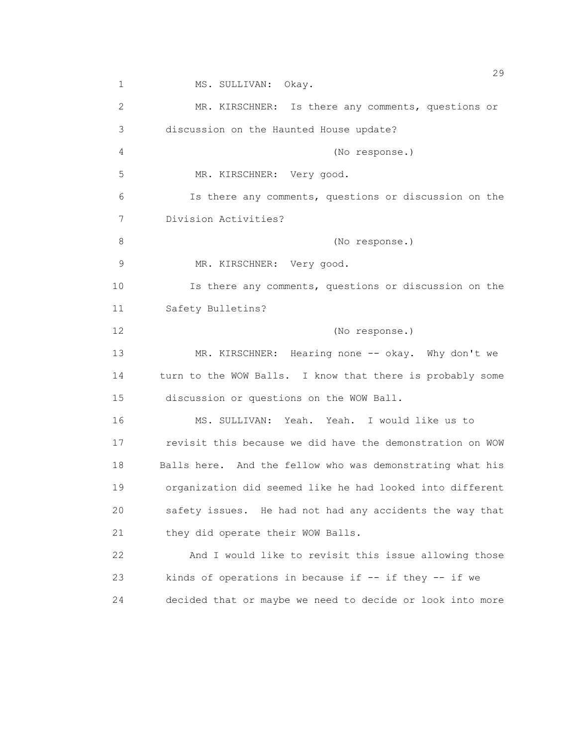$29$ 1 MS. SULLIVAN: Okay. 2 MR. KIRSCHNER: Is there any comments, questions or 3 discussion on the Haunted House update? 4 (No response.) 5 MR. KIRSCHNER: Very good. 6 Is there any comments, questions or discussion on the 7 Division Activities? 8 (No response.) 9 MR. KIRSCHNER: Very good. 10 Is there any comments, questions or discussion on the 11 Safety Bulletins? 12 (No response.) 13 MR. KIRSCHNER: Hearing none -- okay. Why don't we 14 turn to the WOW Balls. I know that there is probably some 15 discussion or questions on the WOW Ball. 16 MS. SULLIVAN: Yeah. Yeah. I would like us to 17 revisit this because we did have the demonstration on WOW 18 Balls here. And the fellow who was demonstrating what his 19 organization did seemed like he had looked into different 20 safety issues. He had not had any accidents the way that 21 they did operate their WOW Balls. 22 And I would like to revisit this issue allowing those 23 kinds of operations in because if -- if they -- if we 24 decided that or maybe we need to decide or look into more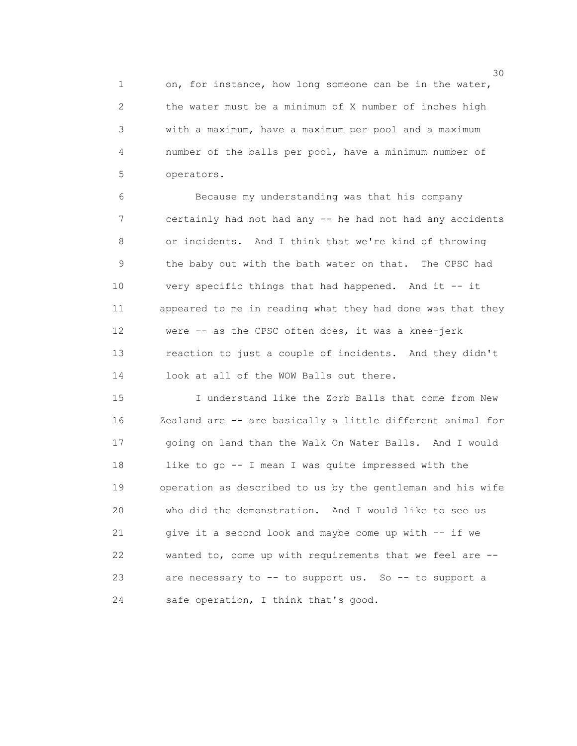1 on, for instance, how long someone can be in the water, 2 the water must be a minimum of X number of inches high 3 with a maximum, have a maximum per pool and a maximum 4 number of the balls per pool, have a minimum number of 5 operators.

 6 Because my understanding was that his company 7 certainly had not had any -- he had not had any accidents 8 or incidents. And I think that we're kind of throwing 9 the baby out with the bath water on that. The CPSC had 10 very specific things that had happened. And it -- it 11 appeared to me in reading what they had done was that they 12 were -- as the CPSC often does, it was a knee-jerk 13 reaction to just a couple of incidents. And they didn't 14 look at all of the WOW Balls out there.

 15 I understand like the Zorb Balls that come from New 16 Zealand are -- are basically a little different animal for 17 going on land than the Walk On Water Balls. And I would 18 like to go -- I mean I was quite impressed with the 19 operation as described to us by the gentleman and his wife 20 who did the demonstration. And I would like to see us 21 give it a second look and maybe come up with -- if we 22 wanted to, come up with requirements that we feel are -- 23 are necessary to -- to support us. So -- to support a 24 safe operation, I think that's good.

 $30<sup>2</sup>$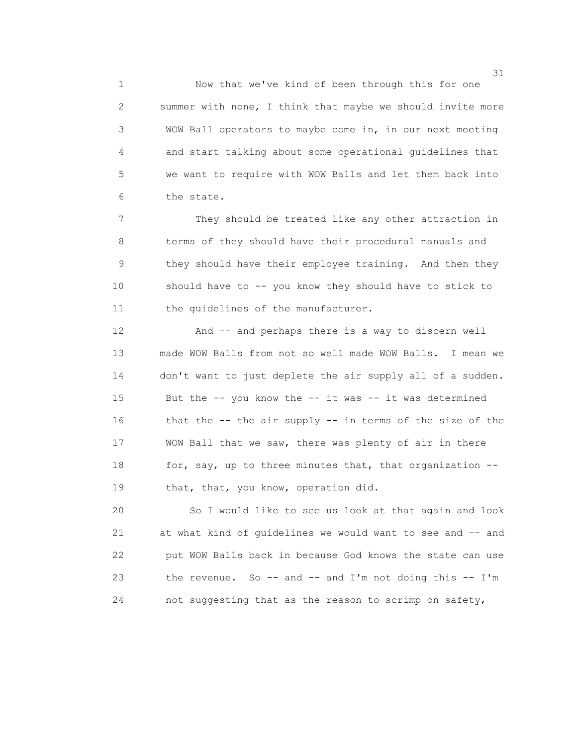1 Now that we've kind of been through this for one 2 summer with none, I think that maybe we should invite more 3 WOW Ball operators to maybe come in, in our next meeting 4 and start talking about some operational guidelines that 5 we want to require with WOW Balls and let them back into 6 the state.

 7 They should be treated like any other attraction in 8 terms of they should have their procedural manuals and 9 they should have their employee training. And then they 10 should have to -- you know they should have to stick to 11 the quidelines of the manufacturer.

 12 And -- and perhaps there is a way to discern well 13 made WOW Balls from not so well made WOW Balls. I mean we 14 don't want to just deplete the air supply all of a sudden. 15 But the -- you know the -- it was -- it was determined 16 that the -- the air supply -- in terms of the size of the 17 WOW Ball that we saw, there was plenty of air in there 18 for, say, up to three minutes that, that organization --19 that, that, you know, operation did.

 20 So I would like to see us look at that again and look 21 at what kind of guidelines we would want to see and -- and 22 put WOW Balls back in because God knows the state can use 23 the revenue. So -- and -- and I'm not doing this -- I'm 24 not suggesting that as the reason to scrimp on safety,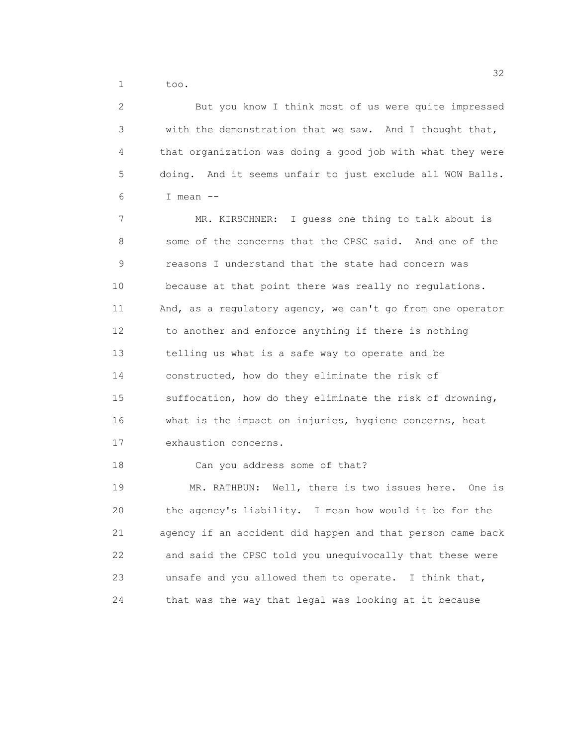1 too.

 2 But you know I think most of us were quite impressed 3 with the demonstration that we saw. And I thought that, 4 that organization was doing a good job with what they were 5 doing. And it seems unfair to just exclude all WOW Balls.  $6 \qquad \qquad$  I mean  $-$  7 MR. KIRSCHNER: I guess one thing to talk about is 8 some of the concerns that the CPSC said. And one of the 9 reasons I understand that the state had concern was 10 because at that point there was really no regulations. 11 And, as a regulatory agency, we can't go from one operator 12 to another and enforce anything if there is nothing 13 telling us what is a safe way to operate and be 14 constructed, how do they eliminate the risk of 15 suffocation, how do they eliminate the risk of drowning, 16 what is the impact on injuries, hygiene concerns, heat 17 exhaustion concerns. 18 Can you address some of that? 19 MR. RATHBUN: Well, there is two issues here. One is 20 the agency's liability. I mean how would it be for the 21 agency if an accident did happen and that person came back 22 and said the CPSC told you unequivocally that these were

24 that was the way that legal was looking at it because

23 unsafe and you allowed them to operate. I think that,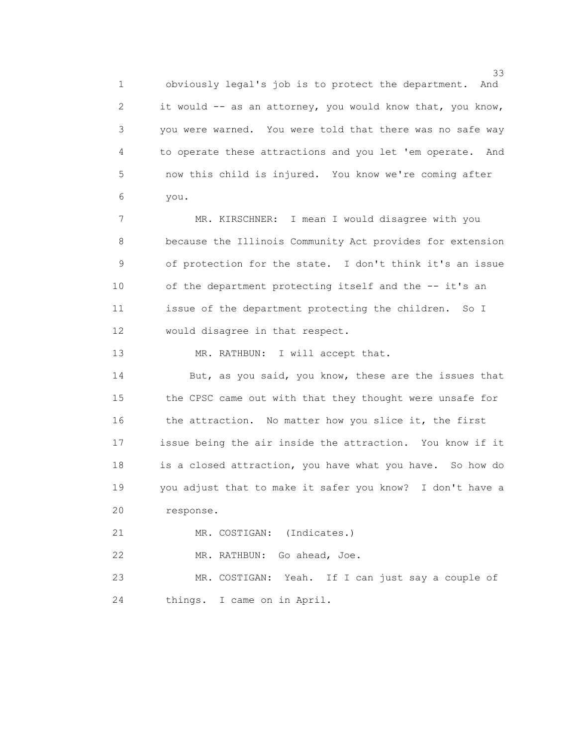1 obviously legal's job is to protect the department. And 2 it would -- as an attorney, you would know that, you know, 3 you were warned. You were told that there was no safe way 4 to operate these attractions and you let 'em operate. And 5 now this child is injured. You know we're coming after 6 you.

 7 MR. KIRSCHNER: I mean I would disagree with you 8 because the Illinois Community Act provides for extension 9 of protection for the state. I don't think it's an issue 10 of the department protecting itself and the -- it's an 11 issue of the department protecting the children. So I 12 would disagree in that respect.

13 MR. RATHBUN: I will accept that.

14 But, as you said, you know, these are the issues that 15 the CPSC came out with that they thought were unsafe for 16 the attraction. No matter how you slice it, the first 17 issue being the air inside the attraction. You know if it 18 is a closed attraction, you have what you have. So how do 19 you adjust that to make it safer you know? I don't have a 20 response.

21 MR. COSTIGAN: (Indicates.)

22 MR. RATHBUN: Go ahead, Joe.

 23 MR. COSTIGAN: Yeah. If I can just say a couple of 24 things. I came on in April.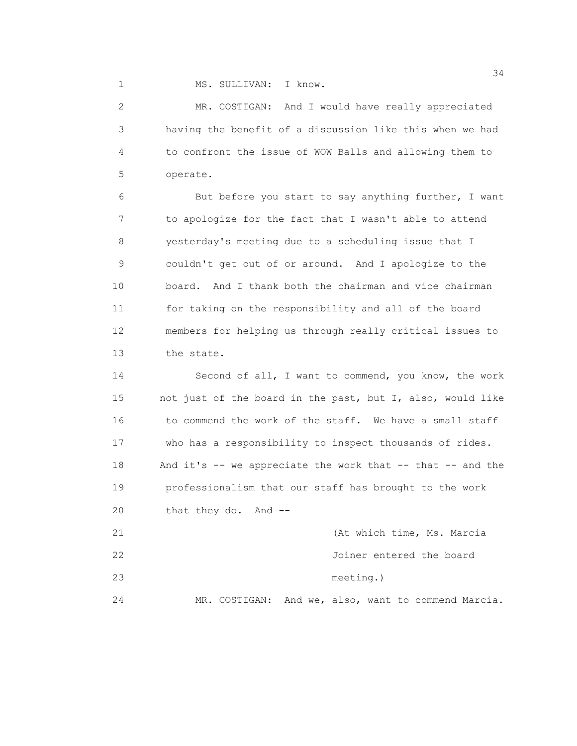1 MS. SULLIVAN: I know.

 2 MR. COSTIGAN: And I would have really appreciated 3 having the benefit of a discussion like this when we had 4 to confront the issue of WOW Balls and allowing them to 5 operate.

 6 But before you start to say anything further, I want 7 to apologize for the fact that I wasn't able to attend 8 yesterday's meeting due to a scheduling issue that I 9 couldn't get out of or around. And I apologize to the 10 board. And I thank both the chairman and vice chairman 11 for taking on the responsibility and all of the board 12 members for helping us through really critical issues to 13 the state.

 14 Second of all, I want to commend, you know, the work 15 not just of the board in the past, but I, also, would like 16 to commend the work of the staff. We have a small staff 17 who has a responsibility to inspect thousands of rides. 18 And it's -- we appreciate the work that -- that -- and the 19 professionalism that our staff has brought to the work 20 that they do. And --

| 21 |  | (At which time, Ms. Marcia                          |
|----|--|-----------------------------------------------------|
| 22 |  | Joiner entered the board                            |
| 23 |  | meeting.)                                           |
| 24 |  | MR. COSTIGAN: And we, also, want to commend Marcia. |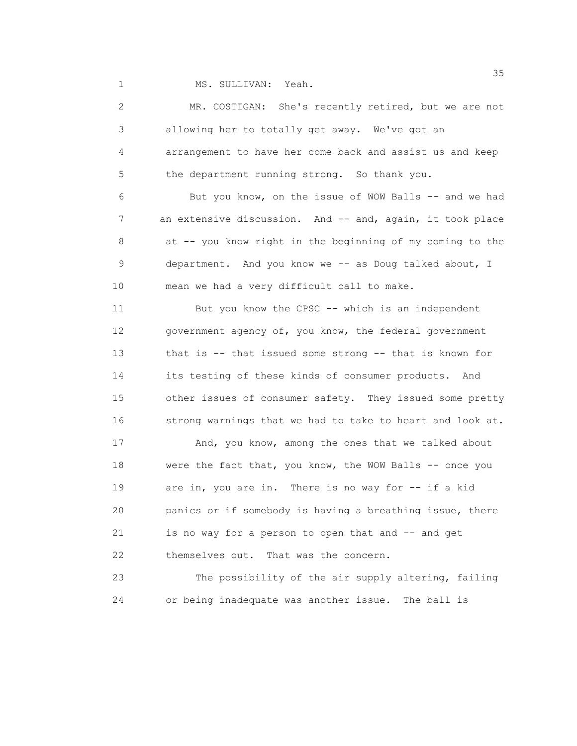1 MS. SULLIVAN: Yeah.

| $\mathbf{2}$   | MR. COSTIGAN: She's recently retired, but we are not      |
|----------------|-----------------------------------------------------------|
| 3              | allowing her to totally get away. We've got an            |
| $\overline{4}$ | arrangement to have her come back and assist us and keep  |
| 5              | the department running strong. So thank you.              |
| 6              | But you know, on the issue of WOW Balls -- and we had     |
| 7              | an extensive discussion. And -- and, again, it took place |
| 8              | at -- you know right in the beginning of my coming to the |
| 9              | department. And you know we -- as Doug talked about, I    |
| 10             | mean we had a very difficult call to make.                |
| 11             | But you know the CPSC -- which is an independent          |
| 12             | government agency of, you know, the federal government    |
| 13             | that is -- that issued some strong -- that is known for   |
| 14             | its testing of these kinds of consumer products. And      |
| 15             | other issues of consumer safety. They issued some pretty  |
| 16             | strong warnings that we had to take to heart and look at. |
| 17             | And, you know, among the ones that we talked about        |
| 18             | were the fact that, you know, the WOW Balls -- once you   |
| 19             | are in, you are in. There is no way for -- if a kid       |
| 20             | panics or if somebody is having a breathing issue, there  |
| 21             | is no way for a person to open that and -- and get        |
| 22             | themselves out. That was the concern.                     |
| 23             | The possibility of the air supply altering, failing       |
| 24             | or being inadequate was another issue.<br>The ball is     |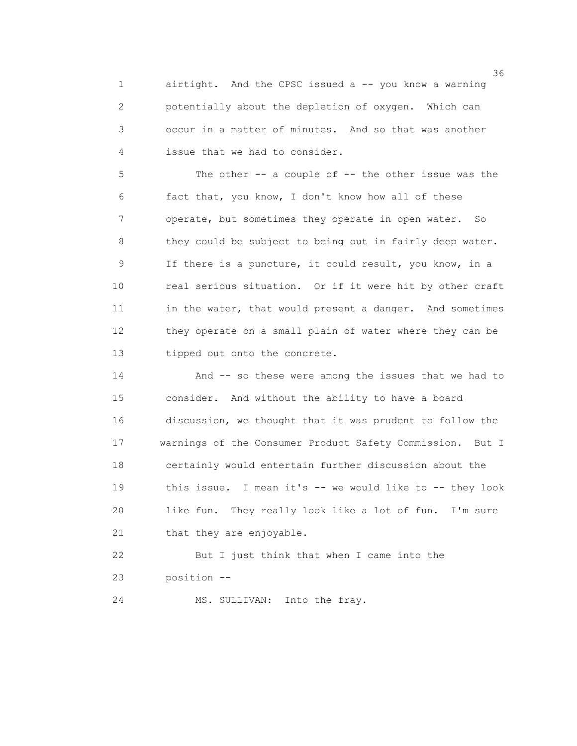1 airtight. And the CPSC issued a -- you know a warning 2 potentially about the depletion of oxygen. Which can 3 occur in a matter of minutes. And so that was another 4 issue that we had to consider.

 5 The other -- a couple of -- the other issue was the 6 fact that, you know, I don't know how all of these 7 operate, but sometimes they operate in open water. So 8 they could be subject to being out in fairly deep water. 9 If there is a puncture, it could result, you know, in a 10 real serious situation. Or if it were hit by other craft 11 in the water, that would present a danger. And sometimes 12 they operate on a small plain of water where they can be 13 tipped out onto the concrete.

 14 And -- so these were among the issues that we had to 15 consider. And without the ability to have a board 16 discussion, we thought that it was prudent to follow the 17 warnings of the Consumer Product Safety Commission. But I 18 certainly would entertain further discussion about the 19 this issue. I mean it's -- we would like to -- they look 20 like fun. They really look like a lot of fun. I'm sure 21 that they are enjoyable.

 22 But I just think that when I came into the 23 position --

24 MS. SULLIVAN: Into the fray.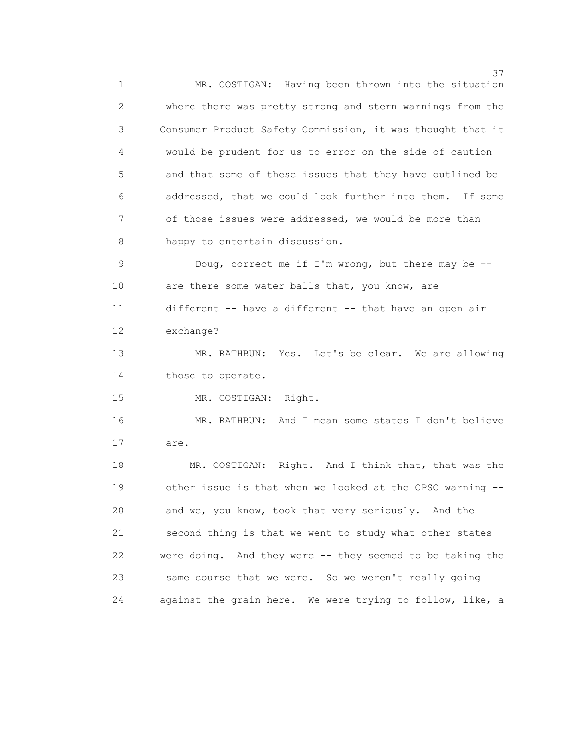<u>37</u> 1 MR. COSTIGAN: Having been thrown into the situation 2 where there was pretty strong and stern warnings from the 3 Consumer Product Safety Commission, it was thought that it 4 would be prudent for us to error on the side of caution 5 and that some of these issues that they have outlined be 6 addressed, that we could look further into them. If some 7 of those issues were addressed, we would be more than 8 happy to entertain discussion. 9 Doug, correct me if I'm wrong, but there may be -- 10 are there some water balls that, you know, are 11 different -- have a different -- that have an open air 12 exchange? 13 MR. RATHBUN: Yes. Let's be clear. We are allowing 14 those to operate. 15 MR. COSTIGAN: Right. 16 MR. RATHBUN: And I mean some states I don't believe 17 are. 18 MR. COSTIGAN: Right. And I think that, that was the 19 other issue is that when we looked at the CPSC warning -- 20 and we, you know, took that very seriously. And the 21 second thing is that we went to study what other states 22 were doing. And they were -- they seemed to be taking the 23 same course that we were. So we weren't really going 24 against the grain here. We were trying to follow, like, a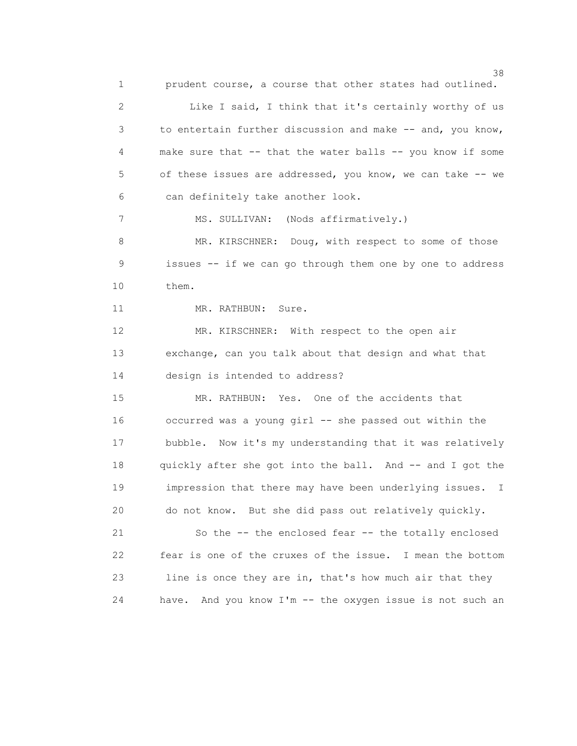1 prudent course, a course that other states had outlined.

 2 Like I said, I think that it's certainly worthy of us 3 to entertain further discussion and make -- and, you know, 4 make sure that -- that the water balls -- you know if some 5 of these issues are addressed, you know, we can take -- we 6 can definitely take another look.

7 MS. SULLIVAN: (Nods affirmatively.)

8 MR. KIRSCHNER: Doug, with respect to some of those 9 issues -- if we can go through them one by one to address 10 them.

11 MR. RATHBUN: Sure.

 12 MR. KIRSCHNER: With respect to the open air 13 exchange, can you talk about that design and what that 14 design is intended to address?

 15 MR. RATHBUN: Yes. One of the accidents that 16 occurred was a young girl -- she passed out within the 17 bubble. Now it's my understanding that it was relatively 18 quickly after she got into the ball. And -- and I got the 19 impression that there may have been underlying issues. I 20 do not know. But she did pass out relatively quickly.

 21 So the -- the enclosed fear -- the totally enclosed 22 fear is one of the cruxes of the issue. I mean the bottom 23 line is once they are in, that's how much air that they 24 have. And you know I'm -- the oxygen issue is not such an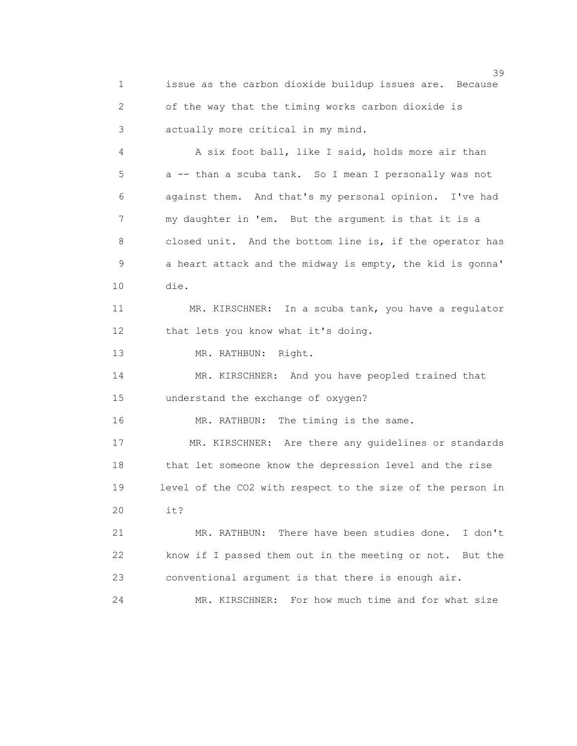1 issue as the carbon dioxide buildup issues are. Because 2 of the way that the timing works carbon dioxide is 3 actually more critical in my mind.

 4 A six foot ball, like I said, holds more air than 5 a -- than a scuba tank. So I mean I personally was not 6 against them. And that's my personal opinion. I've had 7 my daughter in 'em. But the argument is that it is a 8 closed unit. And the bottom line is, if the operator has 9 a heart attack and the midway is empty, the kid is gonna' 10 die.

 11 MR. KIRSCHNER: In a scuba tank, you have a regulator 12 that lets you know what it's doing.

13 MR. RATHBUN: Right.

 14 MR. KIRSCHNER: And you have peopled trained that 15 understand the exchange of oxygen?

16 MR. RATHBUN: The timing is the same.

 17 MR. KIRSCHNER: Are there any guidelines or standards 18 that let someone know the depression level and the rise 19 level of the CO2 with respect to the size of the person in 20 it?

 21 MR. RATHBUN: There have been studies done. I don't 22 know if I passed them out in the meeting or not. But the 23 conventional argument is that there is enough air.

24 MR. KIRSCHNER: For how much time and for what size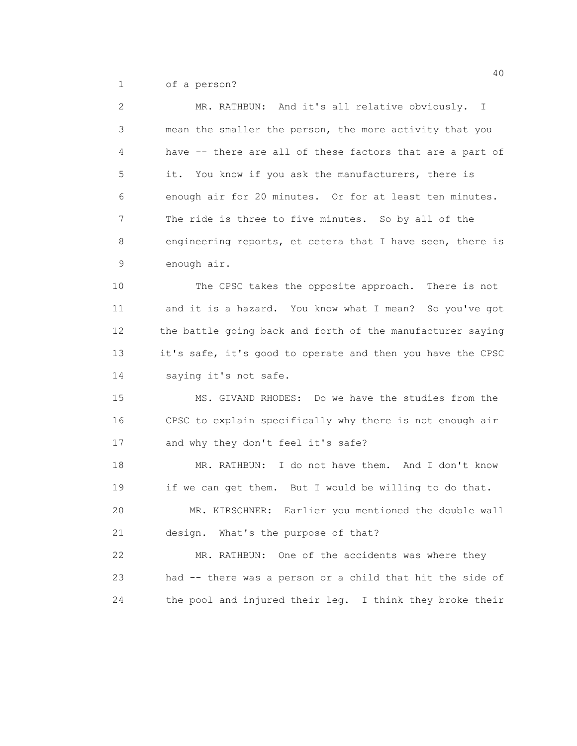1 of a person?

| $\overline{2}$  | MR. RATHBUN: And it's all relative obviously. I             |
|-----------------|-------------------------------------------------------------|
| 3               | mean the smaller the person, the more activity that you     |
| 4               | have -- there are all of these factors that are a part of   |
| 5               | it. You know if you ask the manufacturers, there is         |
| 6               | enough air for 20 minutes. Or for at least ten minutes.     |
| $7\phantom{.0}$ | The ride is three to five minutes. So by all of the         |
| 8               | engineering reports, et cetera that I have seen, there is   |
| 9               | enough air.                                                 |
| 10              | The CPSC takes the opposite approach. There is not          |
| 11              | and it is a hazard. You know what I mean? So you've got     |
| 12              | the battle going back and forth of the manufacturer saying  |
| 13              | it's safe, it's good to operate and then you have the CPSC  |
| 14              | saying it's not safe.                                       |
| 15              | MS. GIVAND RHODES: Do we have the studies from the          |
| 16              | CPSC to explain specifically why there is not enough air    |
| 17              | and why they don't feel it's safe?                          |
| 18              | MR. RATHBUN: I do not have them. And I don't know           |
| 19              | if we can get them. But I would be willing to do that.      |
| 20              | Earlier you mentioned the double wall<br>MR. KIRSCHNER:     |
| 21              | design. What's the purpose of that?                         |
| 22              | MR. RATHBUN: One of the accidents was where they            |
| 23              | had -- there was a person or a child that hit the side of   |
| 24              | the pool and injured their leg.<br>I think they broke their |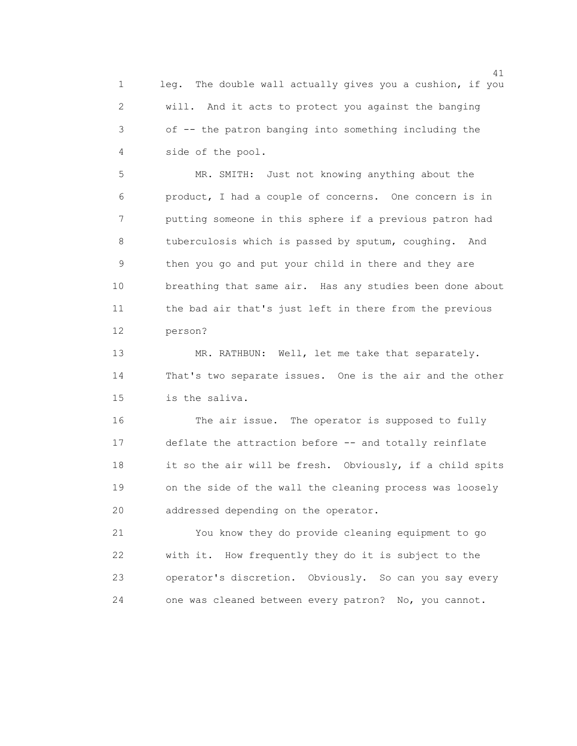1 leg. The double wall actually gives you a cushion, if you 2 will. And it acts to protect you against the banging 3 of -- the patron banging into something including the 4 side of the pool.

 5 MR. SMITH: Just not knowing anything about the 6 product, I had a couple of concerns. One concern is in 7 putting someone in this sphere if a previous patron had 8 tuberculosis which is passed by sputum, coughing. And 9 then you go and put your child in there and they are 10 breathing that same air. Has any studies been done about 11 the bad air that's just left in there from the previous 12 person?

13 MR. RATHBUN: Well, let me take that separately. 14 That's two separate issues. One is the air and the other 15 is the saliva.

 16 The air issue. The operator is supposed to fully 17 deflate the attraction before -- and totally reinflate 18 it so the air will be fresh. Obviously, if a child spits 19 on the side of the wall the cleaning process was loosely 20 addressed depending on the operator.

 21 You know they do provide cleaning equipment to go 22 with it. How frequently they do it is subject to the 23 operator's discretion. Obviously. So can you say every 24 one was cleaned between every patron? No, you cannot.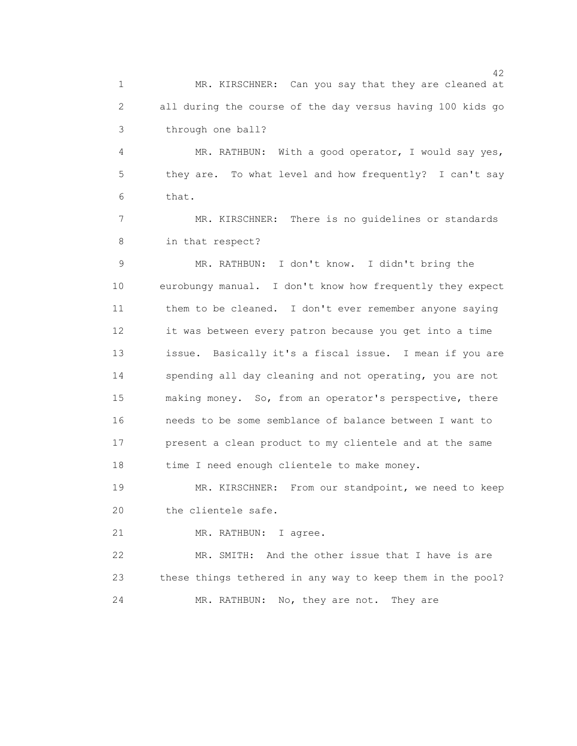1 MR. KIRSCHNER: Can you say that they are cleaned at 2 all during the course of the day versus having 100 kids go 3 through one ball?

 4 MR. RATHBUN: With a good operator, I would say yes, 5 they are. To what level and how frequently? I can't say 6 that.

 7 MR. KIRSCHNER: There is no guidelines or standards 8 in that respect?

 9 MR. RATHBUN: I don't know. I didn't bring the 10 eurobungy manual. I don't know how frequently they expect 11 them to be cleaned. I don't ever remember anyone saying 12 it was between every patron because you get into a time 13 issue. Basically it's a fiscal issue. I mean if you are 14 spending all day cleaning and not operating, you are not 15 making money. So, from an operator's perspective, there 16 needs to be some semblance of balance between I want to 17 present a clean product to my clientele and at the same 18 time I need enough clientele to make money.

 19 MR. KIRSCHNER: From our standpoint, we need to keep 20 the clientele safe.

21 MR. RATHBUN: I agree.

 22 MR. SMITH: And the other issue that I have is are 23 these things tethered in any way to keep them in the pool? 24 MR. RATHBUN: No, they are not. They are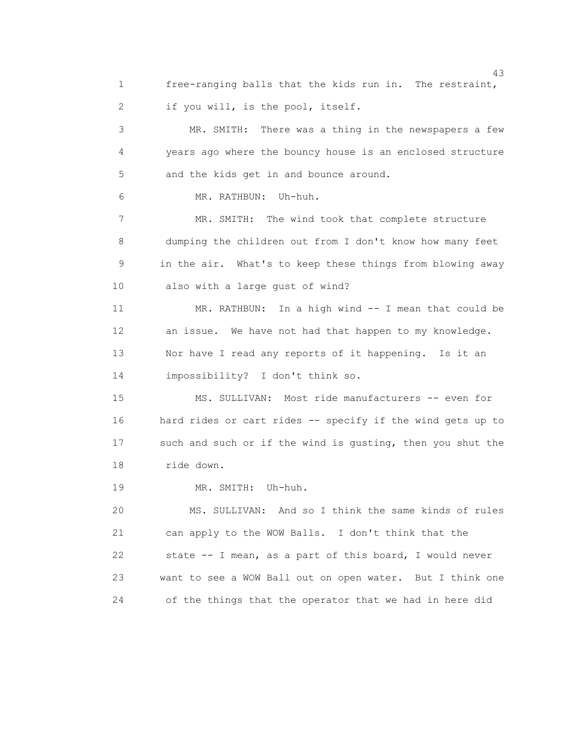1 free-ranging balls that the kids run in. The restraint, 2 if you will, is the pool, itself.

 3 MR. SMITH: There was a thing in the newspapers a few 4 years ago where the bouncy house is an enclosed structure 5 and the kids get in and bounce around.

6 MR. RATHBUN: Uh-huh.

 7 MR. SMITH: The wind took that complete structure 8 dumping the children out from I don't know how many feet 9 in the air. What's to keep these things from blowing away 10 also with a large gust of wind?

 11 MR. RATHBUN: In a high wind -- I mean that could be 12 an issue. We have not had that happen to my knowledge. 13 Nor have I read any reports of it happening. Is it an 14 impossibility? I don't think so.

 15 MS. SULLIVAN: Most ride manufacturers -- even for 16 hard rides or cart rides -- specify if the wind gets up to 17 such and such or if the wind is gusting, then you shut the 18 ride down.

19 MR. SMITH: Uh-huh.

 20 MS. SULLIVAN: And so I think the same kinds of rules 21 can apply to the WOW Balls. I don't think that the 22 state -- I mean, as a part of this board, I would never 23 want to see a WOW Ball out on open water. But I think one 24 of the things that the operator that we had in here did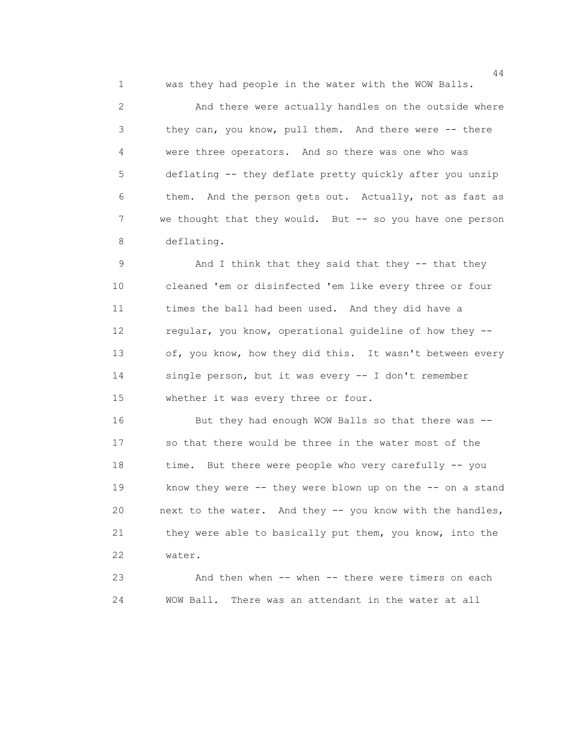1 was they had people in the water with the WOW Balls.

 2 And there were actually handles on the outside where 3 they can, you know, pull them. And there were -- there 4 were three operators. And so there was one who was 5 deflating -- they deflate pretty quickly after you unzip 6 them. And the person gets out. Actually, not as fast as 7 we thought that they would. But -- so you have one person 8 deflating.

 9 And I think that they said that they -- that they 10 cleaned 'em or disinfected 'em like every three or four 11 times the ball had been used. And they did have a 12 regular, you know, operational guideline of how they -- 13 of, you know, how they did this. It wasn't between every 14 single person, but it was every -- I don't remember 15 whether it was every three or four.

 16 But they had enough WOW Balls so that there was -- 17 so that there would be three in the water most of the 18 time. But there were people who very carefully -- you 19 know they were -- they were blown up on the -- on a stand 20 next to the water. And they -- you know with the handles, 21 they were able to basically put them, you know, into the 22 water.

 23 And then when -- when -- there were timers on each 24 WOW Ball. There was an attendant in the water at all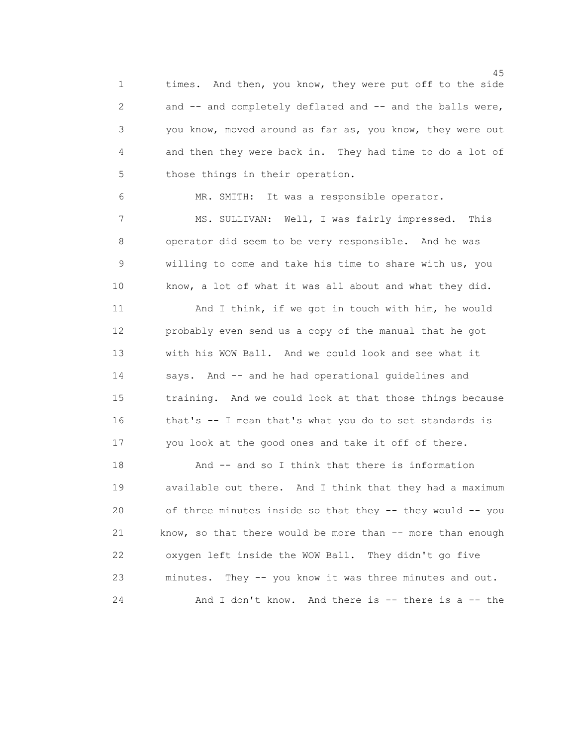1 times. And then, you know, they were put off to the side 2 and -- and completely deflated and -- and the balls were, 3 you know, moved around as far as, you know, they were out 4 and then they were back in. They had time to do a lot of 5 those things in their operation.

 6 MR. SMITH: It was a responsible operator. 7 MS. SULLIVAN: Well, I was fairly impressed. This 8 operator did seem to be very responsible. And he was 9 willing to come and take his time to share with us, you 10 know, a lot of what it was all about and what they did.

 11 And I think, if we got in touch with him, he would 12 probably even send us a copy of the manual that he got 13 with his WOW Ball. And we could look and see what it 14 says. And -- and he had operational guidelines and 15 training. And we could look at that those things because 16 that's -- I mean that's what you do to set standards is 17 you look at the good ones and take it off of there.

 18 And -- and so I think that there is information 19 available out there. And I think that they had a maximum 20 of three minutes inside so that they -- they would -- you 21 know, so that there would be more than -- more than enough 22 oxygen left inside the WOW Ball. They didn't go five 23 minutes. They -- you know it was three minutes and out. 24 And I don't know. And there is -- there is a -- the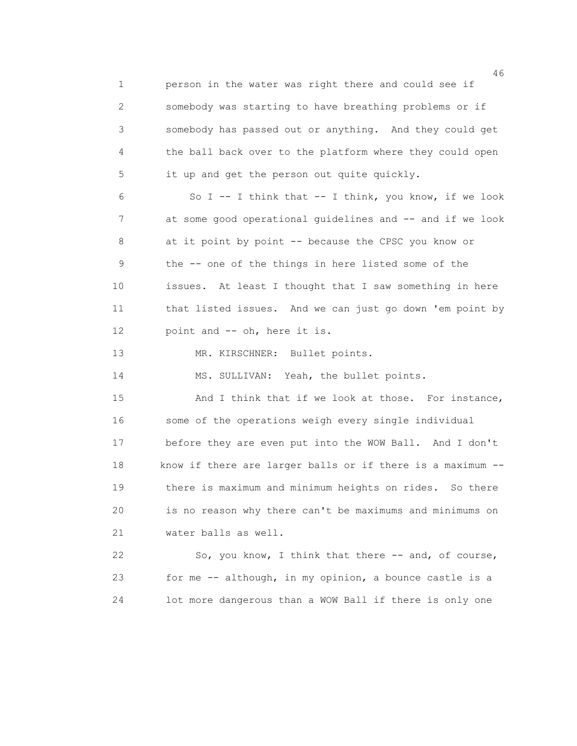1 person in the water was right there and could see if 2 somebody was starting to have breathing problems or if 3 somebody has passed out or anything. And they could get 4 the ball back over to the platform where they could open 5 it up and get the person out quite quickly.

 6 So I -- I think that -- I think, you know, if we look 7 at some good operational guidelines and -- and if we look 8 at it point by point -- because the CPSC you know or 9 the -- one of the things in here listed some of the 10 issues. At least I thought that I saw something in here 11 that listed issues. And we can just go down 'em point by 12 point and -- oh, here it is.

13 MR. KIRSCHNER: Bullet points.

14 MS. SULLIVAN: Yeah, the bullet points.

15 And I think that if we look at those. For instance, 16 some of the operations weigh every single individual 17 before they are even put into the WOW Ball. And I don't 18 know if there are larger balls or if there is a maximum -- 19 there is maximum and minimum heights on rides. So there 20 is no reason why there can't be maximums and minimums on 21 water balls as well.

 22 So, you know, I think that there -- and, of course, 23 for me -- although, in my opinion, a bounce castle is a 24 lot more dangerous than a WOW Ball if there is only one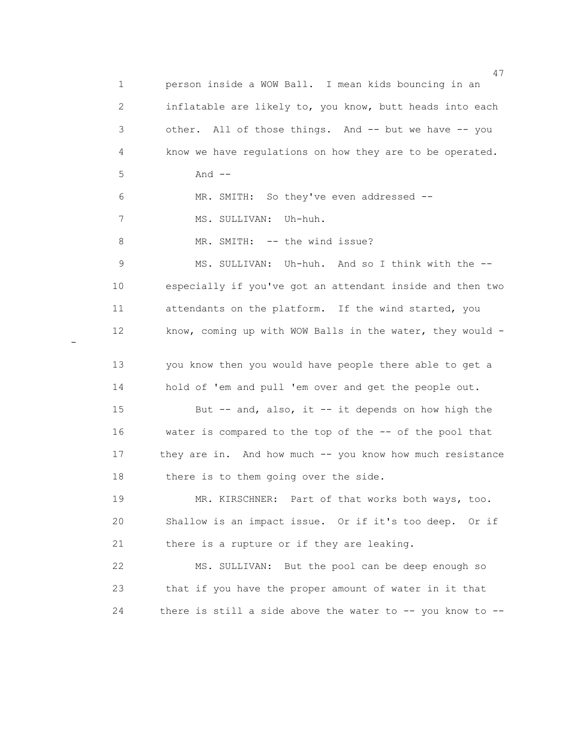47 1 person inside a WOW Ball. I mean kids bouncing in an 2 inflatable are likely to, you know, butt heads into each 3 other. All of those things. And -- but we have -- you 4 know we have regulations on how they are to be operated. 5 And -- 6 MR. SMITH: So they've even addressed -- 7 MS. SULLIVAN: Uh-huh. 8 MR. SMITH: -- the wind issue? 9 MS. SULLIVAN: Uh-huh. And so I think with the -- 10 especially if you've got an attendant inside and then two 11 attendants on the platform. If the wind started, you 12 know, coming up with WOW Balls in the water, they would - 13 you know then you would have people there able to get a 14 hold of 'em and pull 'em over and get the people out. 15 But -- and, also, it -- it depends on how high the 16 water is compared to the top of the -- of the pool that 17 they are in. And how much -- you know how much resistance 18 there is to them going over the side. 19 MR. KIRSCHNER: Part of that works both ways, too. 20 Shallow is an impact issue. Or if it's too deep. Or if 21 there is a rupture or if they are leaking. 22 MS. SULLIVAN: But the pool can be deep enough so 23 that if you have the proper amount of water in it that 24 there is still a side above the water to -- you know to --

-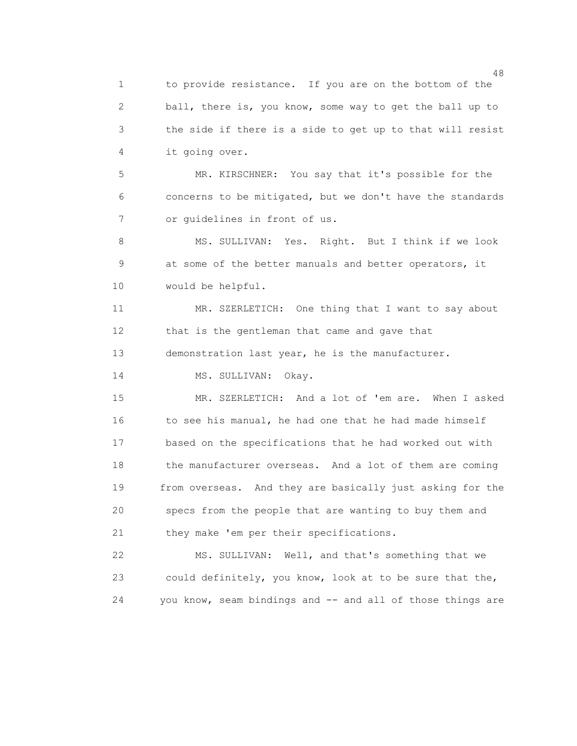1 to provide resistance. If you are on the bottom of the 2 ball, there is, you know, some way to get the ball up to 3 the side if there is a side to get up to that will resist 4 it going over.

 5 MR. KIRSCHNER: You say that it's possible for the 6 concerns to be mitigated, but we don't have the standards 7 or guidelines in front of us.

8 MS. SULLIVAN: Yes. Right. But I think if we look 9 at some of the better manuals and better operators, it 10 would be helpful.

 11 MR. SZERLETICH: One thing that I want to say about 12 that is the gentleman that came and gave that 13 demonstration last year, he is the manufacturer.

14 MS. SULLIVAN: Okay.

 15 MR. SZERLETICH: And a lot of 'em are. When I asked 16 to see his manual, he had one that he had made himself 17 based on the specifications that he had worked out with 18 the manufacturer overseas. And a lot of them are coming 19 from overseas. And they are basically just asking for the 20 specs from the people that are wanting to buy them and 21 they make 'em per their specifications.

 22 MS. SULLIVAN: Well, and that's something that we 23 could definitely, you know, look at to be sure that the, 24 you know, seam bindings and -- and all of those things are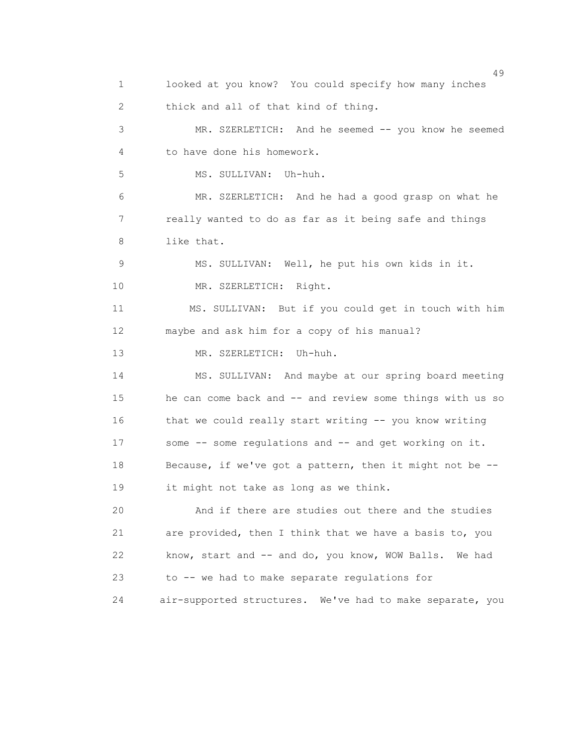49 1 looked at you know? You could specify how many inches 2 thick and all of that kind of thing. 3 MR. SZERLETICH: And he seemed -- you know he seemed 4 to have done his homework. 5 MS. SULLIVAN: Uh-huh. 6 MR. SZERLETICH: And he had a good grasp on what he 7 really wanted to do as far as it being safe and things 8 like that. 9 MS. SULLIVAN: Well, he put his own kids in it. 10 MR. SZERLETICH: Right. 11 MS. SULLIVAN: But if you could get in touch with him 12 maybe and ask him for a copy of his manual? 13 MR. SZERLETICH: Uh-huh. 14 MS. SULLIVAN: And maybe at our spring board meeting 15 he can come back and -- and review some things with us so 16 that we could really start writing -- you know writing 17 some -- some regulations and -- and get working on it. 18 Because, if we've got a pattern, then it might not be -- 19 it might not take as long as we think. 20 And if there are studies out there and the studies 21 are provided, then I think that we have a basis to, you 22 know, start and -- and do, you know, WOW Balls. We had 23 to -- we had to make separate regulations for 24 air-supported structures. We've had to make separate, you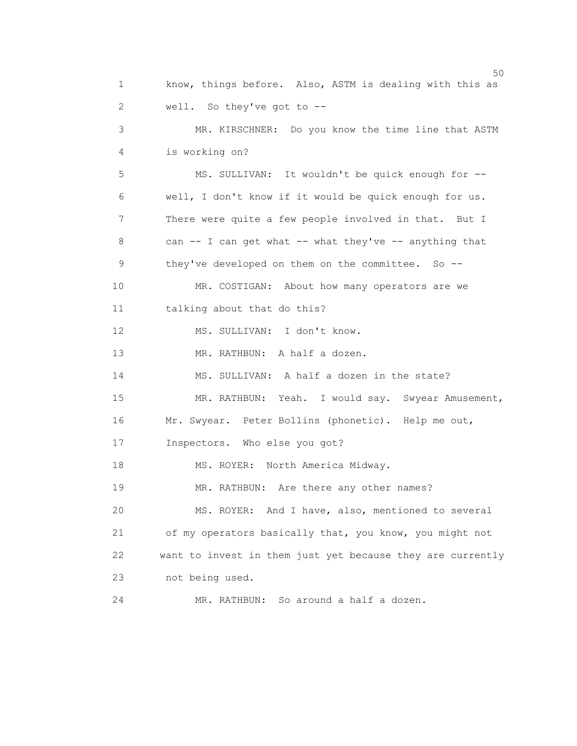$50<sub>50</sub>$  1 know, things before. Also, ASTM is dealing with this as 2 well. So they've got to -- 3 MR. KIRSCHNER: Do you know the time line that ASTM 4 is working on? 5 MS. SULLIVAN: It wouldn't be quick enough for -- 6 well, I don't know if it would be quick enough for us. 7 There were quite a few people involved in that. But I 8 can -- I can get what -- what they've -- anything that 9 they've developed on them on the committee. So -- 10 MR. COSTIGAN: About how many operators are we 11 talking about that do this? 12 MS. SULLIVAN: I don't know. 13 MR. RATHBUN: A half a dozen. 14 MS. SULLIVAN: A half a dozen in the state? 15 MR. RATHBUN: Yeah. I would say. Swyear Amusement, 16 Mr. Swyear. Peter Bollins (phonetic). Help me out, 17 Inspectors. Who else you got? 18 MS. ROYER: North America Midway. 19 MR. RATHBUN: Are there any other names? 20 MS. ROYER: And I have, also, mentioned to several 21 of my operators basically that, you know, you might not 22 want to invest in them just yet because they are currently 23 not being used. 24 MR. RATHBUN: So around a half a dozen.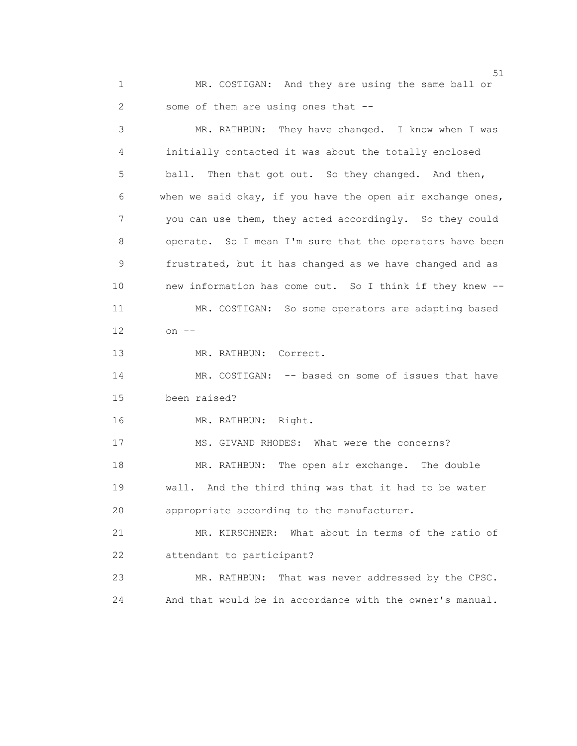1 MR. COSTIGAN: And they are using the same ball or 2 some of them are using ones that --

 3 MR. RATHBUN: They have changed. I know when I was 4 initially contacted it was about the totally enclosed 5 ball. Then that got out. So they changed. And then, 6 when we said okay, if you have the open air exchange ones, 7 you can use them, they acted accordingly. So they could 8 operate. So I mean I'm sure that the operators have been 9 frustrated, but it has changed as we have changed and as 10 new information has come out. So I think if they knew -- 11 MR. COSTIGAN: So some operators are adapting based 12 on -- 13 MR. RATHBUN: Correct. 14 MR. COSTIGAN: -- based on some of issues that have 15 been raised? 16 MR. RATHBUN: Right. 17 MS. GIVAND RHODES: What were the concerns? 18 MR. RATHBUN: The open air exchange. The double 19 wall. And the third thing was that it had to be water 20 appropriate according to the manufacturer. 21 MR. KIRSCHNER: What about in terms of the ratio of 22 attendant to participant? 23 MR. RATHBUN: That was never addressed by the CPSC. 24 And that would be in accordance with the owner's manual.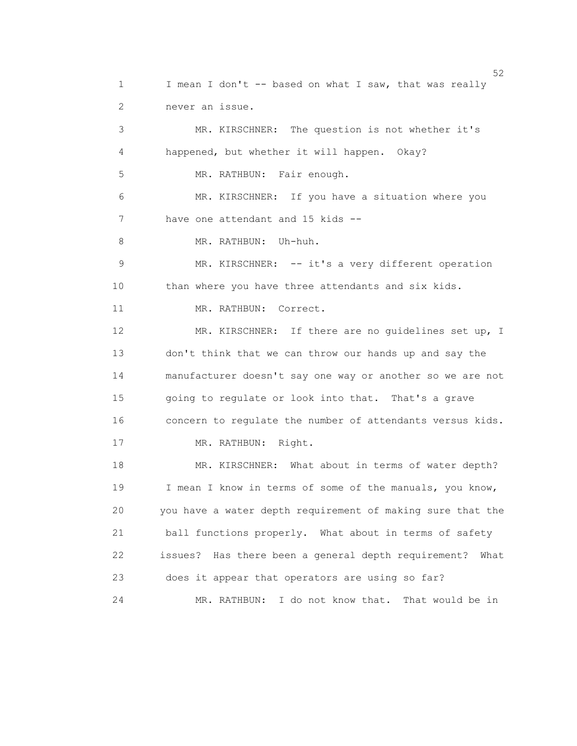$52$  1 I mean I don't -- based on what I saw, that was really 2 never an issue. 3 MR. KIRSCHNER: The question is not whether it's 4 happened, but whether it will happen. Okay? 5 MR. RATHBUN: Fair enough. 6 MR. KIRSCHNER: If you have a situation where you 7 have one attendant and 15 kids -- 8 MR. RATHBUN: Uh-huh. 9 MR. KIRSCHNER: -- it's a very different operation 10 than where you have three attendants and six kids. 11 MR. RATHBUN: Correct. 12 MR. KIRSCHNER: If there are no guidelines set up, I 13 don't think that we can throw our hands up and say the 14 manufacturer doesn't say one way or another so we are not 15 going to regulate or look into that. That's a grave 16 concern to regulate the number of attendants versus kids. 17 MR. RATHBUN: Right. 18 MR. KIRSCHNER: What about in terms of water depth? 19 I mean I know in terms of some of the manuals, you know, 20 you have a water depth requirement of making sure that the 21 ball functions properly. What about in terms of safety 22 issues? Has there been a general depth requirement? What 23 does it appear that operators are using so far? 24 MR. RATHBUN: I do not know that. That would be in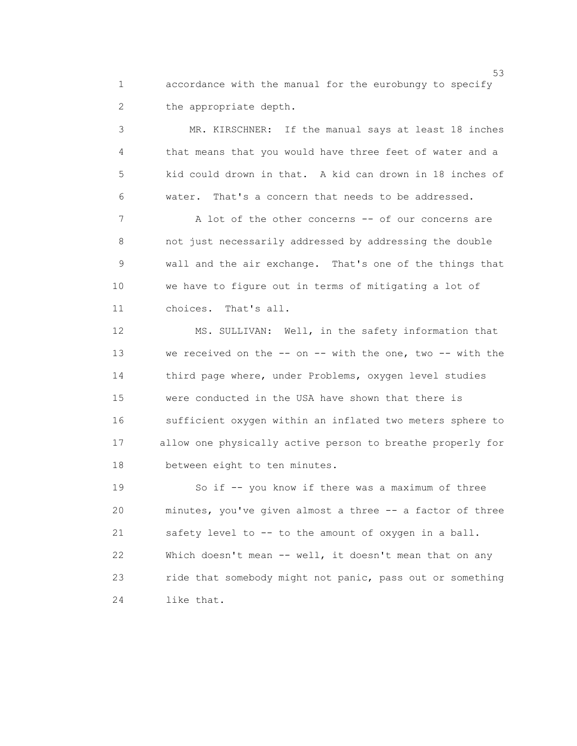1 accordance with the manual for the eurobungy to specify 2 the appropriate depth.

 3 MR. KIRSCHNER: If the manual says at least 18 inches 4 that means that you would have three feet of water and a 5 kid could drown in that. A kid can drown in 18 inches of 6 water. That's a concern that needs to be addressed.

 7 A lot of the other concerns -- of our concerns are 8 not just necessarily addressed by addressing the double 9 wall and the air exchange. That's one of the things that 10 we have to figure out in terms of mitigating a lot of 11 choices. That's all.

 12 MS. SULLIVAN: Well, in the safety information that 13 we received on the -- on -- with the one, two -- with the 14 third page where, under Problems, oxygen level studies 15 were conducted in the USA have shown that there is 16 sufficient oxygen within an inflated two meters sphere to 17 allow one physically active person to breathe properly for 18 between eight to ten minutes.

 19 So if -- you know if there was a maximum of three 20 minutes, you've given almost a three -- a factor of three 21 safety level to -- to the amount of oxygen in a ball. 22 Which doesn't mean -- well, it doesn't mean that on any 23 ride that somebody might not panic, pass out or something 24 like that.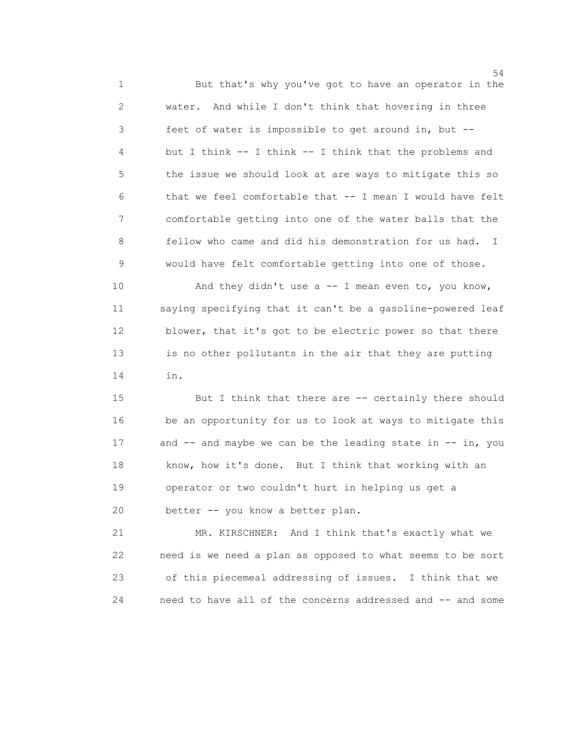54 1 But that's why you've got to have an operator in the 2 water. And while I don't think that hovering in three 3 feet of water is impossible to get around in, but -- 4 but I think -- I think -- I think that the problems and 5 the issue we should look at are ways to mitigate this so 6 that we feel comfortable that -- I mean I would have felt 7 comfortable getting into one of the water balls that the 8 fellow who came and did his demonstration for us had. I 9 would have felt comfortable getting into one of those.

10 And they didn't use a -- I mean even to, you know, 11 saying specifying that it can't be a gasoline-powered leaf 12 blower, that it's got to be electric power so that there 13 is no other pollutants in the air that they are putting 14 in.

 15 But I think that there are -- certainly there should 16 be an opportunity for us to look at ways to mitigate this 17 and -- and maybe we can be the leading state in -- in, you 18 know, how it's done. But I think that working with an 19 operator or two couldn't hurt in helping us get a 20 better -- you know a better plan.

 21 MR. KIRSCHNER: And I think that's exactly what we 22 need is we need a plan as opposed to what seems to be sort 23 of this piecemeal addressing of issues. I think that we 24 need to have all of the concerns addressed and -- and some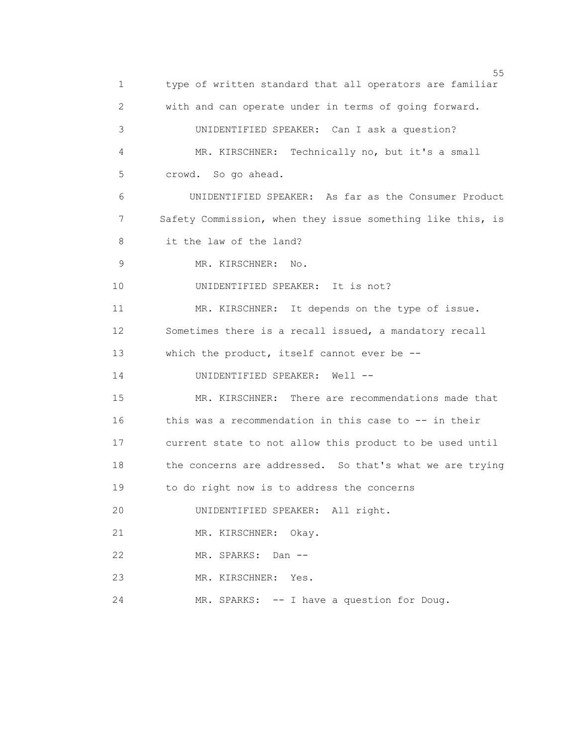$55$  1 type of written standard that all operators are familiar 2 with and can operate under in terms of going forward. 3 UNIDENTIFIED SPEAKER: Can I ask a question? 4 MR. KIRSCHNER: Technically no, but it's a small 5 crowd. So go ahead. 6 UNIDENTIFIED SPEAKER: As far as the Consumer Product 7 Safety Commission, when they issue something like this, is 8 it the law of the land? 9 MR. KIRSCHNER: No. 10 UNIDENTIFIED SPEAKER: It is not? 11 MR. KIRSCHNER: It depends on the type of issue. 12 Sometimes there is a recall issued, a mandatory recall 13 which the product, itself cannot ever be -- 14 UNIDENTIFIED SPEAKER: Well -- 15 MR. KIRSCHNER: There are recommendations made that 16 this was a recommendation in this case to -- in their 17 current state to not allow this product to be used until 18 the concerns are addressed. So that's what we are trying 19 to do right now is to address the concerns 20 UNIDENTIFIED SPEAKER: All right. 21 MR. KIRSCHNER: Okay. 22 MR. SPARKS: Dan -- 23 MR. KIRSCHNER: Yes. 24 MR. SPARKS: -- I have a question for Doug.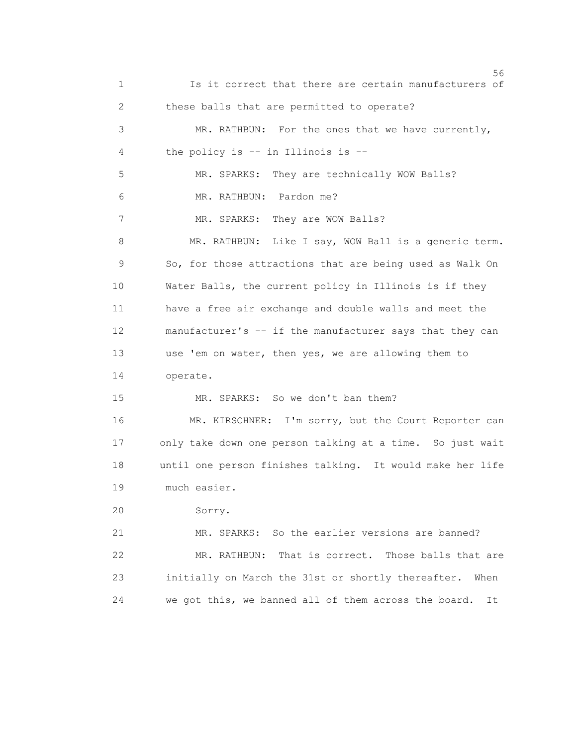$56$  1 Is it correct that there are certain manufacturers of 2 these balls that are permitted to operate? 3 MR. RATHBUN: For the ones that we have currently, 4 the policy is -- in Illinois is -- 5 MR. SPARKS: They are technically WOW Balls? 6 MR. RATHBUN: Pardon me? 7 MR. SPARKS: They are WOW Balls? 8 MR. RATHBUN: Like I say, WOW Ball is a generic term. 9 So, for those attractions that are being used as Walk On 10 Water Balls, the current policy in Illinois is if they 11 have a free air exchange and double walls and meet the 12 manufacturer's -- if the manufacturer says that they can 13 use 'em on water, then yes, we are allowing them to 14 operate. 15 MR. SPARKS: So we don't ban them? 16 MR. KIRSCHNER: I'm sorry, but the Court Reporter can 17 only take down one person talking at a time. So just wait 18 until one person finishes talking. It would make her life 19 much easier. 20 Sorry. 21 MR. SPARKS: So the earlier versions are banned? 22 MR. RATHBUN: That is correct. Those balls that are 23 initially on March the 31st or shortly thereafter. When 24 we got this, we banned all of them across the board. It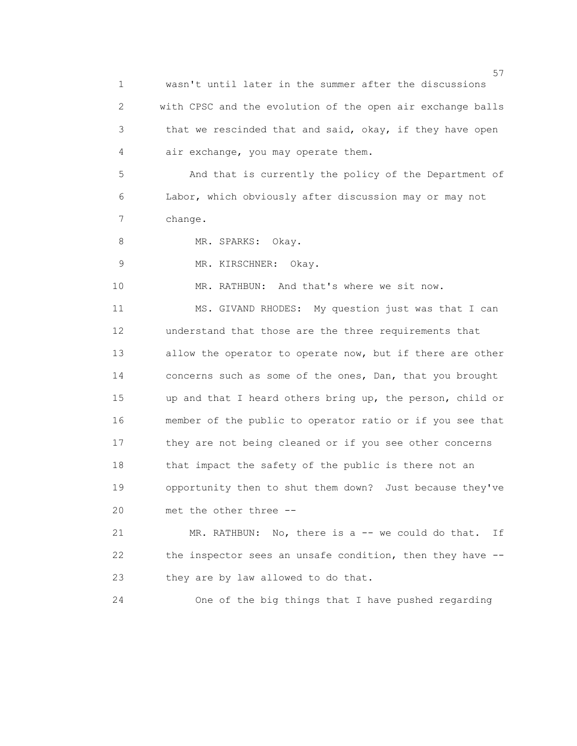$57$  1 wasn't until later in the summer after the discussions 2 with CPSC and the evolution of the open air exchange balls 3 that we rescinded that and said, okay, if they have open 4 air exchange, you may operate them. 5 And that is currently the policy of the Department of 6 Labor, which obviously after discussion may or may not 7 change. 8 MR. SPARKS: Okay. 9 MR. KIRSCHNER: Okay. 10 MR. RATHBUN: And that's where we sit now. 11 MS. GIVAND RHODES: My question just was that I can 12 understand that those are the three requirements that 13 allow the operator to operate now, but if there are other 14 concerns such as some of the ones, Dan, that you brought 15 up and that I heard others bring up, the person, child or 16 member of the public to operator ratio or if you see that 17 they are not being cleaned or if you see other concerns 18 that impact the safety of the public is there not an 19 opportunity then to shut them down? Just because they've 20 met the other three -- 21 MR. RATHBUN: No, there is a -- we could do that. If 22 the inspector sees an unsafe condition, then they have -- 23 they are by law allowed to do that.

24 One of the big things that I have pushed regarding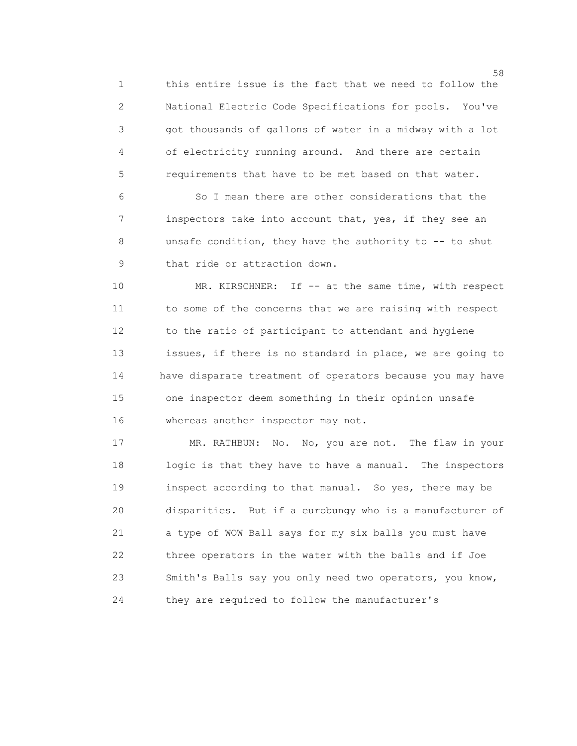1 this entire issue is the fact that we need to follow the 2 National Electric Code Specifications for pools. You've 3 got thousands of gallons of water in a midway with a lot 4 of electricity running around. And there are certain 5 requirements that have to be met based on that water.

 6 So I mean there are other considerations that the 7 inspectors take into account that, yes, if they see an 8 unsafe condition, they have the authority to -- to shut 9 that ride or attraction down.

10 MR. KIRSCHNER: If -- at the same time, with respect 11 to some of the concerns that we are raising with respect 12 to the ratio of participant to attendant and hygiene 13 issues, if there is no standard in place, we are going to 14 have disparate treatment of operators because you may have 15 one inspector deem something in their opinion unsafe 16 whereas another inspector may not.

 17 MR. RATHBUN: No. No, you are not. The flaw in your 18 logic is that they have to have a manual. The inspectors 19 inspect according to that manual. So yes, there may be 20 disparities. But if a eurobungy who is a manufacturer of 21 a type of WOW Ball says for my six balls you must have 22 three operators in the water with the balls and if Joe 23 Smith's Balls say you only need two operators, you know, 24 they are required to follow the manufacturer's

 $58<sup>5</sup>$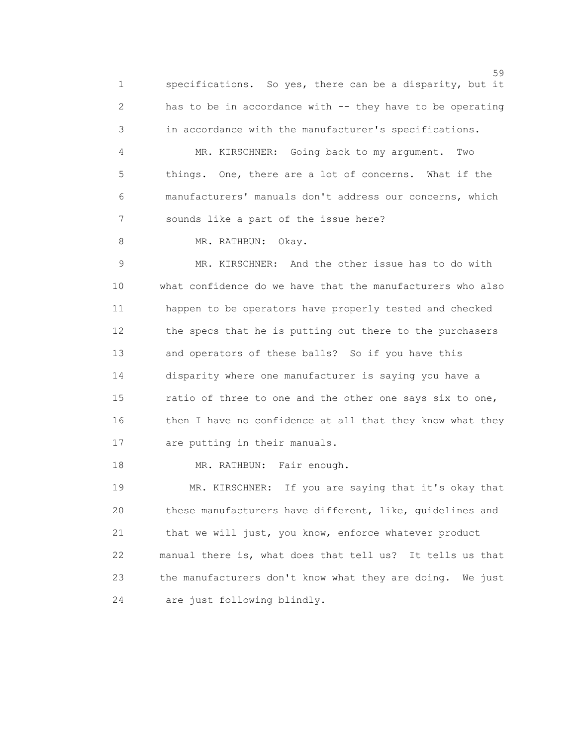1 specifications. So yes, there can be a disparity, but it 2 has to be in accordance with -- they have to be operating 3 in accordance with the manufacturer's specifications.

 4 MR. KIRSCHNER: Going back to my argument. Two 5 things. One, there are a lot of concerns. What if the 6 manufacturers' manuals don't address our concerns, which 7 sounds like a part of the issue here?

8 MR. RATHBUN: Okay.

 9 MR. KIRSCHNER: And the other issue has to do with 10 what confidence do we have that the manufacturers who also 11 happen to be operators have properly tested and checked 12 the specs that he is putting out there to the purchasers 13 and operators of these balls? So if you have this 14 disparity where one manufacturer is saying you have a 15 ratio of three to one and the other one says six to one, 16 then I have no confidence at all that they know what they 17 are putting in their manuals.

18 MR. RATHBUN: Fair enough.

 19 MR. KIRSCHNER: If you are saying that it's okay that 20 these manufacturers have different, like, guidelines and 21 that we will just, you know, enforce whatever product 22 manual there is, what does that tell us? It tells us that 23 the manufacturers don't know what they are doing. We just 24 are just following blindly.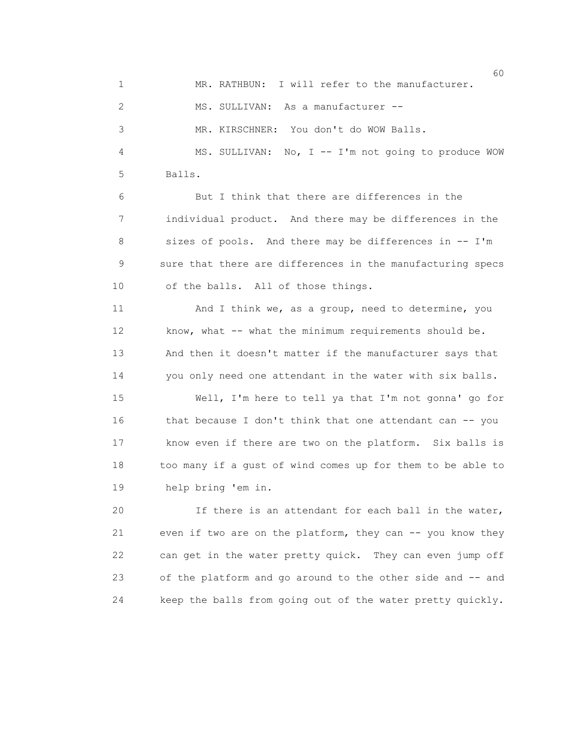$\sim$  60 1 MR. RATHBUN: I will refer to the manufacturer. 2 MS. SULLIVAN: As a manufacturer -- 3 MR. KIRSCHNER: You don't do WOW Balls. 4 MS. SULLIVAN: No, I -- I'm not going to produce WOW 5 Balls. 6 But I think that there are differences in the 7 individual product. And there may be differences in the 8 sizes of pools. And there may be differences in -- I'm 9 sure that there are differences in the manufacturing specs 10 of the balls. All of those things. 11 And I think we, as a group, need to determine, you 12 know, what -- what the minimum requirements should be. 13 And then it doesn't matter if the manufacturer says that 14 you only need one attendant in the water with six balls. 15 Well, I'm here to tell ya that I'm not gonna' go for 16 that because I don't think that one attendant can -- you 17 know even if there are two on the platform. Six balls is 18 too many if a gust of wind comes up for them to be able to 19 help bring 'em in. 20 If there is an attendant for each ball in the water, 21 even if two are on the platform, they can -- you know they 22 can get in the water pretty quick. They can even jump off 23 of the platform and go around to the other side and -- and

24 keep the balls from going out of the water pretty quickly.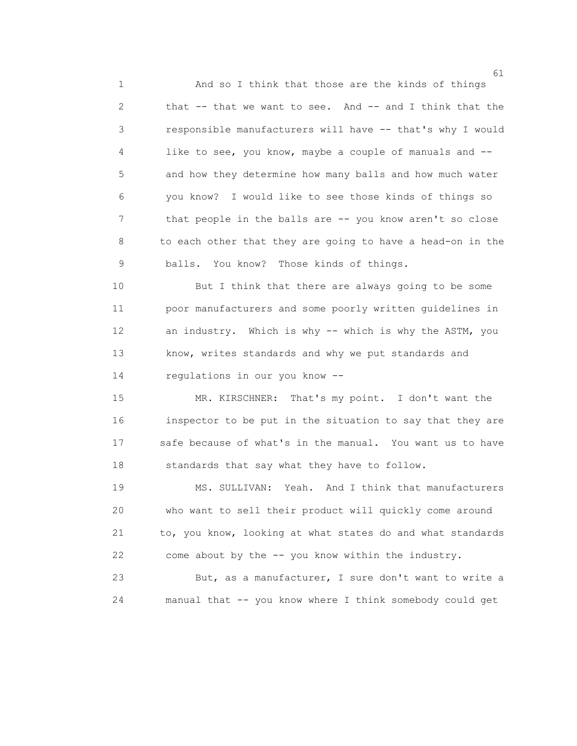1 And so I think that those are the kinds of things 2 that -- that we want to see. And -- and I think that the 3 responsible manufacturers will have -- that's why I would 4 like to see, you know, maybe a couple of manuals and -- 5 and how they determine how many balls and how much water 6 you know? I would like to see those kinds of things so 7 that people in the balls are -- you know aren't so close 8 to each other that they are going to have a head-on in the 9 balls. You know? Those kinds of things.

 10 But I think that there are always going to be some 11 poor manufacturers and some poorly written guidelines in 12 an industry. Which is why -- which is why the ASTM, you 13 know, writes standards and why we put standards and 14 regulations in our you know --

 15 MR. KIRSCHNER: That's my point. I don't want the 16 inspector to be put in the situation to say that they are 17 safe because of what's in the manual. You want us to have 18 standards that say what they have to follow.

 19 MS. SULLIVAN: Yeah. And I think that manufacturers 20 who want to sell their product will quickly come around 21 to, you know, looking at what states do and what standards 22 come about by the -- you know within the industry.

 23 But, as a manufacturer, I sure don't want to write a 24 manual that -- you know where I think somebody could get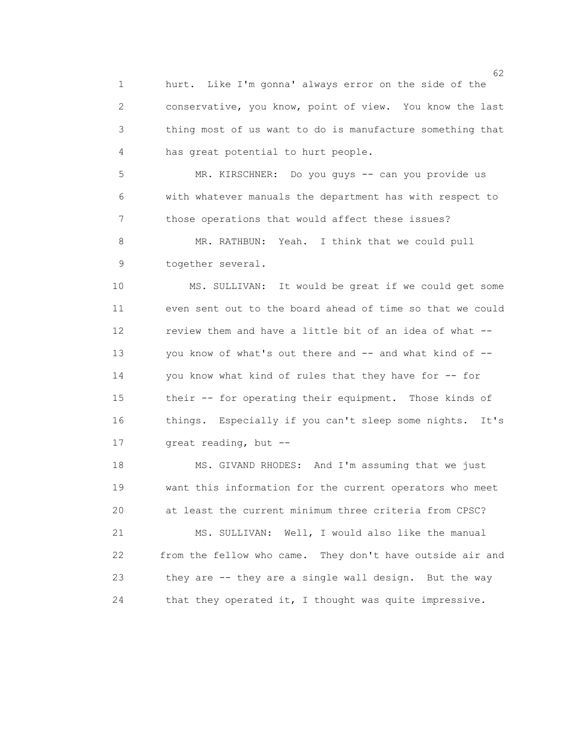1 hurt. Like I'm gonna' always error on the side of the 2 conservative, you know, point of view. You know the last 3 thing most of us want to do is manufacture something that 4 has great potential to hurt people.

 5 MR. KIRSCHNER: Do you guys -- can you provide us 6 with whatever manuals the department has with respect to 7 those operations that would affect these issues?

 8 MR. RATHBUN: Yeah. I think that we could pull 9 together several.

 10 MS. SULLIVAN: It would be great if we could get some 11 even sent out to the board ahead of time so that we could 12 review them and have a little bit of an idea of what -- 13 you know of what's out there and -- and what kind of -- 14 you know what kind of rules that they have for -- for 15 their -- for operating their equipment. Those kinds of 16 things. Especially if you can't sleep some nights. It's 17 great reading, but --

 18 MS. GIVAND RHODES: And I'm assuming that we just 19 want this information for the current operators who meet 20 at least the current minimum three criteria from CPSC?

 21 MS. SULLIVAN: Well, I would also like the manual 22 from the fellow who came. They don't have outside air and 23 they are -- they are a single wall design. But the way 24 that they operated it, I thought was quite impressive.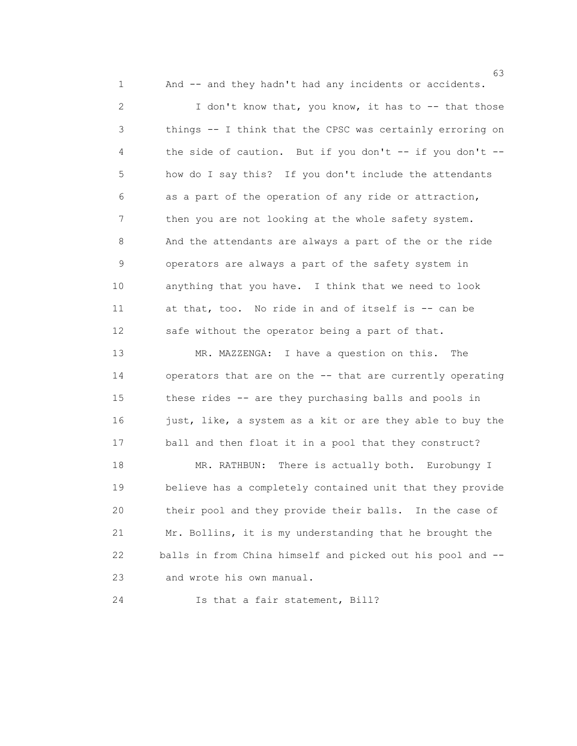1 And -- and they hadn't had any incidents or accidents.

 $\sim$  63

 2 I don't know that, you know, it has to -- that those 3 things -- I think that the CPSC was certainly erroring on 4 the side of caution. But if you don't -- if you don't -- 5 how do I say this? If you don't include the attendants 6 as a part of the operation of any ride or attraction, 7 then you are not looking at the whole safety system. 8 And the attendants are always a part of the or the ride 9 operators are always a part of the safety system in 10 anything that you have. I think that we need to look 11 at that, too. No ride in and of itself is -- can be 12 safe without the operator being a part of that.

 13 MR. MAZZENGA: I have a question on this. The 14 operators that are on the -- that are currently operating 15 these rides -- are they purchasing balls and pools in 16 just, like, a system as a kit or are they able to buy the 17 ball and then float it in a pool that they construct?

18 MR. RATHBUN: There is actually both. Eurobungy I 19 believe has a completely contained unit that they provide 20 their pool and they provide their balls. In the case of 21 Mr. Bollins, it is my understanding that he brought the 22 balls in from China himself and picked out his pool and -- 23 and wrote his own manual.

24 Is that a fair statement, Bill?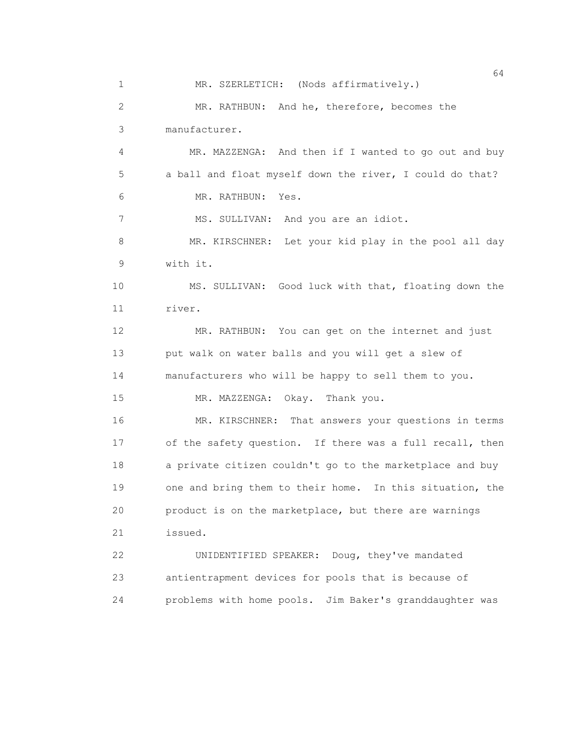$64$  1 MR. SZERLETICH: (Nods affirmatively.) 2 MR. RATHBUN: And he, therefore, becomes the 3 manufacturer. 4 MR. MAZZENGA: And then if I wanted to go out and buy 5 a ball and float myself down the river, I could do that? 6 MR. RATHBUN: Yes. 7 MS. SULLIVAN: And you are an idiot. 8 MR. KIRSCHNER: Let your kid play in the pool all day 9 with it. 10 MS. SULLIVAN: Good luck with that, floating down the 11 river. 12 MR. RATHBUN: You can get on the internet and just 13 put walk on water balls and you will get a slew of 14 manufacturers who will be happy to sell them to you. 15 MR. MAZZENGA: Okay. Thank you. 16 MR. KIRSCHNER: That answers your questions in terms 17 of the safety question. If there was a full recall, then 18 a private citizen couldn't go to the marketplace and buy 19 one and bring them to their home. In this situation, the 20 product is on the marketplace, but there are warnings 21 issued. 22 UNIDENTIFIED SPEAKER: Doug, they've mandated 23 antientrapment devices for pools that is because of 24 problems with home pools. Jim Baker's granddaughter was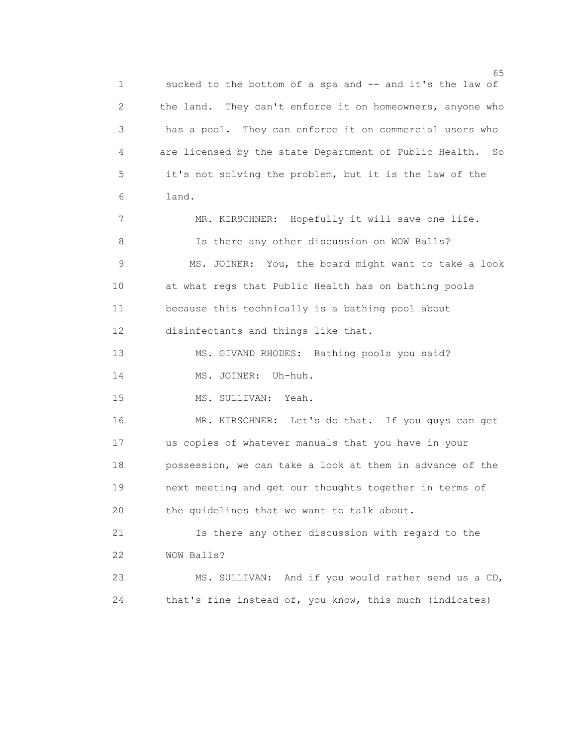$\sim$  65 1 sucked to the bottom of a spa and -- and it's the law of 2 the land. They can't enforce it on homeowners, anyone who 3 has a pool. They can enforce it on commercial users who 4 are licensed by the state Department of Public Health. So 5 it's not solving the problem, but it is the law of the 6 land. 7 MR. KIRSCHNER: Hopefully it will save one life. 8 Is there any other discussion on WOW Balls? 9 MS. JOINER: You, the board might want to take a look 10 at what regs that Public Health has on bathing pools 11 because this technically is a bathing pool about 12 disinfectants and things like that. 13 MS. GIVAND RHODES: Bathing pools you said? 14 MS. JOINER: Uh-huh. 15 MS. SULLIVAN: Yeah. 16 MR. KIRSCHNER: Let's do that. If you guys can get

 17 us copies of whatever manuals that you have in your 18 possession, we can take a look at them in advance of the 19 next meeting and get our thoughts together in terms of 20 the guidelines that we want to talk about.

 21 Is there any other discussion with regard to the 22 WOW Balls?

 23 MS. SULLIVAN: And if you would rather send us a CD, 24 that's fine instead of, you know, this much (indicates)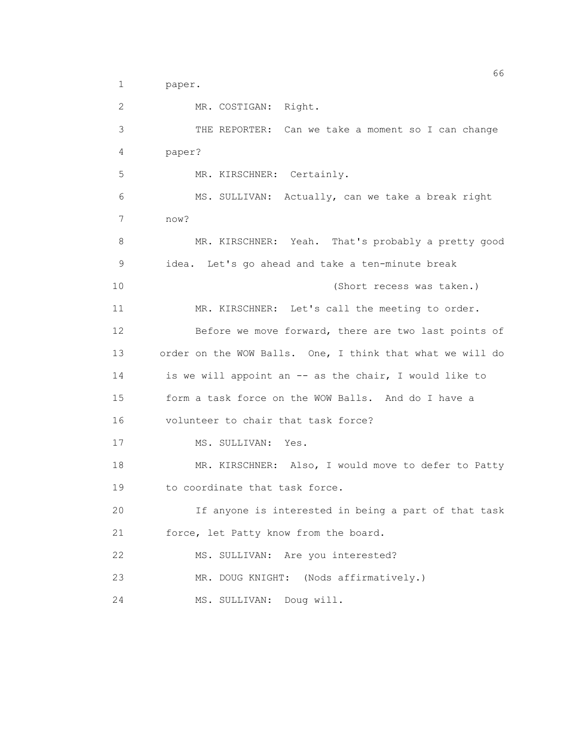1 paper.

 2 MR. COSTIGAN: Right. 3 THE REPORTER: Can we take a moment so I can change 4 paper? 5 MR. KIRSCHNER: Certainly. 6 MS. SULLIVAN: Actually, can we take a break right 7 now? 8 MR. KIRSCHNER: Yeah. That's probably a pretty good 9 idea. Let's go ahead and take a ten-minute break 10 (Short recess was taken.) 11 MR. KIRSCHNER: Let's call the meeting to order. 12 Before we move forward, there are two last points of 13 order on the WOW Balls. One, I think that what we will do 14 is we will appoint an -- as the chair, I would like to 15 form a task force on the WOW Balls. And do I have a 16 volunteer to chair that task force? 17 MS. SULLIVAN: Yes. 18 MR. KIRSCHNER: Also, I would move to defer to Patty 19 to coordinate that task force. 20 If anyone is interested in being a part of that task 21 force, let Patty know from the board. 22 MS. SULLIVAN: Are you interested? 23 MR. DOUG KNIGHT: (Nods affirmatively.) 24 MS. SULLIVAN: Doug will.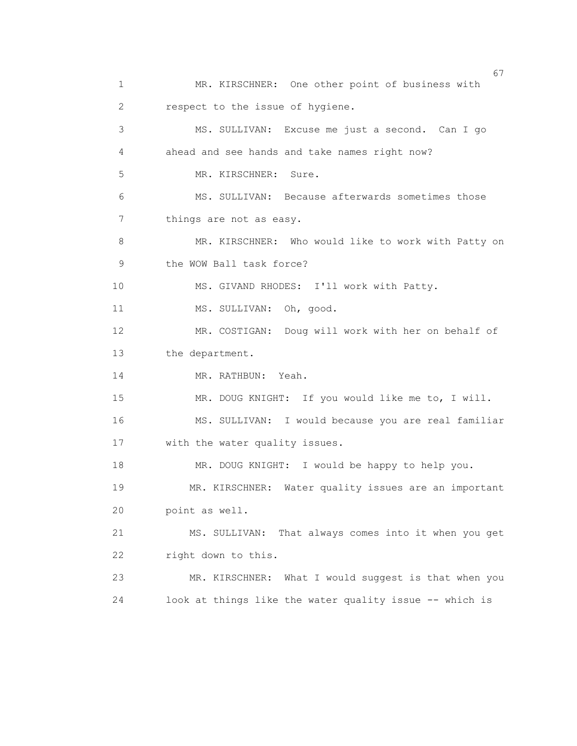$\sim$  67 1 MR. KIRSCHNER: One other point of business with 2 respect to the issue of hygiene. 3 MS. SULLIVAN: Excuse me just a second. Can I go 4 ahead and see hands and take names right now? 5 MR. KIRSCHNER: Sure. 6 MS. SULLIVAN: Because afterwards sometimes those 7 things are not as easy. 8 MR. KIRSCHNER: Who would like to work with Patty on 9 the WOW Ball task force? 10 MS. GIVAND RHODES: I'll work with Patty. 11 MS. SULLIVAN: Oh, good. 12 MR. COSTIGAN: Doug will work with her on behalf of 13 the department. 14 MR. RATHBUN: Yeah. 15 MR. DOUG KNIGHT: If you would like me to, I will. 16 MS. SULLIVAN: I would because you are real familiar 17 with the water quality issues. 18 MR. DOUG KNIGHT: I would be happy to help you. 19 MR. KIRSCHNER: Water quality issues are an important 20 point as well. 21 MS. SULLIVAN: That always comes into it when you get 22 right down to this. 23 MR. KIRSCHNER: What I would suggest is that when you 24 look at things like the water quality issue -- which is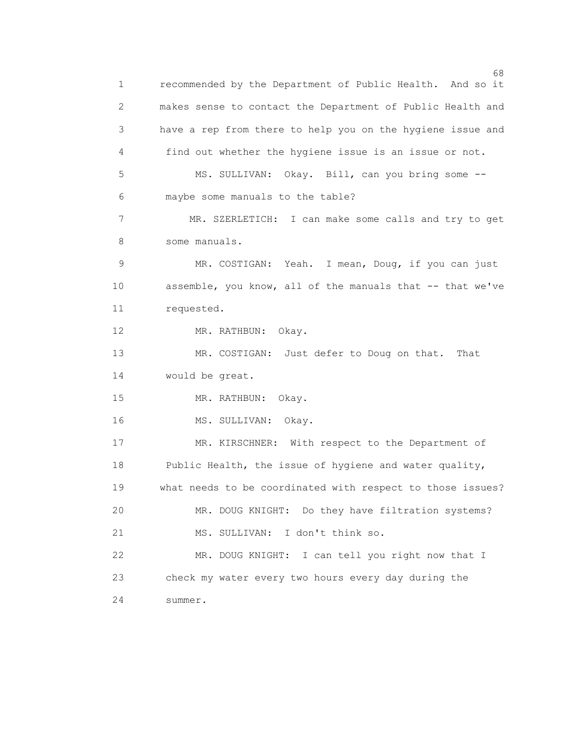$\sim$  68 1 recommended by the Department of Public Health. And so it 2 makes sense to contact the Department of Public Health and 3 have a rep from there to help you on the hygiene issue and 4 find out whether the hygiene issue is an issue or not. 5 MS. SULLIVAN: Okay. Bill, can you bring some -- 6 maybe some manuals to the table? 7 MR. SZERLETICH: I can make some calls and try to get 8 some manuals. 9 MR. COSTIGAN: Yeah. I mean, Doug, if you can just 10 assemble, you know, all of the manuals that -- that we've 11 requested. 12 MR. RATHBUN: Okay. 13 MR. COSTIGAN: Just defer to Doug on that. That 14 would be great. 15 MR. RATHBUN: Okay. 16 MS. SULLIVAN: Okay. 17 MR. KIRSCHNER: With respect to the Department of 18 Public Health, the issue of hygiene and water quality, 19 what needs to be coordinated with respect to those issues? 20 MR. DOUG KNIGHT: Do they have filtration systems? 21 MS. SULLIVAN: I don't think so. 22 MR. DOUG KNIGHT: I can tell you right now that I 23 check my water every two hours every day during the 24 summer.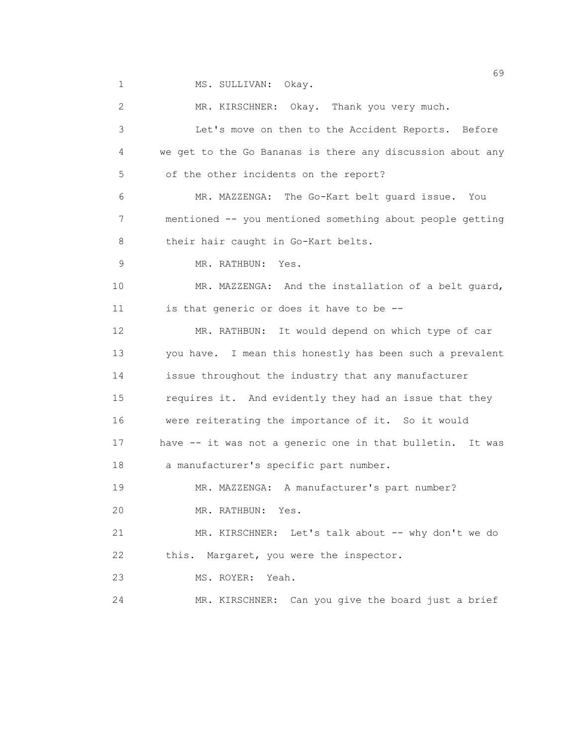1 MS. SULLIVAN: Okay.

 2 MR. KIRSCHNER: Okay. Thank you very much. 3 Let's move on then to the Accident Reports. Before 4 we get to the Go Bananas is there any discussion about any 5 of the other incidents on the report? 6 MR. MAZZENGA: The Go-Kart belt guard issue. You 7 mentioned -- you mentioned something about people getting 8 their hair caught in Go-Kart belts. 9 MR. RATHBUN: Yes. 10 MR. MAZZENGA: And the installation of a belt guard, 11 is that generic or does it have to be -- 12 MR. RATHBUN: It would depend on which type of car 13 you have. I mean this honestly has been such a prevalent 14 issue throughout the industry that any manufacturer 15 requires it. And evidently they had an issue that they 16 were reiterating the importance of it. So it would 17 have -- it was not a generic one in that bulletin. It was 18 a manufacturer's specific part number. 19 MR. MAZZENGA: A manufacturer's part number? 20 MR. RATHBUN: Yes. 21 MR. KIRSCHNER: Let's talk about -- why don't we do 22 this. Margaret, you were the inspector. 23 MS. ROYER: Yeah. 24 MR. KIRSCHNER: Can you give the board just a brief

 $\sim$  69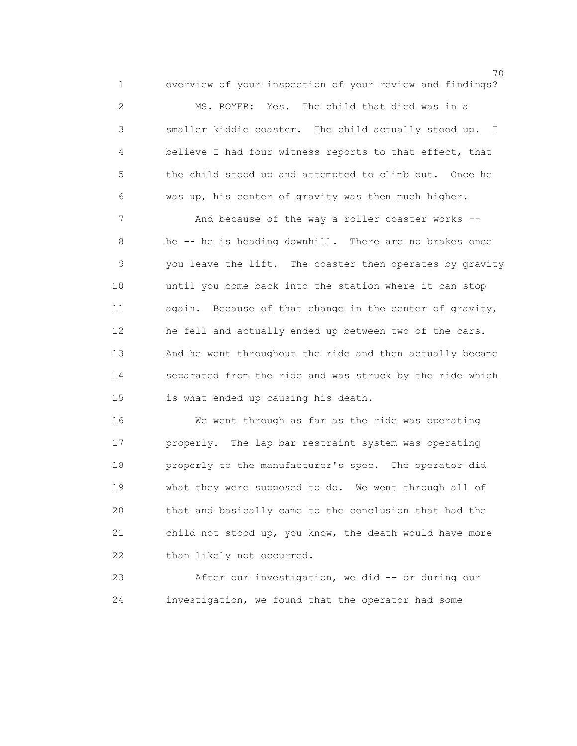1 overview of your inspection of your review and findings?

70

 2 MS. ROYER: Yes. The child that died was in a 3 smaller kiddie coaster. The child actually stood up. I 4 believe I had four witness reports to that effect, that 5 the child stood up and attempted to climb out. Once he 6 was up, his center of gravity was then much higher.

 7 And because of the way a roller coaster works -- 8 he -- he is heading downhill. There are no brakes once 9 you leave the lift. The coaster then operates by gravity 10 until you come back into the station where it can stop 11 again. Because of that change in the center of gravity, 12 he fell and actually ended up between two of the cars. 13 And he went throughout the ride and then actually became 14 separated from the ride and was struck by the ride which 15 is what ended up causing his death.

 16 We went through as far as the ride was operating 17 properly. The lap bar restraint system was operating 18 properly to the manufacturer's spec. The operator did 19 what they were supposed to do. We went through all of 20 that and basically came to the conclusion that had the 21 child not stood up, you know, the death would have more 22 than likely not occurred.

 23 After our investigation, we did -- or during our 24 investigation, we found that the operator had some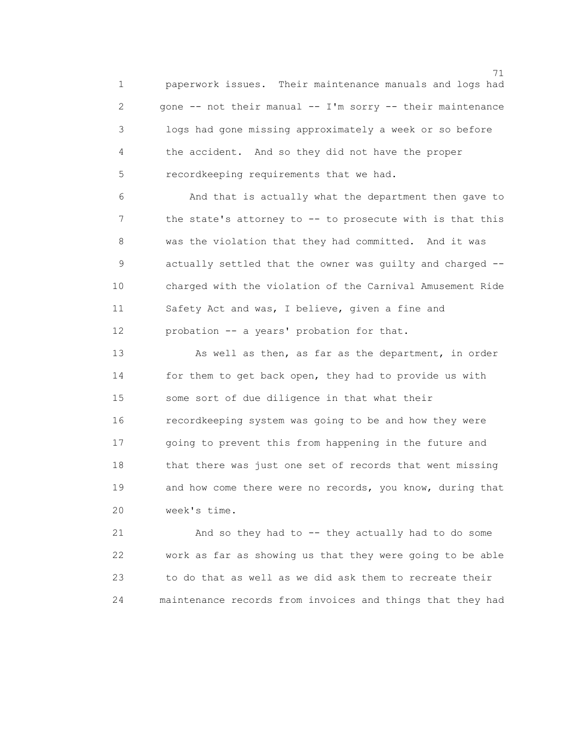71 1 paperwork issues. Their maintenance manuals and logs had 2 gone -- not their manual -- I'm sorry -- their maintenance 3 logs had gone missing approximately a week or so before 4 the accident. And so they did not have the proper 5 recordkeeping requirements that we had.

 6 And that is actually what the department then gave to 7 the state's attorney to -- to prosecute with is that this 8 was the violation that they had committed. And it was 9 actually settled that the owner was guilty and charged -- 10 charged with the violation of the Carnival Amusement Ride 11 Safety Act and was, I believe, given a fine and 12 probation -- a years' probation for that.

13 As well as then, as far as the department, in order 14 for them to get back open, they had to provide us with 15 some sort of due diligence in that what their 16 recordkeeping system was going to be and how they were 17 going to prevent this from happening in the future and 18 that there was just one set of records that went missing 19 and how come there were no records, you know, during that 20 week's time.

 21 And so they had to -- they actually had to do some 22 work as far as showing us that they were going to be able 23 to do that as well as we did ask them to recreate their 24 maintenance records from invoices and things that they had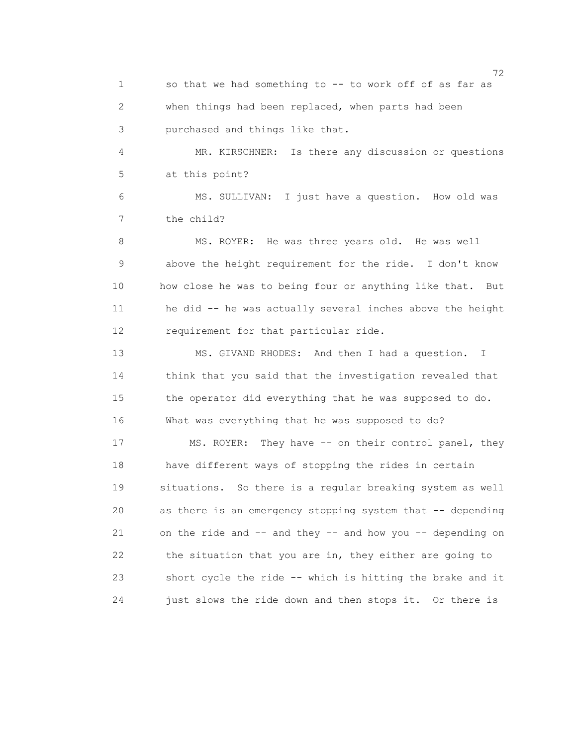1 so that we had something to -- to work off of as far as 2 when things had been replaced, when parts had been 3 purchased and things like that.

 4 MR. KIRSCHNER: Is there any discussion or questions 5 at this point?

 6 MS. SULLIVAN: I just have a question. How old was 7 the child?

 8 MS. ROYER: He was three years old. He was well 9 above the height requirement for the ride. I don't know 10 how close he was to being four or anything like that. But 11 he did -- he was actually several inches above the height 12 requirement for that particular ride.

 13 MS. GIVAND RHODES: And then I had a question. I 14 think that you said that the investigation revealed that 15 the operator did everything that he was supposed to do. 16 What was everything that he was supposed to do?

 17 MS. ROYER: They have -- on their control panel, they 18 have different ways of stopping the rides in certain 19 situations. So there is a regular breaking system as well 20 as there is an emergency stopping system that -- depending 21 on the ride and -- and they -- and how you -- depending on 22 the situation that you are in, they either are going to 23 short cycle the ride -- which is hitting the brake and it 24 just slows the ride down and then stops it. Or there is

<u>72</u> — Марк Сарди, американски предметар<br>72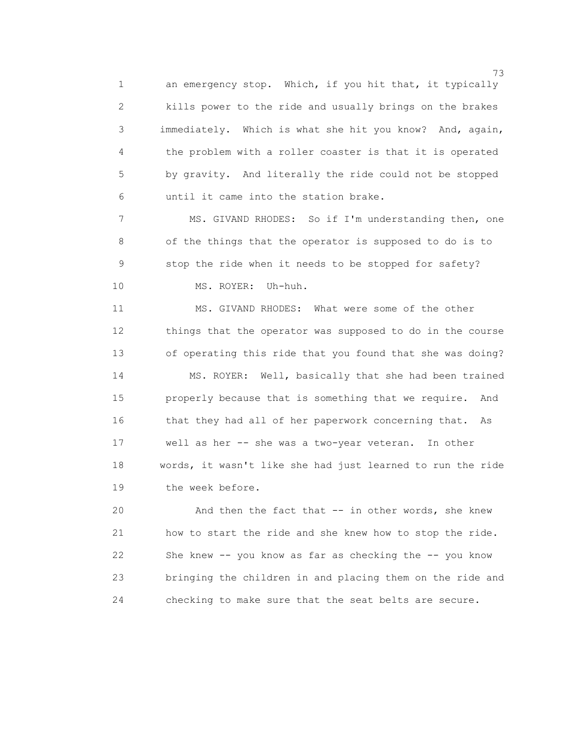1 an emergency stop. Which, if you hit that, it typically 2 kills power to the ride and usually brings on the brakes 3 immediately. Which is what she hit you know? And, again, 4 the problem with a roller coaster is that it is operated 5 by gravity. And literally the ride could not be stopped 6 until it came into the station brake.

 7 MS. GIVAND RHODES: So if I'm understanding then, one 8 of the things that the operator is supposed to do is to 9 stop the ride when it needs to be stopped for safety? 10 MS. ROYER: Uh-huh.

 11 MS. GIVAND RHODES: What were some of the other 12 things that the operator was supposed to do in the course 13 of operating this ride that you found that she was doing? 14 MS. ROYER: Well, basically that she had been trained 15 properly because that is something that we require. And 16 that they had all of her paperwork concerning that. As 17 well as her -- she was a two-year veteran. In other 18 words, it wasn't like she had just learned to run the ride 19 the week before.

 20 And then the fact that -- in other words, she knew 21 how to start the ride and she knew how to stop the ride. 22 She knew -- you know as far as checking the -- you know 23 bringing the children in and placing them on the ride and 24 checking to make sure that the seat belts are secure.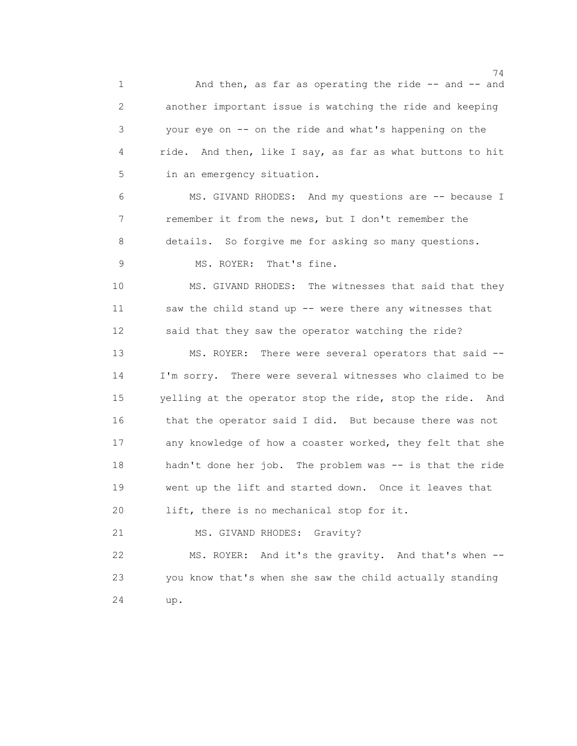74 1 And then, as far as operating the ride -- and -- and 2 another important issue is watching the ride and keeping 3 your eye on -- on the ride and what's happening on the 4 ride. And then, like I say, as far as what buttons to hit 5 in an emergency situation. 6 MS. GIVAND RHODES: And my questions are -- because I 7 remember it from the news, but I don't remember the 8 details. So forgive me for asking so many questions. 9 MS. ROYER: That's fine. 10 MS. GIVAND RHODES: The witnesses that said that they 11 saw the child stand up -- were there any witnesses that 12 said that they saw the operator watching the ride? 13 MS. ROYER: There were several operators that said -- 14 I'm sorry. There were several witnesses who claimed to be 15 yelling at the operator stop the ride, stop the ride. And 16 that the operator said I did. But because there was not 17 any knowledge of how a coaster worked, they felt that she 18 hadn't done her job. The problem was -- is that the ride 19 went up the lift and started down. Once it leaves that 20 lift, there is no mechanical stop for it. 21 MS. GIVAND RHODES: Gravity? 22 MS. ROYER: And it's the gravity. And that's when -- 23 you know that's when she saw the child actually standing 24 up.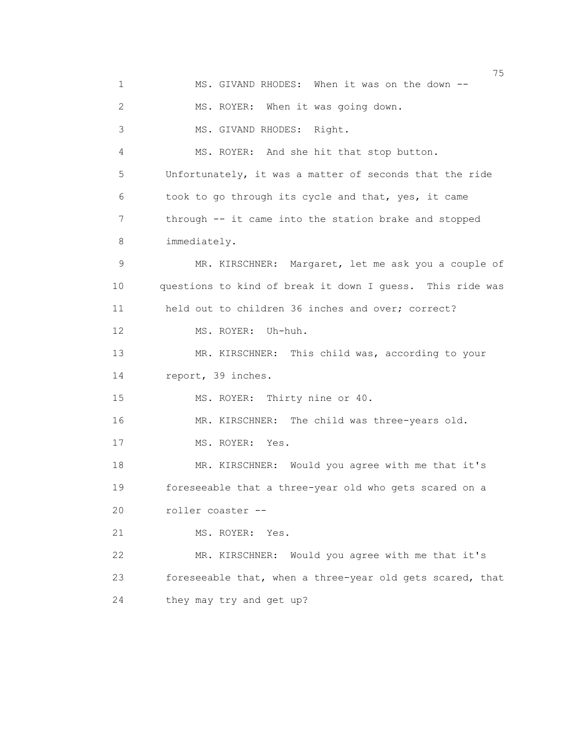na matsay na matsay na matsay na matsay na matsay na matsay na matsay na matsay na matsay na matsay na matsay<br>Matsay na matsay na matsay na matsay na matsay na matsay na matsay na matsay na matsay na matsay na matsay na 1 MS. GIVAND RHODES: When it was on the down -- 2 MS. ROYER: When it was going down. 3 MS. GIVAND RHODES: Right. 4 MS. ROYER: And she hit that stop button. 5 Unfortunately, it was a matter of seconds that the ride 6 took to go through its cycle and that, yes, it came 7 through -- it came into the station brake and stopped 8 immediately. 9 MR. KIRSCHNER: Margaret, let me ask you a couple of 10 questions to kind of break it down I guess. This ride was 11 held out to children 36 inches and over; correct? 12 MS. ROYER: Uh-huh. 13 MR. KIRSCHNER: This child was, according to your 14 report, 39 inches. 15 MS. ROYER: Thirty nine or 40. 16 MR. KIRSCHNER: The child was three-years old. 17 MS. ROYER: Yes. 18 MR. KIRSCHNER: Would you agree with me that it's 19 foreseeable that a three-year old who gets scared on a 20 roller coaster -- 21 MS. ROYER: Yes. 22 MR. KIRSCHNER: Would you agree with me that it's 23 foreseeable that, when a three-year old gets scared, that 24 they may try and get up?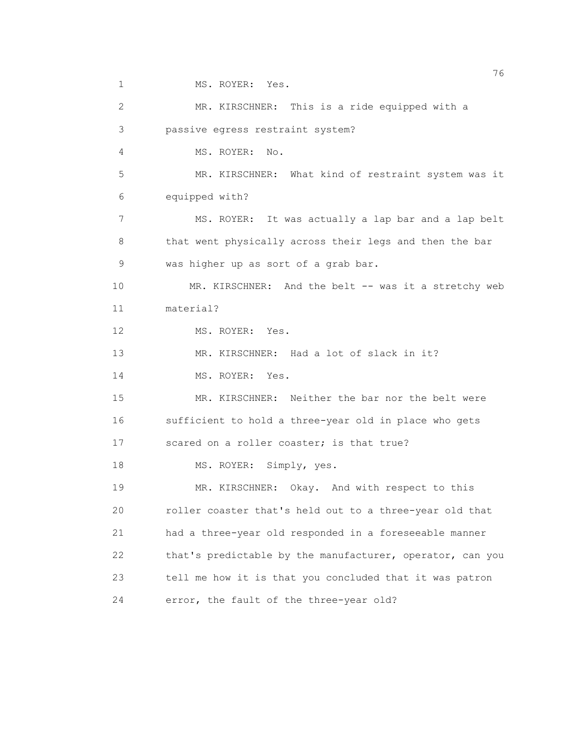1 MS. ROYER: Yes.

 2 MR. KIRSCHNER: This is a ride equipped with a 3 passive egress restraint system? 4 MS. ROYER: No. 5 MR. KIRSCHNER: What kind of restraint system was it 6 equipped with? 7 MS. ROYER: It was actually a lap bar and a lap belt 8 that went physically across their legs and then the bar 9 was higher up as sort of a grab bar. 10 MR. KIRSCHNER: And the belt -- was it a stretchy web 11 material? 12 MS. ROYER: Yes. 13 MR. KIRSCHNER: Had a lot of slack in it? 14 MS. ROYER: Yes. 15 MR. KIRSCHNER: Neither the bar nor the belt were 16 sufficient to hold a three-year old in place who gets 17 scared on a roller coaster; is that true? 18 MS. ROYER: Simply, yes. 19 MR. KIRSCHNER: Okay. And with respect to this 20 roller coaster that's held out to a three-year old that 21 had a three-year old responded in a foreseeable manner 22 that's predictable by the manufacturer, operator, can you 23 tell me how it is that you concluded that it was patron 24 error, the fault of the three-year old?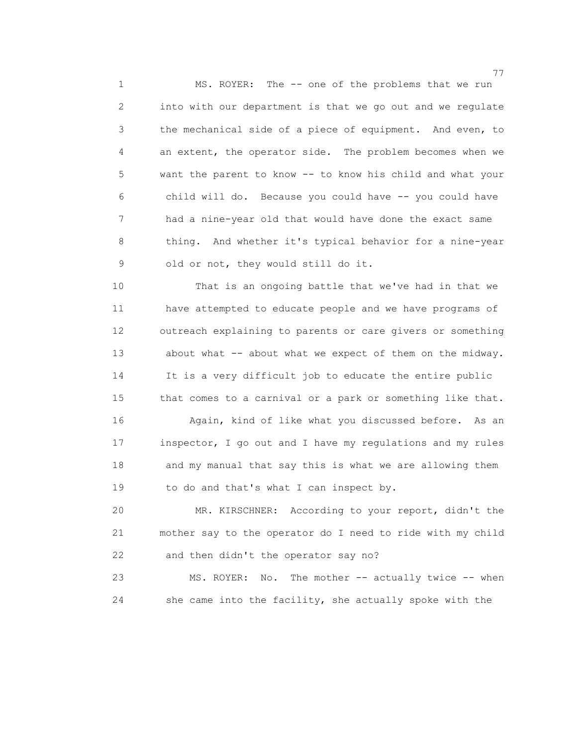1 MS. ROYER: The -- one of the problems that we run 2 into with our department is that we go out and we regulate 3 the mechanical side of a piece of equipment. And even, to 4 an extent, the operator side. The problem becomes when we 5 want the parent to know -- to know his child and what your 6 child will do. Because you could have -- you could have 7 had a nine-year old that would have done the exact same 8 thing. And whether it's typical behavior for a nine-year 9 old or not, they would still do it.

 10 That is an ongoing battle that we've had in that we 11 have attempted to educate people and we have programs of 12 outreach explaining to parents or care givers or something 13 about what -- about what we expect of them on the midway. 14 It is a very difficult job to educate the entire public 15 that comes to a carnival or a park or something like that. 16 Again, kind of like what you discussed before. As an

 17 inspector, I go out and I have my regulations and my rules 18 and my manual that say this is what we are allowing them 19 to do and that's what I can inspect by.

 20 MR. KIRSCHNER: According to your report, didn't the 21 mother say to the operator do I need to ride with my child 22 and then didn't the operator say no?

 23 MS. ROYER: No. The mother -- actually twice -- when 24 she came into the facility, she actually spoke with the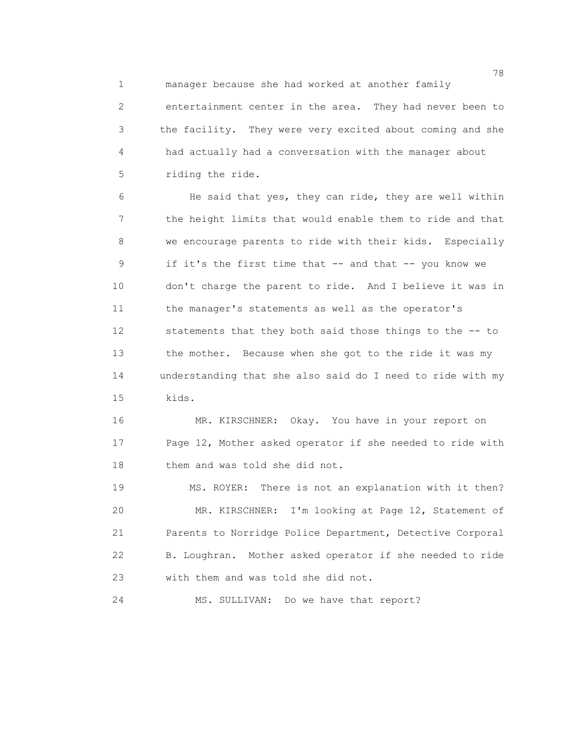1 manager because she had worked at another family

 2 entertainment center in the area. They had never been to 3 the facility. They were very excited about coming and she 4 had actually had a conversation with the manager about 5 riding the ride.

 6 He said that yes, they can ride, they are well within 7 the height limits that would enable them to ride and that 8 we encourage parents to ride with their kids. Especially 9 if it's the first time that -- and that -- you know we 10 don't charge the parent to ride. And I believe it was in 11 the manager's statements as well as the operator's 12 statements that they both said those things to the -- to 13 the mother. Because when she got to the ride it was my 14 understanding that she also said do I need to ride with my 15 kids.

 16 MR. KIRSCHNER: Okay. You have in your report on 17 Page 12, Mother asked operator if she needed to ride with 18 them and was told she did not.

 19 MS. ROYER: There is not an explanation with it then? 20 MR. KIRSCHNER: I'm looking at Page 12, Statement of 21 Parents to Norridge Police Department, Detective Corporal 22 B. Loughran. Mother asked operator if she needed to ride 23 with them and was told she did not.

24 MS. SULLIVAN: Do we have that report?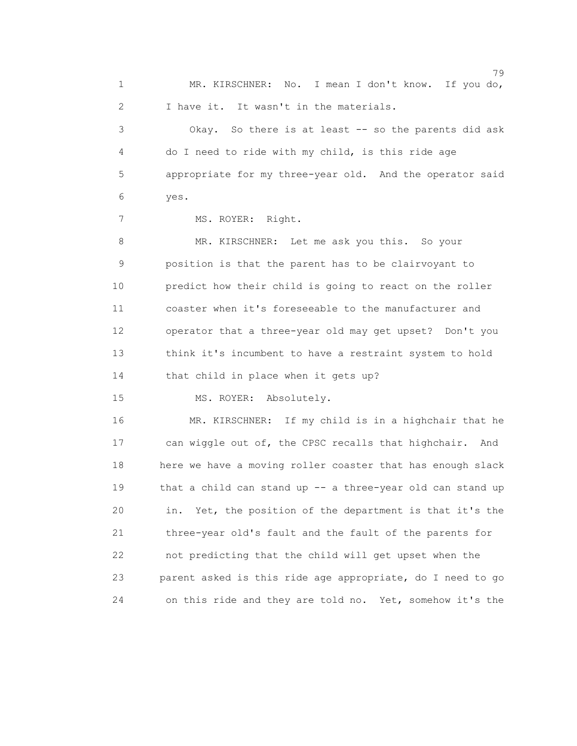79 1 MR. KIRSCHNER: No. I mean I don't know. If you do, 2 I have it. It wasn't in the materials. 3 Okay. So there is at least -- so the parents did ask 4 do I need to ride with my child, is this ride age 5 appropriate for my three-year old. And the operator said 6 yes. 7 MS. ROYER: Right. 8 MR. KIRSCHNER: Let me ask you this. So your 9 position is that the parent has to be clairvoyant to 10 predict how their child is going to react on the roller 11 coaster when it's foreseeable to the manufacturer and 12 operator that a three-year old may get upset? Don't you 13 think it's incumbent to have a restraint system to hold 14 that child in place when it gets up? 15 MS. ROYER: Absolutely. 16 MR. KIRSCHNER: If my child is in a highchair that he

 17 can wiggle out of, the CPSC recalls that highchair. And 18 here we have a moving roller coaster that has enough slack 19 that a child can stand up -- a three-year old can stand up 20 in. Yet, the position of the department is that it's the 21 three-year old's fault and the fault of the parents for 22 not predicting that the child will get upset when the 23 parent asked is this ride age appropriate, do I need to go 24 on this ride and they are told no. Yet, somehow it's the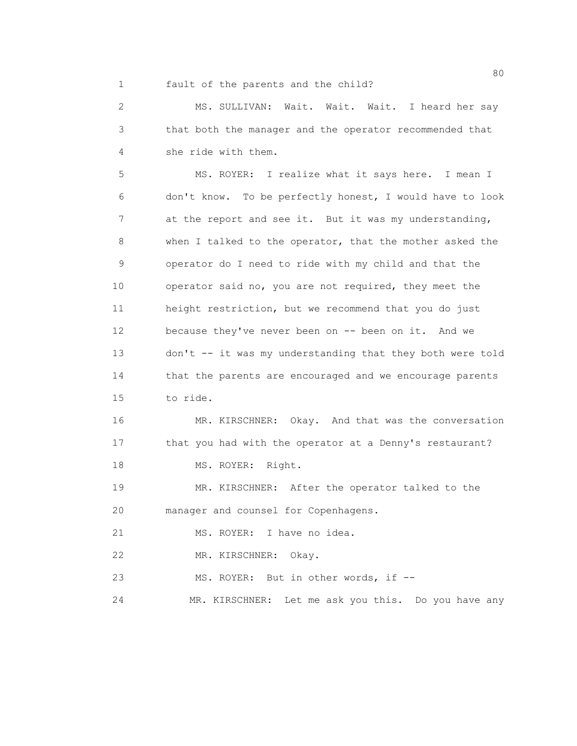1 fault of the parents and the child?

 2 MS. SULLIVAN: Wait. Wait. Wait. I heard her say 3 that both the manager and the operator recommended that 4 she ride with them.

 5 MS. ROYER: I realize what it says here. I mean I 6 don't know. To be perfectly honest, I would have to look 7 at the report and see it. But it was my understanding, 8 when I talked to the operator, that the mother asked the 9 operator do I need to ride with my child and that the 10 operator said no, you are not required, they meet the 11 height restriction, but we recommend that you do just 12 because they've never been on -- been on it. And we 13 don't -- it was my understanding that they both were told 14 that the parents are encouraged and we encourage parents 15 to ride.

 16 MR. KIRSCHNER: Okay. And that was the conversation 17 that you had with the operator at a Denny's restaurant? 18 MS. ROYER: Right.

 19 MR. KIRSCHNER: After the operator talked to the 20 manager and counsel for Copenhagens.

21 MS. ROYER: I have no idea.

22 MR. KIRSCHNER: Okay.

23 MS. ROYER: But in other words, if --

24 MR. KIRSCHNER: Let me ask you this. Do you have any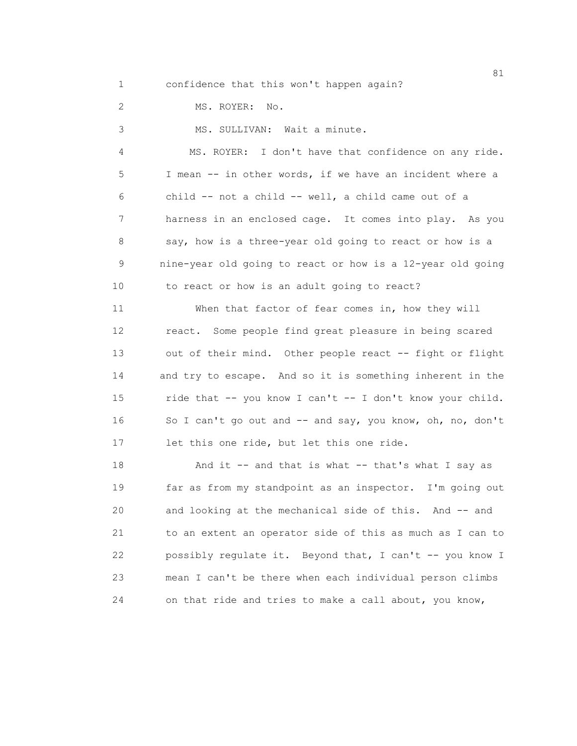1 confidence that this won't happen again?

2 MS. ROYER: No.

3 MS. SULLIVAN: Wait a minute.

 4 MS. ROYER: I don't have that confidence on any ride. 5 I mean -- in other words, if we have an incident where a 6 child -- not a child -- well, a child came out of a 7 harness in an enclosed cage. It comes into play. As you 8 say, how is a three-year old going to react or how is a 9 nine-year old going to react or how is a 12-year old going 10 to react or how is an adult going to react?

 11 When that factor of fear comes in, how they will 12 react. Some people find great pleasure in being scared 13 out of their mind. Other people react -- fight or flight 14 and try to escape. And so it is something inherent in the 15 ride that -- you know I can't -- I don't know your child. 16 So I can't go out and -- and say, you know, oh, no, don't 17 let this one ride, but let this one ride.

18 And it -- and that is what -- that's what I say as 19 far as from my standpoint as an inspector. I'm going out 20 and looking at the mechanical side of this. And -- and 21 to an extent an operator side of this as much as I can to 22 possibly regulate it. Beyond that, I can't -- you know I 23 mean I can't be there when each individual person climbs 24 on that ride and tries to make a call about, you know,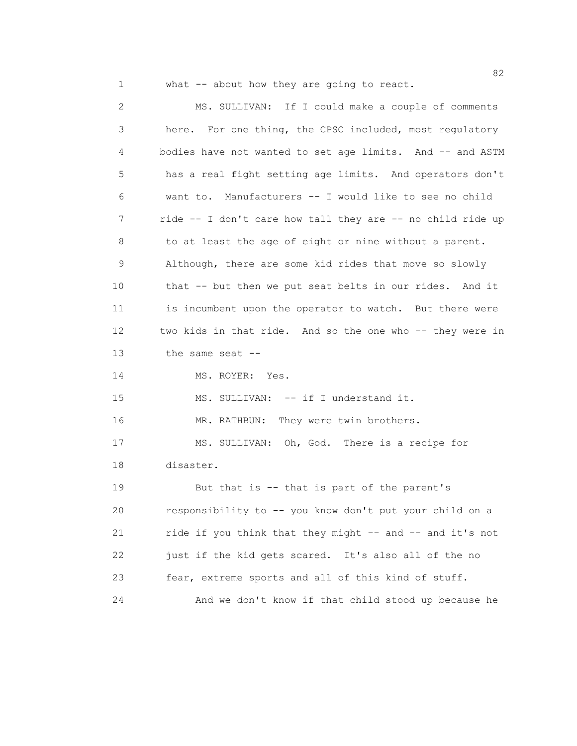1 what -- about how they are going to react.

 2 MS. SULLIVAN: If I could make a couple of comments 3 here. For one thing, the CPSC included, most regulatory 4 bodies have not wanted to set age limits. And -- and ASTM 5 has a real fight setting age limits. And operators don't 6 want to. Manufacturers -- I would like to see no child 7 ride -- I don't care how tall they are -- no child ride up 8 to at least the age of eight or nine without a parent. 9 Although, there are some kid rides that move so slowly 10 that -- but then we put seat belts in our rides. And it 11 is incumbent upon the operator to watch. But there were 12 two kids in that ride. And so the one who -- they were in 13 the same seat -- 14 MS. ROYER: Yes. 15 MS. SULLIVAN: -- if I understand it. 16 MR. RATHBUN: They were twin brothers. 17 MS. SULLIVAN: Oh, God. There is a recipe for 18 disaster. 19 But that is -- that is part of the parent's 20 responsibility to -- you know don't put your child on a 21 ride if you think that they might -- and -- and it's not 22 just if the kid gets scared. It's also all of the no 23 fear, extreme sports and all of this kind of stuff. 24 And we don't know if that child stood up because he

en and the state of the state of the state of the state of the state of the state of the state of the state of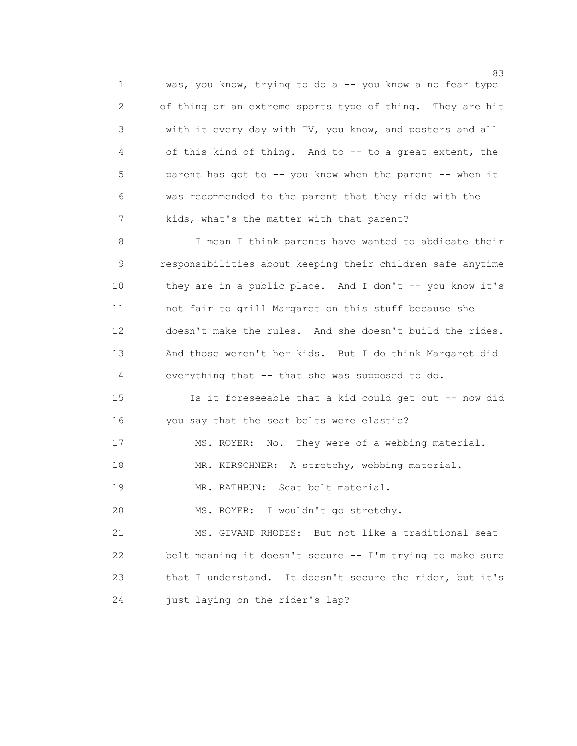1 was, you know, trying to do a -- you know a no fear type 2 of thing or an extreme sports type of thing. They are hit 3 with it every day with TV, you know, and posters and all 4 of this kind of thing. And to -- to a great extent, the 5 parent has got to -- you know when the parent -- when it 6 was recommended to the parent that they ride with the 7 kids, what's the matter with that parent?

 8 I mean I think parents have wanted to abdicate their 9 responsibilities about keeping their children safe anytime 10 they are in a public place. And I don't -- you know it's 11 not fair to grill Margaret on this stuff because she 12 doesn't make the rules. And she doesn't build the rides. 13 And those weren't her kids. But I do think Margaret did 14 everything that -- that she was supposed to do.

 15 Is it foreseeable that a kid could get out -- now did 16 you say that the seat belts were elastic?

17 MS. ROYER: No. They were of a webbing material.

18 MR. KIRSCHNER: A stretchy, webbing material.

19 MR. RATHBUN: Seat belt material.

20 MS. ROYER: I wouldn't go stretchy.

 21 MS. GIVAND RHODES: But not like a traditional seat 22 belt meaning it doesn't secure -- I'm trying to make sure 23 that I understand. It doesn't secure the rider, but it's 24 just laying on the rider's lap?

en 1982 en 1983 en 1983 en 1983 en 1984 en 1983 en 1984 en 1984 en 1984 en 1984 en 1984 en 1984 en 1984 en 19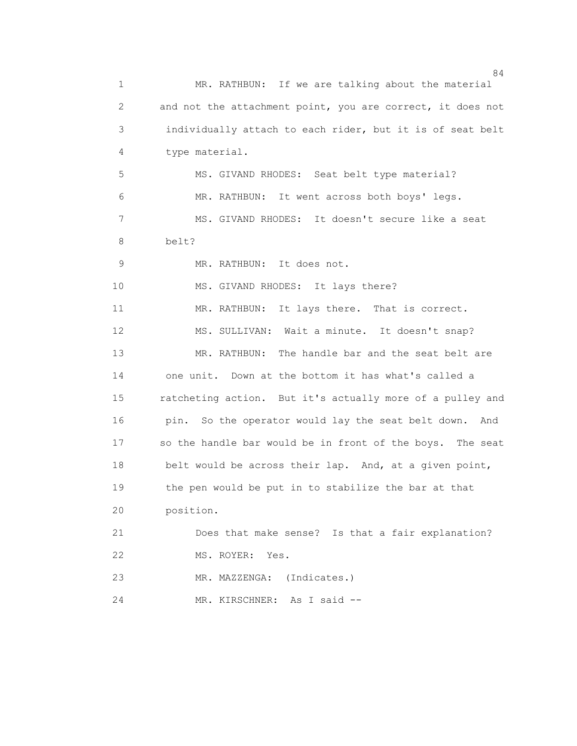84 1 MR. RATHBUN: If we are talking about the material 2 and not the attachment point, you are correct, it does not 3 individually attach to each rider, but it is of seat belt 4 type material. 5 MS. GIVAND RHODES: Seat belt type material? 6 MR. RATHBUN: It went across both boys' legs. 7 MS. GIVAND RHODES: It doesn't secure like a seat 8 belt? 9 MR. RATHBUN: It does not. 10 MS. GIVAND RHODES: It lays there? 11 MR. RATHBUN: It lays there. That is correct. 12 MS. SULLIVAN: Wait a minute. It doesn't snap? 13 MR. RATHBUN: The handle bar and the seat belt are 14 one unit. Down at the bottom it has what's called a 15 ratcheting action. But it's actually more of a pulley and 16 pin. So the operator would lay the seat belt down. And 17 so the handle bar would be in front of the boys. The seat 18 belt would be across their lap. And, at a given point, 19 the pen would be put in to stabilize the bar at that 20 position. 21 Does that make sense? Is that a fair explanation? 22 MS. ROYER: Yes. 23 MR. MAZZENGA: (Indicates.) 24 MR. KIRSCHNER: As I said --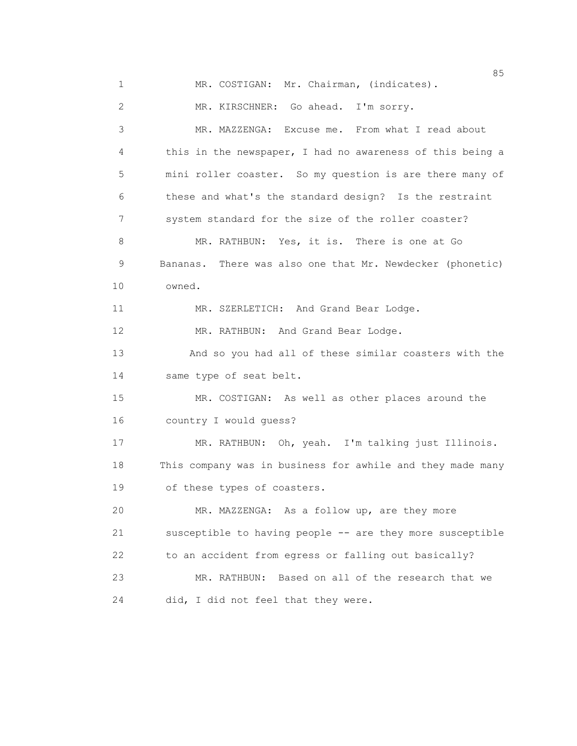en de la construction de la construction de la construction de la construction de la construction de la construction de la construction de la construction de la construction de la construction de la construction de la cons 1 MR. COSTIGAN: Mr. Chairman, (indicates). 2 MR. KIRSCHNER: Go ahead. I'm sorry. 3 MR. MAZZENGA: Excuse me. From what I read about 4 this in the newspaper, I had no awareness of this being a 5 mini roller coaster. So my question is are there many of 6 these and what's the standard design? Is the restraint 7 system standard for the size of the roller coaster? 8 MR. RATHBUN: Yes, it is. There is one at Go 9 Bananas. There was also one that Mr. Newdecker (phonetic) 10 owned. 11 MR. SZERLETICH: And Grand Bear Lodge. 12 MR. RATHBUN: And Grand Bear Lodge. 13 And so you had all of these similar coasters with the 14 same type of seat belt. 15 MR. COSTIGAN: As well as other places around the 16 country I would guess? 17 MR. RATHBUN: Oh, yeah. I'm talking just Illinois. 18 This company was in business for awhile and they made many 19 of these types of coasters. 20 MR. MAZZENGA: As a follow up, are they more 21 susceptible to having people -- are they more susceptible 22 to an accident from egress or falling out basically? 23 MR. RATHBUN: Based on all of the research that we 24 did, I did not feel that they were.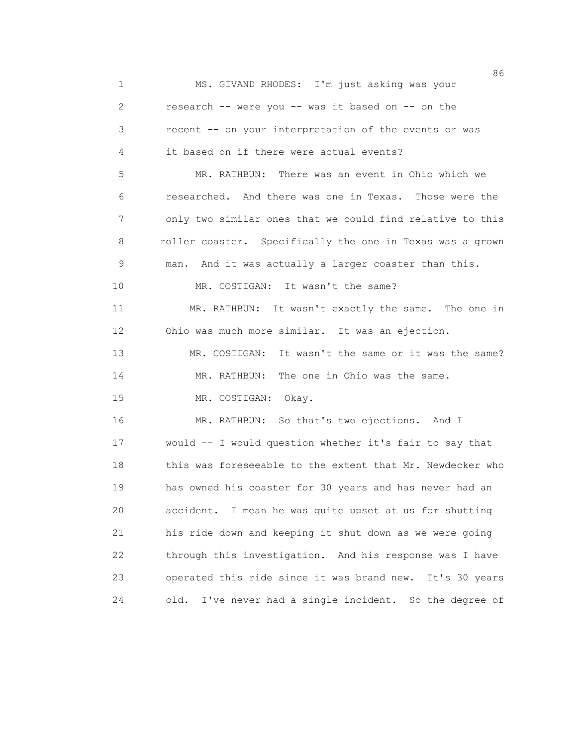|                 | 86                                                         |
|-----------------|------------------------------------------------------------|
| $\mathbf 1$     | MS. GIVAND RHODES: I'm just asking was your                |
| $\mathbf{2}$    | research -- were you -- was it based on -- on the          |
| 3               | recent -- on your interpretation of the events or was      |
| 4               | it based on if there were actual events?                   |
| 5               | MR. RATHBUN: There was an event in Ohio which we           |
| 6               | researched. And there was one in Texas. Those were the     |
| 7               | only two similar ones that we could find relative to this  |
| 8               | roller coaster. Specifically the one in Texas was a grown  |
| 9               | man. And it was actually a larger coaster than this.       |
| 10              | MR. COSTIGAN: It wasn't the same?                          |
| 11              | MR. RATHBUN: It wasn't exactly the same. The one in        |
| 12 <sup>°</sup> | Ohio was much more similar. It was an ejection.            |
| 13              | MR. COSTIGAN: It wasn't the same or it was the same?       |
| 14              | The one in Ohio was the same.<br>MR. RATHBUN:              |
| 15              | MR. COSTIGAN: Okay.                                        |
| 16              | MR. RATHBUN: So that's two ejections. And I                |
| 17              | would -- I would question whether it's fair to say that    |
| 18              | this was foreseeable to the extent that Mr. Newdecker who  |
| 19              | has owned his coaster for 30 years and has never had an    |
| 20              | accident.<br>I mean he was quite upset at us for shutting  |
| 21              | his ride down and keeping it shut down as we were going    |
| 22              | through this investigation. And his response was I have    |
| 23              | operated this ride since it was brand new. It's 30 years   |
| 24              | I've never had a single incident. So the degree of<br>old. |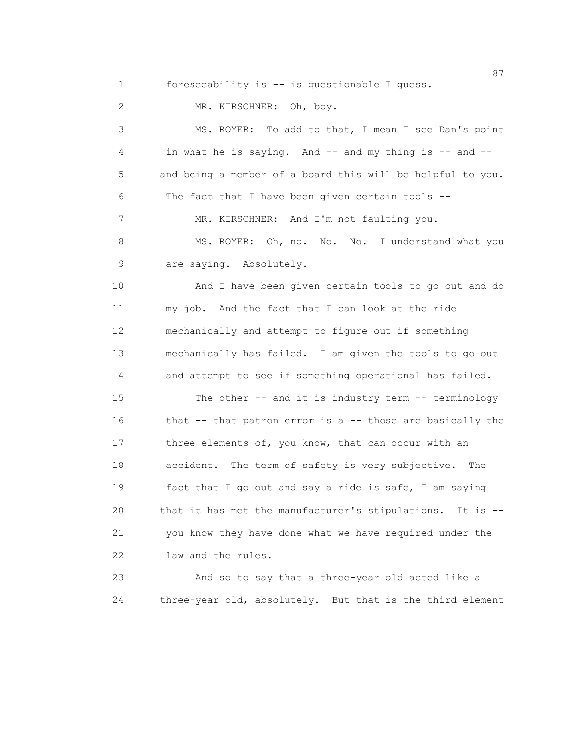1 foreseeability is -- is questionable I guess.

2 MR. KIRSCHNER: Oh, boy.

 3 MS. ROYER: To add to that, I mean I see Dan's point 4 in what he is saying. And -- and my thing is -- and -- 5 and being a member of a board this will be helpful to you. 6 The fact that I have been given certain tools -- 7 MR. KIRSCHNER: And I'm not faulting you. 8 MS. ROYER: Oh, no. No. No. I understand what you 9 are saying. Absolutely. 10 And I have been given certain tools to go out and do 11 my job. And the fact that I can look at the ride 12 mechanically and attempt to figure out if something 13 mechanically has failed. I am given the tools to go out 14 and attempt to see if something operational has failed. 15 The other -- and it is industry term -- terminology 16 that -- that patron error is a -- those are basically the 17 three elements of, you know, that can occur with an 18 accident. The term of safety is very subjective. The 19 fact that I go out and say a ride is safe, I am saying 20 that it has met the manufacturer's stipulations. It is -- 21 you know they have done what we have required under the 22 law and the rules. 23 And so to say that a three-year old acted like a

24 three-year old, absolutely. But that is the third element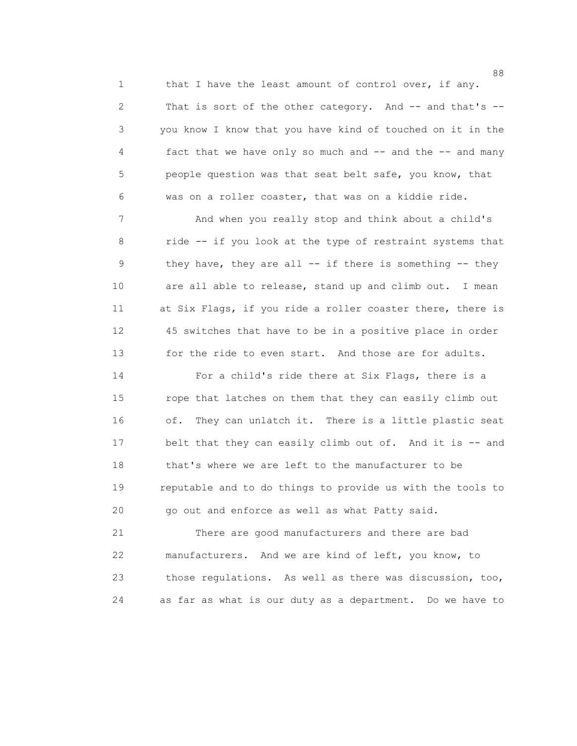1 that I have the least amount of control over, if any. 2 That is sort of the other category. And -- and that's -- 3 you know I know that you have kind of touched on it in the 4 fact that we have only so much and -- and the -- and many 5 people question was that seat belt safe, you know, that 6 was on a roller coaster, that was on a kiddie ride.

 7 And when you really stop and think about a child's 8 ride -- if you look at the type of restraint systems that 9 they have, they are all -- if there is something -- they 10 are all able to release, stand up and climb out. I mean 11 at Six Flags, if you ride a roller coaster there, there is 12 45 switches that have to be in a positive place in order 13 for the ride to even start. And those are for adults.

 14 For a child's ride there at Six Flags, there is a 15 rope that latches on them that they can easily climb out 16 of. They can unlatch it. There is a little plastic seat 17 belt that they can easily climb out of. And it is -- and 18 that's where we are left to the manufacturer to be 19 reputable and to do things to provide us with the tools to 20 go out and enforce as well as what Patty said.

 21 There are good manufacturers and there are bad 22 manufacturers. And we are kind of left, you know, to 23 those regulations. As well as there was discussion, too, 24 as far as what is our duty as a department. Do we have to

en de la construction de la construction de la construction de la construction de la construction de la constr<br>1888 : le construction de la construction de la construction de la construction de la construction de la const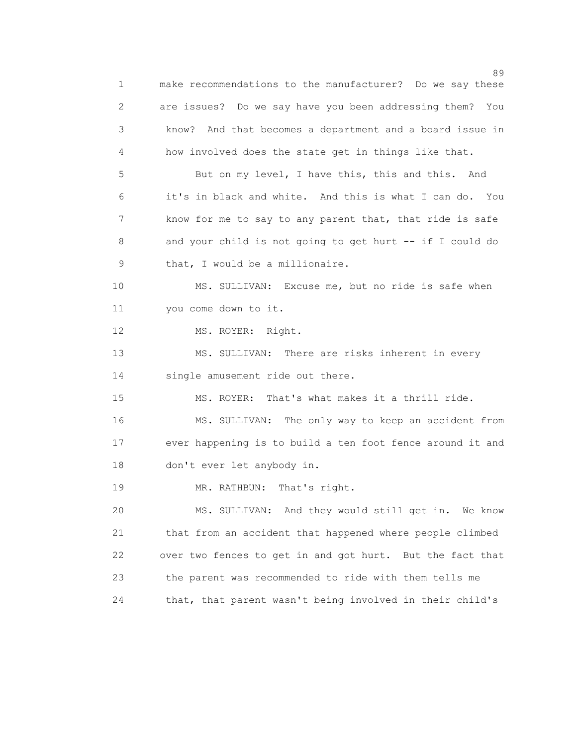89 and 2012 and 2012 and 2012 and 2012 and 2012 and 2012 and 2012 and 2012 and 2012 and 2012 and 201 1 make recommendations to the manufacturer? Do we say these 2 are issues? Do we say have you been addressing them? You 3 know? And that becomes a department and a board issue in 4 how involved does the state get in things like that. 5 But on my level, I have this, this and this. And 6 it's in black and white. And this is what I can do. You 7 know for me to say to any parent that, that ride is safe 8 and your child is not going to get hurt -- if I could do 9 that, I would be a millionaire. 10 MS. SULLIVAN: Excuse me, but no ride is safe when 11 you come down to it. 12 MS. ROYER: Right. 13 MS. SULLIVAN: There are risks inherent in every 14 single amusement ride out there. 15 MS. ROYER: That's what makes it a thrill ride. 16 MS. SULLIVAN: The only way to keep an accident from 17 ever happening is to build a ten foot fence around it and 18 don't ever let anybody in. 19 MR. RATHBUN: That's right. 20 MS. SULLIVAN: And they would still get in. We know 21 that from an accident that happened where people climbed 22 over two fences to get in and got hurt. But the fact that 23 the parent was recommended to ride with them tells me 24 that, that parent wasn't being involved in their child's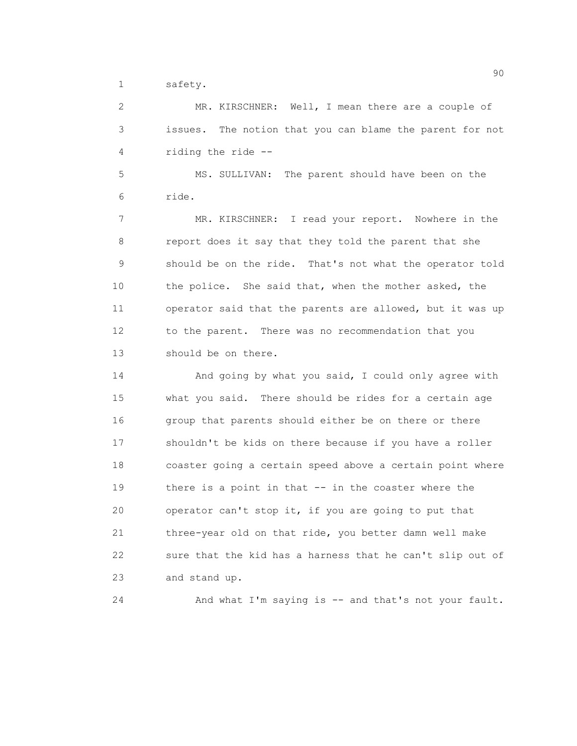1 safety.

 2 MR. KIRSCHNER: Well, I mean there are a couple of 3 issues. The notion that you can blame the parent for not 4 riding the ride --

 5 MS. SULLIVAN: The parent should have been on the 6 ride.

 7 MR. KIRSCHNER: I read your report. Nowhere in the 8 report does it say that they told the parent that she 9 should be on the ride. That's not what the operator told 10 the police. She said that, when the mother asked, the 11 operator said that the parents are allowed, but it was up 12 to the parent. There was no recommendation that you 13 should be on there.

 14 And going by what you said, I could only agree with 15 what you said. There should be rides for a certain age 16 group that parents should either be on there or there 17 shouldn't be kids on there because if you have a roller 18 coaster going a certain speed above a certain point where 19 there is a point in that -- in the coaster where the 20 operator can't stop it, if you are going to put that 21 three-year old on that ride, you better damn well make 22 sure that the kid has a harness that he can't slip out of 23 and stand up.

24 And what I'm saying is -- and that's not your fault.

en de la construction de la construction de la construction de la construction de la construction de la constr<br>1900 : la construction de la construction de la construction de la construction de la construction de la const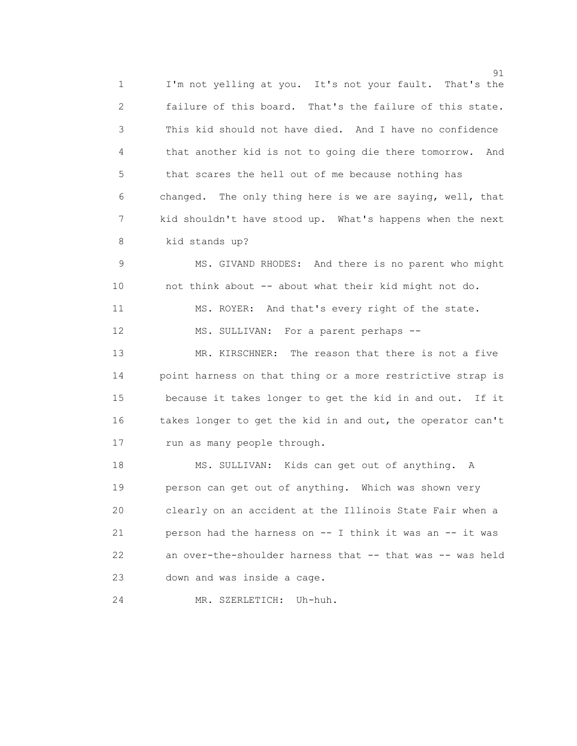91 1 I'm not yelling at you. It's not your fault. That's the 2 failure of this board. That's the failure of this state. 3 This kid should not have died. And I have no confidence 4 that another kid is not to going die there tomorrow. And 5 that scares the hell out of me because nothing has 6 changed. The only thing here is we are saying, well, that 7 kid shouldn't have stood up. What's happens when the next 8 kid stands up?

 9 MS. GIVAND RHODES: And there is no parent who might 10 not think about -- about what their kid might not do. 11 MS. ROYER: And that's every right of the state. 12 MS. SULLIVAN: For a parent perhaps --

 13 MR. KIRSCHNER: The reason that there is not a five 14 point harness on that thing or a more restrictive strap is 15 because it takes longer to get the kid in and out. If it 16 takes longer to get the kid in and out, the operator can't 17 run as many people through.

 18 MS. SULLIVAN: Kids can get out of anything. A 19 person can get out of anything. Which was shown very 20 clearly on an accident at the Illinois State Fair when a 21 person had the harness on -- I think it was an -- it was 22 an over-the-shoulder harness that -- that was -- was held 23 down and was inside a cage.

24 MR. SZERLETICH: Uh-huh.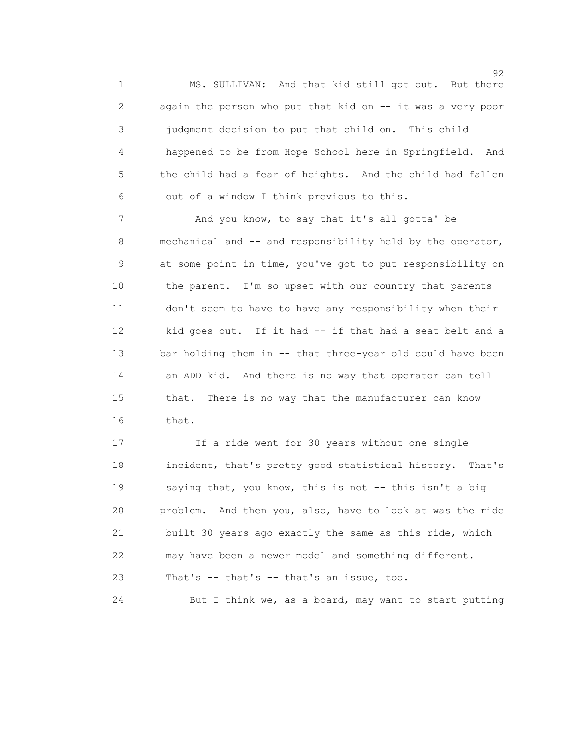1 MS. SULLIVAN: And that kid still got out. But there 2 again the person who put that kid on -- it was a very poor 3 judgment decision to put that child on. This child 4 happened to be from Hope School here in Springfield. And 5 the child had a fear of heights. And the child had fallen 6 out of a window I think previous to this.

7 And you know, to say that it's all gotta' be 8 mechanical and -- and responsibility held by the operator, 9 at some point in time, you've got to put responsibility on 10 the parent. I'm so upset with our country that parents 11 don't seem to have to have any responsibility when their 12 kid goes out. If it had -- if that had a seat belt and a 13 bar holding them in -- that three-year old could have been 14 an ADD kid. And there is no way that operator can tell 15 that. There is no way that the manufacturer can know 16 that.

 17 If a ride went for 30 years without one single 18 incident, that's pretty good statistical history. That's 19 saying that, you know, this is not -- this isn't a big 20 problem. And then you, also, have to look at was the ride 21 built 30 years ago exactly the same as this ride, which 22 may have been a newer model and something different. 23 That's -- that's -- that's an issue, too.

24 But I think we, as a board, may want to start putting

 $\sim$  92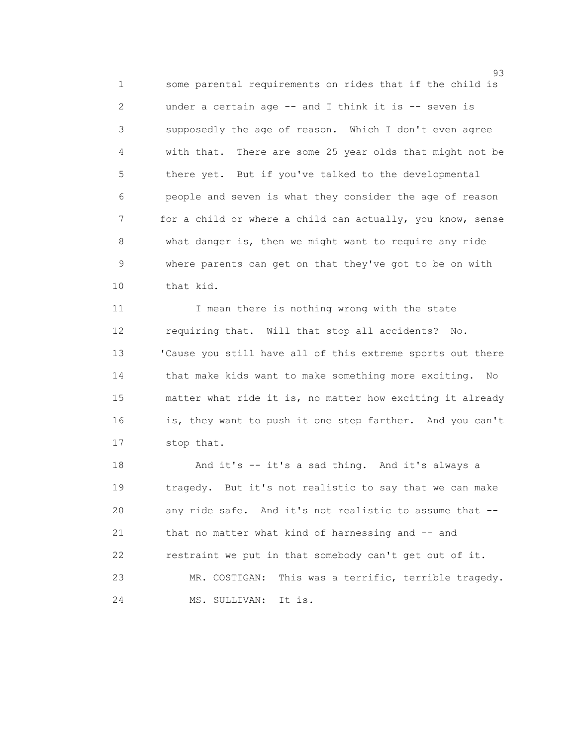1 some parental requirements on rides that if the child is 2 under a certain age -- and I think it is -- seven is 3 supposedly the age of reason. Which I don't even agree 4 with that. There are some 25 year olds that might not be 5 there yet. But if you've talked to the developmental 6 people and seven is what they consider the age of reason 7 for a child or where a child can actually, you know, sense 8 what danger is, then we might want to require any ride 9 where parents can get on that they've got to be on with 10 that kid.

11 I mean there is nothing wrong with the state 12 requiring that. Will that stop all accidents? No. 13 'Cause you still have all of this extreme sports out there 14 that make kids want to make something more exciting. No 15 matter what ride it is, no matter how exciting it already 16 is, they want to push it one step farther. And you can't 17 stop that.

 18 And it's -- it's a sad thing. And it's always a 19 tragedy. But it's not realistic to say that we can make 20 any ride safe. And it's not realistic to assume that -- 21 that no matter what kind of harnessing and -- and 22 restraint we put in that somebody can't get out of it. 23 MR. COSTIGAN: This was a terrific, terrible tragedy. 24 MS. SULLIVAN: It is.

en 1992 en 1993 en 1993 en 1993 en 1993 en 1993 en 1993 en 1993 en 1993 en 1993 en 1993 en 1993 en 1993 en 19<br>1993 en 1993 en 1993 en 1993 en 1993 en 1993 en 1993 en 1993 en 1993 en 1993 en 1993 en 1993 en 1993 en 1993 e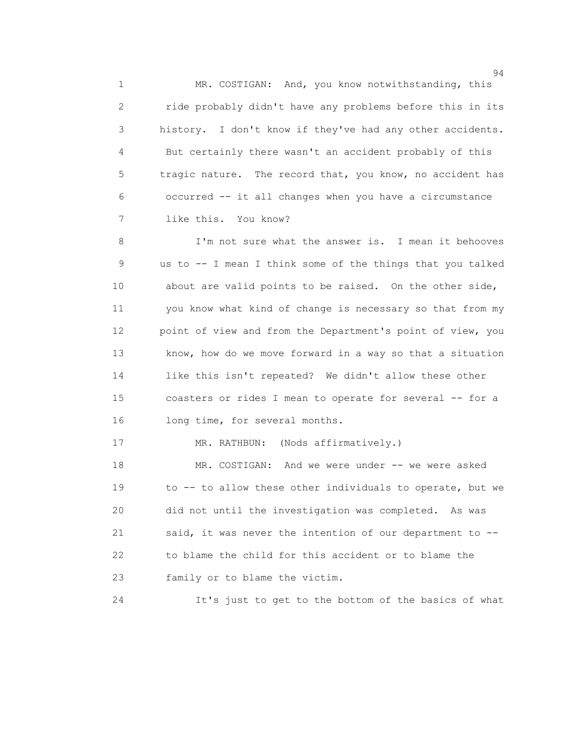1 MR. COSTIGAN: And, you know notwithstanding, this 2 ride probably didn't have any problems before this in its 3 history. I don't know if they've had any other accidents. 4 But certainly there wasn't an accident probably of this 5 tragic nature. The record that, you know, no accident has 6 occurred -- it all changes when you have a circumstance 7 like this. You know?

 8 I'm not sure what the answer is. I mean it behooves 9 us to -- I mean I think some of the things that you talked 10 about are valid points to be raised. On the other side, 11 you know what kind of change is necessary so that from my 12 point of view and from the Department's point of view, you 13 know, how do we move forward in a way so that a situation 14 like this isn't repeated? We didn't allow these other 15 coasters or rides I mean to operate for several -- for a 16 long time, for several months.

17 MR. RATHBUN: (Nods affirmatively.)

 18 MR. COSTIGAN: And we were under -- we were asked 19 to -- to allow these other individuals to operate, but we 20 did not until the investigation was completed. As was 21 said, it was never the intention of our department to -- 22 to blame the child for this accident or to blame the 23 family or to blame the victim.

24 It's just to get to the bottom of the basics of what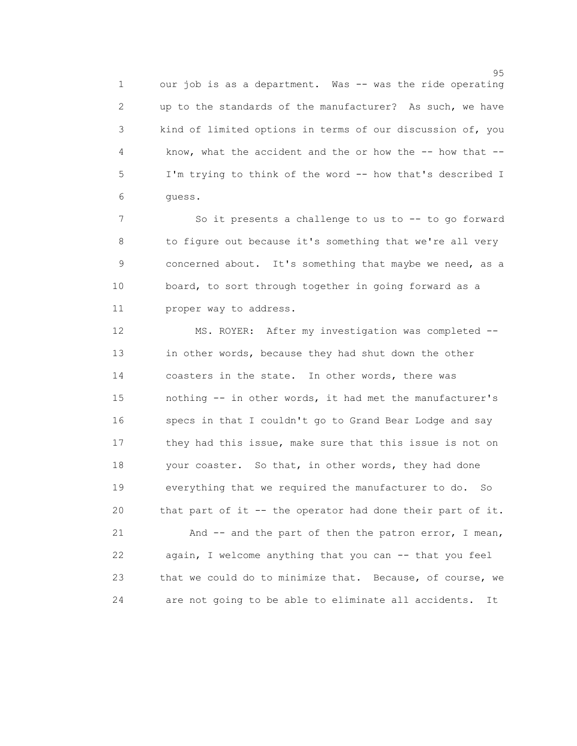1 our job is as a department. Was -- was the ride operating 2 up to the standards of the manufacturer? As such, we have 3 kind of limited options in terms of our discussion of, you 4 know, what the accident and the or how the -- how that -- 5 I'm trying to think of the word -- how that's described I 6 guess.

 7 So it presents a challenge to us to -- to go forward 8 to figure out because it's something that we're all very 9 concerned about. It's something that maybe we need, as a 10 board, to sort through together in going forward as a 11 proper way to address.

 12 MS. ROYER: After my investigation was completed -- 13 in other words, because they had shut down the other 14 coasters in the state. In other words, there was 15 nothing -- in other words, it had met the manufacturer's 16 specs in that I couldn't go to Grand Bear Lodge and say 17 they had this issue, make sure that this issue is not on 18 your coaster. So that, in other words, they had done 19 everything that we required the manufacturer to do. So 20 that part of it -- the operator had done their part of it. 21 And -- and the part of then the patron error, I mean, 22 again, I welcome anything that you can -- that you feel 23 that we could do to minimize that. Because, of course, we

24 are not going to be able to eliminate all accidents. It

en 1995 en 1996 en 1996 en 1997 en 1998 en 1998 en 1999 en 1999 en 1999 en 1999 en 1999 en 1999 en 1999 en 19<br>De grote en 1999 en 1999 en 1999 en 1999 en 1999 en 1999 en 1999 en 1999 en 1999 en 1999 en 1999 en 1999 en 19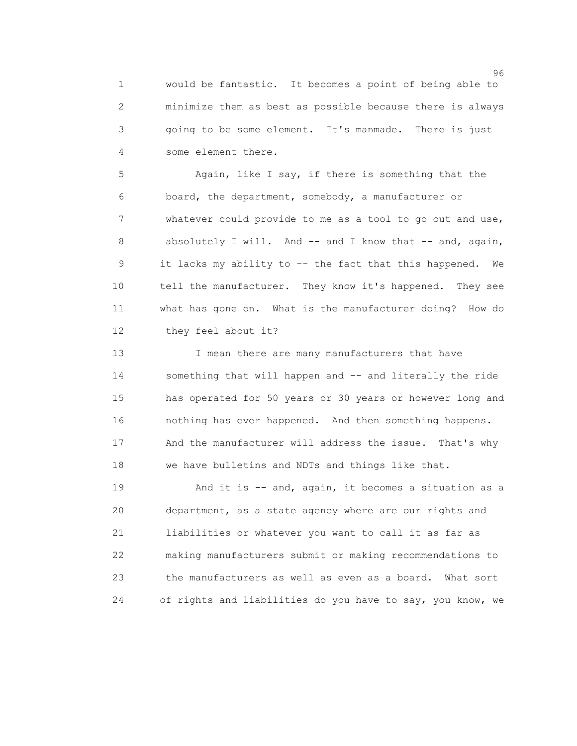1 would be fantastic. It becomes a point of being able to 2 minimize them as best as possible because there is always 3 going to be some element. It's manmade. There is just 4 some element there.

 5 Again, like I say, if there is something that the 6 board, the department, somebody, a manufacturer or 7 whatever could provide to me as a tool to go out and use, 8 absolutely I will. And -- and I know that -- and, again, 9 it lacks my ability to -- the fact that this happened. We 10 tell the manufacturer. They know it's happened. They see 11 what has gone on. What is the manufacturer doing? How do 12 they feel about it?

13 I mean there are many manufacturers that have 14 something that will happen and -- and literally the ride 15 has operated for 50 years or 30 years or however long and 16 nothing has ever happened. And then something happens. 17 And the manufacturer will address the issue. That's why 18 we have bulletins and NDTs and things like that.

19 And it is -- and, again, it becomes a situation as a 20 department, as a state agency where are our rights and 21 liabilities or whatever you want to call it as far as 22 making manufacturers submit or making recommendations to 23 the manufacturers as well as even as a board. What sort 24 of rights and liabilities do you have to say, you know, we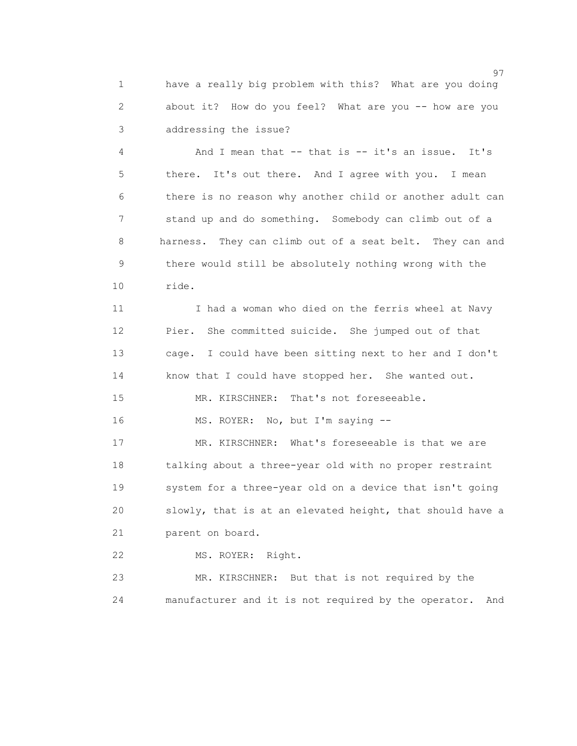1 have a really big problem with this? What are you doing 2 about it? How do you feel? What are you -- how are you 3 addressing the issue?

 4 And I mean that -- that is -- it's an issue. It's 5 there. It's out there. And I agree with you. I mean 6 there is no reason why another child or another adult can 7 stand up and do something. Somebody can climb out of a 8 harness. They can climb out of a seat belt. They can and 9 there would still be absolutely nothing wrong with the 10 ride.

11 I had a woman who died on the ferris wheel at Navy 12 Pier. She committed suicide. She jumped out of that 13 cage. I could have been sitting next to her and I don't 14 know that I could have stopped her. She wanted out.

15 MR. KIRSCHNER: That's not foreseeable.

16 MS. ROYER: No, but I'm saying --

 17 MR. KIRSCHNER: What's foreseeable is that we are 18 talking about a three-year old with no proper restraint 19 system for a three-year old on a device that isn't going 20 slowly, that is at an elevated height, that should have a 21 parent on board.

22 MS. ROYER: Right.

 23 MR. KIRSCHNER: But that is not required by the 24 manufacturer and it is not required by the operator. And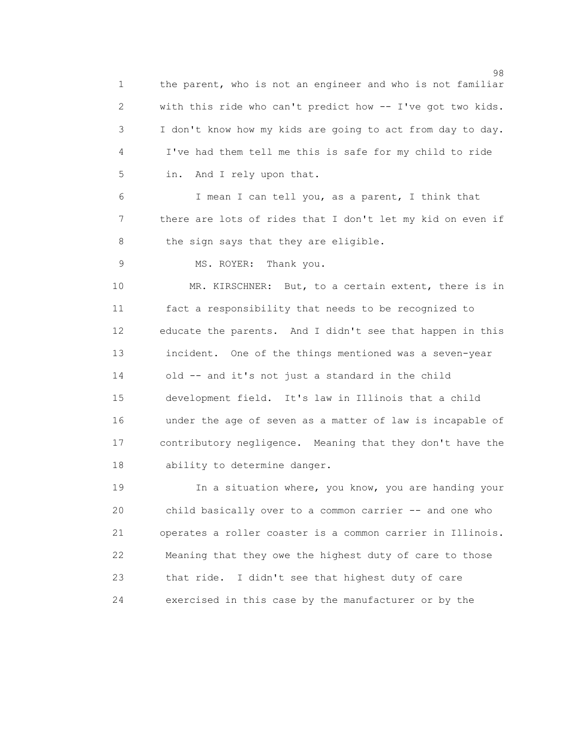98 and 2012 and 2012 and 2012 and 2012 and 2012 and 2012 and 2012 and 2012 and 2012 and 2012 and 201 1 the parent, who is not an engineer and who is not familiar 2 with this ride who can't predict how -- I've got two kids. 3 I don't know how my kids are going to act from day to day. 4 I've had them tell me this is safe for my child to ride 5 in. And I rely upon that. 6 I mean I can tell you, as a parent, I think that 7 there are lots of rides that I don't let my kid on even if 8 the sign says that they are eligible. 9 MS. ROYER: Thank you. 10 MR. KIRSCHNER: But, to a certain extent, there is in 11 fact a responsibility that needs to be recognized to 12 educate the parents. And I didn't see that happen in this 13 incident. One of the things mentioned was a seven-year 14 old -- and it's not just a standard in the child 15 development field. It's law in Illinois that a child 16 under the age of seven as a matter of law is incapable of 17 contributory negligence. Meaning that they don't have the 18 ability to determine danger.

 19 In a situation where, you know, you are handing your 20 child basically over to a common carrier -- and one who 21 operates a roller coaster is a common carrier in Illinois. 22 Meaning that they owe the highest duty of care to those 23 that ride. I didn't see that highest duty of care 24 exercised in this case by the manufacturer or by the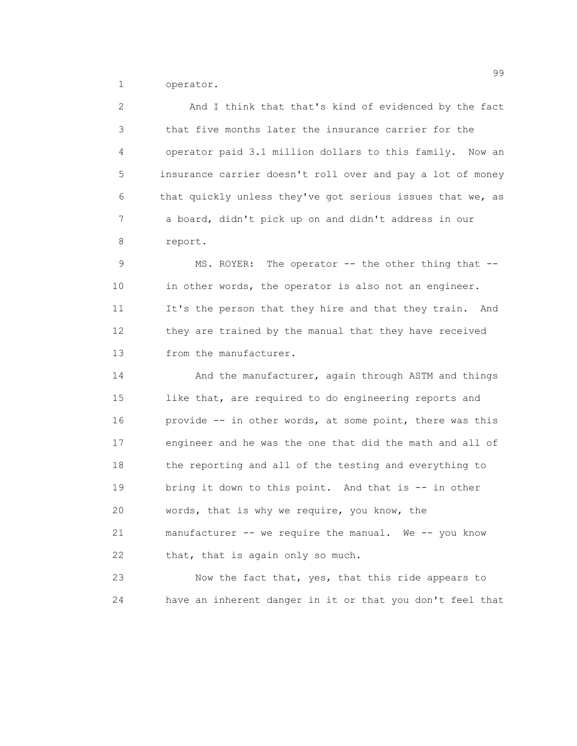1 operator.

 2 And I think that that's kind of evidenced by the fact 3 that five months later the insurance carrier for the 4 operator paid 3.1 million dollars to this family. Now an 5 insurance carrier doesn't roll over and pay a lot of money 6 that quickly unless they've got serious issues that we, as 7 a board, didn't pick up on and didn't address in our 8 report.

 9 MS. ROYER: The operator -- the other thing that -- 10 in other words, the operator is also not an engineer. 11 It's the person that they hire and that they train. And 12 they are trained by the manual that they have received 13 from the manufacturer.

14 And the manufacturer, again through ASTM and things 15 like that, are required to do engineering reports and 16 provide -- in other words, at some point, there was this 17 engineer and he was the one that did the math and all of 18 the reporting and all of the testing and everything to 19 bring it down to this point. And that is -- in other 20 words, that is why we require, you know, the 21 manufacturer -- we require the manual. We -- you know 22 that, that is again only so much.

 23 Now the fact that, yes, that this ride appears to 24 have an inherent danger in it or that you don't feel that

99 and 2012 and 2012 and 2012 and 2012 and 2012 and 2012 and 2012 and 2012 and 2012 and 2012 and 201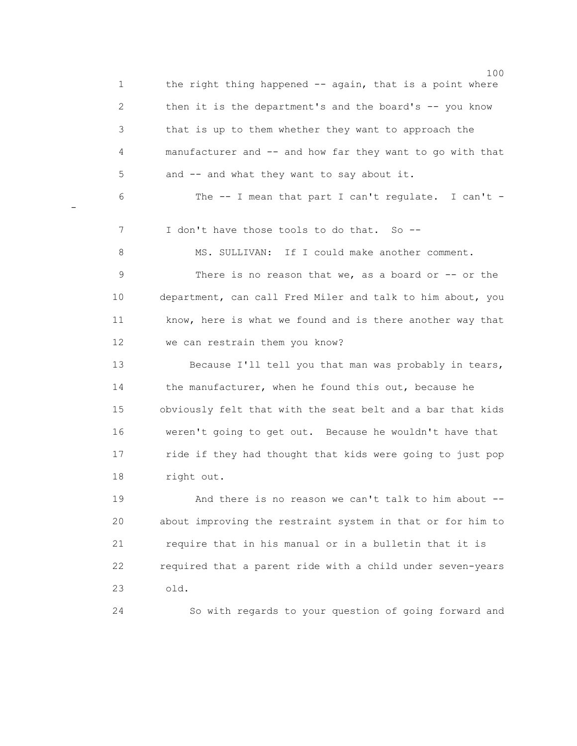100 1 the right thing happened -- again, that is a point where 2 then it is the department's and the board's -- you know 3 that is up to them whether they want to approach the 4 manufacturer and -- and how far they want to go with that 5 and -- and what they want to say about it. 6 The -- I mean that part I can't regulate. I can't - 7 I don't have those tools to do that. So -- 8 MS. SULLIVAN: If I could make another comment. 9 There is no reason that we, as a board or -- or the 10 department, can call Fred Miler and talk to him about, you 11 know, here is what we found and is there another way that 12 we can restrain them you know? 13 Because I'll tell you that man was probably in tears, 14 the manufacturer, when he found this out, because he 15 obviously felt that with the seat belt and a bar that kids 16 weren't going to get out. Because he wouldn't have that 17 ride if they had thought that kids were going to just pop 18 right out. 19 And there is no reason we can't talk to him about -- 20 about improving the restraint system in that or for him to 21 require that in his manual or in a bulletin that it is 22 required that a parent ride with a child under seven-years 23 old.

-

24 So with regards to your question of going forward and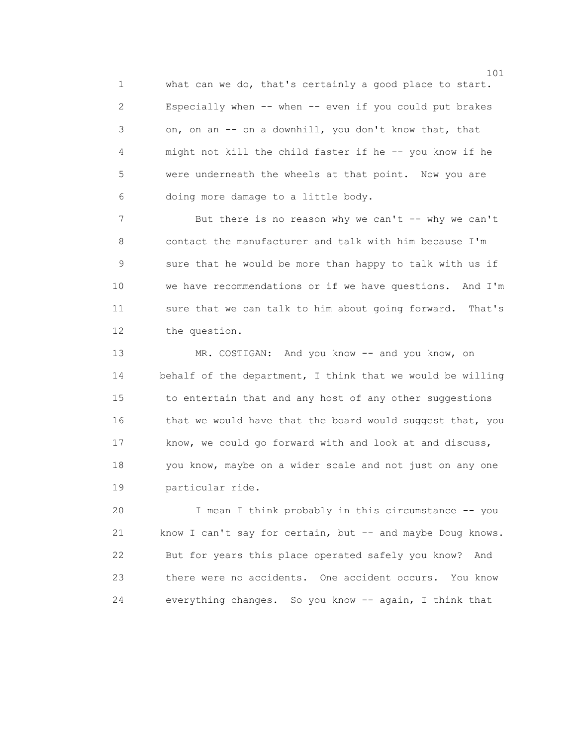1 what can we do, that's certainly a good place to start. 2 Especially when -- when -- even if you could put brakes 3 on, on an -- on a downhill, you don't know that, that 4 might not kill the child faster if he -- you know if he 5 were underneath the wheels at that point. Now you are 6 doing more damage to a little body.

7 But there is no reason why we can't -- why we can't 8 contact the manufacturer and talk with him because I'm 9 sure that he would be more than happy to talk with us if 10 we have recommendations or if we have questions. And I'm 11 sure that we can talk to him about going forward. That's 12 the question.

 13 MR. COSTIGAN: And you know -- and you know, on 14 behalf of the department, I think that we would be willing 15 to entertain that and any host of any other suggestions 16 that we would have that the board would suggest that, you 17 know, we could go forward with and look at and discuss, 18 you know, maybe on a wider scale and not just on any one 19 particular ride.

 20 I mean I think probably in this circumstance -- you 21 know I can't say for certain, but -- and maybe Doug knows. 22 But for years this place operated safely you know? And 23 there were no accidents. One accident occurs. You know 24 everything changes. So you know -- again, I think that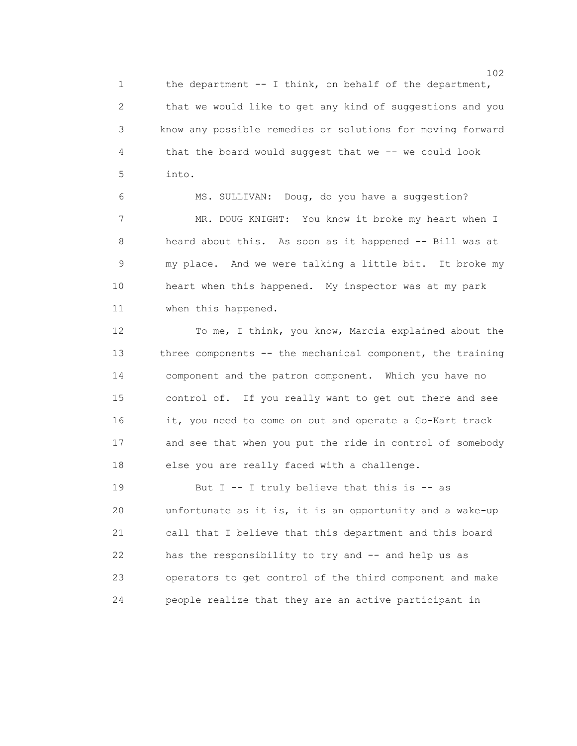1 the department -- I think, on behalf of the department, 2 that we would like to get any kind of suggestions and you 3 know any possible remedies or solutions for moving forward 4 that the board would suggest that we -- we could look 5 into.

 6 MS. SULLIVAN: Doug, do you have a suggestion? 7 MR. DOUG KNIGHT: You know it broke my heart when I 8 heard about this. As soon as it happened -- Bill was at 9 my place. And we were talking a little bit. It broke my 10 heart when this happened. My inspector was at my park 11 when this happened.

 12 To me, I think, you know, Marcia explained about the 13 three components -- the mechanical component, the training 14 component and the patron component. Which you have no 15 control of. If you really want to get out there and see 16 it, you need to come on out and operate a Go-Kart track 17 and see that when you put the ride in control of somebody 18 else you are really faced with a challenge.

19 But I -- I truly believe that this is -- as 20 unfortunate as it is, it is an opportunity and a wake-up 21 call that I believe that this department and this board 22 has the responsibility to try and -- and help us as 23 operators to get control of the third component and make 24 people realize that they are an active participant in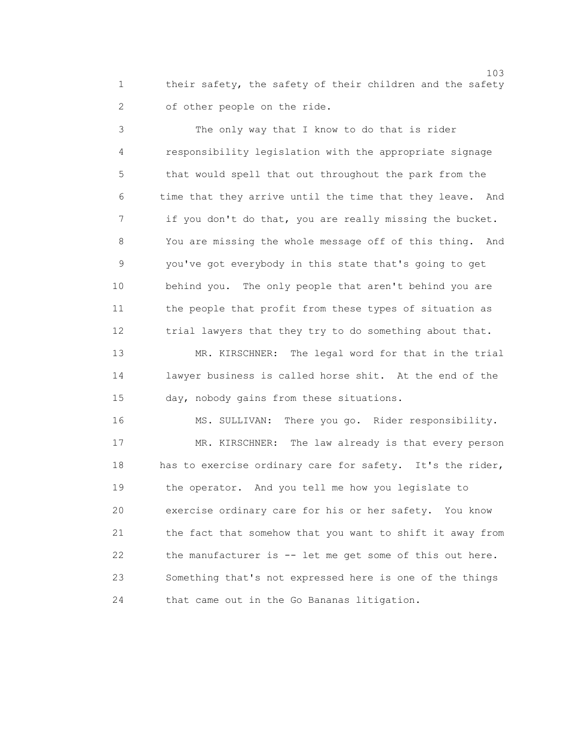1 their safety, the safety of their children and the safety 2 of other people on the ride.

 3 The only way that I know to do that is rider 4 responsibility legislation with the appropriate signage 5 that would spell that out throughout the park from the 6 time that they arrive until the time that they leave. And 7 if you don't do that, you are really missing the bucket. 8 You are missing the whole message off of this thing. And 9 you've got everybody in this state that's going to get 10 behind you. The only people that aren't behind you are 11 the people that profit from these types of situation as 12 trial lawyers that they try to do something about that.

 13 MR. KIRSCHNER: The legal word for that in the trial 14 lawyer business is called horse shit. At the end of the 15 day, nobody gains from these situations.

 16 MS. SULLIVAN: There you go. Rider responsibility. 17 MR. KIRSCHNER: The law already is that every person 18 has to exercise ordinary care for safety. It's the rider, 19 the operator. And you tell me how you legislate to 20 exercise ordinary care for his or her safety. You know 21 the fact that somehow that you want to shift it away from 22 the manufacturer is -- let me get some of this out here. 23 Something that's not expressed here is one of the things 24 that came out in the Go Bananas litigation.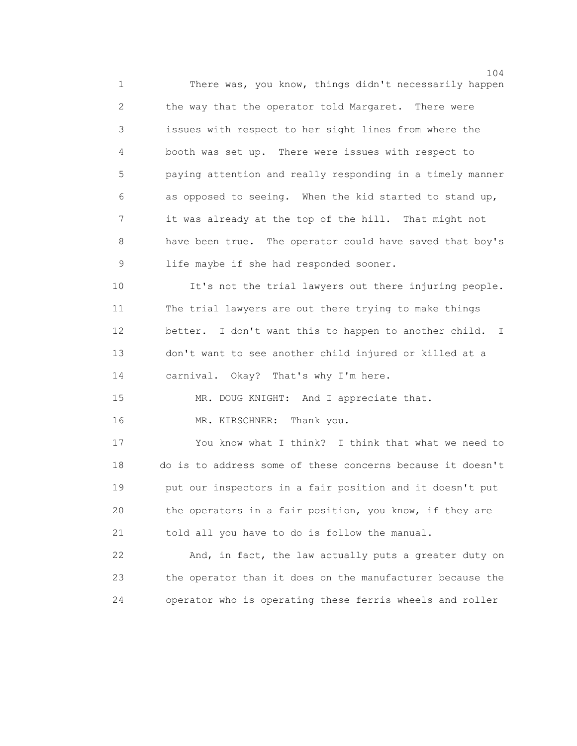104 1 There was, you know, things didn't necessarily happen 2 the way that the operator told Margaret. There were 3 issues with respect to her sight lines from where the 4 booth was set up. There were issues with respect to 5 paying attention and really responding in a timely manner 6 as opposed to seeing. When the kid started to stand up, 7 it was already at the top of the hill. That might not 8 have been true. The operator could have saved that boy's 9 life maybe if she had responded sooner.

 10 It's not the trial lawyers out there injuring people. 11 The trial lawyers are out there trying to make things 12 better. I don't want this to happen to another child. I 13 don't want to see another child injured or killed at a 14 carnival. Okay? That's why I'm here.

15 MR. DOUG KNIGHT: And I appreciate that.

16 MR. KIRSCHNER: Thank you.

 17 You know what I think? I think that what we need to 18 do is to address some of these concerns because it doesn't 19 put our inspectors in a fair position and it doesn't put 20 the operators in a fair position, you know, if they are 21 told all you have to do is follow the manual.

 22 And, in fact, the law actually puts a greater duty on 23 the operator than it does on the manufacturer because the 24 operator who is operating these ferris wheels and roller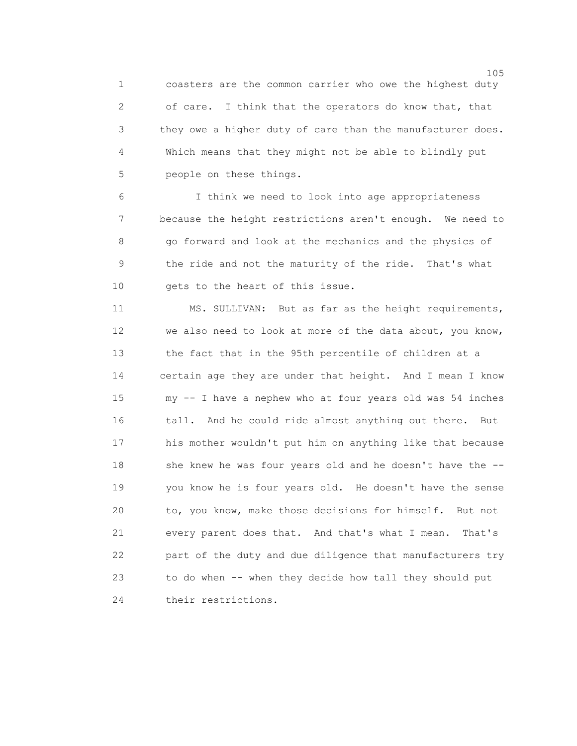1 coasters are the common carrier who owe the highest duty 2 of care. I think that the operators do know that, that 3 they owe a higher duty of care than the manufacturer does. 4 Which means that they might not be able to blindly put 5 people on these things.

 6 I think we need to look into age appropriateness 7 because the height restrictions aren't enough. We need to 8 go forward and look at the mechanics and the physics of 9 the ride and not the maturity of the ride. That's what 10 gets to the heart of this issue.

 11 MS. SULLIVAN: But as far as the height requirements, 12 we also need to look at more of the data about, you know, 13 the fact that in the 95th percentile of children at a 14 certain age they are under that height. And I mean I know 15 my -- I have a nephew who at four years old was 54 inches 16 tall. And he could ride almost anything out there. But 17 his mother wouldn't put him on anything like that because 18 she knew he was four years old and he doesn't have the -- 19 you know he is four years old. He doesn't have the sense 20 to, you know, make those decisions for himself. But not 21 every parent does that. And that's what I mean. That's 22 part of the duty and due diligence that manufacturers try 23 to do when -- when they decide how tall they should put 24 their restrictions.

<u>105</u>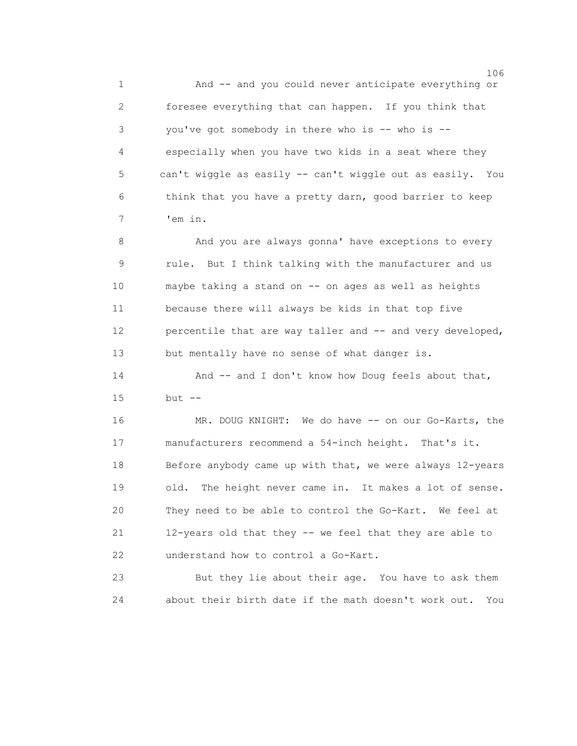1 And -- and you could never anticipate everything or 2 foresee everything that can happen. If you think that 3 you've got somebody in there who is -- who is -- 4 especially when you have two kids in a seat where they 5 can't wiggle as easily -- can't wiggle out as easily. You 6 think that you have a pretty darn, good barrier to keep 7 'em in.

8 And you are always gonna' have exceptions to every 9 rule. But I think talking with the manufacturer and us 10 maybe taking a stand on -- on ages as well as heights 11 because there will always be kids in that top five 12 percentile that are way taller and -- and very developed, 13 but mentally have no sense of what danger is.

14 And -- and I don't know how Doug feels about that, 15 but --

 16 MR. DOUG KNIGHT: We do have -- on our Go-Karts, the 17 manufacturers recommend a 54-inch height. That's it. 18 Before anybody came up with that, we were always 12-years 19 old. The height never came in. It makes a lot of sense. 20 They need to be able to control the Go-Kart. We feel at 21 12-years old that they -- we feel that they are able to 22 understand how to control a Go-Kart.

 23 But they lie about their age. You have to ask them 24 about their birth date if the math doesn't work out. You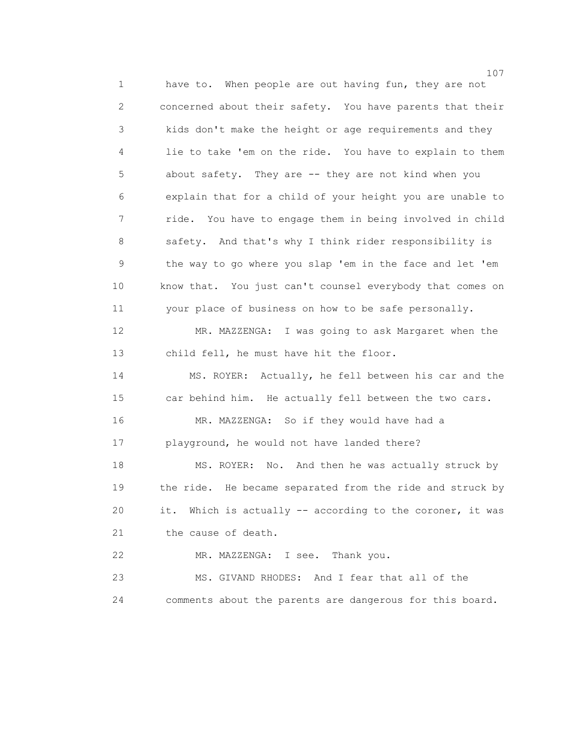107 1 have to. When people are out having fun, they are not 2 concerned about their safety. You have parents that their 3 kids don't make the height or age requirements and they 4 lie to take 'em on the ride. You have to explain to them 5 about safety. They are -- they are not kind when you 6 explain that for a child of your height you are unable to 7 ride. You have to engage them in being involved in child 8 safety. And that's why I think rider responsibility is 9 the way to go where you slap 'em in the face and let 'em 10 know that. You just can't counsel everybody that comes on 11 your place of business on how to be safe personally. 12 MR. MAZZENGA: I was going to ask Margaret when the 13 child fell, he must have hit the floor. 14 MS. ROYER: Actually, he fell between his car and the 15 car behind him. He actually fell between the two cars. 16 MR. MAZZENGA: So if they would have had a 17 playground, he would not have landed there? 18 MS. ROYER: No. And then he was actually struck by 19 the ride. He became separated from the ride and struck by 20 it. Which is actually -- according to the coroner, it was 21 the cause of death. 22 MR. MAZZENGA: I see. Thank you. 23 MS. GIVAND RHODES: And I fear that all of the 24 comments about the parents are dangerous for this board.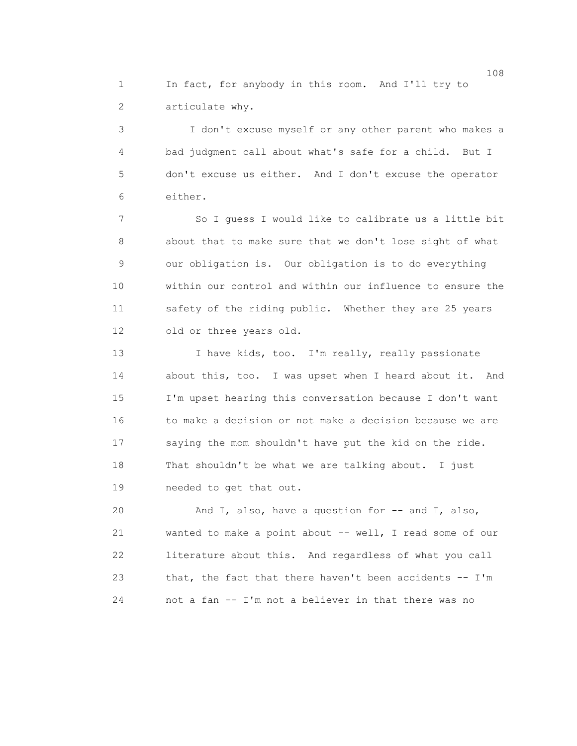1 In fact, for anybody in this room. And I'll try to 2 articulate why.

 3 I don't excuse myself or any other parent who makes a 4 bad judgment call about what's safe for a child. But I 5 don't excuse us either. And I don't excuse the operator 6 either.

 7 So I guess I would like to calibrate us a little bit 8 about that to make sure that we don't lose sight of what 9 our obligation is. Our obligation is to do everything 10 within our control and within our influence to ensure the 11 safety of the riding public. Whether they are 25 years 12 old or three years old.

13 I have kids, too. I'm really, really passionate 14 about this, too. I was upset when I heard about it. And 15 I'm upset hearing this conversation because I don't want 16 to make a decision or not make a decision because we are 17 saying the mom shouldn't have put the kid on the ride. 18 That shouldn't be what we are talking about. I just 19 needed to get that out.

20 And I, also, have a question for -- and I, also, 21 wanted to make a point about -- well, I read some of our 22 literature about this. And regardless of what you call 23 that, the fact that there haven't been accidents -- I'm 24 not a fan -- I'm not a believer in that there was no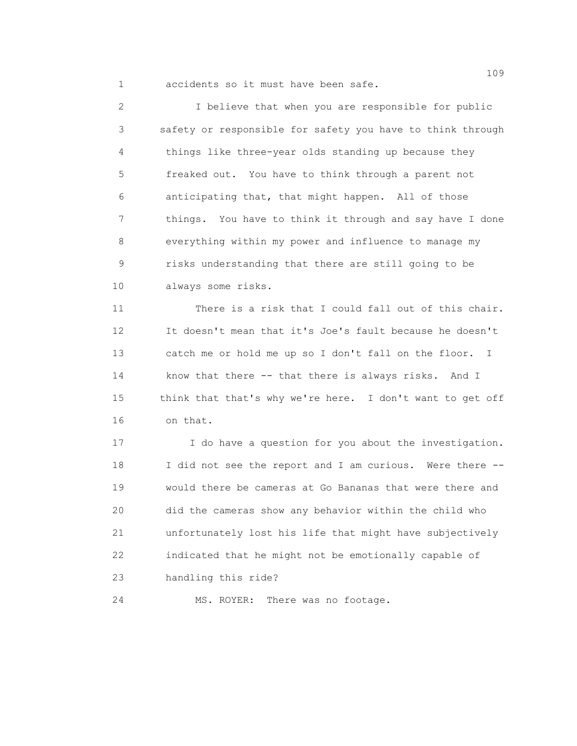1 accidents so it must have been safe.

 2 I believe that when you are responsible for public 3 safety or responsible for safety you have to think through 4 things like three-year olds standing up because they 5 freaked out. You have to think through a parent not 6 anticipating that, that might happen. All of those 7 things. You have to think it through and say have I done 8 everything within my power and influence to manage my 9 risks understanding that there are still going to be 10 always some risks.

 11 There is a risk that I could fall out of this chair. 12 It doesn't mean that it's Joe's fault because he doesn't 13 catch me or hold me up so I don't fall on the floor. I 14 know that there -- that there is always risks. And I 15 think that that's why we're here. I don't want to get off 16 on that.

 17 I do have a question for you about the investigation. 18 I did not see the report and I am curious. Were there -- 19 would there be cameras at Go Bananas that were there and 20 did the cameras show any behavior within the child who 21 unfortunately lost his life that might have subjectively 22 indicated that he might not be emotionally capable of 23 handling this ride?

24 MS. ROYER: There was no footage.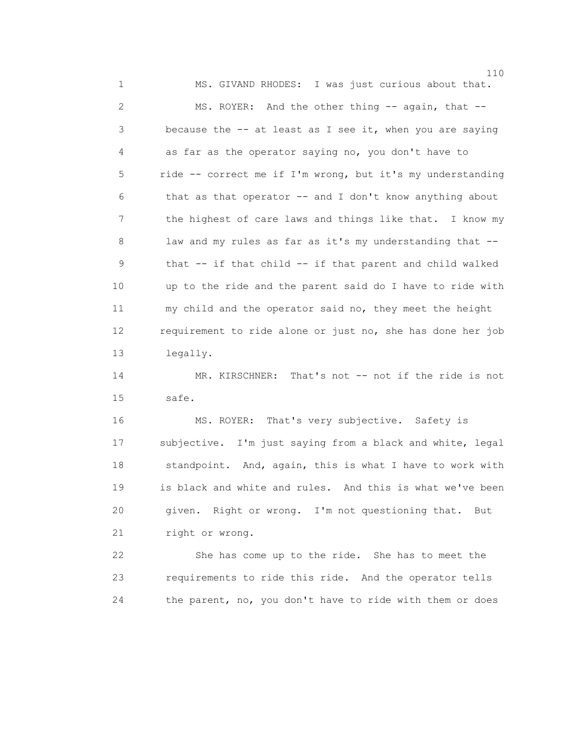110 1 MS. GIVAND RHODES: I was just curious about that. 2 MS. ROYER: And the other thing -- again, that -- 3 because the -- at least as I see it, when you are saying 4 as far as the operator saying no, you don't have to 5 ride -- correct me if I'm wrong, but it's my understanding 6 that as that operator -- and I don't know anything about 7 the highest of care laws and things like that. I know my 8 law and my rules as far as it's my understanding that -- 9 that -- if that child -- if that parent and child walked 10 up to the ride and the parent said do I have to ride with 11 my child and the operator said no, they meet the height 12 requirement to ride alone or just no, she has done her job 13 legally.

 14 MR. KIRSCHNER: That's not -- not if the ride is not 15 safe.

 16 MS. ROYER: That's very subjective. Safety is 17 subjective. I'm just saying from a black and white, legal 18 standpoint. And, again, this is what I have to work with 19 is black and white and rules. And this is what we've been 20 given. Right or wrong. I'm not questioning that. But 21 right or wrong.

 22 She has come up to the ride. She has to meet the 23 requirements to ride this ride. And the operator tells 24 the parent, no, you don't have to ride with them or does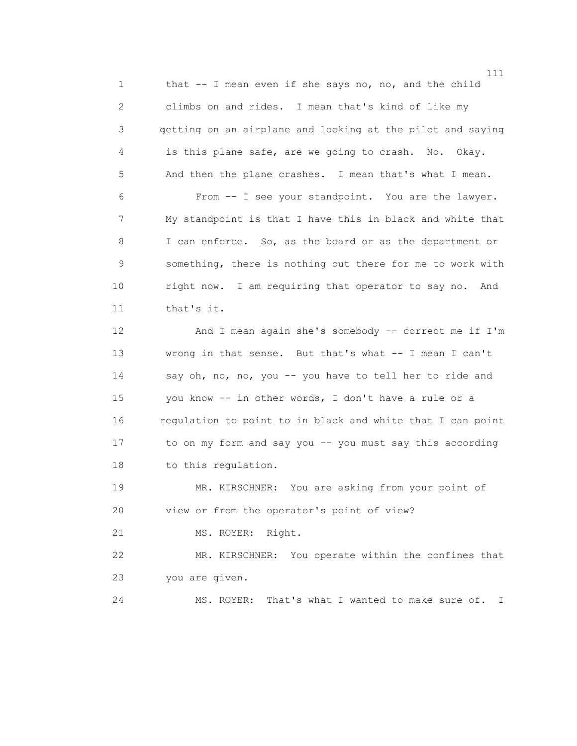1 that -- I mean even if she says no, no, and the child 2 climbs on and rides. I mean that's kind of like my 3 getting on an airplane and looking at the pilot and saying 4 is this plane safe, are we going to crash. No. Okay. 5 And then the plane crashes. I mean that's what I mean. 6 From -- I see your standpoint. You are the lawyer. 7 My standpoint is that I have this in black and white that 8 I can enforce. So, as the board or as the department or 9 something, there is nothing out there for me to work with 10 right now. I am requiring that operator to say no. And 11 that's it.

 12 And I mean again she's somebody -- correct me if I'm 13 wrong in that sense. But that's what -- I mean I can't 14 say oh, no, no, you -- you have to tell her to ride and 15 you know -- in other words, I don't have a rule or a 16 regulation to point to in black and white that I can point 17 to on my form and say you -- you must say this according 18 to this regulation.

 19 MR. KIRSCHNER: You are asking from your point of 20 view or from the operator's point of view?

21 MS. ROYER: Right.

 22 MR. KIRSCHNER: You operate within the confines that 23 you are given.

24 MS. ROYER: That's what I wanted to make sure of. I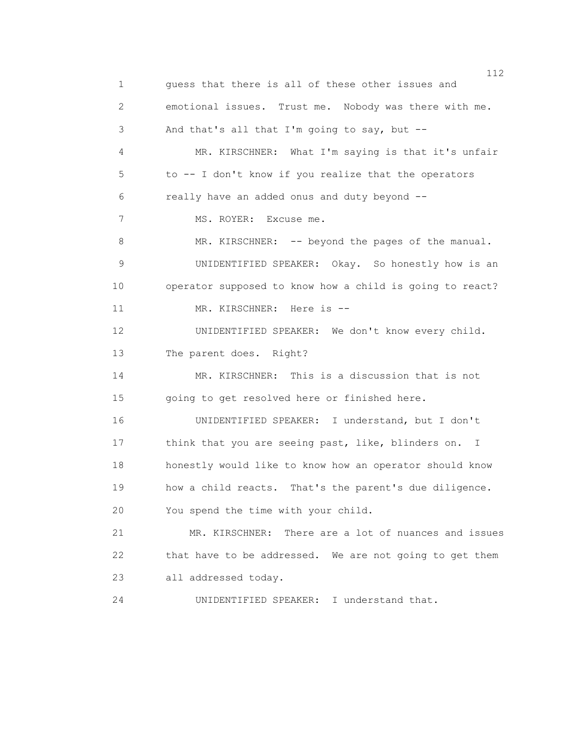1 guess that there is all of these other issues and 2 emotional issues. Trust me. Nobody was there with me. 3 And that's all that I'm going to say, but -- 4 MR. KIRSCHNER: What I'm saying is that it's unfair 5 to -- I don't know if you realize that the operators 6 really have an added onus and duty beyond -- 7 MS. ROYER: Excuse me. 8 MR. KIRSCHNER: -- beyond the pages of the manual. 9 UNIDENTIFIED SPEAKER: Okay. So honestly how is an 10 operator supposed to know how a child is going to react? 11 MR. KIRSCHNER: Here is -- 12 UNIDENTIFIED SPEAKER: We don't know every child. 13 The parent does. Right? 14 MR. KIRSCHNER: This is a discussion that is not 15 going to get resolved here or finished here. 16 UNIDENTIFIED SPEAKER: I understand, but I don't 17 think that you are seeing past, like, blinders on. I 18 honestly would like to know how an operator should know 19 how a child reacts. That's the parent's due diligence. 20 You spend the time with your child. 21 MR. KIRSCHNER: There are a lot of nuances and issues 22 that have to be addressed. We are not going to get them 23 all addressed today. 24 UNIDENTIFIED SPEAKER: I understand that.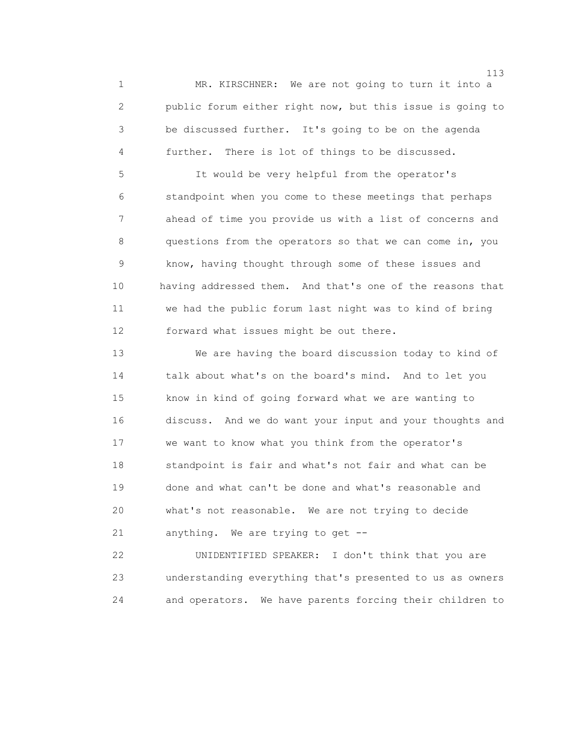1 MR. KIRSCHNER: We are not going to turn it into a 2 public forum either right now, but this issue is going to 3 be discussed further. It's going to be on the agenda 4 further. There is lot of things to be discussed.

 5 It would be very helpful from the operator's 6 standpoint when you come to these meetings that perhaps 7 ahead of time you provide us with a list of concerns and 8 questions from the operators so that we can come in, you 9 know, having thought through some of these issues and 10 having addressed them. And that's one of the reasons that 11 we had the public forum last night was to kind of bring 12 forward what issues might be out there.

 13 We are having the board discussion today to kind of 14 talk about what's on the board's mind. And to let you 15 know in kind of going forward what we are wanting to 16 discuss. And we do want your input and your thoughts and 17 we want to know what you think from the operator's 18 standpoint is fair and what's not fair and what can be 19 done and what can't be done and what's reasonable and 20 what's not reasonable. We are not trying to decide 21 anything. We are trying to get --

 22 UNIDENTIFIED SPEAKER: I don't think that you are 23 understanding everything that's presented to us as owners 24 and operators. We have parents forcing their children to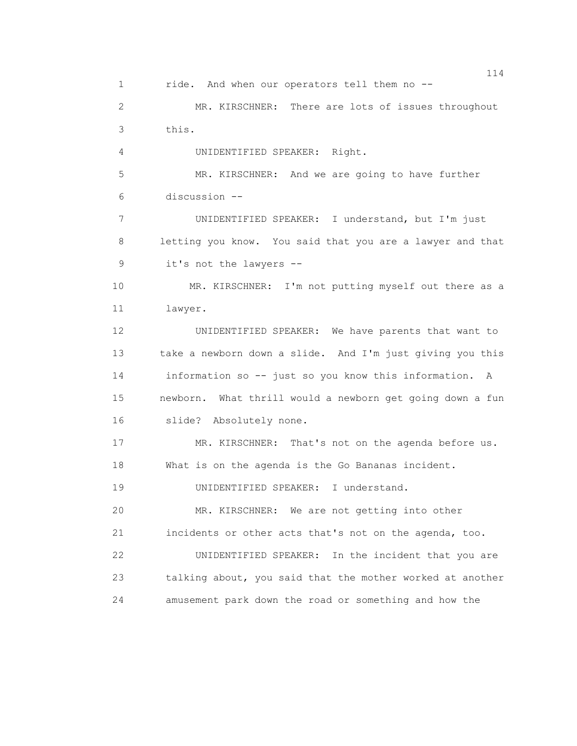114 1 ride. And when our operators tell them no -- 2 MR. KIRSCHNER: There are lots of issues throughout 3 this. 4 UNIDENTIFIED SPEAKER: Right. 5 MR. KIRSCHNER: And we are going to have further 6 discussion -- 7 UNIDENTIFIED SPEAKER: I understand, but I'm just 8 letting you know. You said that you are a lawyer and that 9 it's not the lawyers -- 10 MR. KIRSCHNER: I'm not putting myself out there as a 11 lawyer. 12 UNIDENTIFIED SPEAKER: We have parents that want to 13 take a newborn down a slide. And I'm just giving you this 14 information so -- just so you know this information. A 15 newborn. What thrill would a newborn get going down a fun 16 slide? Absolutely none. 17 MR. KIRSCHNER: That's not on the agenda before us. 18 What is on the agenda is the Go Bananas incident. 19 UNIDENTIFIED SPEAKER: I understand. 20 MR. KIRSCHNER: We are not getting into other 21 incidents or other acts that's not on the agenda, too. 22 UNIDENTIFIED SPEAKER: In the incident that you are 23 talking about, you said that the mother worked at another 24 amusement park down the road or something and how the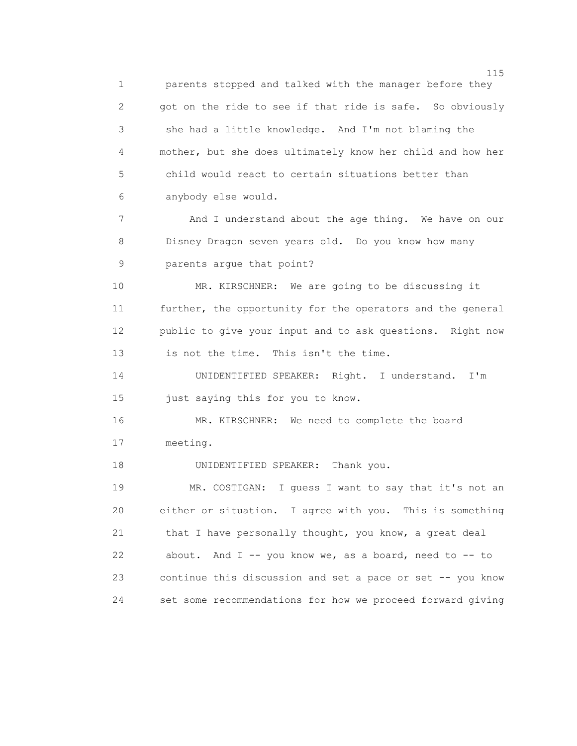n 115 and 115 and 115 and 115 and 115 and 115 and 115 and 115 and 115 and 115 and 115 and 115 and 115 and 116 1 parents stopped and talked with the manager before they 2 got on the ride to see if that ride is safe. So obviously 3 she had a little knowledge. And I'm not blaming the 4 mother, but she does ultimately know her child and how her 5 child would react to certain situations better than 6 anybody else would. 7 And I understand about the age thing. We have on our 8 Disney Dragon seven years old. Do you know how many 9 parents argue that point? 10 MR. KIRSCHNER: We are going to be discussing it 11 further, the opportunity for the operators and the general 12 public to give your input and to ask questions. Right now 13 is not the time. This isn't the time. 14 UNIDENTIFIED SPEAKER: Right. I understand. I'm 15 just saying this for you to know. 16 MR. KIRSCHNER: We need to complete the board 17 meeting. 18 UNIDENTIFIED SPEAKER: Thank you. 19 MR. COSTIGAN: I guess I want to say that it's not an 20 either or situation. I agree with you. This is something 21 that I have personally thought, you know, a great deal 22 about. And I -- you know we, as a board, need to -- to 23 continue this discussion and set a pace or set -- you know 24 set some recommendations for how we proceed forward giving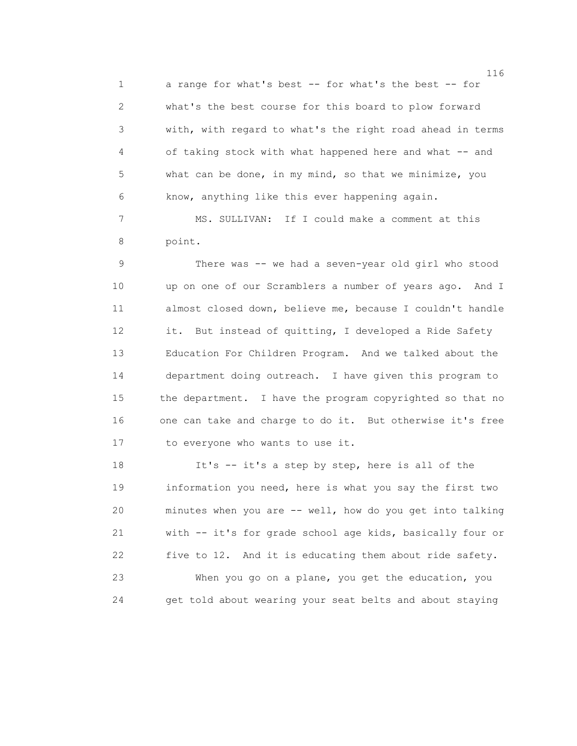1 a range for what's best -- for what's the best -- for 2 what's the best course for this board to plow forward 3 with, with regard to what's the right road ahead in terms 4 of taking stock with what happened here and what -- and 5 what can be done, in my mind, so that we minimize, you 6 know, anything like this ever happening again.

 7 MS. SULLIVAN: If I could make a comment at this 8 point.

 9 There was -- we had a seven-year old girl who stood 10 up on one of our Scramblers a number of years ago. And I 11 almost closed down, believe me, because I couldn't handle 12 it. But instead of quitting, I developed a Ride Safety 13 Education For Children Program. And we talked about the 14 department doing outreach. I have given this program to 15 the department. I have the program copyrighted so that no 16 one can take and charge to do it. But otherwise it's free 17 to everyone who wants to use it.

 18 It's -- it's a step by step, here is all of the 19 information you need, here is what you say the first two 20 minutes when you are -- well, how do you get into talking 21 with -- it's for grade school age kids, basically four or 22 five to 12. And it is educating them about ride safety. 23 When you go on a plane, you get the education, you 24 get told about wearing your seat belts and about staying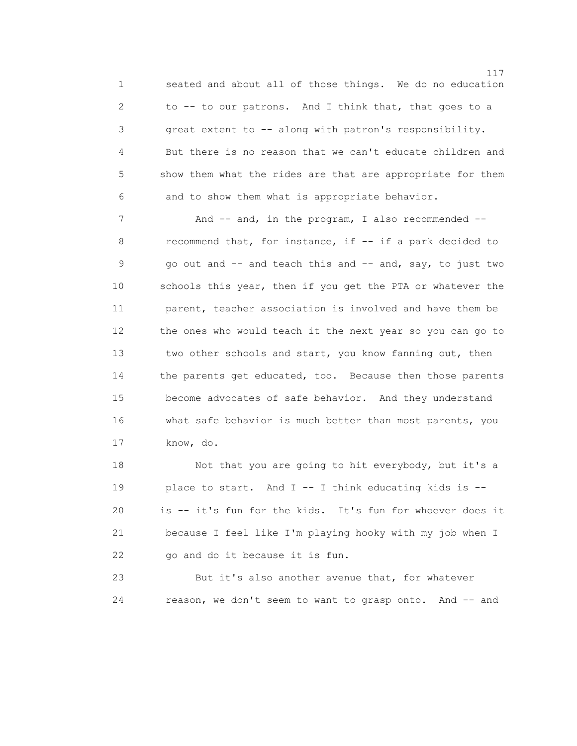1 seated and about all of those things. We do no education 2 to -- to our patrons. And I think that, that goes to a 3 great extent to -- along with patron's responsibility. 4 But there is no reason that we can't educate children and 5 show them what the rides are that are appropriate for them 6 and to show them what is appropriate behavior.

7 And -- and, in the program, I also recommended --8 recommend that, for instance, if  $-$  if a park decided to 9 go out and -- and teach this and -- and, say, to just two 10 schools this year, then if you get the PTA or whatever the 11 parent, teacher association is involved and have them be 12 the ones who would teach it the next year so you can go to 13 two other schools and start, you know fanning out, then 14 the parents get educated, too. Because then those parents 15 become advocates of safe behavior. And they understand 16 what safe behavior is much better than most parents, you 17 know, do.

 18 Not that you are going to hit everybody, but it's a 19 place to start. And I -- I think educating kids is -- 20 is -- it's fun for the kids. It's fun for whoever does it 21 because I feel like I'm playing hooky with my job when I 22 go and do it because it is fun.

 23 But it's also another avenue that, for whatever 24 reason, we don't seem to want to grasp onto. And -- and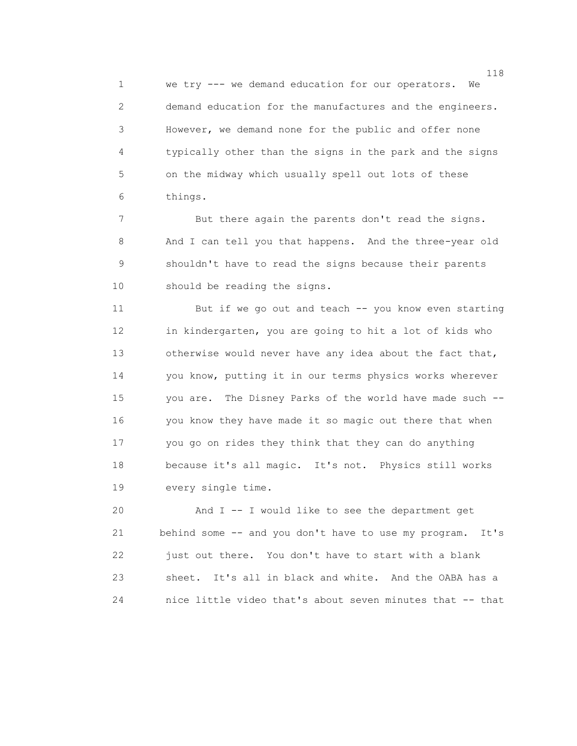1 we try --- we demand education for our operators. We 2 demand education for the manufactures and the engineers. 3 However, we demand none for the public and offer none 4 typically other than the signs in the park and the signs 5 on the midway which usually spell out lots of these 6 things.

7 But there again the parents don't read the signs. 8 And I can tell you that happens. And the three-year old 9 shouldn't have to read the signs because their parents 10 should be reading the signs.

 11 But if we go out and teach -- you know even starting 12 in kindergarten, you are going to hit a lot of kids who 13 otherwise would never have any idea about the fact that, 14 you know, putting it in our terms physics works wherever 15 you are. The Disney Parks of the world have made such -- 16 you know they have made it so magic out there that when 17 you go on rides they think that they can do anything 18 because it's all magic. It's not. Physics still works 19 every single time.

 20 And I -- I would like to see the department get 21 behind some -- and you don't have to use my program. It's 22 just out there. You don't have to start with a blank 23 sheet. It's all in black and white. And the OABA has a 24 nice little video that's about seven minutes that -- that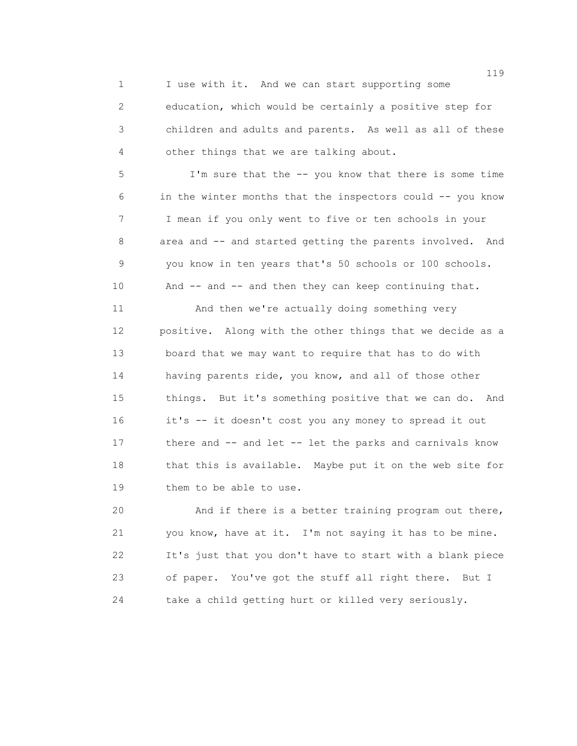1 I use with it. And we can start supporting some 2 education, which would be certainly a positive step for 3 children and adults and parents. As well as all of these 4 other things that we are talking about.

 5 I'm sure that the -- you know that there is some time 6 in the winter months that the inspectors could -- you know 7 I mean if you only went to five or ten schools in your 8 area and -- and started getting the parents involved. And 9 you know in ten years that's 50 schools or 100 schools. 10 And -- and -- and then they can keep continuing that.

 11 And then we're actually doing something very 12 positive. Along with the other things that we decide as a 13 board that we may want to require that has to do with 14 having parents ride, you know, and all of those other 15 things. But it's something positive that we can do. And 16 it's -- it doesn't cost you any money to spread it out 17 there and -- and let -- let the parks and carnivals know 18 that this is available. Maybe put it on the web site for 19 them to be able to use.

 20 And if there is a better training program out there, 21 you know, have at it. I'm not saying it has to be mine. 22 It's just that you don't have to start with a blank piece 23 of paper. You've got the stuff all right there. But I 24 take a child getting hurt or killed very seriously.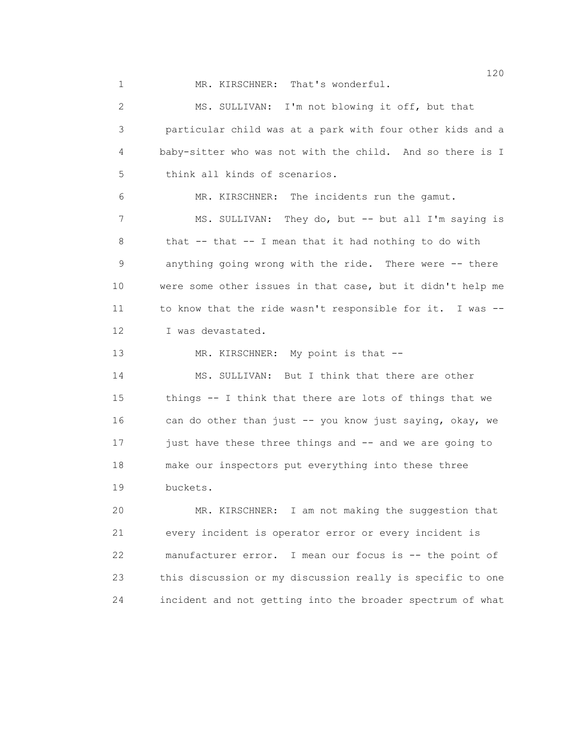1 MR. KIRSCHNER: That's wonderful.

 2 MS. SULLIVAN: I'm not blowing it off, but that 3 particular child was at a park with four other kids and a 4 baby-sitter who was not with the child. And so there is I 5 think all kinds of scenarios. 6 MR. KIRSCHNER: The incidents run the gamut. 7 MS. SULLIVAN: They do, but -- but all I'm saying is 8 that -- that -- I mean that it had nothing to do with 9 anything going wrong with the ride. There were -- there 10 were some other issues in that case, but it didn't help me 11 to know that the ride wasn't responsible for it. I was -- 12 I was devastated. 13 MR. KIRSCHNER: My point is that -- 14 MS. SULLIVAN: But I think that there are other 15 things -- I think that there are lots of things that we 16 can do other than just -- you know just saying, okay, we 17 just have these three things and -- and we are going to 18 make our inspectors put everything into these three 19 buckets. 20 MR. KIRSCHNER: I am not making the suggestion that 21 every incident is operator error or every incident is 22 manufacturer error. I mean our focus is -- the point of

 23 this discussion or my discussion really is specific to one 24 incident and not getting into the broader spectrum of what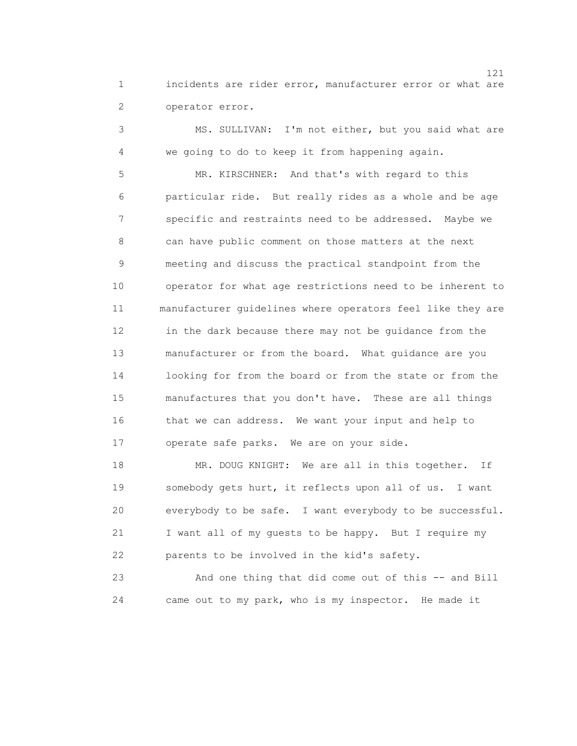1 incidents are rider error, manufacturer error or what are 2 operator error.

 3 MS. SULLIVAN: I'm not either, but you said what are 4 we going to do to keep it from happening again.

 5 MR. KIRSCHNER: And that's with regard to this 6 particular ride. But really rides as a whole and be age 7 specific and restraints need to be addressed. Maybe we 8 can have public comment on those matters at the next 9 meeting and discuss the practical standpoint from the 10 operator for what age restrictions need to be inherent to 11 manufacturer guidelines where operators feel like they are 12 in the dark because there may not be guidance from the 13 manufacturer or from the board. What guidance are you 14 looking for from the board or from the state or from the 15 manufactures that you don't have. These are all things 16 that we can address. We want your input and help to 17 operate safe parks. We are on your side.

18 MR. DOUG KNIGHT: We are all in this together. If 19 somebody gets hurt, it reflects upon all of us. I want 20 everybody to be safe. I want everybody to be successful. 21 I want all of my guests to be happy. But I require my 22 parents to be involved in the kid's safety.

 23 And one thing that did come out of this -- and Bill 24 came out to my park, who is my inspector. He made it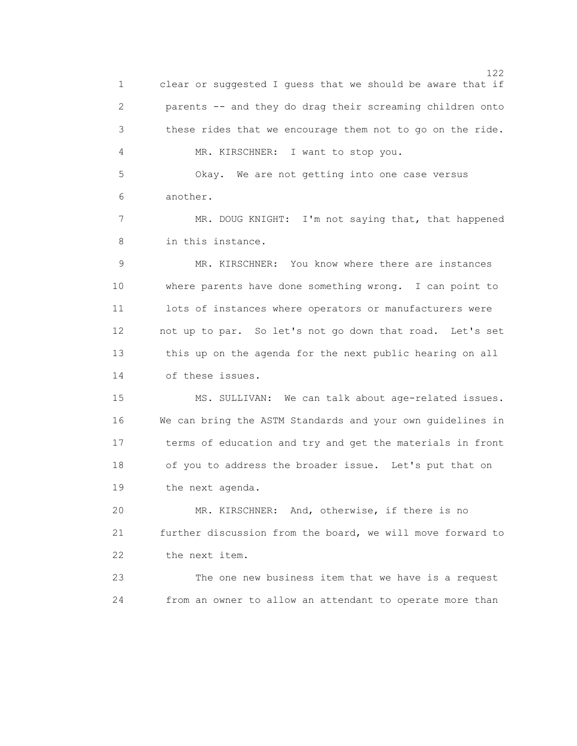122 1 clear or suggested I guess that we should be aware that if 2 parents -- and they do drag their screaming children onto 3 these rides that we encourage them not to go on the ride. 4 MR. KIRSCHNER: I want to stop you. 5 Okay. We are not getting into one case versus 6 another. 7 MR. DOUG KNIGHT: I'm not saying that, that happened 8 in this instance. 9 MR. KIRSCHNER: You know where there are instances 10 where parents have done something wrong. I can point to 11 lots of instances where operators or manufacturers were 12 not up to par. So let's not go down that road. Let's set 13 this up on the agenda for the next public hearing on all 14 of these issues. 15 MS. SULLIVAN: We can talk about age-related issues. 16 We can bring the ASTM Standards and your own guidelines in 17 terms of education and try and get the materials in front 18 of you to address the broader issue. Let's put that on 19 the next agenda. 20 MR. KIRSCHNER: And, otherwise, if there is no 21 further discussion from the board, we will move forward to 22 the next item. 23 The one new business item that we have is a request 24 from an owner to allow an attendant to operate more than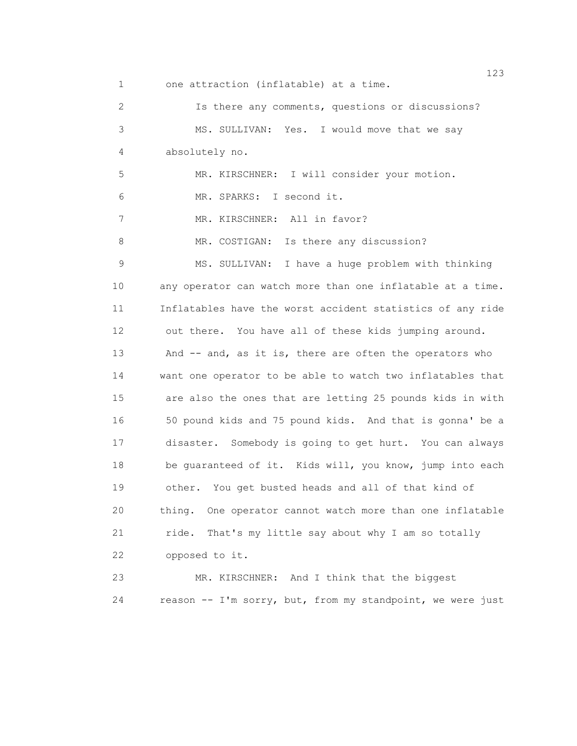123 1 one attraction (inflatable) at a time. 2 Is there any comments, questions or discussions? 3 MS. SULLIVAN: Yes. I would move that we say 4 absolutely no. 5 MR. KIRSCHNER: I will consider your motion. 6 MR. SPARKS: I second it. 7 MR. KIRSCHNER: All in favor? 8 MR. COSTIGAN: Is there any discussion? 9 MS. SULLIVAN: I have a huge problem with thinking 10 any operator can watch more than one inflatable at a time. 11 Inflatables have the worst accident statistics of any ride 12 out there. You have all of these kids jumping around. 13 And -- and, as it is, there are often the operators who 14 want one operator to be able to watch two inflatables that 15 are also the ones that are letting 25 pounds kids in with 16 50 pound kids and 75 pound kids. And that is gonna' be a 17 disaster. Somebody is going to get hurt. You can always 18 be guaranteed of it. Kids will, you know, jump into each 19 other. You get busted heads and all of that kind of 20 thing. One operator cannot watch more than one inflatable 21 ride. That's my little say about why I am so totally 22 opposed to it. 23 MR. KIRSCHNER: And I think that the biggest

24 reason -- I'm sorry, but, from my standpoint, we were just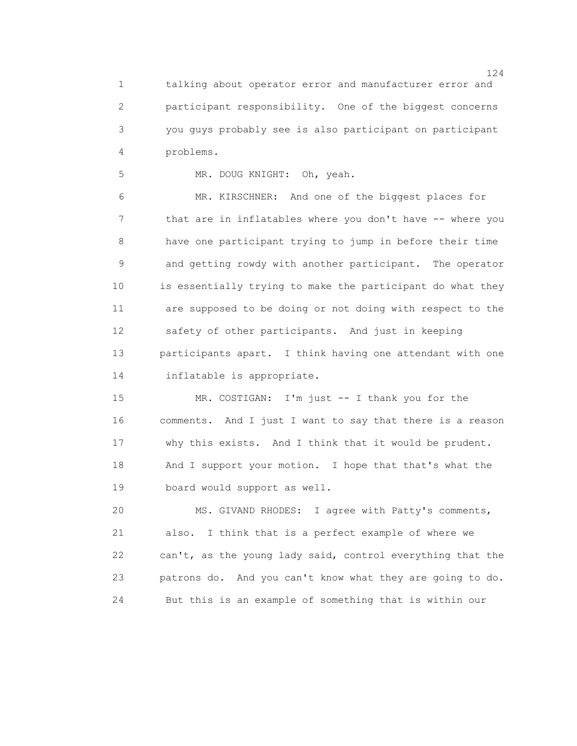1 talking about operator error and manufacturer error and 2 participant responsibility. One of the biggest concerns 3 you guys probably see is also participant on participant 4 problems.

5 MR. DOUG KNIGHT: Oh, yeah.

 6 MR. KIRSCHNER: And one of the biggest places for 7 that are in inflatables where you don't have -- where you 8 have one participant trying to jump in before their time 9 and getting rowdy with another participant. The operator 10 is essentially trying to make the participant do what they 11 are supposed to be doing or not doing with respect to the 12 safety of other participants. And just in keeping 13 participants apart. I think having one attendant with one 14 inflatable is appropriate.

 15 MR. COSTIGAN: I'm just -- I thank you for the 16 comments. And I just I want to say that there is a reason 17 why this exists. And I think that it would be prudent. 18 And I support your motion. I hope that that's what the 19 board would support as well.

 20 MS. GIVAND RHODES: I agree with Patty's comments, 21 also. I think that is a perfect example of where we 22 can't, as the young lady said, control everything that the 23 patrons do. And you can't know what they are going to do. 24 But this is an example of something that is within our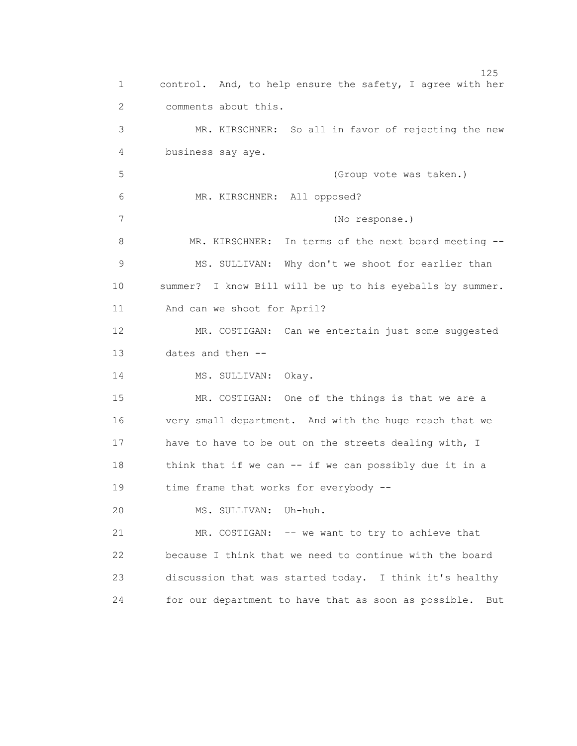n 125 1 control. And, to help ensure the safety, I agree with her 2 comments about this. 3 MR. KIRSCHNER: So all in favor of rejecting the new 4 business say aye. 5 (Group vote was taken.) 6 MR. KIRSCHNER: All opposed? 7 (No response.) 8 MR. KIRSCHNER: In terms of the next board meeting -- 9 MS. SULLIVAN: Why don't we shoot for earlier than 10 summer? I know Bill will be up to his eyeballs by summer. 11 And can we shoot for April? 12 MR. COSTIGAN: Can we entertain just some suggested 13 dates and then -- 14 MS. SULLIVAN: Okay. 15 MR. COSTIGAN: One of the things is that we are a 16 very small department. And with the huge reach that we 17 have to have to be out on the streets dealing with, I 18 think that if we can -- if we can possibly due it in a 19 time frame that works for everybody -- 20 MS. SULLIVAN: Uh-huh. 21 MR. COSTIGAN: -- we want to try to achieve that 22 because I think that we need to continue with the board 23 discussion that was started today. I think it's healthy 24 for our department to have that as soon as possible. But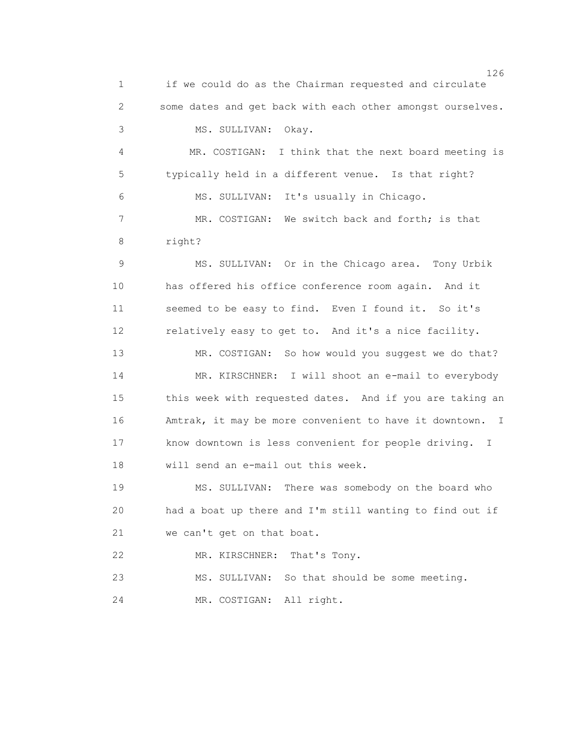126 1 if we could do as the Chairman requested and circulate 2 some dates and get back with each other amongst ourselves. 3 MS. SULLIVAN: Okay. 4 MR. COSTIGAN: I think that the next board meeting is 5 typically held in a different venue. Is that right? 6 MS. SULLIVAN: It's usually in Chicago. 7 MR. COSTIGAN: We switch back and forth; is that 8 right? 9 MS. SULLIVAN: Or in the Chicago area. Tony Urbik 10 has offered his office conference room again. And it 11 seemed to be easy to find. Even I found it. So it's 12 relatively easy to get to. And it's a nice facility. 13 MR. COSTIGAN: So how would you suggest we do that? 14 MR. KIRSCHNER: I will shoot an e-mail to everybody 15 this week with requested dates. And if you are taking an 16 Amtrak, it may be more convenient to have it downtown. I 17 know downtown is less convenient for people driving. I 18 will send an e-mail out this week. 19 MS. SULLIVAN: There was somebody on the board who 20 had a boat up there and I'm still wanting to find out if 21 we can't get on that boat. 22 MR. KIRSCHNER: That's Tony. 23 MS. SULLIVAN: So that should be some meeting. 24 MR. COSTIGAN: All right.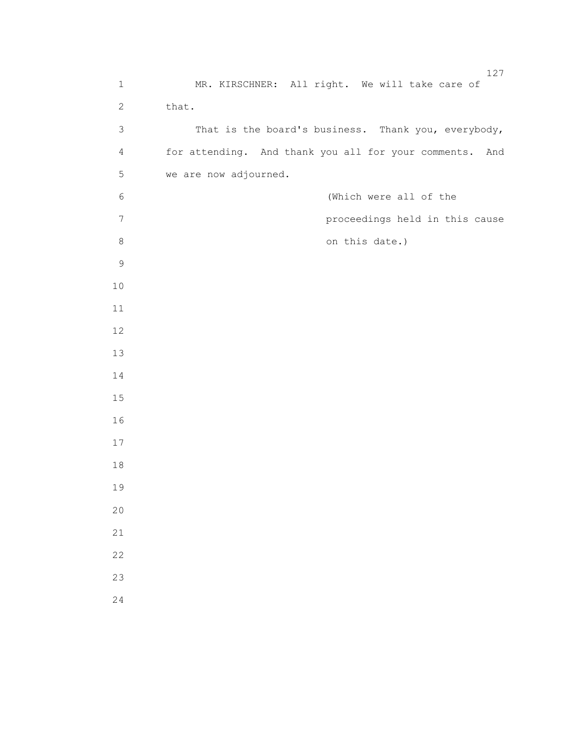| $\mathbf 1$    | MR. KIRSCHNER: All right. We will take care of          |
|----------------|---------------------------------------------------------|
| $\overline{2}$ | that.                                                   |
| $\mathfrak{Z}$ | That is the board's business. Thank you, everybody,     |
| $\overline{4}$ | for attending. And thank you all for your comments. And |
| 5              | we are now adjourned.                                   |
| $\epsilon$     | (Which were all of the                                  |
| $\overline{7}$ | proceedings held in this cause                          |
| $\,8\,$        | on this date.)                                          |
| $\mathcal{G}$  |                                                         |
| $10$           |                                                         |
| $11\,$         |                                                         |
| 12             |                                                         |
| 13             |                                                         |
| 14             |                                                         |
| 15             |                                                         |
| 16             |                                                         |
| 17             |                                                         |
| $18\,$         |                                                         |
| 19             |                                                         |
| 20             |                                                         |
| 21             |                                                         |
| 22             |                                                         |
| 23             |                                                         |
| 24             |                                                         |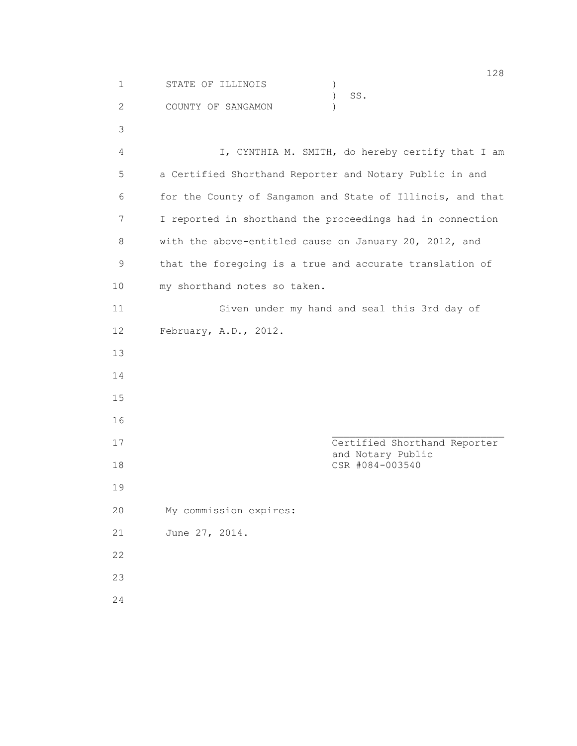1 STATE OF ILLINOIS ) ) SS. 2 COUNTY OF SANGAMON ) 3 4 I, CYNTHIA M. SMITH, do hereby certify that I am 5 a Certified Shorthand Reporter and Notary Public in and 6 for the County of Sangamon and State of Illinois, and that 7 I reported in shorthand the proceedings had in connection 8 with the above-entitled cause on January 20, 2012, and 9 that the foregoing is a true and accurate translation of 10 my shorthand notes so taken. 11 Given under my hand and seal this 3rd day of 12 February, A.D., 2012. 13 14 15 16 17 Certified Shorthand Reporter and Notary Public 18 CSR #084-003540 19 20 My commission expires: 21 June 27, 2014. 22 23 24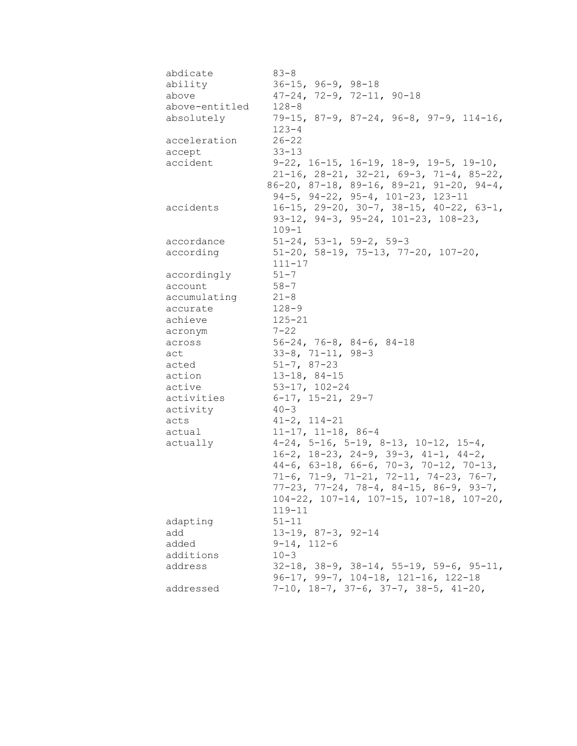| abdicate         | $83 - 8$                                                  |
|------------------|-----------------------------------------------------------|
| ability          | $36 - 15$ , $96 - 9$ , $98 - 18$                          |
| above            | $47-24, 72-9, 72-11, 90-18$                               |
| above-entitled   | $128 - 8$                                                 |
| absolutely       | $79-15$ , 87-9, 87-24, 96-8, 97-9, 114-16,                |
|                  | $123 - 4$                                                 |
| acceleration     | $26 - 22$                                                 |
| accept           | $33 - 13$                                                 |
| accident         | $9-22$ , 16-15, 16-19, 18-9, 19-5, 19-10,                 |
|                  | $21-16$ , $28-21$ , $32-21$ , $69-3$ , $71-4$ , $85-22$ , |
|                  | 86-20, 87-18, 89-16, 89-21, 91-20, 94-4,                  |
|                  | 94-5, 94-22, 95-4, 101-23, 123-11                         |
| accidents        | $16-15$ , 29-20, 30-7, 38-15, 40-22, 63-1,                |
|                  | $93-12$ , $94-3$ , $95-24$ , $101-23$ , $108-23$ ,        |
|                  | $109 - 1$                                                 |
| accordance       | $51-24$ , $53-1$ , $59-2$ , $59-3$                        |
| according        | $51-20$ , $58-19$ , $75-13$ , $77-20$ , $107-20$ ,        |
|                  | $111 - 17$                                                |
| accordingly      | $51 - 7$                                                  |
| account          | $58 - 7$                                                  |
| accumulating     | $21 - 8$                                                  |
| accurate         | $128 - 9$                                                 |
| achieve          | $125 - 21$                                                |
| acronym          | $7 - 22$                                                  |
| across           | $56-24, 76-8, 84-6, 84-18$                                |
| act              | $33-8$ , $71-11$ , $98-3$                                 |
| acted            | $51 - 7, 87 - 23$                                         |
| action           | $13 - 18, 84 - 15$                                        |
| active           | $53-17$ , $102-24$                                        |
| activities       | $6-17$ , 15-21, 29-7<br>$40 - 3$                          |
| activity<br>acts |                                                           |
| actual           | $41 - 2$ , $114 - 21$<br>$11-17$ , $11-18$ , 86-4         |
| actually         | $4-24$ , 5-16, 5-19, 8-13, 10-12, 15-4,                   |
|                  | $16-2$ , $18-23$ , $24-9$ , $39-3$ , $41-1$ , $44-2$ ,    |
|                  | $44-6$ , 63-18, 66-6, 70-3, 70-12, 70-13,                 |
|                  | $71-6$ , $71-9$ , $71-21$ , $72-11$ , $74-23$ , $76-7$ ,  |
|                  | $77-23$ , $77-24$ , $78-4$ , $84-15$ , $86-9$ , $93-7$ ,  |
|                  | 104-22, 107-14, 107-15, 107-18, 107-20,                   |
|                  | $119 - 11$                                                |
| adapting         | $51 - 11$                                                 |
| add              | $13-19$ , $87-3$ , $92-14$                                |
| added            | $9 - 14, 112 - 6$                                         |
| additions        | $10 - 3$                                                  |
| address          | $32-18$ , $38-9$ , $38-14$ , $55-19$ , $59-6$ , $95-11$ , |
|                  | 96-17, 99-7, 104-18, 121-16, 122-18                       |
| addressed        | $7-10$ , $18-7$ , $37-6$ , $37-7$ , $38-5$ , $41-20$ ,    |
|                  |                                                           |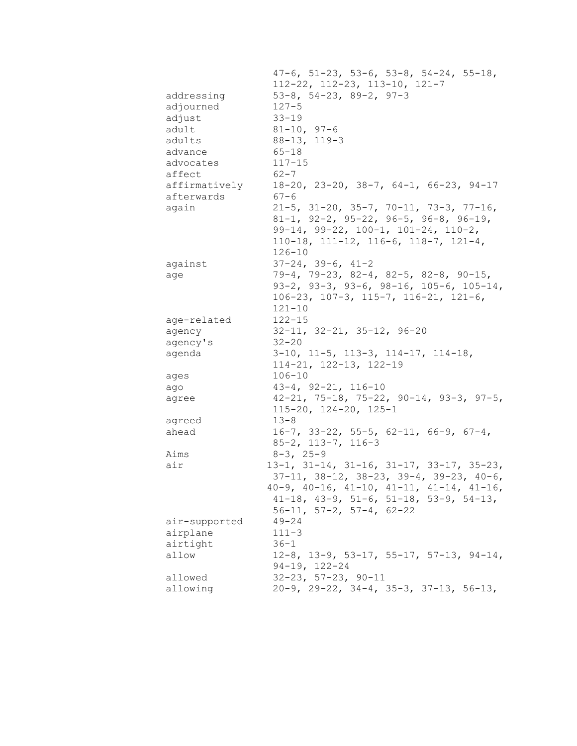|               | $47-6$ , $51-23$ , $53-6$ , $53-8$ , $54-24$ , $55-18$ ,   |
|---------------|------------------------------------------------------------|
|               | $112-22$ , $112-23$ , $113-10$ , $121-7$                   |
| addressing    | $53-8$ , $54-23$ , $89-2$ , $97-3$                         |
| adjourned     | $127 - 5$                                                  |
| adjust        | $33 - 19$                                                  |
| adult         | $81 - 10, 97 - 6$                                          |
| adults        | $88 - 13, 119 - 3$                                         |
| advance       | $65 - 18$                                                  |
| advocates     | $117 - 15$                                                 |
| affect        | $62 - 7$                                                   |
| affirmatively | $18-20$ , $23-20$ , $38-7$ , $64-1$ , $66-23$ , $94-17$    |
| afterwards    | $67 - 6$                                                   |
| again         | $21-5$ , $31-20$ , $35-7$ , $70-11$ , $73-3$ , $77-16$ ,   |
|               | 81-1, 92-2, 95-22, 96-5, 96-8, 96-19,                      |
|               | $99-14, 99-22, 100-1, 101-24, 110-2,$                      |
|               | $110-18$ , $111-12$ , $116-6$ , $118-7$ , $121-4$ ,        |
|               | $126 - 10$                                                 |
| against       | $37-24, 39-6, 41-2$                                        |
| age           | 79-4, 79-23, 82-4, 82-5, 82-8, 90-15,                      |
|               | 93-2, 93-3, 93-6, 98-16, 105-6, 105-14,                    |
|               | $106-23$ , $107-3$ , $115-7$ , $116-21$ , $121-6$ ,        |
|               | $121 - 10$                                                 |
| age-related   | $122 - 15$                                                 |
| agency        | $32-11$ , $32-21$ , $35-12$ , $96-20$                      |
| agency's      | $32 - 20$                                                  |
| agenda        | $3-10$ , $11-5$ , $113-3$ , $114-17$ , $114-18$ ,          |
|               | $114 - 21, 122 - 13, 122 - 19$                             |
| ages          | $106 - 10$                                                 |
| ago           | $43-4$ , $92-21$ , $116-10$                                |
| agree         | $42-21, 75-18, 75-22, 90-14, 93-3, 97-5,$                  |
|               | $115 - 20$ , $124 - 20$ , $125 - 1$                        |
| agreed        | $13 - 8$                                                   |
| ahead         | $16-7$ , 33-22, 55-5, 62-11, 66-9, 67-4,                   |
|               | $85 - 2$ , $113 - 7$ , $116 - 3$                           |
| Aims          | $8 - 3$ , $25 - 9$                                         |
| air           | $13-1$ , $31-14$ , $31-16$ , $31-17$ , $33-17$ , $35-23$ , |
|               | $37-11, 38-12, 38-23, 39-4, 39-23, 40-6,$                  |
|               | $40-9$ , $40-16$ , $41-10$ , $41-11$ , $41-14$ , $41-16$ , |
|               | $41-18$ , $43-9$ , $51-6$ , $51-18$ , $53-9$ , $54-13$ ,   |
|               | $56-11$ , $57-2$ , $57-4$ , $62-22$                        |
| air-supported | $49 - 24$                                                  |
| airplane      | $111 - 3$                                                  |
| airtight      | $36 - 1$                                                   |
| allow         | $12-8$ , $13-9$ , $53-17$ , $55-17$ , $57-13$ , $94-14$ ,  |
|               | $94-19, 122-24$                                            |
| allowed       | $32 - 23$ , $57 - 23$ , $90 - 11$                          |
| allowing      | $20-9$ , $29-22$ , $34-4$ , $35-3$ , $37-13$ , $56-13$ ,   |
|               |                                                            |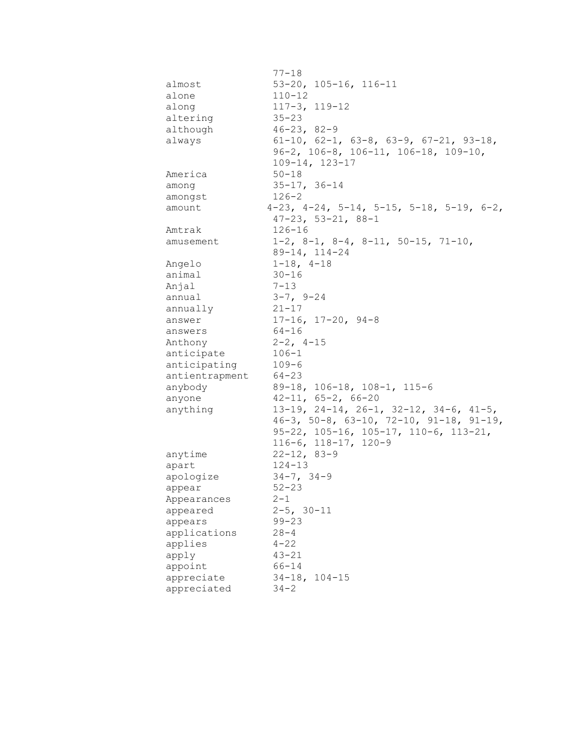|                | $77 - 18$                                                     |
|----------------|---------------------------------------------------------------|
| almost         | $53-20$ , $105-16$ , $116-11$                                 |
| alone          | $110 - 12$                                                    |
| along          | $117 - 3$ , $119 - 12$                                        |
| altering       | $35 - 23$                                                     |
| although       | $46 - 23, 82 - 9$                                             |
| always         | $61-10$ , $62-1$ , $63-8$ , $63-9$ , $67-21$ , $93-18$ ,      |
|                | $96-2$ , $106-8$ , $106-11$ , $106-18$ , $109-10$ ,           |
|                | $109 - 14, 123 - 17$                                          |
| America        | $50 - 18$                                                     |
| among          | $35 - 17, 36 - 14$                                            |
| amongst        | $126 - 2$                                                     |
| amount         | $4-23$ , $4-24$ , $5-14$ , $5-15$ , $5-18$ , $5-19$ , $6-2$ , |
|                | $47 - 23$ , $53 - 21$ , $88 - 1$                              |
| Amtrak         | $126 - 16$                                                    |
| amusement      | $1-2$ , $8-1$ , $8-4$ , $8-11$ , $50-15$ , $71-10$ ,          |
|                | $89 - 14, 114 - 24$                                           |
| Angelo         | $1-18$ , $4-18$                                               |
| animal         | $30 - 16$                                                     |
| Anjal          | $7 - 13$                                                      |
| annual         | $3 - 7$ , $9 - 24$                                            |
| annually       | $21 - 17$                                                     |
| answer         | $17-16$ , $17-20$ , $94-8$                                    |
| answers        | $64 - 16$                                                     |
| Anthony        | $2 - 2$ , $4 - 15$                                            |
| anticipate     | $106 - 1$                                                     |
| anticipating   | $109 - 6$                                                     |
| antientrapment | $64 - 23$                                                     |
| anybody        | 89-18, 106-18, 108-1, 115-6                                   |
| anyone         | $42 - 11, 65 - 2, 66 - 20$                                    |
| anything       | $13-19$ , $24-14$ , $26-1$ , $32-12$ , $34-6$ , $41-5$ ,      |
|                | $46-3$ , $50-8$ , $63-10$ , $72-10$ , $91-18$ , $91-19$ ,     |
|                | $95-22$ , $105-16$ , $105-17$ , $110-6$ , $113-21$ ,          |
|                | $116-6$ , $118-17$ , $120-9$                                  |
| anytime        | $22 - 12, 83 - 9$                                             |
| apart          | $124 - 13$                                                    |
| apologize      | $34 - 7, 34 - 9$                                              |
| appear         | $52 - 23$                                                     |
| Appearances    | $2 - 1$                                                       |
| appeared       | $2 - 5$ , $30 - 11$                                           |
| appears        | $99 - 23$                                                     |
| applications   | $28 - 4$                                                      |
| applies        | $4 - 22$                                                      |
| apply          | $43 - 21$                                                     |
| appoint        | $66 - 14$                                                     |
| appreciate     | $34-18, 104-15$                                               |
| appreciated    | $34 - 2$                                                      |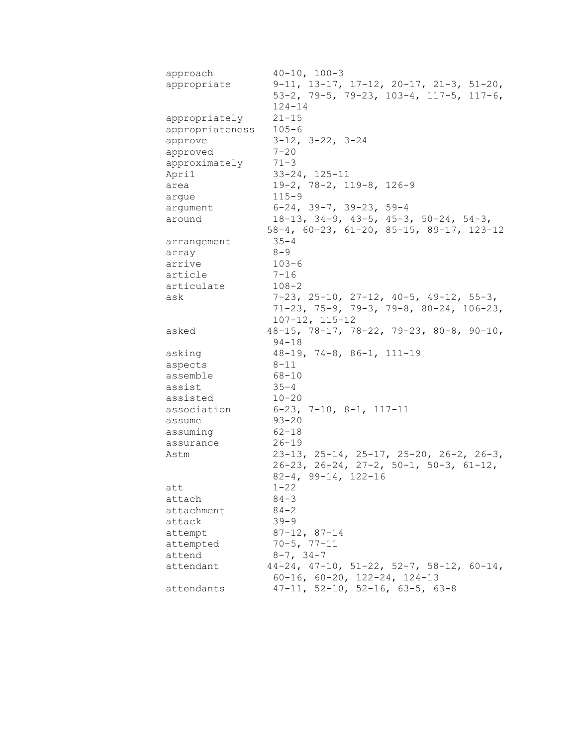| approach        | $40 - 10$ , $100 - 3$                                      |
|-----------------|------------------------------------------------------------|
| appropriate     | $9-11$ , $13-17$ , $17-12$ , $20-17$ , $21-3$ , $51-20$ ,  |
|                 | $53-2$ , 79-5, 79-23, 103-4, 117-5, 117-6,                 |
|                 | $124 - 14$                                                 |
| appropriately   | $21 - 15$                                                  |
| appropriateness | $105 - 6$                                                  |
| approve         | $3-12$ , $3-22$ , $3-24$                                   |
| approved        | $7 - 20$                                                   |
| approximately   | $71 - 3$                                                   |
| April           | $33 - 24, 125 - 11$                                        |
| area            | $19-2$ , 78-2, 119-8, 126-9                                |
| arque           | $115 - 9$                                                  |
| argument        | $6-24$ , 39-7, 39-23, 59-4                                 |
| around          | $18-13$ , $34-9$ , $43-5$ , $45-3$ , $50-24$ , $54-3$ ,    |
|                 | 58-4, 60-23, 61-20, 85-15, 89-17, 123-12                   |
| arrangement     | $35 - 4$                                                   |
| array           | $8 - 9$                                                    |
| arrive          | $103 - 6$                                                  |
| article         | $7 - 16$                                                   |
| articulate      | $108 - 2$                                                  |
| ask             | $7-23$ , $25-10$ , $27-12$ , $40-5$ , $49-12$ , $55-3$ ,   |
|                 | 71-23, 75-9, 79-3, 79-8, 80-24, 106-23,                    |
|                 | 107-12, 115-12                                             |
| asked           | $48-15$ , $78-17$ , $78-22$ , $79-23$ , $80-8$ , $90-10$ , |
|                 | $94 - 18$                                                  |
| asking          | $48-19$ , $74-8$ , $86-1$ , $111-19$                       |
| aspects         | $8 - 11$                                                   |
| assemble        | 68-10                                                      |
| assist          | $35 - 4$                                                   |
| assisted        | $10 - 20$                                                  |
| association     | $6-23$ , 7-10, 8-1, 117-11                                 |
| assume          | $93 - 20$                                                  |
| assuming        | 62-18                                                      |
| assurance       | $26 - 19$                                                  |
| Astm            | $23-13$ , $25-14$ , $25-17$ , $25-20$ , $26-2$ , $26-3$ ,  |
|                 | $26-23$ , $26-24$ , $27-2$ , $50-1$ , $50-3$ , $61-12$ ,   |
|                 | $82 - 4$ , $99 - 14$ , $122 - 16$                          |
| att             | $1 - 22$                                                   |
| attach          | $84 - 3$                                                   |
| attachment      | $84 - 2$                                                   |
| attack          | $39 - 9$                                                   |
| attempt         | $87 - 12, 87 - 14$                                         |
| attempted       | $70 - 5, 77 - 11$                                          |
| attend          | $8 - 7$ , $34 - 7$                                         |
| attendant       | $44-24$ , $47-10$ , $51-22$ , $52-7$ , $58-12$ , $60-14$ , |
|                 | $60-16$ , $60-20$ , $122-24$ , $124-13$                    |
| attendants      | $47-11$ , 52-10, 52-16, 63-5, 63-8                         |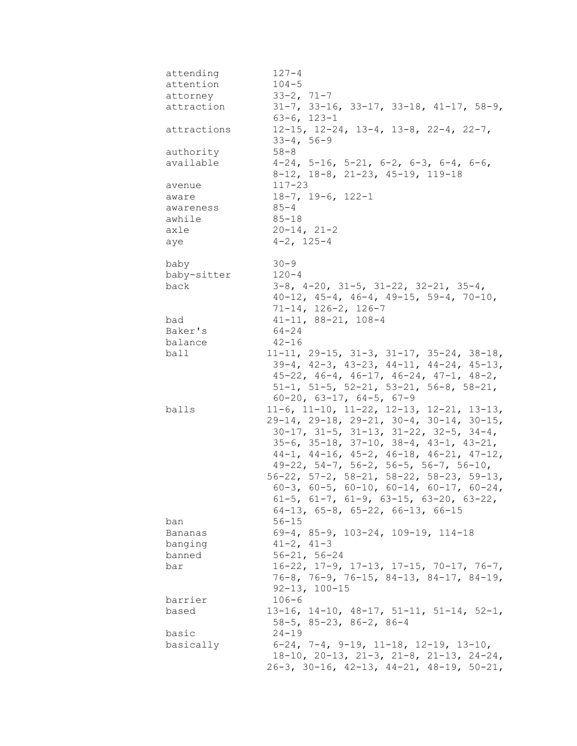| attending   | $127 - 4$                                                                                                          |
|-------------|--------------------------------------------------------------------------------------------------------------------|
| attention   | $104 - 5$                                                                                                          |
| attorney    | $33 - 2, 71 - 7$                                                                                                   |
| attraction  | $31-7$ , $33-16$ , $33-17$ , $33-18$ , $41-17$ , $58-9$ ,<br>$63 - 6, 123 - 1$                                     |
| attractions | $12-15$ , $12-24$ , $13-4$ , $13-8$ , $22-4$ , $22-7$ ,<br>$33 - 4, 56 - 9$                                        |
| authority   | $58 - 8$                                                                                                           |
| available   | $4-24$ , 5-16, 5-21, 6-2, 6-3, 6-4, 6-6,<br>8-12, 18-8, 21-23, 45-19, 119-18                                       |
| avenue      | $117 - 23$                                                                                                         |
| aware       | $18-7$ , $19-6$ , $122-1$                                                                                          |
| awareness   | $85 - 4$                                                                                                           |
| awhile      | $85 - 18$                                                                                                          |
| axle        | $20 - 14, 21 - 2$                                                                                                  |
| aye         | $4 - 2$ , 125-4                                                                                                    |
| baby        | $30 - 9$                                                                                                           |
| baby-sitter | $120 - 4$                                                                                                          |
| back        | $3-8$ , $4-20$ , $31-5$ , $31-22$ , $32-21$ , $35-4$ ,<br>$40-12$ , $45-4$ , $46-4$ , $49-15$ , $59-4$ , $70-10$ , |
|             | $71 - 14$ , $126 - 2$ , $126 - 7$                                                                                  |
| bad         | $41 - 11, 88 - 21, 108 - 4$                                                                                        |
| Baker's     | $64 - 24$                                                                                                          |
| balance     | $42 - 16$                                                                                                          |
| ball        | $11-11, 29-15, 31-3, 31-17, 35-24, 38-18,$                                                                         |
|             | $39-4$ , $42-3$ , $43-23$ , $44-11$ , $44-24$ , $45-13$ ,                                                          |
|             | $45-22$ , $46-4$ , $46-17$ , $46-24$ , $47-1$ , $48-2$ ,                                                           |
|             | $51-1$ , $51-5$ , $52-21$ , $53-21$ , $56-8$ , $58-21$ ,                                                           |
|             | $60-20$ , $63-17$ , $64-5$ , $67-9$                                                                                |
| balls       | $11-6$ , $11-10$ , $11-22$ , $12-13$ , $12-21$ , $13-13$ ,                                                         |
|             | $29-14$ , $29-18$ , $29-21$ , $30-4$ , $30-14$ , $30-15$ ,                                                         |
|             | $30-17$ , $31-5$ , $31-13$ , $31-22$ , $32-5$ , $34-4$ ,                                                           |
|             | $35-6$ , $35-18$ , $37-10$ , $38-4$ , $43-1$ , $43-21$ ,                                                           |
|             | $44-1$ , $44-16$ , $45-2$ , $46-18$ , $46-21$ , $47-12$ ,                                                          |
|             | $49-22$ , $54-7$ , $56-2$ , $56-5$ , $56-7$ , $56-10$ ,                                                            |
|             | $56-22$ , $57-2$ , $58-21$ , $58-22$ , $58-23$ , $59-13$ ,                                                         |
|             | $60-3$ , $60-5$ , $60-10$ , $60-14$ , $60-17$ , $60-24$ ,                                                          |
|             | $61-5$ , $61-7$ , $61-9$ , $63-15$ , $63-20$ , $63-22$ ,                                                           |
|             | $64-13$ , $65-8$ , $65-22$ , $66-13$ , $66-15$                                                                     |
| ban         | $56 - 15$                                                                                                          |
| Bananas     | 69-4, 85-9, 103-24, 109-19, 114-18                                                                                 |
| banging     | $41 - 2, 41 - 3$                                                                                                   |
| banned      | $56 - 21, 56 - 24$                                                                                                 |
| bar         | $16-22$ , $17-9$ , $17-13$ , $17-15$ , $70-17$ , $76-7$ ,                                                          |
|             | 76-8, 76-9, 76-15, 84-13, 84-17, 84-19,                                                                            |
|             | $92 - 13$ , $100 - 15$                                                                                             |
| barrier     | $106 - 6$                                                                                                          |
| based       | $13-16$ , $14-10$ , $48-17$ , $51-11$ , $51-14$ , $52-1$ ,                                                         |
|             | $58-5$ , $85-23$ , $86-2$ , $86-4$                                                                                 |
| basic       | $24 - 19$                                                                                                          |
| basically   | $6-24$ , 7-4, 9-19, 11-18, 12-19, 13-10,                                                                           |
|             | $18-10$ , $20-13$ , $21-3$ , $21-8$ , $21-13$ , $24-24$ ,                                                          |
|             | $26-3$ , $30-16$ , $42-13$ , $44-21$ , $48-19$ , $50-21$ ,                                                         |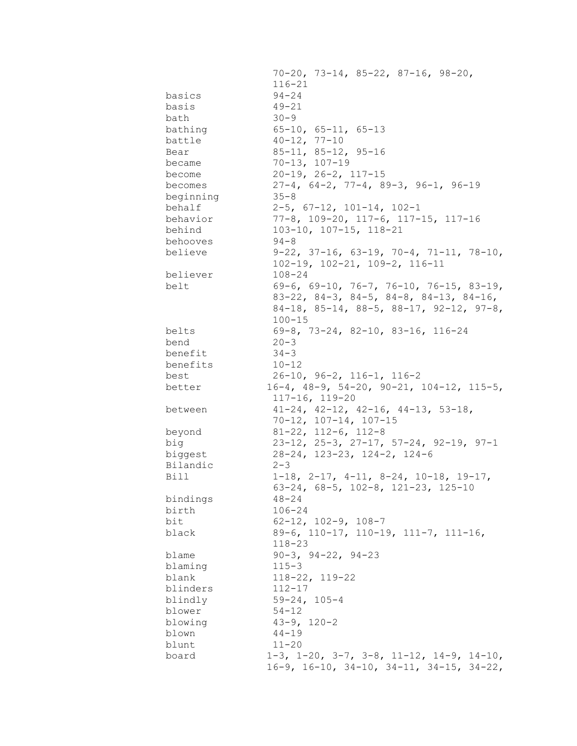|             | $70-20$ , $73-14$ , $85-22$ , $87-16$ , $98-20$ ,                                                                           |
|-------------|-----------------------------------------------------------------------------------------------------------------------------|
|             | $116 - 21$                                                                                                                  |
| basics      | $94 - 24$                                                                                                                   |
| basis       | $49 - 21$                                                                                                                   |
| bath        | $30 - 9$                                                                                                                    |
| bathing     | $65 - 10$ , $65 - 11$ , $65 - 13$                                                                                           |
| battle      | $40 - 12, 77 - 10$                                                                                                          |
| Bear        | $85 - 11, 85 - 12, 95 - 16$                                                                                                 |
| became      | $70 - 13, 107 - 19$                                                                                                         |
| become      | $20-19$ , $26-2$ , $117-15$                                                                                                 |
| becomes     | $27-4, 64-2, 77-4, 89-3, 96-1, 96-19$                                                                                       |
|             | $35 - 8$                                                                                                                    |
| beginning   |                                                                                                                             |
| behalf      | $2-5$ , $67-12$ , $101-14$ , $102-1$                                                                                        |
| behavior    | 77-8, 109-20, 117-6, 117-15, 117-16                                                                                         |
| behind      | $103-10$ , $107-15$ , $118-21$                                                                                              |
| behooves    | $94 - 8$                                                                                                                    |
| believe     | $9-22$ , $37-16$ , $63-19$ , $70-4$ , $71-11$ , $78-10$ ,                                                                   |
|             | $102-19$ , $102-21$ , $109-2$ , $116-11$                                                                                    |
| believer    | $108 - 24$                                                                                                                  |
| belt        | 69-6, 69-10, 76-7, 76-10, 76-15, 83-19,                                                                                     |
|             | $83-22$ , $84-3$ , $84-5$ , $84-8$ , $84-13$ , $84-16$ ,                                                                    |
|             | $84-18$ , $85-14$ , $88-5$ , $88-17$ , $92-12$ , $97-8$ ,                                                                   |
|             | $100 - 15$                                                                                                                  |
| belts       | 69-8, 73-24, 82-10, 83-16, 116-24                                                                                           |
| bend        | $20 - 3$                                                                                                                    |
| benefit     | $34 - 3$                                                                                                                    |
| benefits    | $10 - 12$                                                                                                                   |
| best        | $26-10$ , $96-2$ , $116-1$ , $116-2$                                                                                        |
| better      | $16-4$ , $48-9$ , $54-20$ , $90-21$ , $104-12$ , $115-5$ ,                                                                  |
|             |                                                                                                                             |
|             | $117 - 16, 119 - 20$                                                                                                        |
| between     |                                                                                                                             |
|             | $41-24$ , $42-12$ , $42-16$ , $44-13$ , $53-18$ ,                                                                           |
|             | $70 - 12$ , $107 - 14$ , $107 - 15$                                                                                         |
| beyond      | $81-22$ , $112-6$ , $112-8$                                                                                                 |
| big         | $23-12$ , $25-3$ , $27-17$ , $57-24$ , $92-19$ , $97-1$                                                                     |
| biggest     | 28-24, 123-23, 124-2, 124-6                                                                                                 |
| Bilandic    | $2 - 3$                                                                                                                     |
| <b>Bill</b> | $1-18$ , $2-17$ , $4-11$ , $8-24$ , $10-18$ , $19-17$ ,                                                                     |
|             | 63-24, 68-5, 102-8, 121-23, 125-10                                                                                          |
| bindings    | $48 - 24$                                                                                                                   |
| birth       | $106 - 24$                                                                                                                  |
| bit         | $62-12$ , $102-9$ , $108-7$                                                                                                 |
| black       | 89-6, 110-17, 110-19, 111-7, 111-16,                                                                                        |
|             | $118 - 23$                                                                                                                  |
| blame       | $90-3$ , $94-22$ , $94-23$                                                                                                  |
| blaming     | $115 - 3$                                                                                                                   |
| blank       | $118 - 22, 119 - 22$                                                                                                        |
| blinders    | $112 - 17$                                                                                                                  |
| blindly     | $59 - 24, 105 - 4$                                                                                                          |
| blower      | $54 - 12$                                                                                                                   |
| blowing     | $43 - 9, 120 - 2$                                                                                                           |
| blown       | $44 - 19$                                                                                                                   |
| blunt       | $11 - 20$                                                                                                                   |
| board       | $1-3$ , $1-20$ , $3-7$ , $3-8$ , $11-12$ , $14-9$ , $14-10$ ,<br>$16-9$ , $16-10$ , $34-10$ , $34-11$ , $34-15$ , $34-22$ , |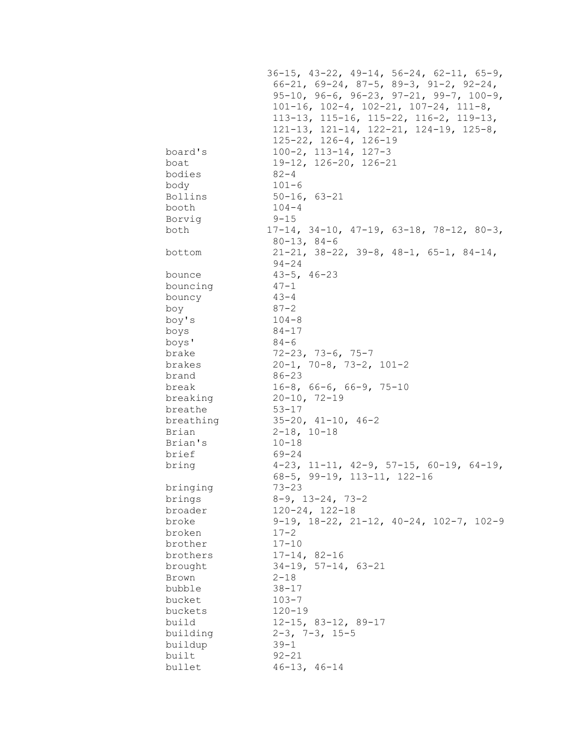|           | $36-15$ , $43-22$ , $49-14$ , $56-24$ , $62-11$ , $65-9$ , |
|-----------|------------------------------------------------------------|
|           | $66-21, 69-24, 87-5, 89-3, 91-2, 92-24,$                   |
|           | $95-10$ , $96-6$ , $96-23$ , $97-21$ , $99-7$ , $100-9$ ,  |
|           | $101-16$ , $102-4$ , $102-21$ , $107-24$ , $111-8$ ,       |
|           | $113-13$ , $115-16$ , $115-22$ , $116-2$ , $119-13$ ,      |
|           | 121-13, 121-14, 122-21, 124-19, 125-8,                     |
|           | $125 - 22$ , $126 - 4$ , $126 - 19$                        |
| board's   | $100-2$ , $113-14$ , $127-3$                               |
| boat      | 19-12, 126-20, 126-21                                      |
| bodies    | $82 - 4$                                                   |
| body      | $101 - 6$                                                  |
| Bollins   | $50 - 16, 63 - 21$                                         |
| booth     | $104 - 4$                                                  |
| Borvig    | $9 - 15$                                                   |
| both      | $17-14$ , 34-10, 47-19, 63-18, 78-12, 80-3,                |
|           | $80 - 13, 84 - 6$                                          |
| bottom    | $21-21$ , 38-22, 39-8, 48-1, 65-1, 84-14,                  |
|           | 94-24                                                      |
| bounce    | $43 - 5$ , $46 - 23$                                       |
| bouncing  | $47 - 1$                                                   |
| bouncy    | $43 - 4$                                                   |
| boy       | $87 - 2$                                                   |
| boy's     | $104 - 8$                                                  |
|           | 84-17                                                      |
| boys      | 84-6                                                       |
| boys'     | 72-23, 73-6, 75-7                                          |
| brake     | $20-1, 70-8, 73-2, 101-2$                                  |
| brakes    |                                                            |
| brand     | 86-23                                                      |
| break     | $16-8$ , 66-6, 66-9, 75-10                                 |
| breaking  | $20 - 10, 72 - 19$                                         |
| breathe   | 53-17                                                      |
| breathing | $35-20$ , $41-10$ , $46-2$                                 |
| Brian     | $2 - 18$ , 10-18                                           |
| Brian's   | $10 - 18$                                                  |
| brief     | 69-24                                                      |
| bring     | $4-23$ , 11-11, 42-9, 57-15, 60-19, 64-19,                 |
|           | 68-5, 99-19, 113-11, 122-16                                |
| bringing  | $73 - 23$                                                  |
| brings    | $8-9$ , 13-24, 73-2                                        |
| broader   | $120 - 24, 122 - 18$                                       |
| broke     | $9-19$ , $18-22$ , $21-12$ , $40-24$ , $102-7$ , $102-9$   |
| broken    | $17 - 2$                                                   |
| brother   | $17 - 10$                                                  |
| brothers  | $17 - 14, 82 - 16$                                         |
| brought   | $34-19$ , $57-14$ , $63-21$                                |
| Brown     | $2 - 18$                                                   |
| bubble    | $38 - 17$                                                  |
| bucket    | $103 - 7$                                                  |
| buckets   | $120 - 19$                                                 |
| build     | $12 - 15$ , 83-12, 89-17                                   |
| building  | $2-3$ , $7-3$ , $15-5$                                     |
| buildup   | $39 - 1$                                                   |
| built     | $92 - 21$                                                  |
| bullet    | $46 - 13, 46 - 14$                                         |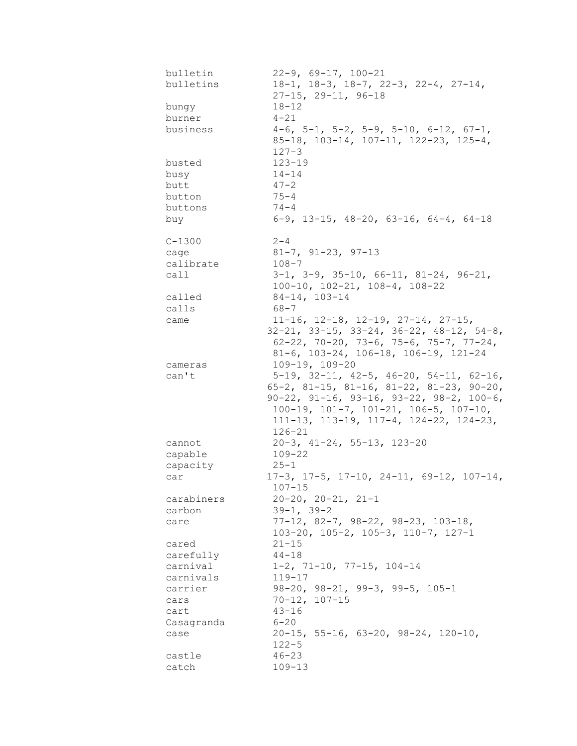| bulletin        | $22-9$ , 69-17, 100-21                                                                                                                       |
|-----------------|----------------------------------------------------------------------------------------------------------------------------------------------|
| bulletins       | $18-1, 18-3, 18-7, 22-3, 22-4, 27-14,$<br>$27 - 15$ , $29 - 11$ , $96 - 18$                                                                  |
| bungy           | $18 - 12$                                                                                                                                    |
| burner          | $4 - 21$                                                                                                                                     |
| business        | $4-6$ , $5-1$ , $5-2$ , $5-9$ , $5-10$ , $6-12$ , $67-1$ ,<br>85-18, 103-14, 107-11, 122-23, 125-4,<br>$127 - 3$                             |
| busted          | $123 - 19$                                                                                                                                   |
| busy            | $14 - 14$                                                                                                                                    |
| butt            | $47 - 2$                                                                                                                                     |
| button          | $75 - 4$                                                                                                                                     |
| buttons         | $74 - 4$                                                                                                                                     |
| buy             | $6-9$ , 13-15, 48-20, 63-16, 64-4, 64-18                                                                                                     |
| $C - 1300$      | $2 - 4$                                                                                                                                      |
| cage            | $81 - 7$ , $91 - 23$ , $97 - 13$                                                                                                             |
| calibrate       | $108 - 7$                                                                                                                                    |
| call            | $3-1$ , $3-9$ , $35-10$ , $66-11$ , $81-24$ , $96-21$ ,<br>$100-10$ , $102-21$ , $108-4$ , $108-22$                                          |
| called          | $84-14, 103-14$                                                                                                                              |
| calls           | 68-7                                                                                                                                         |
| came            | $11-16$ , $12-18$ , $12-19$ , $27-14$ , $27-15$ ,                                                                                            |
|                 | $32-21$ , $33-15$ , $33-24$ , $36-22$ , $48-12$ , $54-8$ ,<br>62-22, 70-20, 73-6, 75-6, 75-7, 77-24,<br>81-6, 103-24, 106-18, 106-19, 121-24 |
| cameras         | $109 - 19, 109 - 20$                                                                                                                         |
| can't           | $5-19$ , $32-11$ , $42-5$ , $46-20$ , $54-11$ , $62-16$ ,                                                                                    |
|                 | $65-2$ , 81-15, 81-16, 81-22, 81-23, 90-20,                                                                                                  |
|                 | $90-22$ , $91-16$ , $93-16$ , $93-22$ , $98-2$ , $100-6$ ,                                                                                   |
|                 | $100-19$ , $101-7$ , $101-21$ , $106-5$ , $107-10$ ,                                                                                         |
|                 | $111-13$ , $113-19$ , $117-4$ , $124-22$ , $124-23$ ,<br>$126 - 21$                                                                          |
| cannot          | $20-3$ , $41-24$ , 55-13, 123-20                                                                                                             |
| capable         | $109 - 22$                                                                                                                                   |
| capacity        | 25-1                                                                                                                                         |
| car             | $17-3$ , $17-5$ , $17-10$ , $24-11$ , $69-12$ , $107-14$ ,<br>$107 - 15$                                                                     |
| carabiners      | $20-20$ , $20-21$ , $21-1$                                                                                                                   |
| carbon          | $39-1, 39-2$                                                                                                                                 |
| care            | $77-12$ , 82-7, 98-22, 98-23, 103-18,<br>$103-20$ , $105-2$ , $105-3$ , $110-7$ , $127-1$                                                    |
| cared           | $21 - 15$                                                                                                                                    |
| carefully       | $44 - 18$                                                                                                                                    |
| carnival        | $1-2$ , 71-10, 77-15, 104-14                                                                                                                 |
| carnivals       | $119 - 17$                                                                                                                                   |
| carrier         | $98-20$ , $98-21$ , $99-3$ , $99-5$ , $105-1$                                                                                                |
| cars            | $70 - 12$ , $107 - 15$                                                                                                                       |
| cart            | $43 - 16$                                                                                                                                    |
| Casagranda      | $6 - 20$                                                                                                                                     |
| case            | $20-15$ , 55-16, 63-20, 98-24, 120-10,                                                                                                       |
|                 | $122 - 5$                                                                                                                                    |
| castle<br>catch | $46 - 23$<br>$109 - 13$                                                                                                                      |
|                 |                                                                                                                                              |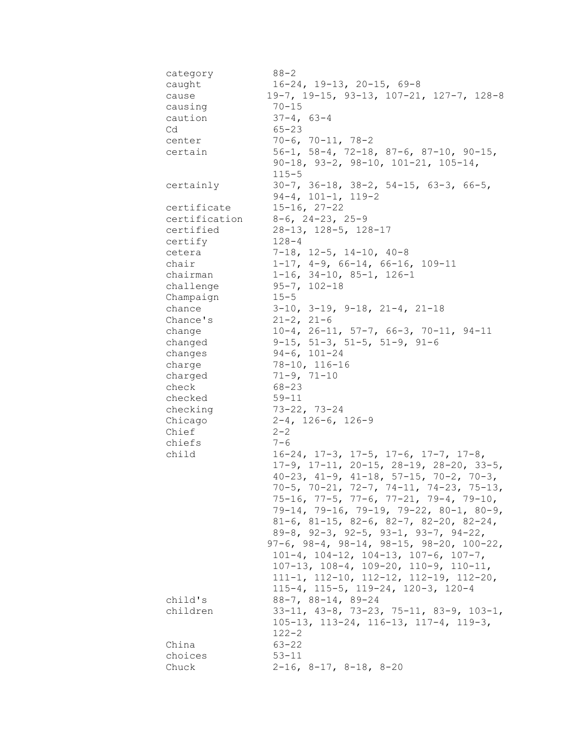| category      | $88 - 2$                                                                                                            |
|---------------|---------------------------------------------------------------------------------------------------------------------|
| caught        | $16-24$ , $19-13$ , $20-15$ , 69-8                                                                                  |
| cause         | 19-7, 19-15, 93-13, 107-21, 127-7, 128-8                                                                            |
| causing       | $70 - 15$                                                                                                           |
| caution       | $37 - 4, 63 - 4$                                                                                                    |
| Cd            | $65 - 23$                                                                                                           |
| center        | $70-6$ , $70-11$ , $78-2$                                                                                           |
| certain       | 56-1, 58-4, 72-18, 87-6, 87-10, 90-15,                                                                              |
|               | $90-18$ , $93-2$ , $98-10$ , $101-21$ , $105-14$ ,<br>$115 - 5$                                                     |
| certainly     | $30-7$ , $36-18$ , $38-2$ , $54-15$ , $63-3$ , $66-5$ ,<br>$94-4$ , $101-1$ , $119-2$                               |
| certificate   | $15 - 16, 27 - 22$                                                                                                  |
| certification | $8-6$ , 24-23, 25-9                                                                                                 |
| certified     | 28-13, 128-5, 128-17                                                                                                |
| certify       | $128 - 4$                                                                                                           |
| cetera        | $7-18$ , $12-5$ , $14-10$ , $40-8$                                                                                  |
| chair         | $1-17$ , $4-9$ , $66-14$ , $66-16$ , $109-11$                                                                       |
| chairman      | $1-16$ , $34-10$ , $85-1$ , $126-1$                                                                                 |
| challenge     | $95 - 7, 102 - 18$                                                                                                  |
| Champaign     | $15 - 5$                                                                                                            |
| chance        | $3-10$ , $3-19$ , $9-18$ , $21-4$ , $21-18$                                                                         |
| Chance's      | $21 - 2, 21 - 6$                                                                                                    |
|               | $10-4$ , $26-11$ , $57-7$ , $66-3$ , $70-11$ , $94-11$                                                              |
| change        |                                                                                                                     |
| changed       | $9-15$ , 51-3, 51-5, 51-9, 91-6                                                                                     |
| changes       | $94-6, 101-24$                                                                                                      |
| charge        | 78-10, 116-16                                                                                                       |
| charged       | $71 - 9, 71 - 10$                                                                                                   |
| check         | $68 - 23$                                                                                                           |
| checked       | $59 - 11$                                                                                                           |
| checking      | $73-22, 73-24$                                                                                                      |
| Chicago       | $2-4$ , $126-6$ , $126-9$                                                                                           |
| Chief         | $2 - 2$                                                                                                             |
| chiefs        | $7 - 6$                                                                                                             |
| child         | $16-24$ , $17-3$ , $17-5$ , $17-6$ , $17-7$ , $17-8$ ,<br>$17-9$ , $17-11$ , $20-15$ , $28-19$ , $28-20$ , $33-5$ , |
|               | $40-23$ , $41-9$ , $41-18$ , $57-15$ , $70-2$ , $70-3$ ,                                                            |
|               | $70-5$ , $70-21$ , $72-7$ , $74-11$ , $74-23$ , $75-13$ ,                                                           |
|               | $75-16$ , $77-5$ , $77-6$ , $77-21$ , $79-4$ , $79-10$ ,                                                            |
|               | $79-14$ , $79-16$ , $79-19$ , $79-22$ , $80-1$ , $80-9$ ,                                                           |
|               | $81-6$ , $81-15$ , $82-6$ , $82-7$ , $82-20$ , $82-24$ ,                                                            |
|               | 89-8, 92-3, 92-5, 93-1, 93-7, 94-22,                                                                                |
|               | $97-6$ , $98-4$ , $98-14$ , $98-15$ , $98-20$ , $100-22$ ,                                                          |
|               | 101-4, 104-12, 104-13, 107-6, 107-7,                                                                                |
|               | $107-13$ , $108-4$ , $109-20$ , $110-9$ , $110-11$ ,                                                                |
|               | $111-1, 112-10, 112-12, 112-19, 112-20,$                                                                            |
|               |                                                                                                                     |
|               | $115-4$ , $115-5$ , $119-24$ , $120-3$ , $120-4$                                                                    |
| child's       | $88 - 7$ , $88 - 14$ , $89 - 24$                                                                                    |
| children      | $33-11, 43-8, 73-23, 75-11, 83-9, 103-1,$                                                                           |
|               | 105-13, 113-24, 116-13, 117-4, 119-3,                                                                               |
|               | $122 - 2$                                                                                                           |
| China         | $63 - 22$                                                                                                           |
| choices       | $53 - 11$                                                                                                           |
| Chuck         | $2-16$ , $8-17$ , $8-18$ , $8-20$                                                                                   |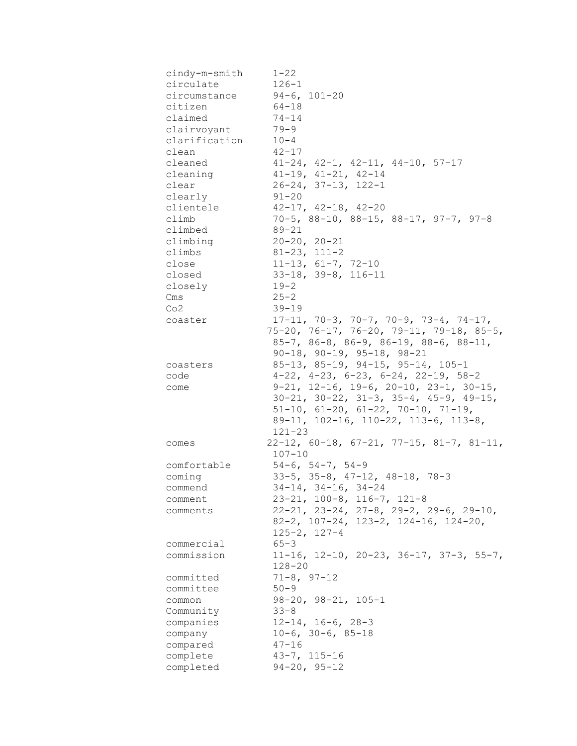| cindy-m-smith | $1 - 22$                                                   |
|---------------|------------------------------------------------------------|
| circulate     | $126 - 1$                                                  |
| circumstance  | $94-6, 101-20$                                             |
| citizen       | $64 - 18$                                                  |
| claimed       | $74 - 14$                                                  |
| clairvoyant   | $79 - 9$                                                   |
| clarification | $10 - 4$                                                   |
| clean         | $42 - 17$                                                  |
| cleaned       | $41-24$ , $42-1$ , $42-11$ , $44-10$ , $57-17$             |
| cleaning      | $41-19$ , $41-21$ , $42-14$                                |
| clear         | $26 - 24, 37 - 13, 122 - 1$                                |
| clearly       | $91 - 20$                                                  |
| clientele     | $42-17$ , $42-18$ , $42-20$                                |
| climb         | $70-5$ , 88-10, 88-15, 88-17, 97-7, 97-8                   |
| climbed       | 89-21                                                      |
| climbing      | $20 - 20, 20 - 21$                                         |
| climbs        | $81 - 23, 111 - 2$                                         |
| close         | $11-13, 61-7, 72-10$                                       |
| closed        | $33-18$ , $39-8$ , $116-11$                                |
| closely       | $19 - 2$                                                   |
| Cms           | $25 - 2$                                                   |
| Co2           | $39 - 19$                                                  |
| coaster       | $17-11, 70-3, 70-7, 70-9, 73-4, 74-17,$                    |
|               | $75-20$ , $76-17$ , $76-20$ , $79-11$ , $79-18$ , $85-5$ , |
|               |                                                            |
|               | $85-7$ , $86-8$ , $86-9$ , $86-19$ , $88-6$ , $88-11$ ,    |
|               | $90-18$ , $90-19$ , $95-18$ , $98-21$                      |
| coasters      | $85-13$ , $85-19$ , $94-15$ , $95-14$ , $105-1$            |
| code          | $4-22$ , $4-23$ , $6-23$ , $6-24$ , $22-19$ , $58-2$       |
| come          | $9-21$ , $12-16$ , $19-6$ , $20-10$ , $23-1$ , $30-15$ ,   |
|               | $30-21$ , $30-22$ , $31-3$ , $35-4$ , $45-9$ , $49-15$ ,   |
|               | $51-10$ , $61-20$ , $61-22$ , $70-10$ , $71-19$ ,          |
|               | 89-11, 102-16, 110-22, 113-6, 113-8,                       |
|               | $121 - 23$                                                 |
| comes         | $22-12$ , 60-18, 67-21, 77-15, 81-7, 81-11,                |
|               | $107 - 10$                                                 |
| comfortable   | $54-6$ , $54-7$ , $54-9$                                   |
| coming        | $33-5$ , $35-8$ , $47-12$ , $48-18$ , $78-3$               |
| commend       | $34-14$ , $34-16$ , $34-24$                                |
| comment       | $23-21$ , $100-8$ , $116-7$ , $121-8$                      |
| comments      | $22-21$ , $23-24$ , $27-8$ , $29-2$ , $29-6$ , $29-10$ ,   |
|               | 82-2, 107-24, 123-2, 124-16, 124-20,                       |
|               | $125 - 2, 127 - 4$                                         |
| commercial    | $65 - 3$                                                   |
| commission    | $11-16$ , $12-10$ , $20-23$ , $36-17$ , $37-3$ , $55-7$ ,  |
|               | $128 - 20$                                                 |
| committed     | $71 - 8, 97 - 12$                                          |
| committee     | $50 - 9$                                                   |
| common        | $98-20, 98-21, 105-1$                                      |
| Community     | $33 - 8$                                                   |
| companies     | $12-14$ , $16-6$ , $28-3$                                  |
| company       | $10-6$ , $30-6$ , $85-18$                                  |
| compared      | $47 - 16$                                                  |
| complete      | $43 - 7, 115 - 16$                                         |
| completed     | $94 - 20, 95 - 12$                                         |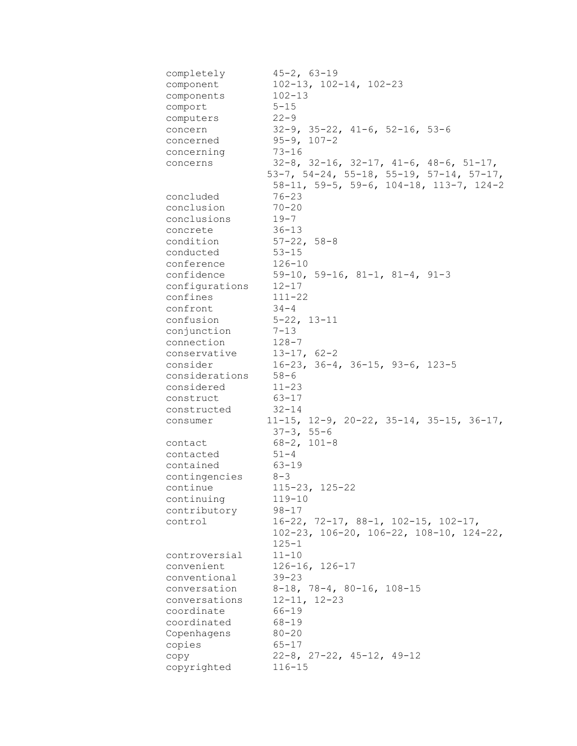| completely               | $45 - 2, 63 - 19$                                          |
|--------------------------|------------------------------------------------------------|
| component                | $102 - 13$ , $102 - 14$ , $102 - 23$                       |
| components               | $102 - 13$                                                 |
| comport                  | $5 - 15$                                                   |
| computers                | $22 - 9$                                                   |
| concern                  | $32-9$ , $35-22$ , $41-6$ , $52-16$ , $53-6$               |
| concerned                | $95 - 9, 107 - 2$                                          |
| concerning               | $73 - 16$                                                  |
| concerns                 | $32-8$ , $32-16$ , $32-17$ , $41-6$ , $48-6$ , $51-17$ ,   |
|                          | $53-7$ , $54-24$ , $55-18$ , $55-19$ , $57-14$ , $57-17$ , |
|                          | $58-11$ , $59-5$ , $59-6$ , $104-18$ , $113-7$ , $124-2$   |
| concluded                | $76 - 23$                                                  |
| conclusion               | $70 - 20$                                                  |
| conclusions              | $19 - 7$                                                   |
| concrete                 | $36 - 13$                                                  |
| condition                | $57 - 22, 58 - 8$                                          |
| conducted                | $53 - 15$                                                  |
| conference               | $126 - 10$                                                 |
| confidence               | $59-10, 59-16, 81-1, 81-4, 91-3$                           |
| configurations 12-17     |                                                            |
| confines                 | $111 - 22$                                                 |
| confront                 | $34 - 4$                                                   |
| confusion 5-22, 13-11    |                                                            |
| conjunction 7-13         |                                                            |
| connection               | $128 - 7$                                                  |
| conservative 13-17, 62-2 |                                                            |
| consider                 | $16-23$ , $36-4$ , $36-15$ , $93-6$ , $123-5$              |
| considerations 58-6      |                                                            |
|                          |                                                            |
| considered               | $11 - 23$                                                  |
| construct                | 63-17                                                      |
| constructed 32-14        |                                                            |
| consumer                 | $11-15$ , $12-9$ , $20-22$ , $35-14$ , $35-15$ , $36-17$ , |
|                          | $37 - 3, 55 - 6$                                           |
| contact                  | 68-2, 101-8                                                |
| contacted                | $51 - 4$                                                   |
| contained                | 63-19                                                      |
| contingencies 8-3        |                                                            |
| continue                 | $115 - 23$ , $125 - 22$                                    |
| continuing               | $119 - 10$                                                 |
| contributory             | $98 - 17$                                                  |
| control                  | $16-22$ , 72-17, 88-1, 102-15, 102-17,                     |
|                          | $102-23$ , $106-20$ , $106-22$ , $108-10$ , $124-22$ ,     |
|                          | $125 - 1$                                                  |
| controversial            | $11 - 10$                                                  |
| convenient               | $126 - 16$ , $126 - 17$                                    |
| conventional             | $39 - 23$                                                  |
| conversation             | $8-18$ , 78-4, 80-16, 108-15                               |
| conversations            | $12 - 11, 12 - 23$                                         |
| coordinate               | $66 - 19$                                                  |
| coordinated              | $68 - 19$                                                  |
| Copenhagens              | $80 - 20$                                                  |
| copies                   | $65 - 17$                                                  |
| сору                     | $22-8$ , $27-22$ , $45-12$ , $49-12$                       |
| copyrighted              | $116 - 15$                                                 |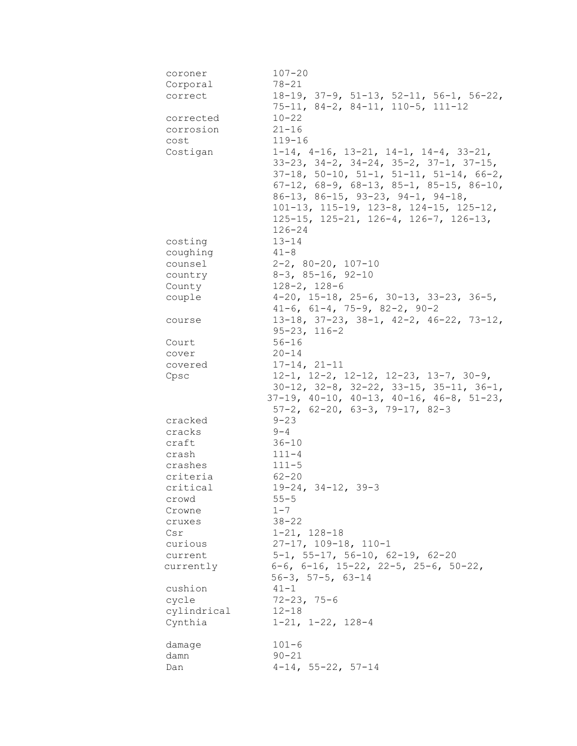| coroner     | $107 - 20$                                                 |
|-------------|------------------------------------------------------------|
| Corporal    | $78 - 21$                                                  |
| correct     | $18-19$ , $37-9$ , $51-13$ , $52-11$ , $56-1$ , $56-22$ ,  |
|             | $75-11, 84-2, 84-11, 110-5, 111-12$                        |
| corrected   | $10 - 22$                                                  |
| corrosion   | $21 - 16$                                                  |
| cost        | $119 - 16$                                                 |
| Costigan    | $1-14$ , $4-16$ , $13-21$ , $14-1$ , $14-4$ , $33-21$ ,    |
|             | $33-23$ , $34-2$ , $34-24$ , $35-2$ , $37-1$ , $37-15$ ,   |
|             | $37-18$ , $50-10$ , $51-1$ , $51-11$ , $51-14$ , $66-2$ ,  |
|             | $67-12$ , $68-9$ , $68-13$ , $85-1$ , $85-15$ , $86-10$ ,  |
|             | $86-13$ , $86-15$ , $93-23$ , $94-1$ , $94-18$ ,           |
|             | 101-13, 115-19, 123-8, 124-15, 125-12,                     |
|             | $125-15$ , $125-21$ , $126-4$ , $126-7$ , $126-13$ ,       |
|             | $126 - 24$                                                 |
| costing     | $13 - 14$                                                  |
| coughing    | $41 - 8$                                                   |
| counsel     | $2-2$ , 80-20, 107-10                                      |
|             | $8-3$ , $85-16$ , $92-10$                                  |
| country     | $128 - 2, 128 - 6$                                         |
| County      | $4-20$ , 15-18, 25-6, 30-13, 33-23, 36-5,                  |
| couple      | $41-6$ , $61-4$ , $75-9$ , $82-2$ , $90-2$                 |
|             |                                                            |
| course      | $13-18$ , $37-23$ , $38-1$ , $42-2$ , $46-22$ , $73-12$ ,  |
|             | $95 - 23$ , $116 - 2$                                      |
| Court       | $56 - 16$                                                  |
| cover       | $20 - 14$                                                  |
| covered     | $17 - 14, 21 - 11$                                         |
| Cpsc        | $12-1$ , $12-2$ , $12-12$ , $12-23$ , $13-7$ , $30-9$ ,    |
|             | $30-12$ , $32-8$ , $32-22$ , $33-15$ , $35-11$ , $36-1$ ,  |
|             | $37-19$ , $40-10$ , $40-13$ , $40-16$ , $46-8$ , $51-23$ , |
|             | $57-2$ , $62-20$ , $63-3$ , $79-17$ , $82-3$               |
| cracked     | $9 - 23$                                                   |
| cracks      | $9 - 4$                                                    |
| craft       | $36 - 10$                                                  |
| crash       | $111 - 4$                                                  |
| crashes     | $111 - 5$                                                  |
| criteria    | $62 - 20$                                                  |
| critical    | $19-24, 34-12, 39-3$                                       |
| crowd       | $55 - 5$                                                   |
| Crowne      | $1 - 7$                                                    |
| cruxes      | $38 - 22$                                                  |
| Csr         | $1 - 21, 128 - 18$                                         |
| curious     | $27-17$ , $109-18$ , $110-1$                               |
| current     | $5-1$ , $55-17$ , $56-10$ , $62-19$ , $62-20$              |
| currently   | $6-6$ , $6-16$ , $15-22$ , $22-5$ , $25-6$ , $50-22$ ,     |
|             | $56-3$ , $57-5$ , $63-14$                                  |
| cushion     | $41 - 1$                                                   |
| cycle       | $72 - 23, 75 - 6$                                          |
| cylindrical | $12 - 18$                                                  |
| Cynthia     | $1-21$ , $1-22$ , $128-4$                                  |
| damage      | $101 - 6$                                                  |
| damn        | $90 - 21$                                                  |
|             | $4-14$ , 55-22, 57-14                                      |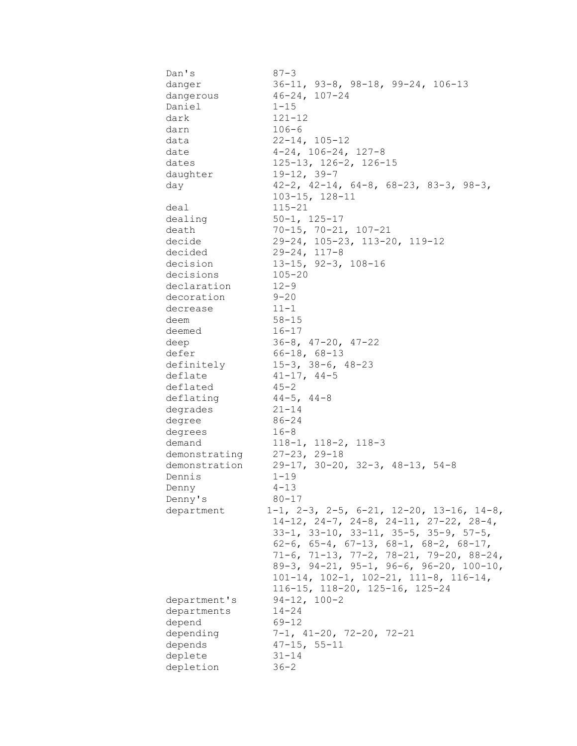| Dan's             | $87 - 3$                                                      |
|-------------------|---------------------------------------------------------------|
| danger            | $36-11$ , $93-8$ , $98-18$ , $99-24$ , $106-13$               |
| dangerous         | $46 - 24, 107 - 24$                                           |
| Daniel            | $1 - 15$                                                      |
| dark              | $121 - 12$                                                    |
| darn              | $106 - 6$                                                     |
| data              | $22 - 14, 105 - 12$                                           |
| date              | $4-24$ , $106-24$ , $127-8$                                   |
| dates             | 125-13, 126-2, 126-15                                         |
| daughter          | $19 - 12, 39 - 7$                                             |
| day               | $42-2$ , $42-14$ , $64-8$ , $68-23$ , $83-3$ , $98-3$ ,       |
|                   | $103 - 15$ , $128 - 11$                                       |
| deal              | $115 - 21$                                                    |
| dealing           | $50 - 1, 125 - 17$                                            |
| death             | $70-15$ , $70-21$ , $107-21$                                  |
| decide            | 29-24, 105-23, 113-20, 119-12                                 |
| decided           | $29 - 24, 117 - 8$                                            |
| decision          | $13-15$ , $92-3$ , $108-16$                                   |
| decisions         | $105 - 20$                                                    |
| declaration       | $12 - 9$                                                      |
| decoration        | $9 - 20$                                                      |
| decrease          | $11 - 1$                                                      |
| deem              | $58 - 15$                                                     |
| deemed            | $16 - 17$                                                     |
| deep              | $36-8$ , $47-20$ , $47-22$                                    |
| defer             | $66 - 18, 68 - 13$                                            |
| definitely        | $15-3, 38-6, 48-23$                                           |
| deflate           | $41 - 17$ , $44 - 5$                                          |
| deflated          | $45 - 2$                                                      |
| deflating         | $44-5$ , $44-8$                                               |
|                   | $21 - 14$                                                     |
| degrades          | 86-24                                                         |
| degree            | $16 - 8$                                                      |
| degrees<br>demand | $118-1, 118-2, 118-3$                                         |
| demonstrating     | $27 - 23, 29 - 18$                                            |
| demonstration     | $29-17$ , $30-20$ , $32-3$ , $48-13$ , $54-8$                 |
| Dennis            | $1 - 19$                                                      |
|                   |                                                               |
| Denny             | $4 - 13$                                                      |
| Denny's           | $80 - 17$                                                     |
| department        | $1-1$ , $2-3$ , $2-5$ , $6-21$ , $12-20$ , $13-16$ , $14-8$ , |
|                   | $14-12$ , $24-7$ , $24-8$ , $24-11$ , $27-22$ , $28-4$ ,      |
|                   | $33-1$ , $33-10$ , $33-11$ , $35-5$ , $35-9$ , $57-5$ ,       |
|                   | 62-6, 65-4, 67-13, 68-1, 68-2, 68-17,                         |
|                   | $71-6$ , $71-13$ , $77-2$ , $78-21$ , $79-20$ , $88-24$ ,     |
|                   | $89-3$ , $94-21$ , $95-1$ , $96-6$ , $96-20$ , $100-10$ ,     |
|                   | $101-14$ , $102-1$ , $102-21$ , $111-8$ , $116-14$ ,          |
|                   | 116-15, 118-20, 125-16, 125-24                                |
| department's      | $94-12, 100-2$                                                |
| departments       | $14 - 24$                                                     |
| depend            | $69 - 12$                                                     |
| depending         | $7-1$ , $41-20$ , $72-20$ , $72-21$                           |
| depends           | $47 - 15$ , $55 - 11$                                         |
| deplete           | $31 - 14$                                                     |
| depletion         | $36 - 2$                                                      |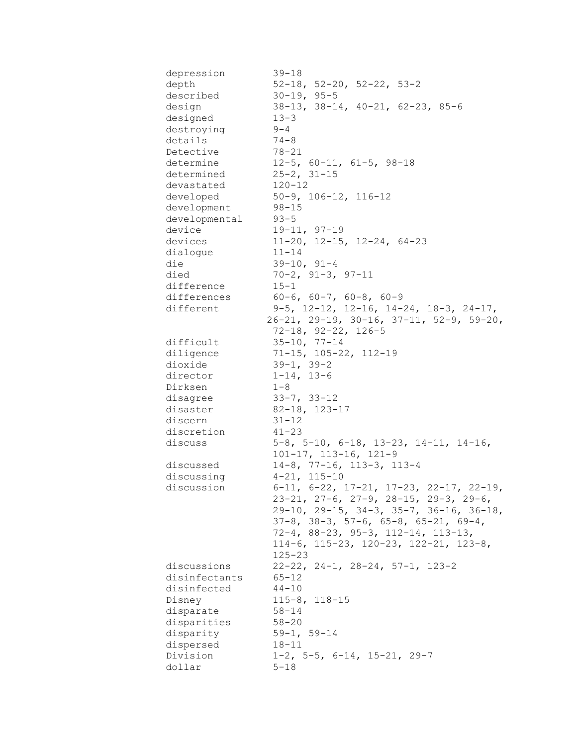| depression    | $39 - 18$                                                  |
|---------------|------------------------------------------------------------|
| depth         | $52-18$ , $52-20$ , $52-22$ , $53-2$                       |
| described     | $30 - 19, 95 - 5$                                          |
| design        | $38-13$ , $38-14$ , $40-21$ , $62-23$ , $85-6$             |
| designed      | $13 - 3$                                                   |
| destroying    | $9 - 4$                                                    |
| details       | $74 - 8$                                                   |
| Detective     | 78-21                                                      |
| determine     | $12-5$ , 60-11, 61-5, 98-18                                |
| determined    | $25 - 2, 31 - 15$                                          |
| devastated    | 120-12                                                     |
| developed     | $50-9$ , $106-12$ , $116-12$                               |
| development   | $98 - 15$                                                  |
| developmental | $93 - 5$                                                   |
| device        | $19-11, 97-19$                                             |
| devices       | $11-20$ , $12-15$ , $12-24$ , $64-23$                      |
| dialogue      | $11 - 14$                                                  |
| die           | $39-10, 91-4$                                              |
| died          | $70-2, 91-3, 97-11$                                        |
| difference    | $15 - 1$                                                   |
| differences   | $60-6$ , $60-7$ , $60-8$ , $60-9$                          |
|               |                                                            |
| different     | $9-5$ , 12-12, 12-16, 14-24, 18-3, 24-17,                  |
|               | $26-21$ , $29-19$ , $30-16$ , $37-11$ , $52-9$ , $59-20$ , |
|               | $72 - 18$ , $92 - 22$ , $126 - 5$                          |
| difficult     | $35 - 10$ , $77 - 14$                                      |
| diligence     | $71-15$ , 105-22, 112-19                                   |
| dioxide       | $39-1, 39-2$                                               |
| director      | $1 - 14$ , $13 - 6$                                        |
| Dirksen       | $1 - 8$                                                    |
| disagree      | $33-7$ , $33-12$                                           |
| disaster      | $82-18$ , 123-17                                           |
| discern       | $31 - 12$                                                  |
| discretion    | $41 - 23$                                                  |
| discuss       | $5-8$ , $5-10$ , $6-18$ , $13-23$ , $14-11$ , $14-16$ ,    |
|               | $101-17$ , $113-16$ , $121-9$                              |
| discussed     | $14-8$ , 77-16, 113-3, 113-4                               |
| discussing    | $4 - 21, 115 - 10$                                         |
| discussion    | $6-11$ , $6-22$ , $17-21$ , $17-23$ , $22-17$ , $22-19$ ,  |
|               | $23-21, 27-6, 27-9, 28-15, 29-3, 29-6,$                    |
|               | $29-10$ , $29-15$ , $34-3$ , $35-7$ , $36-16$ , $36-18$ ,  |
|               | $37-8$ , $38-3$ , $57-6$ , $65-8$ , $65-21$ , $69-4$ ,     |
|               | $72-4, 88-23, 95-3, 112-14, 113-13,$                       |
|               | $114-6$ , $115-23$ , $120-23$ , $122-21$ , $123-8$ ,       |
|               | $125 - 23$                                                 |
| discussions   | $22-22$ , $24-1$ , $28-24$ , $57-1$ , $123-2$              |
| disinfectants | 65-12                                                      |
| disinfected   | $44 - 10$                                                  |
| Disney        | $115 - 8$ , $118 - 15$                                     |
| disparate     | $58 - 14$                                                  |
| disparities   | $58 - 20$                                                  |
| disparity     | $59 - 1, 59 - 14$                                          |
| dispersed     | $18 - 11$                                                  |
| Division      | $1-2$ , 5-5, 6-14, 15-21, 29-7                             |
| dollar        | $5 - 18$                                                   |
|               |                                                            |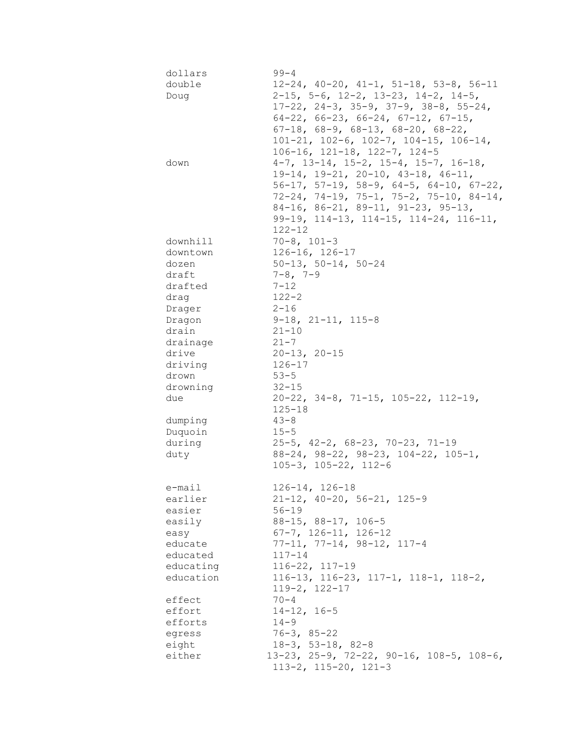| dollars   | $99 - 4$                                                  |
|-----------|-----------------------------------------------------------|
| double    | $12-24$ , $40-20$ , $41-1$ , $51-18$ , $53-8$ , $56-11$   |
| Doug      | $2-15$ , 5-6, 12-2, 13-23, 14-2, 14-5,                    |
|           | $17-22$ , $24-3$ , $35-9$ , $37-9$ , $38-8$ , $55-24$ ,   |
|           | $64-22$ , $66-23$ , $66-24$ , $67-12$ , $67-15$ ,         |
|           | $67-18$ , $68-9$ , $68-13$ , $68-20$ , $68-22$ ,          |
|           | $101-21$ , $102-6$ , $102-7$ , $104-15$ , $106-14$ ,      |
|           | $106-16$ , $121-18$ , $122-7$ , $124-5$                   |
| down      | $4-7$ , 13-14, 15-2, 15-4, 15-7, 16-18,                   |
|           | $19-14$ , $19-21$ , $20-10$ , $43-18$ , $46-11$ ,         |
|           | $56-17$ , $57-19$ , $58-9$ , $64-5$ , $64-10$ , $67-22$ , |
|           | $72-24$ , $74-19$ , $75-1$ , $75-2$ , $75-10$ , $84-14$ , |
|           | $84-16$ , $86-21$ , $89-11$ , $91-23$ , $95-13$ ,         |
|           | 99-19, 114-13, 114-15, 114-24, 116-11,                    |
|           | $122 - 12$                                                |
| downhill  | $70 - 8$ , $101 - 3$                                      |
| downtown  | $126 - 16$ , $126 - 17$                                   |
| dozen     | $50-13$ , $50-14$ , $50-24$                               |
| draft     | $7 - 8$ , $7 - 9$                                         |
| drafted   | $7 - 12$                                                  |
| drag      | $122 - 2$                                                 |
|           | $2 - 16$                                                  |
| Drager    |                                                           |
| Dragon    | $9-18$ , $21-11$ , $115-8$                                |
| drain     | $21 - 10$                                                 |
| drainage  | $21 - 7$                                                  |
| drive     | $20 - 13, 20 - 15$                                        |
| driving   | $126 - 17$                                                |
| drown     | $53 - 5$                                                  |
| drowning  | $32 - 15$                                                 |
| due       | $20-22$ , $34-8$ , $71-15$ , $105-22$ , $112-19$ ,        |
|           | $125 - 18$                                                |
| dumping   | $43 - 8$                                                  |
| Duquoin   | $15 - 5$                                                  |
| during    | $25-5$ , $42-2$ , $68-23$ , $70-23$ , $71-19$             |
| duty      | $88-24$ , $98-22$ , $98-23$ , $104-22$ , $105-1$ ,        |
|           | $105 - 3$ , $105 - 22$ , $112 - 6$                        |
| e-mail    | $126 - 14, 126 - 18$                                      |
| earlier   | $21-12$ , $40-20$ , $56-21$ , $125-9$                     |
| easier    | $56 - 19$                                                 |
| easily    | 88-15, 88-17, 106-5                                       |
| easy      | $67 - 7$ , $126 - 11$ , $126 - 12$                        |
| educate   | $77-11, 77-14, 98-12, 117-4$                              |
| educated  | 117-14                                                    |
| educating | $116 - 22$ , $117 - 19$                                   |
| education | $116-13$ , $116-23$ , $117-1$ , $118-1$ , $118-2$ ,       |
|           | $119-2, 122-17$                                           |
| effect    | 70-4                                                      |
| effort    | $14 - 12, 16 - 5$                                         |
|           | $14 - 9$                                                  |
| efforts   |                                                           |
| egress    | $76 - 3, 85 - 22$                                         |
| eight     | $18-3$ , 53-18, 82-8                                      |
| either    | 13-23, 25-9, 72-22, 90-16, 108-5, 108-6,                  |
|           | $113-2$ , $115-20$ , $121-3$                              |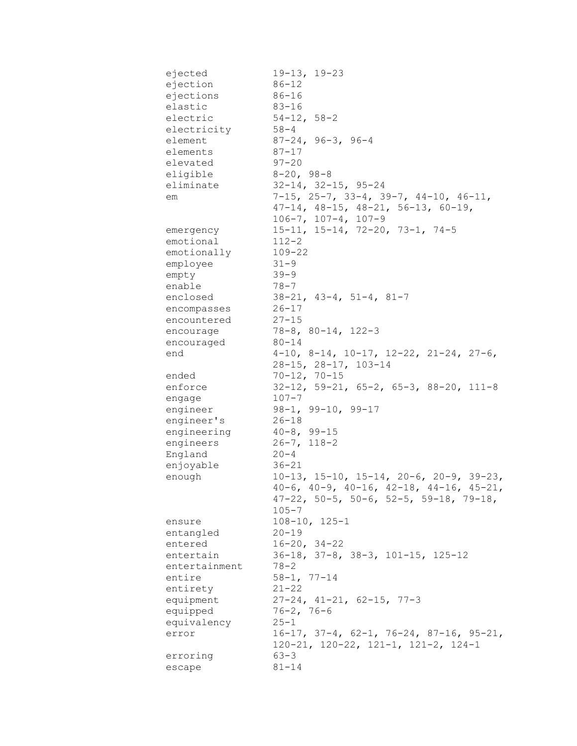| ejected       | $19-13, 19-23$                                            |
|---------------|-----------------------------------------------------------|
| ejection      | $86 - 12$                                                 |
| ejections     | $86 - 16$                                                 |
| elastic       | $83 - 16$                                                 |
| electric      | $54-12, 58-2$                                             |
| electricity   | $58 - 4$                                                  |
| element       | $87 - 24, 96 - 3, 96 - 4$                                 |
| elements      | $87 - 17$                                                 |
| elevated      | $97 - 20$                                                 |
| eligible      | $8 - 20, 98 - 8$                                          |
| eliminate     | $32 - 14$ , $32 - 15$ , $95 - 24$                         |
| em            | 7-15, 25-7, 33-4, 39-7, 44-10, 46-11,                     |
|               | $47-14$ , $48-15$ , $48-21$ , $56-13$ , $60-19$ ,         |
|               | $106 - 7$ , $107 - 4$ , $107 - 9$                         |
|               | $15-11, 15-14, 72-20, 73-1, 74-5$                         |
| emergency     |                                                           |
| emotional     | $112 - 2$                                                 |
| emotionally   | $109 - 22$                                                |
| employee      | $31 - 9$                                                  |
| empty         | $39 - 9$                                                  |
| enable        | $78 - 7$                                                  |
| enclosed      | $38-21$ , $43-4$ , $51-4$ , $81-7$                        |
| encompasses   | $26 - 17$                                                 |
| encountered   | $27 - 15$                                                 |
| encourage     | $78 - 8$ , $80 - 14$ , $122 - 3$                          |
| encouraged    | $80 - 14$                                                 |
| end           | $4-10$ , $8-14$ , $10-17$ , $12-22$ , $21-24$ , $27-6$ ,  |
|               | 28-15, 28-17, 103-14                                      |
| ended         | $70 - 12, 70 - 15$                                        |
| enforce       | $32-12$ , $59-21$ , $65-2$ , $65-3$ , $88-20$ , $111-8$   |
| engage        | $107 - 7$                                                 |
| engineer      | $98-1, 99-10, 99-17$                                      |
| engineer's    | 26-18                                                     |
| engineering   | $40 - 8$ , 99-15                                          |
| engineers     | $26 - 7$ , 118-2                                          |
| England       | $20 - 4$                                                  |
| enjoyable     | $36 - 21$                                                 |
| enough        | $10-13$ , $15-10$ , $15-14$ , $20-6$ , $20-9$ , $39-23$ , |
|               | $40-6$ , $40-9$ , $40-16$ , $42-18$ , $44-16$ , $45-21$ , |
|               | $47-22$ , 50-5, 50-6, 52-5, 59-18, 79-18,                 |
|               | $105 - 7$                                                 |
| ensure        | $108 - 10, 125 - 1$                                       |
| entangled     | $20 - 19$                                                 |
| entered       | $16 - 20$ , $34 - 22$                                     |
| entertain     | $36-18$ , $37-8$ , $38-3$ , $101-15$ , $125-12$           |
| entertainment | 78-2                                                      |
| entire        | $58 - 1, 77 - 14$                                         |
|               | $21 - 22$                                                 |
| entirety      | $27-24$ , $41-21$ , $62-15$ , $77-3$                      |
| equipment     |                                                           |
| equipped      | $76 - 2, 76 - 6$                                          |
| equivalency   | $25 - 1$                                                  |
| error         | $16-17$ , $37-4$ , $62-1$ , $76-24$ , $87-16$ , $95-21$ , |
|               | $120-21$ , $120-22$ , $121-1$ , $121-2$ , $124-1$         |
| erroring      | $63 - 3$                                                  |
| escape        | $81 - 14$                                                 |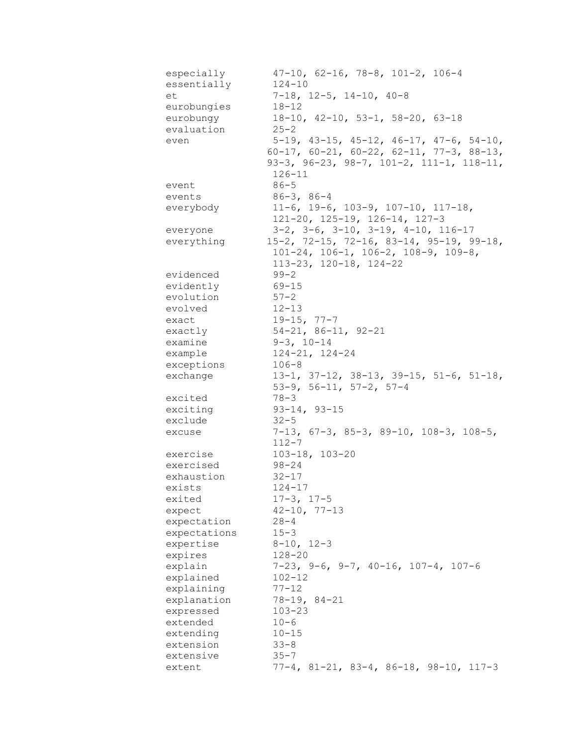| especially   | $47-10$ , 62-16, 78-8, 101-2, 106-4                                                             |
|--------------|-------------------------------------------------------------------------------------------------|
| essentially  | $124 - 10$                                                                                      |
| et           | $7-18$ , $12-5$ , $14-10$ , $40-8$                                                              |
| eurobungies  | $18 - 12$                                                                                       |
| eurobungy    | $18-10$ , $42-10$ , $53-1$ , $58-20$ , $63-18$                                                  |
| evaluation   | $25 - 2$                                                                                        |
| even         | 5-19, 43-15, 45-12, 46-17, 47-6, 54-10,                                                         |
|              | $60-17$ , $60-21$ , $60-22$ , $62-11$ , $77-3$ , $88-13$ ,                                      |
|              | 93-3, 96-23, 98-7, 101-2, 111-1, 118-11,                                                        |
|              | $126 - 11$                                                                                      |
| event        | $86 - 5$                                                                                        |
| events       | $86 - 3, 86 - 4$                                                                                |
| everybody    | $11-6$ , $19-6$ , $103-9$ , $107-10$ , $117-18$ ,                                               |
|              | $121-20$ , $125-19$ , $126-14$ , $127-3$                                                        |
| everyone     | $3-2$ , $3-6$ , $3-10$ , $3-19$ , $4-10$ , $116-17$                                             |
| everything   | 15-2, 72-15, 72-16, 83-14, 95-19, 99-18,                                                        |
|              | $101-24$ , $106-1$ , $106-2$ , $108-9$ , $109-8$ ,                                              |
|              | $113 - 23$ , $120 - 18$ , $124 - 22$                                                            |
| evidenced    | $99 - 2$                                                                                        |
| evidently    | $69 - 15$                                                                                       |
| evolution    | $57 - 2$<br>$12 - 13$                                                                           |
| evolved      |                                                                                                 |
| exact        | $19-15, 77-7$<br>$54-21, 86-11, 92-21$                                                          |
| exactly      | $9 - 3$ , $10 - 14$                                                                             |
| examine      |                                                                                                 |
| example      | $124 - 21, 124 - 24$                                                                            |
| exceptions   | $106 - 8$                                                                                       |
| exchange     | $13-1$ , $37-12$ , $38-13$ , $39-15$ , $51-6$ , $51-18$ ,<br>$53-9$ , $56-11$ , $57-2$ , $57-4$ |
| excited      | $78 - 3$                                                                                        |
| exciting     | $93 - 14, 93 - 15$                                                                              |
| exclude      | $32 - 5$                                                                                        |
| excuse       | $7-13$ , $67-3$ , $85-3$ , $89-10$ , $108-3$ , $108-5$ ,<br>$112 - 7$                           |
| exercise     | $103 - 18$ , $103 - 20$                                                                         |
| exercised    | $98 - 24$                                                                                       |
| exhaustion   | $32 - 17$                                                                                       |
| exists       | $124 - 17$                                                                                      |
| exited       | $17 - 3, 17 - 5$                                                                                |
| expect       | $42 - 10, 77 - 13$                                                                              |
| expectation  | $28 - 4$                                                                                        |
| expectations | $15 - 3$                                                                                        |
| expertise    | $8 - 10$ , $12 - 3$                                                                             |
| expires      | $128 - 20$                                                                                      |
| explain      | $7-23$ , $9-6$ , $9-7$ , $40-16$ , $107-4$ , $107-6$                                            |
| explained    | $102 - 12$                                                                                      |
| explaining   | $77 - 12$                                                                                       |
| explanation  | $78 - 19, 84 - 21$                                                                              |
| expressed    | $103 - 23$                                                                                      |
| extended     | $10 - 6$                                                                                        |
| extending    | $10 - 15$                                                                                       |
| extension    | $33 - 8$                                                                                        |
| extensive    | $35 - 7$                                                                                        |
| extent       | $77-4$ , 81-21, 83-4, 86-18, 98-10, 117-3                                                       |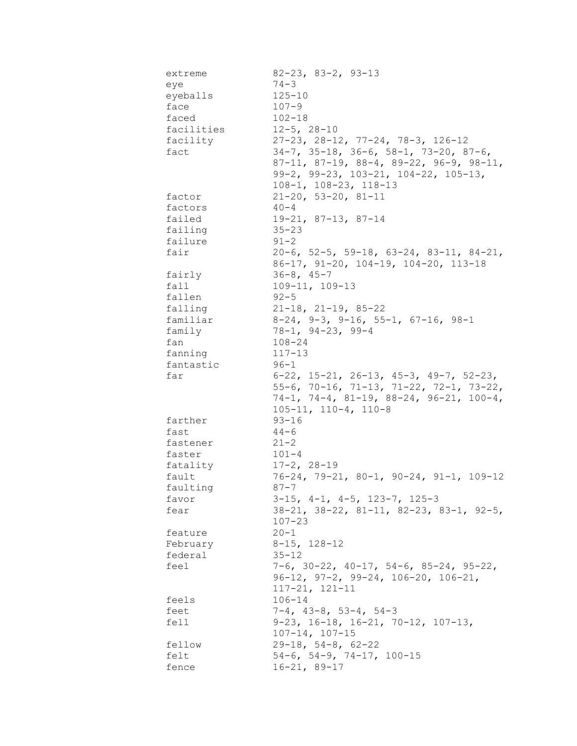| extreme    | $82 - 23$ , $83 - 2$ , $93 - 13$                          |
|------------|-----------------------------------------------------------|
| eye        | $74 - 3$                                                  |
| eyeballs   | $125 - 10$                                                |
| face       | $107 - 9$                                                 |
| faced      | $102 - 18$                                                |
| facilities | $12 - 5$ , $28 - 10$                                      |
| facility   | $27-23$ , $28-12$ , $77-24$ , $78-3$ , $126-12$           |
| fact       | $34-7$ , $35-18$ , $36-6$ , $58-1$ , $73-20$ , $87-6$ ,   |
|            | $87-11, 87-19, 88-4, 89-22, 96-9, 98-11,$                 |
|            | $99-2$ , $99-23$ , $103-21$ , $104-22$ , $105-13$ ,       |
|            | $108-1, 108-23, 118-13$                                   |
| factor     | $21-20, 53-20, 81-11$                                     |
| factors    | $40 - 4$                                                  |
| failed     | $19-21, 87-13, 87-14$                                     |
|            |                                                           |
| failing    | $35 - 23$                                                 |
| failure    | $91 - 2$                                                  |
| fair       | $20-6$ , 52-5, 59-18, 63-24, 83-11, 84-21,                |
|            | 86-17, 91-20, 104-19, 104-20, 113-18                      |
| fairly     | $36 - 8$ , $45 - 7$                                       |
| fall       | $109 - 11, 109 - 13$                                      |
| fallen     | $92 - 5$                                                  |
| falling    | $21-18$ , $21-19$ , $85-22$                               |
| familiar   | $8-24$ , $9-3$ , $9-16$ , $55-1$ , $67-16$ , $98-1$       |
| family     | $78 - 1, 94 - 23, 99 - 4$                                 |
| fan        | $108 - 24$                                                |
| fanning    | $117 - 13$                                                |
| fantastic  | 96-1                                                      |
| far        | $6-22$ , 15-21, 26-13, 45-3, 49-7, 52-23,                 |
|            | 55-6, 70-16, 71-13, 71-22, 72-1, 73-22,                   |
|            | 74-1, 74-4, 81-19, 88-24, 96-21, 100-4,                   |
|            | $105 - 11, 110 - 4, 110 - 8$                              |
| farther    | $93 - 16$                                                 |
| fast       | $44 - 6$                                                  |
| fastener   | $21 - 2$                                                  |
| faster     | $101 - 4$                                                 |
| fatality   | $17-2, 28-19$                                             |
| fault      | $76-24$ , $79-21$ , $80-1$ , $90-24$ , $91-1$ , $109-12$  |
| faulting   | $87 - 7$                                                  |
| favor      | $3-15$ , $4-1$ , $4-5$ , $123-7$ , $125-3$                |
| fear       | $38-21$ , $38-22$ , $81-11$ , $82-23$ , $83-1$ , $92-5$ , |
|            | $107 - 23$                                                |
| feature    | $20 - 1$                                                  |
| February   | $8 - 15$ , 128-12                                         |
| federal    | $35 - 12$                                                 |
| feel       | $7-6$ , 30-22, 40-17, 54-6, 85-24, 95-22,                 |
|            | $96-12$ , $97-2$ , $99-24$ , $106-20$ , $106-21$ ,        |
|            | $117 - 21, 121 - 11$                                      |
| feels      | $106 - 14$                                                |
|            | $7-4$ , $43-8$ , $53-4$ , $54-3$                          |
| feet       |                                                           |
| fell       | $9-23$ , $16-18$ , $16-21$ , $70-12$ , $107-13$ ,         |
|            | $107 - 14, 107 - 15$                                      |
| fellow     | $29-18$ , $54-8$ , $62-22$                                |
| felt       | $54-6$ , $54-9$ , $74-17$ , $100-15$                      |
| fence      | $16 - 21, 89 - 17$                                        |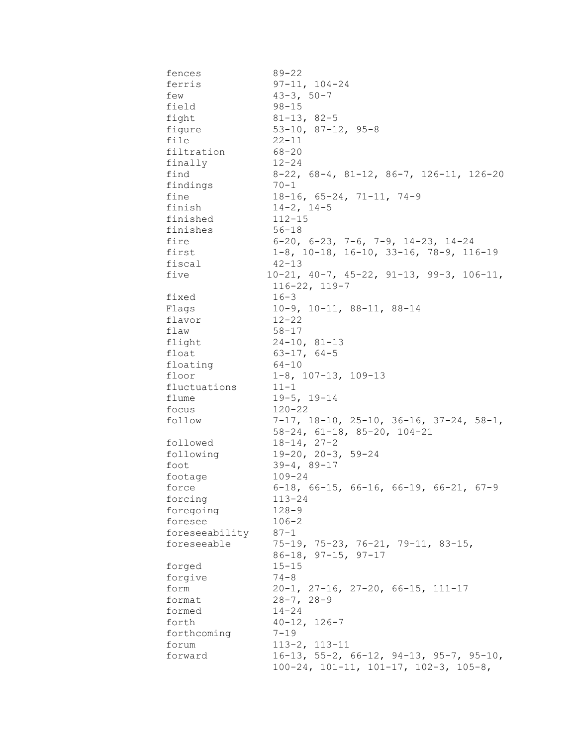| fences               | $89 - 22$                                                  |
|----------------------|------------------------------------------------------------|
| ferris               | $97 - 11, 104 - 24$                                        |
| few                  | $43 - 3, 50 - 7$                                           |
| field                | $98 - 15$                                                  |
| fight                | $81 - 13, 82 - 5$                                          |
| fiqure               | $53-10$ , $87-12$ , $95-8$                                 |
| file                 | $22 - 11$                                                  |
| filtration           | 68-20                                                      |
| finally              | $12 - 24$                                                  |
| find                 | $8-22$ , $68-4$ , $81-12$ , $86-7$ , $126-11$ , $126-20$   |
| findings             | $70 - 1$                                                   |
| fine                 | $18-16$ , 65-24, 71-11, 74-9                               |
| finish               | $14 - 2$ , $14 - 5$                                        |
| finished             | $112 - 15$                                                 |
| finishes             | $56 - 18$                                                  |
| fire                 | $6-20$ , $6-23$ , $7-6$ , $7-9$ , $14-23$ , $14-24$        |
| first                | $1-8$ , $10-18$ , $16-10$ , $33-16$ , $78-9$ , $116-19$    |
| fiscal               | $42 - 13$                                                  |
| five                 | $10-21$ , $40-7$ , $45-22$ , $91-13$ , $99-3$ , $106-11$ , |
|                      | $116 - 22$ , $119 - 7$                                     |
| fixed                | $16 - 3$                                                   |
| Flags                | $10-9$ , $10-11$ , $88-11$ , $88-14$                       |
| flavor               | $12 - 22$                                                  |
| flaw                 | 58-17                                                      |
| flight               | $24-10, 81-13$                                             |
| float                | $63 - 17, 64 - 5$                                          |
| floating             | 64-10                                                      |
| floor                | $1-8$ , 107-13, 109-13                                     |
| fluctuations         | $11 - 1$                                                   |
| flume                | $19-5, 19-14$                                              |
| focus                | $120 - 22$                                                 |
| follow               | $7-17$ , $18-10$ , $25-10$ , $36-16$ , $37-24$ , $58-1$ ,  |
|                      | $58-24$ , $61-18$ , $85-20$ , $104-21$                     |
| followed             | $18 - 14, 27 - 2$                                          |
| following            | $19 - 20$ , $20 - 3$ , $59 - 24$                           |
| foot                 | $39 - 4, 89 - 17$                                          |
| footage              | $109 - 24$                                                 |
| force                | $6-18$ , $66-15$ , $66-16$ , $66-19$ , $66-21$ , $67-9$    |
| forcing              | $113 - 24$<br>$128 - 9$                                    |
| foregoing<br>foresee | $106 - 2$                                                  |
| foreseeability       | $87 - 1$                                                   |
| foreseeable          | $75-19$ , $75-23$ , $76-21$ , $79-11$ , $83-15$ ,          |
|                      | $86-18$ , $97-15$ , $97-17$                                |
| forged               | $15 - 15$                                                  |
| forgive              | $74 - 8$                                                   |
| form                 | $20-1$ , $27-16$ , $27-20$ , $66-15$ , $111-17$            |
| format               | $28 - 7, 28 - 9$                                           |
| formed               | $14 - 24$                                                  |
| forth                | $40 - 12, 126 - 7$                                         |
| forthcoming          | $7 - 19$                                                   |
| forum                | $113 - 2, 113 - 11$                                        |
| forward              | $16-13$ , 55-2, 66-12, 94-13, 95-7, 95-10,                 |
|                      | $100-24$ , $101-11$ , $101-17$ , $102-3$ , $105-8$ ,       |
|                      |                                                            |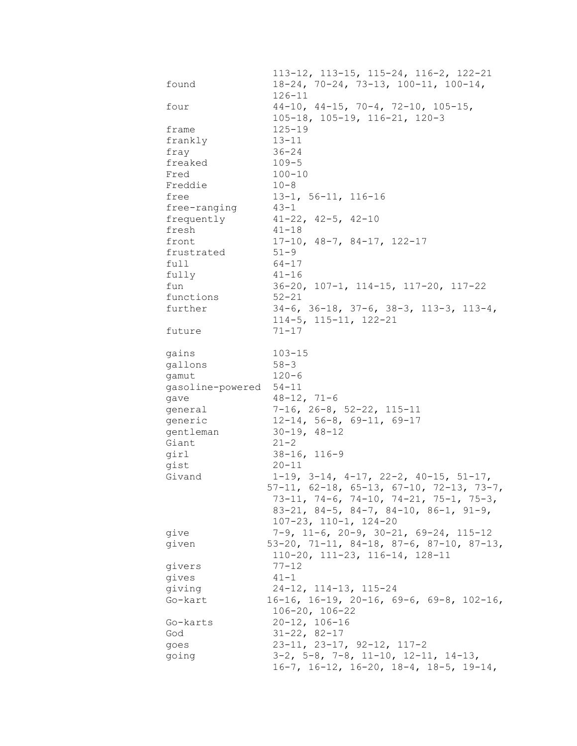|                  | 113-12, 113-15, 115-24, 116-2, 122-21                      |
|------------------|------------------------------------------------------------|
| found            | $18-24, 70-24, 73-13, 100-11, 100-14,$                     |
|                  | $126 - 11$                                                 |
| four             | $44-10$ , $44-15$ , $70-4$ , $72-10$ , $105-15$ ,          |
|                  | 105-18, 105-19, 116-21, 120-3                              |
| frame            | $125 - 19$                                                 |
| frankly          | $13 - 11$                                                  |
| fray             | $36 - 24$                                                  |
| freaked          | $109 - 5$                                                  |
| Fred             | $100 - 10$                                                 |
| Freddie          | $10 - 8$                                                   |
| free             | $13-1, 56-11, 116-16$                                      |
| free-ranging     | $43 - 1$                                                   |
| frequently       | $41 - 22$ , $42 - 5$ , $42 - 10$                           |
| fresh            | $41 - 18$                                                  |
| front            | $17-10$ , $48-7$ , $84-17$ , $122-17$                      |
| frustrated       | $51 - 9$                                                   |
| full             | $64 - 17$                                                  |
| fully            | $41 - 16$                                                  |
| fun              | $36-20$ , $107-1$ , $114-15$ , $117-20$ , $117-22$         |
| functions        | $52 - 21$                                                  |
| further          | $34-6$ , $36-18$ , $37-6$ , $38-3$ , $113-3$ , $113-4$ ,   |
|                  | $114-5$ , $115-11$ , $122-21$                              |
| future           | $71 - 17$                                                  |
|                  |                                                            |
| gains            | $103 - 15$                                                 |
| gallons          | $58 - 3$                                                   |
| gamut            | $120 - 6$                                                  |
| gasoline-powered | $54 - 11$                                                  |
| gave             | $48 - 12, 71 - 6$                                          |
| general          | $7-16$ , 26-8, 52-22, 115-11                               |
| generic          | $12-14$ , 56-8, 69-11, 69-17                               |
| gentleman        | $30 - 19, 48 - 12$                                         |
| Giant            | $21 - 2$                                                   |
| girl             | $38 - 16, 116 - 9$                                         |
| gist             | $20 - 11$                                                  |
| Givand           | $1-19$ , $3-14$ , $4-17$ , $22-2$ , $40-15$ , $51-17$ ,    |
|                  | $57-11$ , $62-18$ , $65-13$ , $67-10$ , $72-13$ , $73-7$ , |
|                  | $73-11, 74-6, 74-10, 74-21, 75-1, 75-3,$                   |
|                  | $83-21$ , $84-5$ , $84-7$ , $84-10$ , $86-1$ , $91-9$ ,    |
|                  | $107 - 23$ , $110 - 1$ , $124 - 20$                        |
| give             | $7-9$ , 11-6, 20-9, 30-21, 69-24, 115-12                   |
| given            | 53-20, 71-11, 84-18, 87-6, 87-10, 87-13,                   |
|                  | $110-20$ , $111-23$ , $116-14$ , $128-11$                  |
| givers           | $77 - 12$                                                  |
| gives            | $41 - 1$                                                   |
| giving           | $24-12$ , 114-13, 115-24                                   |
| Go-kart          | $16-16$ , $16-19$ , $20-16$ , $69-6$ , $69-8$ , $102-16$ , |
|                  | $106 - 20$ , $106 - 22$                                    |
| Go-karts         | $20 - 12, 106 - 16$                                        |
| God              | $31 - 22, 82 - 17$                                         |
| goes             | 23-11, 23-17, 92-12, 117-2                                 |
| going            | $3-2$ , $5-8$ , $7-8$ , $11-10$ , $12-11$ , $14-13$ ,      |
|                  | $16-7$ , $16-12$ , $16-20$ , $18-4$ , $18-5$ , $19-14$ ,   |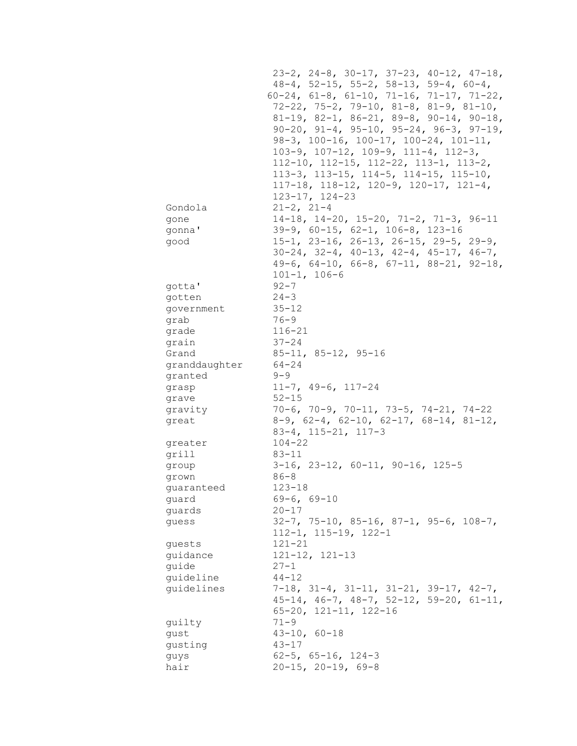|                 | $23-2$ , $24-8$ , $30-17$ , $37-23$ , $40-12$ , $47-18$ ,                                                    |
|-----------------|--------------------------------------------------------------------------------------------------------------|
|                 | $48-4$ , 52-15, 55-2, 58-13, 59-4, 60-4,                                                                     |
|                 | $60-24$ , $61-8$ , $61-10$ , $71-16$ , $71-17$ , $71-22$ ,                                                   |
|                 | $72-22$ , $75-2$ , $79-10$ , $81-8$ , $81-9$ , $81-10$ ,                                                     |
|                 | 81-19, 82-1, 86-21, 89-8, 90-14, 90-18,                                                                      |
|                 | $90-20$ , $91-4$ , $95-10$ , $95-24$ , $96-3$ , $97-19$ ,                                                    |
|                 | $98-3$ , 100-16, 100-17, 100-24, 101-11,                                                                     |
|                 | $103-9$ , $107-12$ , $109-9$ , $111-4$ , $112-3$ ,                                                           |
|                 | $112-10$ , $112-15$ , $112-22$ , $113-1$ , $113-2$ ,<br>$113-3$ , $113-15$ , $114-5$ , $114-15$ , $115-10$ , |
|                 | $117-18$ , $118-12$ , $120-9$ , $120-17$ , $121-4$ ,                                                         |
|                 | $123 - 17$ , $124 - 23$                                                                                      |
| Gondola         | $21 - 2, 21 - 4$                                                                                             |
| gone            | $14-18$ , $14-20$ , $15-20$ , $71-2$ , $71-3$ , $96-11$                                                      |
| gonna'          | $39-9$ , $60-15$ , $62-1$ , $106-8$ , $123-16$                                                               |
| good            | $15-1$ , 23-16, 26-13, 26-15, 29-5, 29-9,                                                                    |
|                 | $30-24$ , $32-4$ , $40-13$ , $42-4$ , $45-17$ , $46-7$ ,                                                     |
|                 | 49-6, 64-10, 66-8, 67-11, 88-21, 92-18,                                                                      |
|                 | $101 - 1, 106 - 6$                                                                                           |
| gotta'          | $92 - 7$                                                                                                     |
| gotten          | $24 - 3$                                                                                                     |
| government      | $35 - 12$                                                                                                    |
| grab            | $76 - 9$                                                                                                     |
| grade           | $116 - 21$                                                                                                   |
| grain           | $37 - 24$                                                                                                    |
| Grand           | $85 - 11, 85 - 12, 95 - 16$                                                                                  |
| granddaughter   | $64 - 24$                                                                                                    |
| granted         | $9 - 9$                                                                                                      |
| grasp           | $11-7, 49-6, 117-24$                                                                                         |
| grave           | $52 - 15$                                                                                                    |
| gravity         | $70-6$ , $70-9$ , $70-11$ , $73-5$ , $74-21$ , $74-22$                                                       |
| great           | $8-9$ , $62-4$ , $62-10$ , $62-17$ , $68-14$ , $81-12$ ,                                                     |
|                 | $83-4$ , $115-21$ , $117-3$                                                                                  |
| greater         | $104 - 22$                                                                                                   |
| grill           | $83 - 11$                                                                                                    |
| group           | $3-16$ , $23-12$ , $60-11$ , $90-16$ , $125-5$                                                               |
| grown           | $86 - 8$                                                                                                     |
| guaranteed      | $123 - 18$                                                                                                   |
| quard           | $69 - 6, 69 - 10$                                                                                            |
| guards          | $20 - 17$                                                                                                    |
| quess           | $32-7$ , $75-10$ , $85-16$ , $87-1$ , $95-6$ , $108-7$ ,                                                     |
|                 | $112 - 1, 115 - 19, 122 - 1$                                                                                 |
| quests          | 121-21                                                                                                       |
| quidance        | $121 - 12$ , $121 - 13$                                                                                      |
| guide           | $27 - 1$                                                                                                     |
| guideline       | $44 - 12$                                                                                                    |
| guidelines      | $7-18$ , $31-4$ , $31-11$ , $31-21$ , $39-17$ , $42-7$ ,                                                     |
|                 | $45-14$ , $46-7$ , $48-7$ , $52-12$ , $59-20$ , $61-11$ ,                                                    |
|                 | $65 - 20$ , $121 - 11$ , $122 - 16$<br>$71 - 9$                                                              |
| guilty          | $43 - 10, 60 - 18$                                                                                           |
| gust<br>gusting | $43 - 17$                                                                                                    |
| guys            | $62 - 5$ , $65 - 16$ , $124 - 3$                                                                             |
| hair            | $20-15$ , $20-19$ , $69-8$                                                                                   |
|                 |                                                                                                              |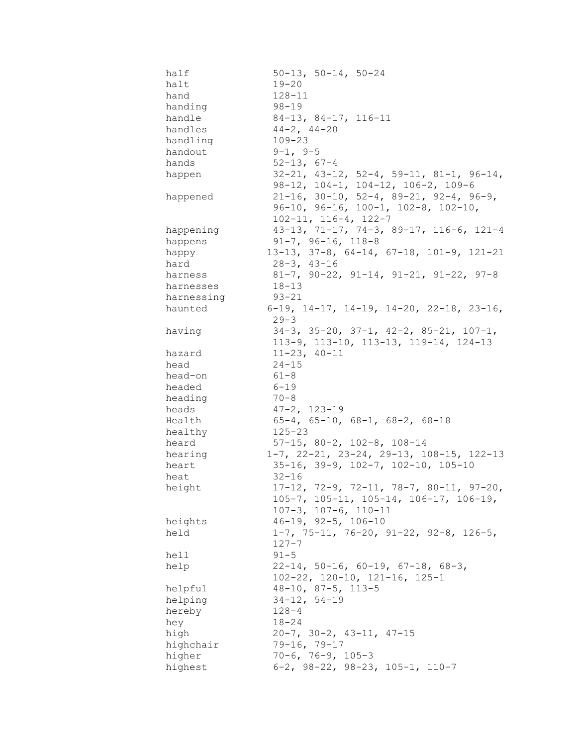| half       | $50-13$ , $50-14$ , $50-24$                                                                                   |
|------------|---------------------------------------------------------------------------------------------------------------|
| halt       | $19 - 20$                                                                                                     |
| hand       | $128 - 11$                                                                                                    |
| handing    | $98 - 19$                                                                                                     |
| handle     | $84-13$ , $84-17$ , $116-11$                                                                                  |
| handles    | $44-2$ , $44-20$                                                                                              |
| handling   | $109 - 23$                                                                                                    |
| handout    | $9-1, 9-5$                                                                                                    |
| hands      | $52 - 13, 67 - 4$                                                                                             |
| happen     | $32-21$ , $43-12$ , $52-4$ , $59-11$ , $81-1$ , $96-14$ ,<br>$98-12$ , $104-1$ , $104-12$ , $106-2$ , $109-6$ |
| happened   | $21-16$ , 30-10, 52-4, 89-21, 92-4, 96-9,                                                                     |
|            | $96-10$ , $96-16$ , $100-1$ , $102-8$ , $102-10$ ,                                                            |
|            | $102 - 11, 116 - 4, 122 - 7$                                                                                  |
| happening  | 43-13, 71-17, 74-3, 89-17, 116-6, 121-4                                                                       |
| happens    | $91-7, 96-16, 118-8$                                                                                          |
| happy      | 13-13, 37-8, 64-14, 67-18, 101-9, 121-21                                                                      |
| hard       | $28 - 3$ , $43 - 16$                                                                                          |
| harness    | $81-7$ , $90-22$ , $91-14$ , $91-21$ , $91-22$ , $97-8$                                                       |
| harnesses  | $18 - 13$                                                                                                     |
| harnessing | $93 - 21$                                                                                                     |
| haunted    | 6-19, 14-17, 14-19, 14-20, 22-18, 23-16,                                                                      |
|            | $29 - 3$                                                                                                      |
| having     | $34-3$ , $35-20$ , $37-1$ , $42-2$ , $85-21$ , $107-1$ ,                                                      |
|            | 113-9, 113-10, 113-13, 119-14, 124-13                                                                         |
| hazard     | $11 - 23, 40 - 11$                                                                                            |
| head       | $24 - 15$                                                                                                     |
| head-on    | $61 - 8$                                                                                                      |
| headed     | $6 - 19$                                                                                                      |
| heading    | $70 - 8$                                                                                                      |
| heads      | $47 - 2, 123 - 19$                                                                                            |
| Health     | $65-4$ , $65-10$ , $68-1$ , $68-2$ , $68-18$                                                                  |
| healthy    | $125 - 23$                                                                                                    |
| heard      | $57-15$ , $80-2$ , $102-8$ , $108-14$                                                                         |
| hearing    | $1-7$ , $22-21$ , $23-24$ , $29-13$ , $108-15$ , $122-13$                                                     |
| heart      | $35-16$ , $39-9$ , $102-7$ , $102-10$ , $105-10$                                                              |
| heat       | $32 - 16$                                                                                                     |
| height     | $17-12$ , 72-9, 72-11, 78-7, 80-11, 97-20,                                                                    |
|            | $105 - 7$ , $105 - 11$ , $105 - 14$ , $106 - 17$ , $106 - 19$ ,                                               |
|            | $107-3$ , $107-6$ , $110-11$                                                                                  |
| heights    | $46 - 19$ , $92 - 5$ , $106 - 10$                                                                             |
| held       | $1-7$ , 75-11, 76-20, 91-22, 92-8, 126-5,                                                                     |
|            | $127 - 7$                                                                                                     |
| hell       | $91 - 5$                                                                                                      |
| help       | $22-14$ , 50-16, 60-19, 67-18, 68-3,<br>$102 - 22$ , $120 - 10$ , $121 - 16$ , $125 - 1$                      |
| helpful    | $48 - 10$ , $87 - 5$ , $113 - 5$                                                                              |
| helping    | $34 - 12, 54 - 19$                                                                                            |
| hereby     | $128 - 4$                                                                                                     |
| hey        | $18 - 24$                                                                                                     |
| high       | $20-7$ , $30-2$ , $43-11$ , $47-15$                                                                           |
| highchair  | $79 - 16, 79 - 17$                                                                                            |
| higher     | $70-6$ , $76-9$ , $105-3$                                                                                     |
| highest    | $6-2$ , $98-22$ , $98-23$ , $105-1$ , $110-7$                                                                 |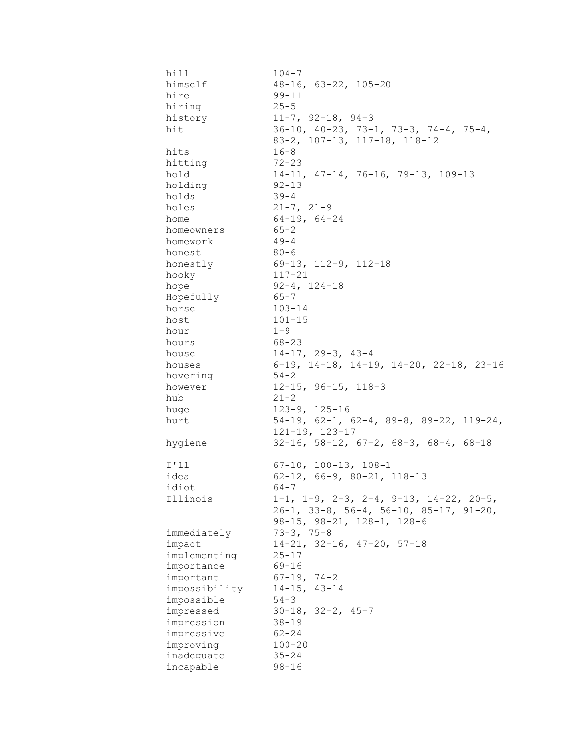| hill          | $104 - 7$                                                   |
|---------------|-------------------------------------------------------------|
| himself       | $48 - 16$ , $63 - 22$ , $105 - 20$                          |
| hire          | $99 - 11$                                                   |
| hiring        | $25 - 5$                                                    |
| history       | $11-7$ , 92-18, 94-3                                        |
| hit           | $36-10$ , $40-23$ , $73-1$ , $73-3$ , $74-4$ , $75-4$ ,     |
|               | 83-2, 107-13, 117-18, 118-12                                |
| hits          | $16 - 8$                                                    |
| hitting       | $72 - 23$                                                   |
| hold          | $14-11, 47-14, 76-16, 79-13, 109-13$                        |
| holding       | $92 - 13$                                                   |
| holds         | $39 - 4$                                                    |
| holes         | $21 - 7, 21 - 9$                                            |
| home          | $64-19, 64-24$                                              |
| homeowners    | $65 - 2$                                                    |
| homework      | $49 - 4$                                                    |
| honest        | $80 - 6$                                                    |
| honestly      | 69-13, 112-9, 112-18                                        |
| hooky         | $117 - 21$                                                  |
| hope          | $92 - 4$ , $124 - 18$                                       |
| Hopefully     | 65-7                                                        |
| horse         | 103-14                                                      |
| host          | $101 - 15$                                                  |
| hour          | $1 - 9$                                                     |
| hours         | 68-23                                                       |
| house         | 14-17, 29-3, 43-4                                           |
| houses        | 6-19, 14-18, 14-19, 14-20, 22-18, 23-16                     |
| hovering      | 54-2                                                        |
| however       | $12 - 15$ , 96-15, 118-3                                    |
| hub           | $21 - 2$                                                    |
| huge          | $123 - 9$ , $125 - 16$                                      |
| hurt          | $54-19$ , $62-1$ , $62-4$ , $89-8$ , $89-22$ , $119-24$ ,   |
|               | $121 - 19$ , $123 - 17$                                     |
| hygiene       | $32-16$ , $58-12$ , $67-2$ , $68-3$ , $68-4$ , $68-18$      |
| I'11          | $67-10$ , $100-13$ , $108-1$                                |
| idea          | $62-12$ , $66-9$ , $80-21$ , $118-13$                       |
| idiot         | 64-7                                                        |
| Illinois      | $1-1$ , $1-9$ , $2-3$ , $2-4$ , $9-13$ , $14-22$ , $20-5$ , |
|               | $26-1$ , 33-8, 56-4, 56-10, 85-17, 91-20,                   |
|               | $98-15$ , $98-21$ , $128-1$ , $128-6$                       |
| immediately   | $73 - 3, 75 - 8$                                            |
| impact        | $14-21, 32-16, 47-20, 57-18$                                |
| implementing  | $25 - 17$                                                   |
| importance    | $69 - 16$                                                   |
| important     | $67 - 19, 74 - 2$                                           |
| impossibility | $14 - 15$ , $43 - 14$                                       |
| impossible    | $54 - 3$                                                    |
| impressed     | $30-18$ , $32-2$ , $45-7$                                   |
| impression    | $38 - 19$                                                   |
| impressive    | $62 - 24$                                                   |
| improving     | $100 - 20$                                                  |
| inadequate    | $35 - 24$                                                   |
| incapable     | $98 - 16$                                                   |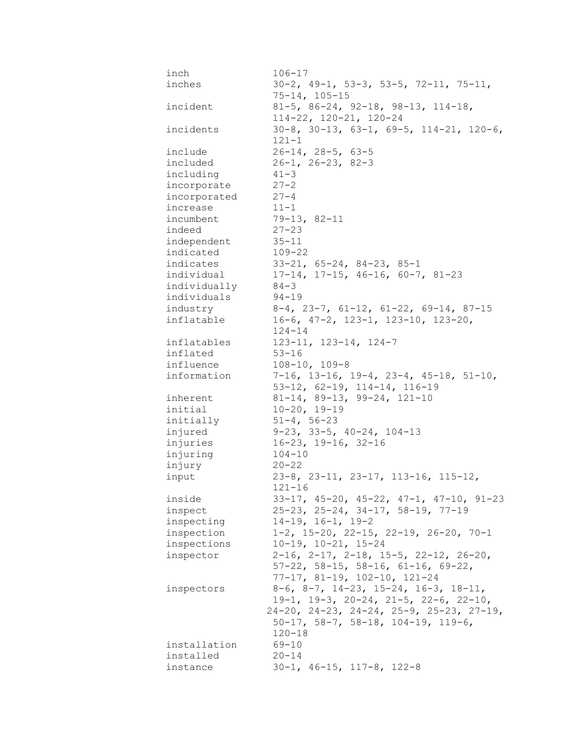| inch         | $106 - 17$                                                                                                   |
|--------------|--------------------------------------------------------------------------------------------------------------|
| inches       | $30-2$ , $49-1$ , $53-3$ , $53-5$ , $72-11$ , $75-11$ ,<br>$75 - 14, 105 - 15$                               |
| incident     | $81-5$ , $86-24$ , $92-18$ , $98-13$ , $114-18$ ,<br>$114-22$ , $120-21$ , $120-24$                          |
| incidents    | $30-8$ , $30-13$ , $63-1$ , $69-5$ , $114-21$ , $120-6$ ,<br>$121 - 1$                                       |
| include      | $26 - 14$ , $28 - 5$ , $63 - 5$                                                                              |
| included     | $26-1, 26-23, 82-3$                                                                                          |
| including    | $41 - 3$                                                                                                     |
| incorporate  | $27 - 2$                                                                                                     |
| incorporated | $27 - 4$                                                                                                     |
| increase     | $11 - 1$                                                                                                     |
| incumbent    | $79-13, 82-11$                                                                                               |
| indeed       | $27 - 23$                                                                                                    |
| independent  | $35 - 11$                                                                                                    |
| indicated    | $109 - 22$                                                                                                   |
| indicates    | $33-21, 65-24, 84-23, 85-1$                                                                                  |
| individual   | $17-14$ , $17-15$ , $46-16$ , $60-7$ , $81-23$                                                               |
| individually | $84 - 3$                                                                                                     |
| individuals  | $94 - 19$                                                                                                    |
| industry     | $8-4$ , 23-7, 61-12, 61-22, 69-14, 87-15                                                                     |
| inflatable   | $16-6$ , $47-2$ , $123-1$ , $123-10$ , $123-20$ ,                                                            |
|              | $124 - 14$                                                                                                   |
| inflatables  | $123 - 11, 123 - 14, 124 - 7$                                                                                |
| inflated     | $53 - 16$                                                                                                    |
| influence    | $108 - 10, 109 - 8$                                                                                          |
| information  | $7-16$ , 13-16, 19-4, 23-4, 45-18, 51-10,                                                                    |
|              | 53-12, 62-19, 114-14, 116-19                                                                                 |
| inherent     | 81-14, 89-13, 99-24, 121-10                                                                                  |
| initial      | $10 - 20, 19 - 19$                                                                                           |
| initially    | $51 - 4, 56 - 23$                                                                                            |
| injured      | $9-23$ , 33-5, 40-24, 104-13                                                                                 |
| injuries     | $16-23$ , $19-16$ , $32-16$                                                                                  |
| injuring     | $104 - 10$                                                                                                   |
| injury       | $20 - 22$                                                                                                    |
| input        | $23-8$ , $23-11$ , $23-17$ , $113-16$ , $115-12$ ,                                                           |
|              | $121 - 16$                                                                                                   |
| inside       | $33-17$ , $45-20$ , $45-22$ , $47-1$ , $47-10$ , $91-23$                                                     |
| inspect      | $25-23$ , $25-24$ , $34-17$ , $58-19$ , $77-19$                                                              |
| inspecting   | $14-19$ , $16-1$ , $19-2$                                                                                    |
| inspection   | $1-2$ , $15-20$ , $22-15$ , $22-19$ , $26-20$ , $70-1$                                                       |
| inspections  | $10-19$ , $10-21$ , $15-24$                                                                                  |
| inspector    | $2-16$ , $2-17$ , $2-18$ , $15-5$ , $22-12$ , $26-20$ ,<br>$57-22$ , $58-15$ , $58-16$ , $61-16$ , $69-22$ , |
|              | $77-17$ , 81-19, 102-10, 121-24                                                                              |
| inspectors   | $8-6$ , $8-7$ , $14-23$ , $15-24$ , $16-3$ , $18-11$ ,                                                       |
|              | $19-1$ , $19-3$ , $20-24$ , $21-5$ , $22-6$ , $22-10$ ,                                                      |
|              | $24-20$ , $24-23$ , $24-24$ , $25-9$ , $25-23$ , $27-19$ ,                                                   |
|              | $50-17$ , $58-7$ , $58-18$ , $104-19$ , $119-6$ ,                                                            |
|              | $120 - 18$                                                                                                   |
| installation | $69 - 10$                                                                                                    |
| installed    | $20 - 14$                                                                                                    |
| instance     | $30-1$ , $46-15$ , $117-8$ , $122-8$                                                                         |
|              |                                                                                                              |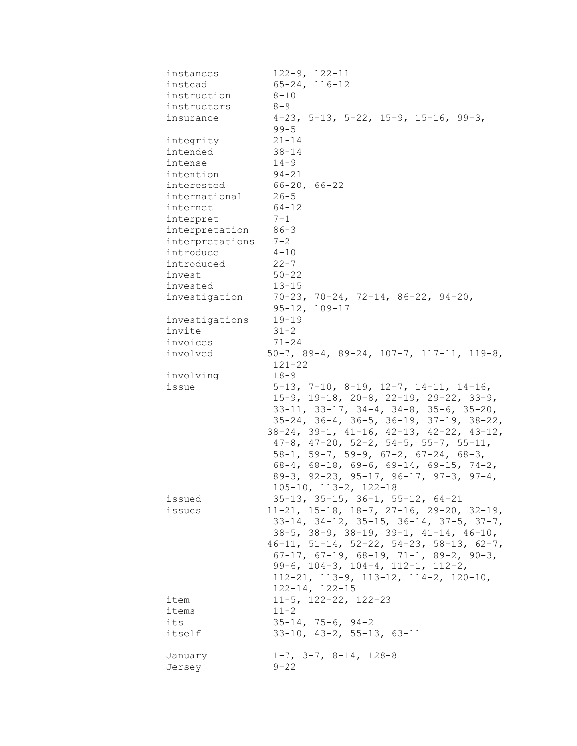| instances           | $122 - 9$ , $122 - 11$                                     |
|---------------------|------------------------------------------------------------|
| instead             | $65 - 24, 116 - 12$                                        |
| instruction         | $8 - 10$                                                   |
| instructors         | $8 - 9$                                                    |
| insurance           | $4-23$ , 5-13, 5-22, 15-9, 15-16, 99-3,                    |
|                     | $99 - 5$                                                   |
| integrity           | $21 - 14$                                                  |
| intended            | $38 - 14$                                                  |
| intense             | $14 - 9$                                                   |
| intention           | $94 - 21$                                                  |
| interested          | $66 - 20$ , $66 - 22$                                      |
| international       | $26 - 5$                                                   |
| internet            | $64 - 12$                                                  |
| interpret           | $7 - 1$                                                    |
| interpretation 86-3 |                                                            |
|                     |                                                            |
| interpretations     | $7 - 2$                                                    |
| introduce           | $4 - 10$                                                   |
| introduced          | $22 - 7$                                                   |
| invest              | $50 - 22$                                                  |
| invested            | $13 - 15$                                                  |
| investigation       | $70-23$ , $70-24$ , $72-14$ , $86-22$ , $94-20$ ,          |
|                     | $95 - 12, 109 - 17$                                        |
| investigations      | $19 - 19$                                                  |
| invite              | $31 - 2$                                                   |
| invoices            | 71-24                                                      |
| involved            | $50-7$ , 89-4, 89-24, 107-7, 117-11, 119-8,<br>$121 - 22$  |
| involving           | $18 - 9$                                                   |
| issue               | $5-13$ , $7-10$ , $8-19$ , $12-7$ , $14-11$ , $14-16$ ,    |
|                     | $15-9$ , $19-18$ , $20-8$ , $22-19$ , $29-22$ , $33-9$ ,   |
|                     | $33-11$ , $33-17$ , $34-4$ , $34-8$ , $35-6$ , $35-20$ ,   |
|                     | $35-24$ , $36-4$ , $36-5$ , $36-19$ , $37-19$ , $38-22$ ,  |
|                     | $38-24$ , $39-1$ , $41-16$ , $42-13$ , $42-22$ , $43-12$ , |
|                     | $47-8$ , $47-20$ , $52-2$ , $54-5$ , $55-7$ , $55-11$ ,    |
|                     | $58-1$ , $59-7$ , $59-9$ , $67-2$ , $67-24$ , $68-3$ ,     |
|                     |                                                            |
|                     | $68-4$ , $68-18$ , $69-6$ , $69-14$ , $69-15$ , $74-2$ ,   |
|                     | $89-3$ , $92-23$ , $95-17$ , $96-17$ , $97-3$ , $97-4$ ,   |
|                     | $105 - 10$ , $113 - 2$ , $122 - 18$                        |
| issued              | $35-13$ , $35-15$ , $36-1$ , $55-12$ , $64-21$             |
| issues              | $11-21$ , $15-18$ , $18-7$ , $27-16$ , $29-20$ , $32-19$ , |
|                     | $33-14$ , $34-12$ , $35-15$ , $36-14$ , $37-5$ , $37-7$ ,  |
|                     | $38-5$ , $38-9$ , $38-19$ , $39-1$ , $41-14$ , $46-10$ ,   |
|                     | $46-11$ , $51-14$ , $52-22$ , $54-23$ , $58-13$ , $62-7$ , |
|                     | $67-17$ , $67-19$ , $68-19$ , $71-1$ , $89-2$ , $90-3$ ,   |
|                     | 99-6, 104-3, 104-4, 112-1, 112-2,                          |
|                     | $112-21$ , $113-9$ , $113-12$ , $114-2$ , $120-10$ ,       |
|                     | $122 - 14$ , $122 - 15$                                    |
| item                | $11-5$ , $122-22$ , $122-23$                               |
| items               | $11 - 2$                                                   |
| its                 | $35 - 14, 75 - 6, 94 - 2$                                  |
| itself              | $33-10$ , $43-2$ , $55-13$ , $63-11$                       |
|                     |                                                            |
| January             | $1-7$ , $3-7$ , $8-14$ , $128-8$                           |
| Jersey              | $9 - 22$                                                   |
|                     |                                                            |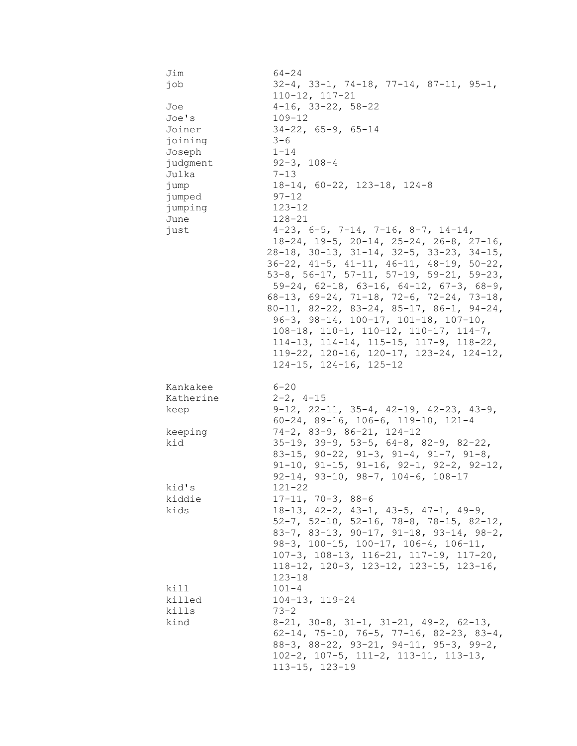| Jim       | $64 - 24$                                                       |
|-----------|-----------------------------------------------------------------|
| job       | $32-4$ , $33-1$ , $74-18$ , $77-14$ , $87-11$ , $95-1$ ,        |
|           | $110 - 12, 117 - 21$                                            |
| Joe       | $4-16$ , $33-22$ , $58-22$                                      |
|           |                                                                 |
| Joe's     | $109 - 12$                                                      |
| Joiner    | $34-22$ , 65-9, 65-14                                           |
| joining   | $3 - 6$                                                         |
| Joseph    | $1 - 14$                                                        |
| judgment  | $92 - 3, 108 - 4$                                               |
| Julka     | $7 - 13$                                                        |
| jump      | $18-14$ , $60-22$ , $123-18$ , $124-8$                          |
| jumped    | $97 - 12$                                                       |
|           | $123 - 12$                                                      |
| jumping   |                                                                 |
| June      | $128 - 21$                                                      |
| just      | $4-23$ , 6-5, 7-14, 7-16, 8-7, 14-14,                           |
|           | $18-24$ , $19-5$ , $20-14$ , $25-24$ , $26-8$ , $27-16$ ,       |
|           | $28-18$ , $30-13$ , $31-14$ , $32-5$ , $33-23$ , $34-15$ ,      |
|           | $36-22$ , $41-5$ , $41-11$ , $46-11$ , $48-19$ , $50-22$ ,      |
|           | 53-8, 56-17, 57-11, 57-19, 59-21, 59-23,                        |
|           | $59-24$ , $62-18$ , $63-16$ , $64-12$ , $67-3$ , $68-9$ ,       |
|           | 68-13, 69-24, 71-18, 72-6, 72-24, 73-18,                        |
|           | 80-11, 82-22, 83-24, 85-17, 86-1, 94-24,                        |
|           | $96-3$ , $98-14$ , $100-17$ , $101-18$ , $107-10$ ,             |
|           | $108-18$ , $110-1$ , $110-12$ , $110-17$ , $114-7$ ,            |
|           | $114-13$ , $114-14$ , $115-15$ , $117-9$ , $118-22$ ,           |
|           | 119-22, 120-16, 120-17, 123-24, 124-12,                         |
|           |                                                                 |
|           | $124-15$ , $124-16$ , $125-12$                                  |
|           |                                                                 |
| Kankakee  | 6-20                                                            |
| Katherine | $2 - 2$ , $4 - 15$                                              |
| keep      | $9-12$ , $22-11$ , $35-4$ , $42-19$ , $42-23$ , $43-9$ ,        |
|           | $60-24$ , 89-16, 106-6, 119-10, 121-4                           |
| keeping   | $74-2$ , 83-9, 86-21, 124-12                                    |
| kid       | $35-19$ , $39-9$ , $53-5$ , $64-8$ , $82-9$ , $82-22$ ,         |
|           | 83-15, 90-22, 91-3, 91-4, 91-7, 91-8,                           |
|           | $91-10$ , $91-15$ , $91-16$ , $92-1$ , $92-2$ , $92-12$ ,       |
|           | $92-14$ , $93-10$ , $98-7$ , $104-6$ , $108-17$                 |
|           |                                                                 |
|           |                                                                 |
| kid's     | $121 - 22$                                                      |
| kiddie    | $17 - 11, 70 - 3, 88 - 6$                                       |
| kids      | $18-13$ , $42-2$ , $43-1$ , $43-5$ , $47-1$ , $49-9$ ,          |
|           | $52-7$ , $52-10$ , $52-16$ , $78-8$ , $78-15$ , $82-12$ ,       |
|           | 83-7, 83-13, 90-17, 91-18, 93-14, 98-2,                         |
|           | 98-3, 100-15, 100-17, 106-4, 106-11,                            |
|           | $107-3$ , $108-13$ , $116-21$ , $117-19$ , $117-20$ ,           |
|           | $118-12$ , $120-3$ , $123-12$ , $123-15$ , $123-16$ ,           |
|           | $123 - 18$                                                      |
| kill      | $101 - 4$                                                       |
| killed    | $104 - 13$ , $119 - 24$                                         |
| kills     | $73 - 2$                                                        |
|           |                                                                 |
| kind      | $8-21$ , $30-8$ , $31-1$ , $31-21$ , $49-2$ , $62-13$ ,         |
|           | 62-14, 75-10, 76-5, 77-16, 82-23, 83-4,                         |
|           | $88-3$ , $88-22$ , $93-21$ , $94-11$ , $95-3$ , $99-2$ ,        |
|           | 102-2, 107-5, 111-2, 113-11, 113-13,<br>$113 - 15$ , $123 - 19$ |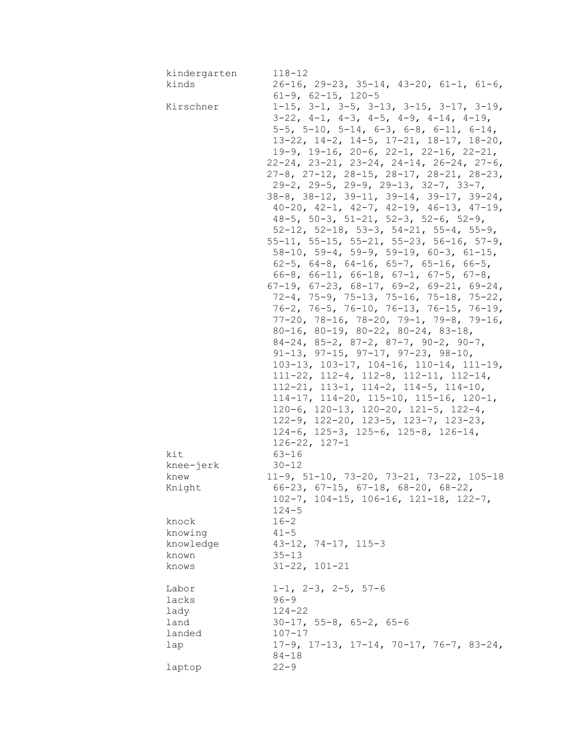| kindergarten | $118 - 12$                                                   |
|--------------|--------------------------------------------------------------|
| kinds        | $26-16$ , 29-23, 35-14, 43-20, 61-1, 61-6,                   |
|              | $61-9$ , $62-15$ , $120-5$                                   |
| Kirschner    | $1-15$ , $3-1$ , $3-5$ , $3-13$ , $3-15$ , $3-17$ , $3-19$ , |
|              | $3-22$ , $4-1$ , $4-3$ , $4-5$ , $4-9$ , $4-14$ , $4-19$ ,   |
|              | $5-5$ , $5-10$ , $5-14$ , $6-3$ , $6-8$ , $6-11$ , $6-14$ ,  |
|              | $13-22$ , $14-2$ , $14-5$ , $17-21$ , $18-17$ , $18-20$ ,    |
|              | $19-9$ , $19-16$ , $20-6$ , $22-1$ , $22-16$ , $22-21$ ,     |
|              | $22-24$ , $23-21$ , $23-24$ , $24-14$ , $26-24$ , $27-6$ ,   |
|              |                                                              |
|              | $27-8$ , $27-12$ , $28-15$ , $28-17$ , $28-21$ , $28-23$ ,   |
|              | $29-2$ , $29-5$ , $29-9$ , $29-13$ , $32-7$ , $33-7$ ,       |
|              | $38-8$ , $38-12$ , $39-11$ , $39-14$ , $39-17$ , $39-24$ ,   |
|              | $40-20$ , $42-1$ , $42-7$ , $42-19$ , $46-13$ , $47-19$ ,    |
|              | $48-5$ , 50-3, 51-21, 52-3, 52-6, 52-9,                      |
|              | $52-12$ , $52-18$ , $53-3$ , $54-21$ , $55-4$ , $55-9$ ,     |
|              | $55-11$ , $55-15$ , $55-21$ , $55-23$ , $56-16$ , $57-9$ ,   |
|              | $58-10$ , $59-4$ , $59-9$ , $59-19$ , $60-3$ , $61-15$ ,     |
|              | 62-5, 64-8, 64-16, 65-7, 65-16, 66-5,                        |
|              | $66-8$ , $66-11$ , $66-18$ , $67-1$ , $67-5$ , $67-8$ ,      |
|              | $67-19$ , $67-23$ , $68-17$ , $69-2$ , $69-21$ , $69-24$ ,   |
|              | $72-4$ , $75-9$ , $75-13$ , $75-16$ , $75-18$ , $75-22$ ,    |
|              | 76-2, 76-5, 76-10, 76-13, 76-15, 76-19,                      |
|              | $77-20$ , $78-16$ , $78-20$ , $79-1$ , $79-8$ , $79-16$ ,    |
|              | $80-16$ , $80-19$ , $80-22$ , $80-24$ , $83-18$ ,            |
|              | $84-24$ , $85-2$ , $87-2$ , $87-7$ , $90-2$ , $90-7$ ,       |
|              |                                                              |
|              | $91-13$ , $97-15$ , $97-17$ , $97-23$ , $98-10$ ,            |
|              | $103-13$ , $103-17$ , $104-16$ , $110-14$ , $111-19$ ,       |
|              | $111-22$ , $112-4$ , $112-8$ , $112-11$ , $112-14$ ,         |
|              | $112-21$ , $113-1$ , $114-2$ , $114-5$ , $114-10$ ,          |
|              | $114-17$ , $114-20$ , $115-10$ , $115-16$ , $120-1$ ,        |
|              | 120-6, 120-13, 120-20, 121-5, 122-4,                         |
|              | 122-9, 122-20, 123-5, 123-7, 123-23,                         |
|              | $124-6$ , $125-3$ , $125-6$ , $125-8$ , $126-14$ ,           |
|              | $126 - 22$ , $127 - 1$                                       |
| kit          | $63 - 16$                                                    |
| knee-jerk    | $30 - 12$                                                    |
| knew         | $11-9$ , 51-10, 73-20, 73-21, 73-22, 105-18                  |
| Knight       | $66-23$ , $67-15$ , $67-18$ , $68-20$ , $68-22$ ,            |
|              | $102-7$ , $104-15$ , $106-16$ , $121-18$ , $122-7$ ,         |
|              | $124 - 5$                                                    |
| knock        | $16 - 2$                                                     |
|              | $41 - 5$                                                     |
| knowing      |                                                              |
| knowledge    | $43-12$ , $74-17$ , $115-3$                                  |
| known        | $35 - 13$                                                    |
| knows        | $31 - 22, 101 - 21$                                          |
|              |                                                              |
| Labor        | $1-1$ , $2-3$ , $2-5$ , $57-6$                               |
| lacks        | $96 - 9$                                                     |
| lady         | $124 - 22$                                                   |
| land         | $30-17$ , $55-8$ , $65-2$ , $65-6$                           |
| landed       | $107 - 17$                                                   |
| lap          | $17-9$ , $17-13$ , $17-14$ , $70-17$ , $76-7$ , $83-24$ ,    |
|              | $84 - 18$                                                    |
| laptop       | $22 - 9$                                                     |
|              |                                                              |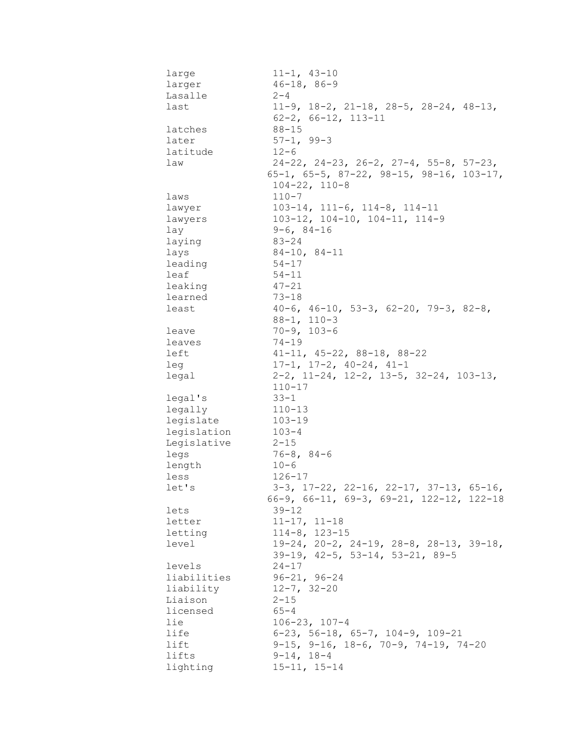| large       | $11 - 1, 43 - 10$                                          |
|-------------|------------------------------------------------------------|
| larger      | $46 - 18, 86 - 9$                                          |
| Lasalle     | $2 - 4$                                                    |
| last        | $11-9$ , $18-2$ , $21-18$ , $28-5$ , $28-24$ , $48-13$ ,   |
|             | $62 - 2$ , $66 - 12$ , $113 - 11$                          |
| latches     | $88 - 15$                                                  |
| later       | $57 - 1, 99 - 3$                                           |
| latitude    | $12 - 6$                                                   |
| law         | $24-22$ , $24-23$ , $26-2$ , $27-4$ , $55-8$ , $57-23$ ,   |
|             | $65-1$ , $65-5$ , $87-22$ , $98-15$ , $98-16$ , $103-17$ , |
|             | $104 - 22, 110 - 8$                                        |
| laws        | $110 - 7$                                                  |
| lawyer      | $103-14$ , $111-6$ , $114-8$ , $114-11$                    |
| lawyers     | $103-12$ , $104-10$ , $104-11$ , $114-9$                   |
| lay         | $9-6, 84-16$                                               |
| laying      | $83 - 24$                                                  |
| lays        | $84-10, 84-11$                                             |
| leading     | $54 - 17$                                                  |
| leaf        | $54 - 11$                                                  |
| leaking     | $47 - 21$                                                  |
| learned     | $73 - 18$                                                  |
| least       | $40-6$ , $46-10$ , $53-3$ , $62-20$ , $79-3$ , $82-8$ ,    |
|             | $88 - 1, 110 - 3$                                          |
| leave       | $70 - 9, 103 - 6$                                          |
| leaves      | $74 - 19$                                                  |
| left        | $41-11, 45-22, 88-18, 88-22$                               |
| leg         | $17-1, 17-2, 40-24, 41-1$                                  |
| legal       | $2-2$ , 11-24, 12-2, 13-5, 32-24, 103-13,                  |
|             | $110 - 17$                                                 |
| legal's     | $33 - 1$                                                   |
| legally     | $110 - 13$                                                 |
| legislate   | $103 - 19$                                                 |
| legislation | $103 - 4$                                                  |
| Legislative | $2 - 15$                                                   |
| legs        | $76 - 8, 84 - 6$                                           |
| length      | $10 - 6$                                                   |
| less        | $126 - 17$                                                 |
| let's       | $3-3$ , $17-22$ , $22-16$ , $22-17$ , $37-13$ , $65-16$ ,  |
|             | 66-9, 66-11, 69-3, 69-21, 122-12, 122-18                   |
| lets        | $39 - 12$                                                  |
| letter      | $11 - 17, 11 - 18$                                         |
| letting     | $114-8$ , $123-15$                                         |
| level       | $19-24$ , $20-2$ , $24-19$ , $28-8$ , $28-13$ , $39-18$ ,  |
|             | $39-19$ , $42-5$ , $53-14$ , $53-21$ , $89-5$              |
| levels      | $24 - 17$                                                  |
| liabilities | $96 - 21, 96 - 24$                                         |
| liability   | $12 - 7, 32 - 20$                                          |
| Liaison     | $2 - 15$                                                   |
| licensed    | $65 - 4$                                                   |
| lie         | $106 - 23$ , $107 - 4$                                     |
| life        | $6-23$ , 56-18, 65-7, 104-9, 109-21                        |
| lift        | $9-15$ , $9-16$ , $18-6$ , $70-9$ , $74-19$ , $74-20$      |
| lifts       | $9-14, 18-4$                                               |
| lighting    | $15 - 11, 15 - 14$                                         |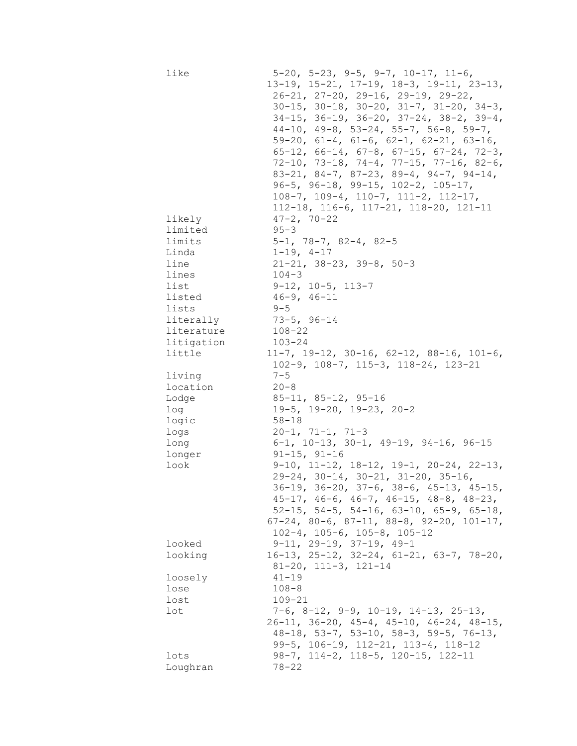| limited<br>$95 - 3$<br>$5-1$ , 78-7, 82-4, 82-5<br>limits<br>Linda<br>$1-19, 4-17$<br>line<br>$21-21$ , $38-23$ , $39-8$ , $50-3$<br>$104 - 3$<br>lines<br>$9-12$ , $10-5$ , $113-7$<br>list<br>$46 - 9, 46 - 11$<br>listed<br>lists<br>$9 - 5$<br>$73 - 5, 96 - 14$<br>literally<br>$108 - 22$<br>literature<br>litigation<br>$103 - 24$<br>little<br>$11-7$ , $19-12$ , $30-16$ , $62-12$ , $88-16$ , $101-6$ ,<br>$102-9$ , $108-7$ , $115-3$ , $118-24$ , $123-21$<br>$7 - 5$<br>living<br>location<br>$20 - 8$<br>Lodge<br>$85 - 11, 85 - 12, 95 - 16$<br>$19-5$ , $19-20$ , $19-23$ , $20-2$<br>log<br>logic<br>$58 - 18$<br>$20-1, 71-1, 71-3$<br>logs<br>$6-1$ , 10-13, 30-1, 49-19, 94-16, 96-15<br>long<br>$91 - 15, 91 - 16$<br>longer<br>$9-10$ , $11-12$ , $18-12$ , $19-1$ , $20-24$ , $22-13$ ,<br>look<br>29-24, 30-14, 30-21, 31-20, 35-16,<br>36-19, 36-20, 37-6, 38-6, 45-13, 45-15,<br>$45-17$ , $46-6$ , $46-7$ , $46-15$ , $48-8$ , $48-23$ ,<br>$52-15$ , $54-5$ , $54-16$ , $63-10$ , $65-9$ , $65-18$ ,<br>$67-24$ , $80-6$ , $87-11$ , $88-8$ , $92-20$ , $101-17$ ,<br>$102-4$ , $105-6$ , $105-8$ , $105-12$<br>$9-11$ , $29-19$ , $37-19$ , $49-1$<br>looked<br>$16-13$ , $25-12$ , $32-24$ , $61-21$ , $63-7$ , $78-20$ ,<br>looking<br>$81 - 20$ , $111 - 3$ , $121 - 14$<br>loosely<br>$41 - 19$<br>$108 - 8$<br>lose<br>lost<br>$109 - 21$<br>$7-6$ , 8-12, 9-9, 10-19, 14-13, 25-13,<br>lot<br>$26-11$ , $36-20$ , $45-4$ , $45-10$ , $46-24$ , $48-15$ ,<br>$48-18$ , 53-7, 53-10, 58-3, 59-5, 76-13,<br>$99-5$ , $106-19$ , $112-21$ , $113-4$ , $118-12$<br>98-7, 114-2, 118-5, 120-15, 122-11<br>lots<br>$78 - 22$ | like<br>likely | $5-20$ , $5-23$ , $9-5$ , $9-7$ , $10-17$ , $11-6$ ,<br>13-19, 15-21, 17-19, 18-3, 19-11, 23-13,<br>$26-21$ , $27-20$ , $29-16$ , $29-19$ , $29-22$ ,<br>$30-15$ , $30-18$ , $30-20$ , $31-7$ , $31-20$ , $34-3$ ,<br>$34-15$ , $36-19$ , $36-20$ , $37-24$ , $38-2$ , $39-4$ ,<br>$44-10$ , $49-8$ , $53-24$ , $55-7$ , $56-8$ , $59-7$ ,<br>$59-20$ , $61-4$ , $61-6$ , $62-1$ , $62-21$ , $63-16$ ,<br>$65-12$ , $66-14$ , $67-8$ , $67-15$ , $67-24$ , $72-3$ ,<br>$72-10$ , $73-18$ , $74-4$ , $77-15$ , $77-16$ , $82-6$ ,<br>$83-21$ , $84-7$ , $87-23$ , $89-4$ , $94-7$ , $94-14$ ,<br>$96-5$ , $96-18$ , $99-15$ , $102-2$ , $105-17$ ,<br>$108-7$ , $109-4$ , $110-7$ , $111-2$ , $112-17$ ,<br>$112-18$ , $116-6$ , $117-21$ , $118-20$ , $121-11$<br>$47 - 2, 70 - 22$ |
|----------------------------------------------------------------------------------------------------------------------------------------------------------------------------------------------------------------------------------------------------------------------------------------------------------------------------------------------------------------------------------------------------------------------------------------------------------------------------------------------------------------------------------------------------------------------------------------------------------------------------------------------------------------------------------------------------------------------------------------------------------------------------------------------------------------------------------------------------------------------------------------------------------------------------------------------------------------------------------------------------------------------------------------------------------------------------------------------------------------------------------------------------------------------------------------------------------------------------------------------------------------------------------------------------------------------------------------------------------------------------------------------------------------------------------------------------------------------------------------------------------------------------------------------------------------------------------------------------------------------------------------------------------|----------------|-------------------------------------------------------------------------------------------------------------------------------------------------------------------------------------------------------------------------------------------------------------------------------------------------------------------------------------------------------------------------------------------------------------------------------------------------------------------------------------------------------------------------------------------------------------------------------------------------------------------------------------------------------------------------------------------------------------------------------------------------------------------------------------|
|                                                                                                                                                                                                                                                                                                                                                                                                                                                                                                                                                                                                                                                                                                                                                                                                                                                                                                                                                                                                                                                                                                                                                                                                                                                                                                                                                                                                                                                                                                                                                                                                                                                          |                |                                                                                                                                                                                                                                                                                                                                                                                                                                                                                                                                                                                                                                                                                                                                                                                     |
|                                                                                                                                                                                                                                                                                                                                                                                                                                                                                                                                                                                                                                                                                                                                                                                                                                                                                                                                                                                                                                                                                                                                                                                                                                                                                                                                                                                                                                                                                                                                                                                                                                                          |                |                                                                                                                                                                                                                                                                                                                                                                                                                                                                                                                                                                                                                                                                                                                                                                                     |
|                                                                                                                                                                                                                                                                                                                                                                                                                                                                                                                                                                                                                                                                                                                                                                                                                                                                                                                                                                                                                                                                                                                                                                                                                                                                                                                                                                                                                                                                                                                                                                                                                                                          |                |                                                                                                                                                                                                                                                                                                                                                                                                                                                                                                                                                                                                                                                                                                                                                                                     |
|                                                                                                                                                                                                                                                                                                                                                                                                                                                                                                                                                                                                                                                                                                                                                                                                                                                                                                                                                                                                                                                                                                                                                                                                                                                                                                                                                                                                                                                                                                                                                                                                                                                          |                |                                                                                                                                                                                                                                                                                                                                                                                                                                                                                                                                                                                                                                                                                                                                                                                     |
|                                                                                                                                                                                                                                                                                                                                                                                                                                                                                                                                                                                                                                                                                                                                                                                                                                                                                                                                                                                                                                                                                                                                                                                                                                                                                                                                                                                                                                                                                                                                                                                                                                                          |                |                                                                                                                                                                                                                                                                                                                                                                                                                                                                                                                                                                                                                                                                                                                                                                                     |
|                                                                                                                                                                                                                                                                                                                                                                                                                                                                                                                                                                                                                                                                                                                                                                                                                                                                                                                                                                                                                                                                                                                                                                                                                                                                                                                                                                                                                                                                                                                                                                                                                                                          |                |                                                                                                                                                                                                                                                                                                                                                                                                                                                                                                                                                                                                                                                                                                                                                                                     |
|                                                                                                                                                                                                                                                                                                                                                                                                                                                                                                                                                                                                                                                                                                                                                                                                                                                                                                                                                                                                                                                                                                                                                                                                                                                                                                                                                                                                                                                                                                                                                                                                                                                          |                |                                                                                                                                                                                                                                                                                                                                                                                                                                                                                                                                                                                                                                                                                                                                                                                     |
|                                                                                                                                                                                                                                                                                                                                                                                                                                                                                                                                                                                                                                                                                                                                                                                                                                                                                                                                                                                                                                                                                                                                                                                                                                                                                                                                                                                                                                                                                                                                                                                                                                                          |                |                                                                                                                                                                                                                                                                                                                                                                                                                                                                                                                                                                                                                                                                                                                                                                                     |
|                                                                                                                                                                                                                                                                                                                                                                                                                                                                                                                                                                                                                                                                                                                                                                                                                                                                                                                                                                                                                                                                                                                                                                                                                                                                                                                                                                                                                                                                                                                                                                                                                                                          |                |                                                                                                                                                                                                                                                                                                                                                                                                                                                                                                                                                                                                                                                                                                                                                                                     |
|                                                                                                                                                                                                                                                                                                                                                                                                                                                                                                                                                                                                                                                                                                                                                                                                                                                                                                                                                                                                                                                                                                                                                                                                                                                                                                                                                                                                                                                                                                                                                                                                                                                          |                |                                                                                                                                                                                                                                                                                                                                                                                                                                                                                                                                                                                                                                                                                                                                                                                     |
|                                                                                                                                                                                                                                                                                                                                                                                                                                                                                                                                                                                                                                                                                                                                                                                                                                                                                                                                                                                                                                                                                                                                                                                                                                                                                                                                                                                                                                                                                                                                                                                                                                                          |                |                                                                                                                                                                                                                                                                                                                                                                                                                                                                                                                                                                                                                                                                                                                                                                                     |
|                                                                                                                                                                                                                                                                                                                                                                                                                                                                                                                                                                                                                                                                                                                                                                                                                                                                                                                                                                                                                                                                                                                                                                                                                                                                                                                                                                                                                                                                                                                                                                                                                                                          |                |                                                                                                                                                                                                                                                                                                                                                                                                                                                                                                                                                                                                                                                                                                                                                                                     |
|                                                                                                                                                                                                                                                                                                                                                                                                                                                                                                                                                                                                                                                                                                                                                                                                                                                                                                                                                                                                                                                                                                                                                                                                                                                                                                                                                                                                                                                                                                                                                                                                                                                          |                |                                                                                                                                                                                                                                                                                                                                                                                                                                                                                                                                                                                                                                                                                                                                                                                     |
|                                                                                                                                                                                                                                                                                                                                                                                                                                                                                                                                                                                                                                                                                                                                                                                                                                                                                                                                                                                                                                                                                                                                                                                                                                                                                                                                                                                                                                                                                                                                                                                                                                                          |                |                                                                                                                                                                                                                                                                                                                                                                                                                                                                                                                                                                                                                                                                                                                                                                                     |
|                                                                                                                                                                                                                                                                                                                                                                                                                                                                                                                                                                                                                                                                                                                                                                                                                                                                                                                                                                                                                                                                                                                                                                                                                                                                                                                                                                                                                                                                                                                                                                                                                                                          |                |                                                                                                                                                                                                                                                                                                                                                                                                                                                                                                                                                                                                                                                                                                                                                                                     |
|                                                                                                                                                                                                                                                                                                                                                                                                                                                                                                                                                                                                                                                                                                                                                                                                                                                                                                                                                                                                                                                                                                                                                                                                                                                                                                                                                                                                                                                                                                                                                                                                                                                          |                |                                                                                                                                                                                                                                                                                                                                                                                                                                                                                                                                                                                                                                                                                                                                                                                     |
|                                                                                                                                                                                                                                                                                                                                                                                                                                                                                                                                                                                                                                                                                                                                                                                                                                                                                                                                                                                                                                                                                                                                                                                                                                                                                                                                                                                                                                                                                                                                                                                                                                                          |                |                                                                                                                                                                                                                                                                                                                                                                                                                                                                                                                                                                                                                                                                                                                                                                                     |
|                                                                                                                                                                                                                                                                                                                                                                                                                                                                                                                                                                                                                                                                                                                                                                                                                                                                                                                                                                                                                                                                                                                                                                                                                                                                                                                                                                                                                                                                                                                                                                                                                                                          |                |                                                                                                                                                                                                                                                                                                                                                                                                                                                                                                                                                                                                                                                                                                                                                                                     |
|                                                                                                                                                                                                                                                                                                                                                                                                                                                                                                                                                                                                                                                                                                                                                                                                                                                                                                                                                                                                                                                                                                                                                                                                                                                                                                                                                                                                                                                                                                                                                                                                                                                          |                |                                                                                                                                                                                                                                                                                                                                                                                                                                                                                                                                                                                                                                                                                                                                                                                     |
|                                                                                                                                                                                                                                                                                                                                                                                                                                                                                                                                                                                                                                                                                                                                                                                                                                                                                                                                                                                                                                                                                                                                                                                                                                                                                                                                                                                                                                                                                                                                                                                                                                                          |                |                                                                                                                                                                                                                                                                                                                                                                                                                                                                                                                                                                                                                                                                                                                                                                                     |
|                                                                                                                                                                                                                                                                                                                                                                                                                                                                                                                                                                                                                                                                                                                                                                                                                                                                                                                                                                                                                                                                                                                                                                                                                                                                                                                                                                                                                                                                                                                                                                                                                                                          |                |                                                                                                                                                                                                                                                                                                                                                                                                                                                                                                                                                                                                                                                                                                                                                                                     |
|                                                                                                                                                                                                                                                                                                                                                                                                                                                                                                                                                                                                                                                                                                                                                                                                                                                                                                                                                                                                                                                                                                                                                                                                                                                                                                                                                                                                                                                                                                                                                                                                                                                          |                |                                                                                                                                                                                                                                                                                                                                                                                                                                                                                                                                                                                                                                                                                                                                                                                     |
|                                                                                                                                                                                                                                                                                                                                                                                                                                                                                                                                                                                                                                                                                                                                                                                                                                                                                                                                                                                                                                                                                                                                                                                                                                                                                                                                                                                                                                                                                                                                                                                                                                                          |                |                                                                                                                                                                                                                                                                                                                                                                                                                                                                                                                                                                                                                                                                                                                                                                                     |
|                                                                                                                                                                                                                                                                                                                                                                                                                                                                                                                                                                                                                                                                                                                                                                                                                                                                                                                                                                                                                                                                                                                                                                                                                                                                                                                                                                                                                                                                                                                                                                                                                                                          |                |                                                                                                                                                                                                                                                                                                                                                                                                                                                                                                                                                                                                                                                                                                                                                                                     |
|                                                                                                                                                                                                                                                                                                                                                                                                                                                                                                                                                                                                                                                                                                                                                                                                                                                                                                                                                                                                                                                                                                                                                                                                                                                                                                                                                                                                                                                                                                                                                                                                                                                          |                |                                                                                                                                                                                                                                                                                                                                                                                                                                                                                                                                                                                                                                                                                                                                                                                     |
|                                                                                                                                                                                                                                                                                                                                                                                                                                                                                                                                                                                                                                                                                                                                                                                                                                                                                                                                                                                                                                                                                                                                                                                                                                                                                                                                                                                                                                                                                                                                                                                                                                                          |                |                                                                                                                                                                                                                                                                                                                                                                                                                                                                                                                                                                                                                                                                                                                                                                                     |
|                                                                                                                                                                                                                                                                                                                                                                                                                                                                                                                                                                                                                                                                                                                                                                                                                                                                                                                                                                                                                                                                                                                                                                                                                                                                                                                                                                                                                                                                                                                                                                                                                                                          |                |                                                                                                                                                                                                                                                                                                                                                                                                                                                                                                                                                                                                                                                                                                                                                                                     |
|                                                                                                                                                                                                                                                                                                                                                                                                                                                                                                                                                                                                                                                                                                                                                                                                                                                                                                                                                                                                                                                                                                                                                                                                                                                                                                                                                                                                                                                                                                                                                                                                                                                          |                |                                                                                                                                                                                                                                                                                                                                                                                                                                                                                                                                                                                                                                                                                                                                                                                     |
|                                                                                                                                                                                                                                                                                                                                                                                                                                                                                                                                                                                                                                                                                                                                                                                                                                                                                                                                                                                                                                                                                                                                                                                                                                                                                                                                                                                                                                                                                                                                                                                                                                                          |                |                                                                                                                                                                                                                                                                                                                                                                                                                                                                                                                                                                                                                                                                                                                                                                                     |
|                                                                                                                                                                                                                                                                                                                                                                                                                                                                                                                                                                                                                                                                                                                                                                                                                                                                                                                                                                                                                                                                                                                                                                                                                                                                                                                                                                                                                                                                                                                                                                                                                                                          |                |                                                                                                                                                                                                                                                                                                                                                                                                                                                                                                                                                                                                                                                                                                                                                                                     |
|                                                                                                                                                                                                                                                                                                                                                                                                                                                                                                                                                                                                                                                                                                                                                                                                                                                                                                                                                                                                                                                                                                                                                                                                                                                                                                                                                                                                                                                                                                                                                                                                                                                          |                |                                                                                                                                                                                                                                                                                                                                                                                                                                                                                                                                                                                                                                                                                                                                                                                     |
|                                                                                                                                                                                                                                                                                                                                                                                                                                                                                                                                                                                                                                                                                                                                                                                                                                                                                                                                                                                                                                                                                                                                                                                                                                                                                                                                                                                                                                                                                                                                                                                                                                                          |                |                                                                                                                                                                                                                                                                                                                                                                                                                                                                                                                                                                                                                                                                                                                                                                                     |
|                                                                                                                                                                                                                                                                                                                                                                                                                                                                                                                                                                                                                                                                                                                                                                                                                                                                                                                                                                                                                                                                                                                                                                                                                                                                                                                                                                                                                                                                                                                                                                                                                                                          |                |                                                                                                                                                                                                                                                                                                                                                                                                                                                                                                                                                                                                                                                                                                                                                                                     |
|                                                                                                                                                                                                                                                                                                                                                                                                                                                                                                                                                                                                                                                                                                                                                                                                                                                                                                                                                                                                                                                                                                                                                                                                                                                                                                                                                                                                                                                                                                                                                                                                                                                          |                |                                                                                                                                                                                                                                                                                                                                                                                                                                                                                                                                                                                                                                                                                                                                                                                     |
|                                                                                                                                                                                                                                                                                                                                                                                                                                                                                                                                                                                                                                                                                                                                                                                                                                                                                                                                                                                                                                                                                                                                                                                                                                                                                                                                                                                                                                                                                                                                                                                                                                                          |                |                                                                                                                                                                                                                                                                                                                                                                                                                                                                                                                                                                                                                                                                                                                                                                                     |
|                                                                                                                                                                                                                                                                                                                                                                                                                                                                                                                                                                                                                                                                                                                                                                                                                                                                                                                                                                                                                                                                                                                                                                                                                                                                                                                                                                                                                                                                                                                                                                                                                                                          |                |                                                                                                                                                                                                                                                                                                                                                                                                                                                                                                                                                                                                                                                                                                                                                                                     |
|                                                                                                                                                                                                                                                                                                                                                                                                                                                                                                                                                                                                                                                                                                                                                                                                                                                                                                                                                                                                                                                                                                                                                                                                                                                                                                                                                                                                                                                                                                                                                                                                                                                          |                |                                                                                                                                                                                                                                                                                                                                                                                                                                                                                                                                                                                                                                                                                                                                                                                     |
|                                                                                                                                                                                                                                                                                                                                                                                                                                                                                                                                                                                                                                                                                                                                                                                                                                                                                                                                                                                                                                                                                                                                                                                                                                                                                                                                                                                                                                                                                                                                                                                                                                                          | Loughran       |                                                                                                                                                                                                                                                                                                                                                                                                                                                                                                                                                                                                                                                                                                                                                                                     |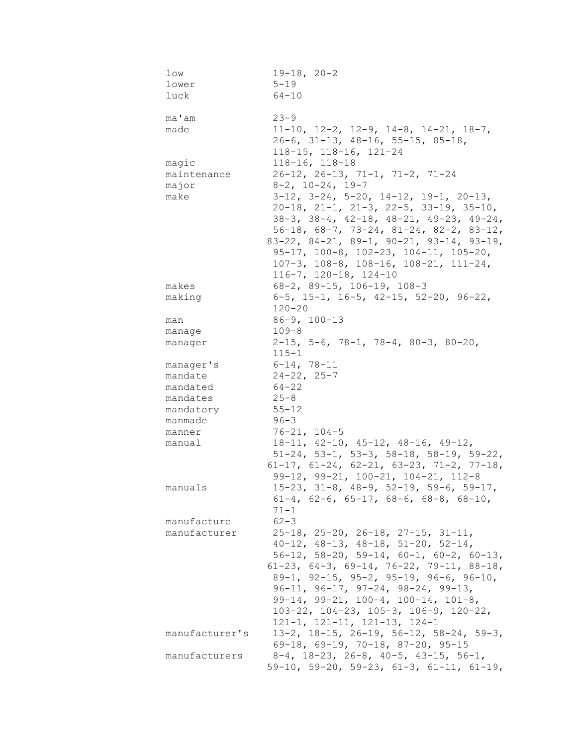| low                  | $19-18, 20-2$                                                                 |
|----------------------|-------------------------------------------------------------------------------|
| lower                | $5 - 19$                                                                      |
| luck                 | $64 - 10$                                                                     |
|                      |                                                                               |
| ma'am                | $23 - 9$                                                                      |
| made                 | $11-10$ , $12-2$ , $12-9$ , $14-8$ , $14-21$ , $18-7$ ,                       |
|                      | $26-6$ , 31-13, 48-16, 55-15, 85-18,                                          |
|                      | $118 - 15$ , $118 - 16$ , $121 - 24$                                          |
| magic                | $118 - 16, 118 - 18$                                                          |
| maintenance<br>major | $26-12$ , $26-13$ , $71-1$ , $71-2$ , $71-24$<br>$8-2$ , $10-24$ , $19-7$     |
| make                 | $3-12$ , $3-24$ , $5-20$ , $14-12$ , $19-1$ , $20-13$ ,                       |
|                      | $20-18$ , $21-1$ , $21-3$ , $22-5$ , $33-19$ , $35-10$ ,                      |
|                      | $38-3$ , $38-4$ , $42-18$ , $48-21$ , $49-23$ , $49-24$ ,                     |
|                      | $56-18$ , $68-7$ , $73-24$ , $81-24$ , $82-2$ , $83-12$ ,                     |
|                      | $83-22$ , $84-21$ , $89-1$ , $90-21$ , $93-14$ , $93-19$ ,                    |
|                      | $95-17$ , $100-8$ , $102-23$ , $104-11$ , $105-20$ ,                          |
|                      | $107-3$ , $108-8$ , $108-16$ , $108-21$ , $111-24$ ,                          |
|                      | $116 - 7$ , $120 - 18$ , $124 - 10$                                           |
| makes                | $68-2$ , $89-15$ , $106-19$ , $108-3$                                         |
| making               | 6-5, 15-1, 16-5, 42-15, 52-20, 96-22,                                         |
|                      | $120 - 20$                                                                    |
| man                  | $86 - 9, 100 - 13$                                                            |
| manage               | $109 - 8$                                                                     |
| manager              | $2-15$ , 5-6, 78-1, 78-4, 80-3, 80-20,                                        |
|                      | $115 - 1$                                                                     |
| manager's            | $6 - 14, 78 - 11$                                                             |
| mandate              | $24 - 22, 25 - 7$                                                             |
| mandated<br>mandates | $64 - 22$<br>$25 - 8$                                                         |
| mandatory            | $55 - 12$                                                                     |
| manmade              | $96 - 3$                                                                      |
| manner               | $76 - 21, 104 - 5$                                                            |
| manual               | $18-11, 42-10, 45-12, 48-16, 49-12,$                                          |
|                      | $51-24$ , $53-1$ , $53-3$ , $58-18$ , $58-19$ , $59-22$ ,                     |
|                      | $61-17$ , $61-24$ , $62-21$ , $63-23$ , $71-2$ , $77-18$ ,                    |
|                      | 99-12, 99-21, 100-21, 104-21, 112-8                                           |
| manuals              | $15-23$ , $31-8$ , $48-9$ , $52-19$ , $59-6$ , $59-17$ ,                      |
|                      | $61-4$ , $62-6$ , $65-17$ , $68-6$ , $68-8$ , $68-10$ ,                       |
|                      | 71-1                                                                          |
| manufacture          | $62 - 3$                                                                      |
| manufacturer         | $25-18$ , $25-20$ , $26-18$ , $27-15$ , $31-11$ ,                             |
|                      | $40-12$ , $48-13$ , $48-18$ , $51-20$ , $52-14$ ,                             |
|                      | $56-12$ , $58-20$ , $59-14$ , $60-1$ , $60-2$ , $60-13$ ,                     |
|                      | 61-23, 64-3, 69-14, 76-22, 79-11, 88-18,                                      |
|                      | $89-1$ , $92-15$ , $95-2$ , $95-19$ , $96-6$ , $96-10$ ,                      |
|                      | $96-11, 96-17, 97-24, 98-24, 99-13,$<br>$99-14, 99-21, 100-4, 100-14, 101-8,$ |
|                      | $103-22$ , $104-23$ , $105-3$ , $106-9$ , $120-22$ ,                          |
|                      | $121-1, 121-11, 121-13, 124-1$                                                |
| manufacturer's       | $13-2$ , $18-15$ , $26-19$ , $56-12$ , $58-24$ , $59-3$ ,                     |
|                      | $69-18$ , $69-19$ , $70-18$ , $87-20$ , $95-15$                               |
| manufacturers        | $8-4$ , $18-23$ , $26-8$ , $40-5$ , $43-15$ , $56-1$ ,                        |
|                      | $59-10$ , $59-20$ , $59-23$ , $61-3$ , $61-11$ , $61-19$ ,                    |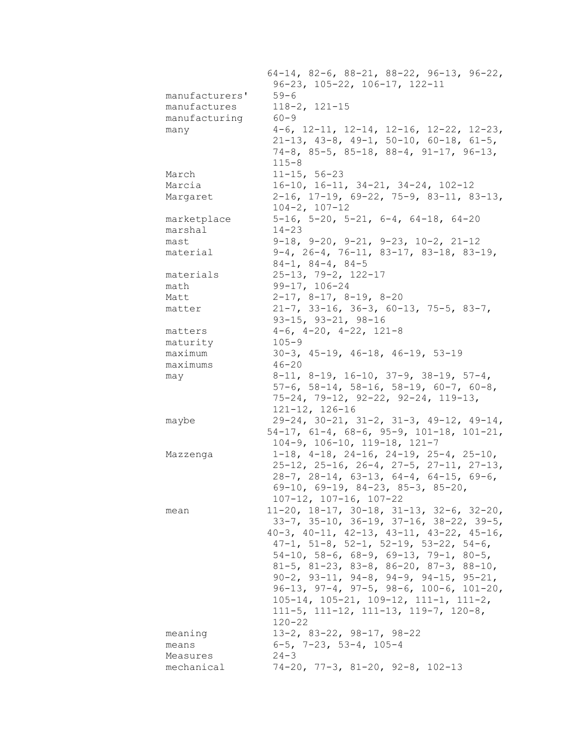|                        | $64-14$ , 82-6, 88-21, 88-22, 96-13, 96-22,                |
|------------------------|------------------------------------------------------------|
|                        | $96-23$ , $105-22$ , $106-17$ , $122-11$                   |
| manufacturers'         | $59 - 6$                                                   |
| manufactures           | $118 - 2, 121 - 15$                                        |
| manufacturing          | $60 - 9$                                                   |
| many                   | $4-6$ , $12-11$ , $12-14$ , $12-16$ , $12-22$ , $12-23$ ,  |
|                        | $21-13$ , $43-8$ , $49-1$ , $50-10$ , $60-18$ , $61-5$ ,   |
|                        | $74-8$ , 85-5, 85-18, 88-4, 91-17, 96-13,                  |
|                        | $115 - 8$                                                  |
| March                  | $11 - 15, 56 - 23$                                         |
| Marcia                 | $16-10$ , $16-11$ , $34-21$ , $34-24$ , $102-12$           |
| Margaret               | $2-16$ , 17-19, 69-22, 75-9, 83-11, 83-13,                 |
|                        | $104 - 2, 107 - 12$                                        |
| marketplace            | $5-16$ , $5-20$ , $5-21$ , $6-4$ , $64-18$ , $64-20$       |
| marshal                | $14 - 23$                                                  |
| mast                   | $9-18$ , $9-20$ , $9-21$ , $9-23$ , $10-2$ , $21-12$       |
| material               | $9-4$ , 26-4, 76-11, 83-17, 83-18, 83-19,                  |
|                        | $84-1, 84-4, 84-5$                                         |
|                        |                                                            |
| materials              | $25 - 13$ , 79-2, 122-17                                   |
| math                   | 99-17, 106-24                                              |
| Matt                   | $2-17$ , $8-17$ , $8-19$ , $8-20$                          |
| matter                 | $21-7$ , 33-16, 36-3, 60-13, 75-5, 83-7,                   |
|                        | $93-15$ , $93-21$ , $98-16$                                |
| matters                | $4-6$ , $4-20$ , $4-22$ , $121-8$                          |
| maturity               | $105 - 9$                                                  |
| maximum                | $30-3$ , $45-19$ , $46-18$ , $46-19$ , $53-19$             |
| maximums               | $46 - 20$                                                  |
| may                    | $8-11$ , $8-19$ , $16-10$ , $37-9$ , $38-19$ , $57-4$ ,    |
|                        | $57-6$ , $58-14$ , $58-16$ , $58-19$ , $60-7$ , $60-8$ ,   |
|                        | $75-24$ , $79-12$ , $92-22$ , $92-24$ , $119-13$ ,         |
|                        |                                                            |
|                        | $121 - 12, 126 - 16$                                       |
| maybe                  | $29-24, 30-21, 31-2, 31-3, 49-12, 49-14,$                  |
|                        | $54-17$ , $61-4$ , $68-6$ , $95-9$ , $101-18$ , $101-21$ , |
|                        | $104-9$ , $106-10$ , $119-18$ , $121-7$                    |
|                        |                                                            |
| Mazzenga               | $1-18$ , $4-18$ , $24-16$ , $24-19$ , $25-4$ , $25-10$ ,   |
|                        | $25-12$ , $25-16$ , $26-4$ , $27-5$ , $27-11$ , $27-13$ ,  |
|                        | $28-7$ , $28-14$ , $63-13$ , $64-4$ , $64-15$ , $69-6$ ,   |
|                        | $69-10$ , $69-19$ , $84-23$ , $85-3$ , $85-20$ ,           |
|                        | $107 - 12$ , $107 - 16$ , $107 - 22$                       |
| mean                   | $11-20$ , $18-17$ , $30-18$ , $31-13$ , $32-6$ , $32-20$ , |
|                        | $33-7$ , $35-10$ , $36-19$ , $37-16$ , $38-22$ , $39-5$ ,  |
|                        | 40-3, 40-11, 42-13, 43-11, 43-22, 45-16,                   |
|                        | $47-1$ , $51-8$ , $52-1$ , $52-19$ , $53-22$ , $54-6$ ,    |
|                        | $54-10$ , $58-6$ , $68-9$ , $69-13$ , $79-1$ , $80-5$ ,    |
|                        | 81-5, 81-23, 83-8, 86-20, 87-3, 88-10,                     |
|                        | $90-2$ , $93-11$ , $94-8$ , $94-9$ , $94-15$ , $95-21$ ,   |
|                        | $96-13$ , $97-4$ , $97-5$ , $98-6$ , $100-6$ , $101-20$ ,  |
|                        | $105-14$ , $105-21$ , $109-12$ , $111-1$ , $111-2$ ,       |
|                        | 111-5, 111-12, 111-13, 119-7, 120-8,                       |
|                        | $120 - 22$                                                 |
| meaning                | 13-2, 83-22, 98-17, 98-22                                  |
| means                  | $6-5$ , 7-23, 53-4, 105-4                                  |
| Measures<br>mechanical | $24 - 3$<br>$74-20$ , $77-3$ , $81-20$ , $92-8$ , $102-13$ |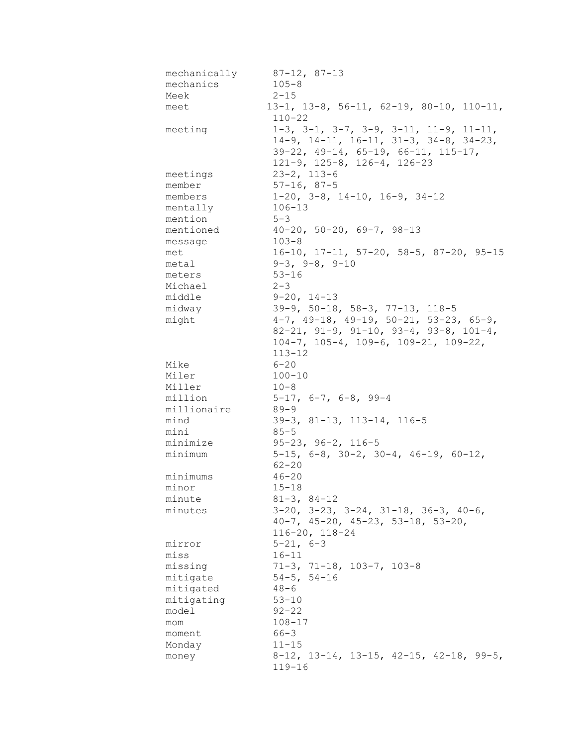| mechanically | $87-12, 87-13$                                              |
|--------------|-------------------------------------------------------------|
| mechanics    | $105 - 8$                                                   |
| Meek         | $2 - 15$                                                    |
| meet         | $13-1$ , $13-8$ , $56-11$ , $62-19$ , $80-10$ , $110-11$ ,  |
|              | $110 - 22$                                                  |
| meeting      | $1-3$ , $3-1$ , $3-7$ , $3-9$ , $3-11$ , $11-9$ , $11-11$ , |
|              | $14-9$ , $14-11$ , $16-11$ , $31-3$ , $34-8$ , $34-23$ ,    |
|              | $39-22$ , $49-14$ , $65-19$ , $66-11$ , $115-17$ ,          |
|              | $121-9$ , $125-8$ , $126-4$ , $126-23$                      |
| meetings     | $23 - 2, 113 - 6$                                           |
| member       | $57 - 16, 87 - 5$                                           |
| members      | $1-20$ , $3-8$ , $14-10$ , $16-9$ , $34-12$                 |
| mentally     | $106 - 13$                                                  |
| mention      | $5 - 3$                                                     |
| mentioned    | $40-20$ , 50-20, 69-7, 98-13                                |
| message      | $103 - 8$                                                   |
| met          | $16-10$ , $17-11$ , $57-20$ , $58-5$ , $87-20$ , $95-15$    |
| metal        | $9-3, 9-8, 9-10$                                            |
| meters       | $53 - 16$                                                   |
| Michael      | $2 - 3$                                                     |
| middle       | $9 - 20, 14 - 13$                                           |
| midway       | $39-9$ , $50-18$ , $58-3$ , $77-13$ , $118-5$               |
| might        | $4-7$ , $49-18$ , $49-19$ , $50-21$ , $53-23$ , $65-9$ ,    |
|              | $82-21$ , $91-9$ , $91-10$ , $93-4$ , $93-8$ , $101-4$ ,    |
|              | $104-7$ , $105-4$ , $109-6$ , $109-21$ , $109-22$ ,         |
|              | $113 - 12$                                                  |
| Mike         | $6 - 20$                                                    |
| Miler        | $100 - 10$                                                  |
| Miller       | $10 - 8$                                                    |
| million      | $5-17$ , $6-7$ , $6-8$ , $99-4$                             |
| millionaire  | $89 - 9$                                                    |
| mind         | $39-3$ , $81-13$ , $113-14$ , $116-5$                       |
| mini         | $85 - 5$                                                    |
| minimize     | $95-23, 96-2, 116-5$                                        |
| minimum      | $5-15$ , 6-8, 30-2, 30-4, 46-19, 60-12,                     |
|              | $62 - 20$                                                   |
| minimums     | $46 - 20$                                                   |
| minor        | $15 - 18$                                                   |
| minute       | $81 - 3, 84 - 12$                                           |
| minutes      | $3-20$ , $3-23$ , $3-24$ , $31-18$ , $36-3$ , $40-6$ ,      |
|              | $40-7$ , $45-20$ , $45-23$ , $53-18$ , $53-20$ ,            |
|              | $116 - 20$ , $118 - 24$                                     |
| mirror       | $5 - 21, 6 - 3$                                             |
| miss         | $16 - 11$                                                   |
| missing      | $71-3$ , $71-18$ , $103-7$ , $103-8$                        |
| mitigate     | $54 - 5, 54 - 16$                                           |
| mitigated    | $48 - 6$                                                    |
| mitigating   | $53 - 10$                                                   |
| model        | $92 - 22$                                                   |
| mom          | $108 - 17$                                                  |
| moment       | $66 - 3$                                                    |
| Monday       | $11 - 15$                                                   |
| money        | $8-12$ , 13-14, 13-15, 42-15, 42-18, 99-5,                  |
|              | $119 - 16$                                                  |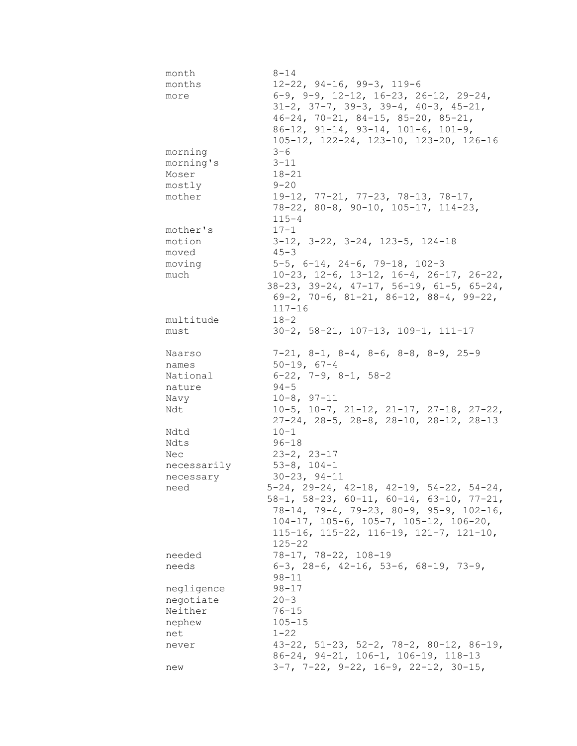| month       | $8 - 14$                                                                                      |
|-------------|-----------------------------------------------------------------------------------------------|
| months      | $12-22$ , $94-16$ , $99-3$ , $119-6$                                                          |
| more        | $6-9$ , $9-9$ , $12-12$ , $16-23$ , $26-12$ , $29-24$ ,                                       |
|             | $31-2$ , $37-7$ , $39-3$ , $39-4$ , $40-3$ , $45-21$ ,                                        |
|             | $46-24$ , $70-21$ , $84-15$ , $85-20$ , $85-21$ ,                                             |
|             | $86-12$ , $91-14$ , $93-14$ , $101-6$ , $101-9$ ,                                             |
|             | 105-12, 122-24, 123-10, 123-20, 126-16                                                        |
| morning     | $3 - 6$                                                                                       |
| morning's   | $3 - 11$                                                                                      |
|             | $18 - 21$                                                                                     |
| Moser       |                                                                                               |
| mostly      | $9 - 20$                                                                                      |
| mother      | 19-12, 77-21, 77-23, 78-13, 78-17,                                                            |
|             | 78-22, 80-8, 90-10, 105-17, 114-23,                                                           |
|             | $115 - 4$                                                                                     |
| mother's    | $17 - 1$                                                                                      |
| motion      | $3-12$ , $3-22$ , $3-24$ , $123-5$ , $124-18$                                                 |
| moved       | $45 - 3$                                                                                      |
| moving      | $5-5$ , $6-14$ , $24-6$ , $79-18$ , $102-3$                                                   |
| much        | $10-23$ , $12-6$ , $13-12$ , $16-4$ , $26-17$ , $26-22$ ,                                     |
|             | $38-23$ , $39-24$ , $47-17$ , $56-19$ , $61-5$ , $65-24$ ,                                    |
|             | $69-2$ , 70-6, 81-21, 86-12, 88-4, 99-22,                                                     |
|             | $117 - 16$                                                                                    |
| multitude   | $18 - 2$                                                                                      |
| must        | $30-2$ , $58-21$ , $107-13$ , $109-1$ , $111-17$                                              |
|             |                                                                                               |
| Naarso      | $7-21$ , $8-1$ , $8-4$ , $8-6$ , $8-8$ , $8-9$ , $25-9$                                       |
| names       | $50 - 19, 67 - 4$                                                                             |
|             |                                                                                               |
|             |                                                                                               |
| National    | $6-22$ , $7-9$ , $8-1$ , $58-2$                                                               |
| nature      | $94 - 5$                                                                                      |
| Navy        | $10-8, 97-11$                                                                                 |
| Ndt         | $10-5$ , $10-7$ , $21-12$ , $21-17$ , $27-18$ , $27-22$ ,                                     |
|             | $27-24$ , $28-5$ , $28-8$ , $28-10$ , $28-12$ , $28-13$                                       |
| Ndtd        | $10 - 1$                                                                                      |
| Ndts        | $96 - 18$                                                                                     |
| Nec         | $23 - 2, 23 - 17$                                                                             |
| necessarily | $53 - 8$ , $104 - 1$                                                                          |
| necessary   | $30 - 23, 94 - 11$                                                                            |
| need        | $5-24$ , 29-24, 42-18, 42-19, 54-22, 54-24,                                                   |
|             | $58-1$ , $58-23$ , $60-11$ , $60-14$ , $63-10$ , $77-21$ ,                                    |
|             |                                                                                               |
|             | $78-14$ , $79-4$ , $79-23$ , $80-9$ , $95-9$ , $102-16$ ,                                     |
|             | $104-17$ , $105-6$ , $105-7$ , $105-12$ , $106-20$ ,                                          |
|             | $115-16$ , $115-22$ , $116-19$ , $121-7$ , $121-10$ ,                                         |
|             | $125 - 22$                                                                                    |
| needed      | 78-17, 78-22, 108-19                                                                          |
| needs       | $6-3$ , 28-6, 42-16, 53-6, 68-19, 73-9,                                                       |
|             | $98 - 11$                                                                                     |
| negligence  | $98 - 17$                                                                                     |
| negotiate   | $20 - 3$                                                                                      |
| Neither     | $76 - 15$                                                                                     |
| nephew      | $105 - 15$                                                                                    |
| net         | $1 - 22$                                                                                      |
| never       | $43-22$ , $51-23$ , $52-2$ , $78-2$ , $80-12$ , $86-19$ ,                                     |
|             | 86-24, 94-21, 106-1, 106-19, 118-13<br>$3-7$ , $7-22$ , $9-22$ , $16-9$ , $22-12$ , $30-15$ , |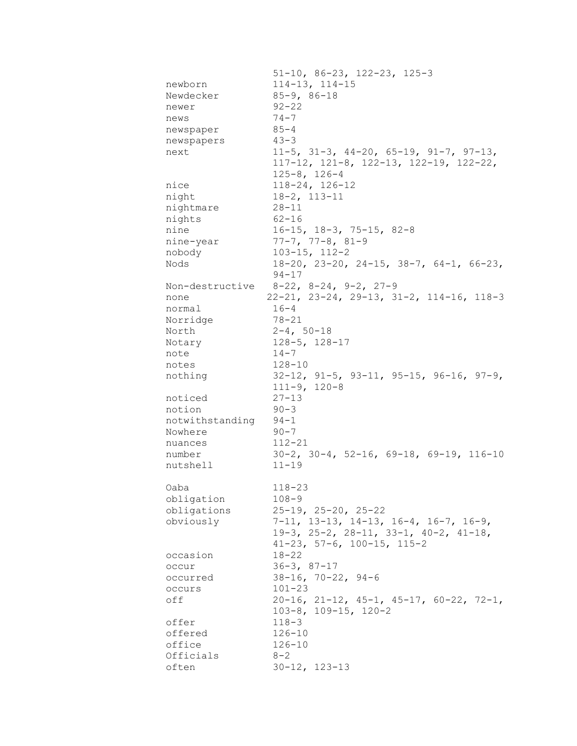|                 | $51-10$ , 86-23, 122-23, 125-3                                                                                                             |
|-----------------|--------------------------------------------------------------------------------------------------------------------------------------------|
| newborn         | $114 - 13$ , $114 - 15$                                                                                                                    |
| Newdecker       | $85 - 9, 86 - 18$                                                                                                                          |
| newer           | $92 - 22$                                                                                                                                  |
| news            | $74 - 7$                                                                                                                                   |
| newspaper       | $85 - 4$                                                                                                                                   |
| newspapers      | $43 - 3$                                                                                                                                   |
| next            | $11-5$ , $31-3$ , $44-20$ , $65-19$ , $91-7$ , $97-13$ ,<br>$117-12$ , $121-8$ , $122-13$ , $122-19$ , $122-22$ ,<br>$125 - 8$ , $126 - 4$ |
| nice            | $118 - 24, 126 - 12$                                                                                                                       |
| night           | $18 - 2, 113 - 11$                                                                                                                         |
| nightmare       | $28 - 11$                                                                                                                                  |
| nights          | $62 - 16$                                                                                                                                  |
| nine            | $16-15$ , $18-3$ , $75-15$ , $82-8$                                                                                                        |
|                 | $77-7, 77-8, 81-9$                                                                                                                         |
| nine-year       |                                                                                                                                            |
| nobody          | $103 - 15$ , $112 - 2$                                                                                                                     |
| Nods            | $18-20$ , $23-20$ , $24-15$ , $38-7$ , $64-1$ , $66-23$ ,<br>$94 - 17$                                                                     |
|                 | Non-destructive 8-22, 8-24, 9-2, 27-9                                                                                                      |
| none            | $22-21, 23-24, 29-13, 31-2, 114-16, 118-3$                                                                                                 |
| normal          | $16 - 4$                                                                                                                                   |
| Norridge        | 78-21                                                                                                                                      |
| North           | $2 - 4, 50 - 18$                                                                                                                           |
| Notary          | $128 - 5$ , $128 - 17$                                                                                                                     |
| note            | $14 - 7$                                                                                                                                   |
| notes           | $128 - 10$                                                                                                                                 |
| nothing         | $32-12$ , $91-5$ , $93-11$ , $95-15$ , $96-16$ , $97-9$ ,<br>$111-9, 120-8$                                                                |
| noticed         | $27 - 13$                                                                                                                                  |
| notion          | $90 - 3$                                                                                                                                   |
| notwithstanding | $94 - 1$                                                                                                                                   |
| Nowhere         | $90 - 7$                                                                                                                                   |
| nuances         | $112 - 21$                                                                                                                                 |
| number          | $30-2$ , $30-4$ , $52-16$ , $69-18$ , $69-19$ , $116-10$                                                                                   |
| nutshell        | $11 - 19$                                                                                                                                  |
| Oaba            | $118 - 23$                                                                                                                                 |
| obligation      | $108 - 9$                                                                                                                                  |
| obligations     | $25-19$ , $25-20$ , $25-22$                                                                                                                |
| obviously       | 7-11, 13-13, 14-13, 16-4, 16-7, 16-9,                                                                                                      |
|                 | 19-3, 25-2, 28-11, 33-1, 40-2, 41-18,                                                                                                      |
|                 | $41-23$ , 57-6, 100-15, 115-2                                                                                                              |
| occasion        | $18 - 22$                                                                                                                                  |
| occur           | $36 - 3, 87 - 17$                                                                                                                          |
| occurred        | $38 - 16$ , $70 - 22$ , $94 - 6$                                                                                                           |
| occurs          | $101 - 23$                                                                                                                                 |
| off             | $20-16$ , $21-12$ , $45-1$ , $45-17$ , $60-22$ , $72-1$ ,<br>$103-8$ , $109-15$ , $120-2$                                                  |
| offer           | $118 - 3$                                                                                                                                  |
| offered         | $126 - 10$                                                                                                                                 |
| office          | $126 - 10$                                                                                                                                 |
| Officials       | $8 - 2$                                                                                                                                    |
| often           | $30 - 12, 123 - 13$                                                                                                                        |
|                 |                                                                                                                                            |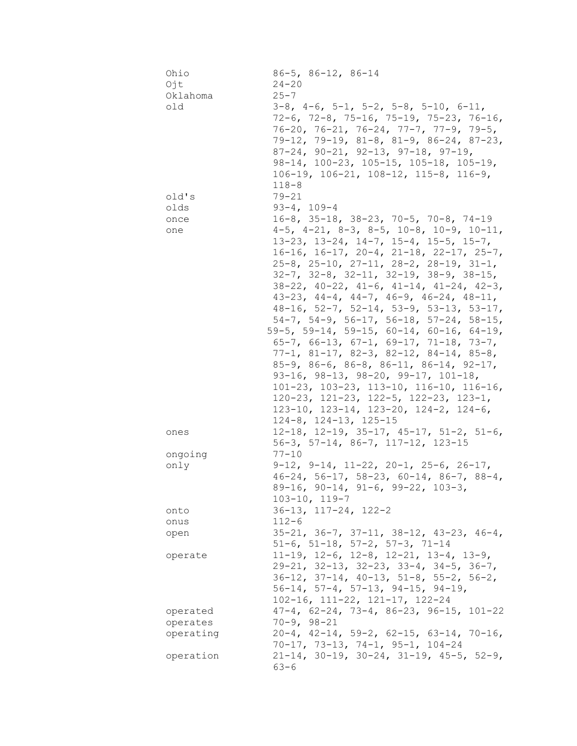| Ohio<br>Ojt | $86 - 5$ , $86 - 12$ , $86 - 14$<br>$24 - 20$                |
|-------------|--------------------------------------------------------------|
| Oklahoma    | $25 - 7$                                                     |
| old         | $3-8$ , $4-6$ , $5-1$ , $5-2$ , $5-8$ , $5-10$ , $6-11$ ,    |
|             | $72-6$ , $72-8$ , $75-16$ , $75-19$ , $75-23$ , $76-16$ ,    |
|             | $76-20$ , $76-21$ , $76-24$ , $77-7$ , $77-9$ , $79-5$ ,     |
|             | 79-12, 79-19, 81-8, 81-9, 86-24, 87-23,                      |
|             | $87-24$ , $90-21$ , $92-13$ , $97-18$ , $97-19$ ,            |
|             | $98-14$ , $100-23$ , $105-15$ , $105-18$ , $105-19$ ,        |
|             | $106-19$ , $106-21$ , $108-12$ , $115-8$ , $116-9$ ,         |
|             | $118 - 8$                                                    |
| old's       | $79 - 21$                                                    |
| olds        | $93 - 4, 109 - 4$                                            |
| once        | $16-8$ , 35-18, 38-23, 70-5, 70-8, 74-19                     |
| one         | $4-5$ , $4-21$ , $8-3$ , $8-5$ , $10-8$ , $10-9$ , $10-11$ , |
|             | $13-23$ , $13-24$ , $14-7$ , $15-4$ , $15-5$ , $15-7$ ,      |
|             | $16-16$ , $16-17$ , $20-4$ , $21-18$ , $22-17$ , $25-7$ ,    |
|             | $25-8$ , $25-10$ , $27-11$ , $28-2$ , $28-19$ , $31-1$ ,     |
|             | $32-7$ , $32-8$ , $32-11$ , $32-19$ , $38-9$ , $38-15$ ,     |
|             | $38-22$ , $40-22$ , $41-6$ , $41-14$ , $41-24$ , $42-3$ ,    |
|             | $43-23$ , $44-4$ , $44-7$ , $46-9$ , $46-24$ , $48-11$ ,     |
|             | $48-16$ , $52-7$ , $52-14$ , $53-9$ , $53-13$ , $53-17$ ,    |
|             | $54-7$ , $54-9$ , $56-17$ , $56-18$ , $57-24$ , $58-15$ ,    |
|             | 59-5, 59-14, 59-15, 60-14, 60-16, 64-19,                     |
|             | $65-7$ , $66-13$ , $67-1$ , $69-17$ , $71-18$ , $73-7$ ,     |
|             | $77-1, 81-17, 82-3, 82-12, 84-14, 85-8,$                     |
|             | $85-9$ , $86-6$ , $86-8$ , $86-11$ , $86-14$ , $92-17$ ,     |
|             | $93-16$ , $98-13$ , $98-20$ , $99-17$ , $101-18$ ,           |
|             | $101-23$ , $103-23$ , $113-10$ , $116-10$ , $116-16$ ,       |
|             | $120-23$ , $121-23$ , $122-5$ , $122-23$ , $123-1$ ,         |
|             | $123-10$ , $123-14$ , $123-20$ , $124-2$ , $124-6$ ,         |
|             | $124-8$ , $124-13$ , $125-15$                                |
| ones        | $12-18$ , $12-19$ , $35-17$ , $45-17$ , $51-2$ , $51-6$ ,    |
|             | 56-3, 57-14, 86-7, 117-12, 123-15                            |
| ongoing     | $77 - 10$                                                    |
| only        | $9-12$ , $9-14$ , $11-22$ , $20-1$ , $25-6$ , $26-17$ ,      |
|             | $46-24$ , 56-17, 58-23, 60-14, 86-7, 88-4,                   |
|             | 89-16, 90-14, 91-6, 99-22, 103-3,<br>$103 - 10, 119 - 7$     |
| onto        | $36-13$ , $117-24$ , $122-2$                                 |
| onus        | $112 - 6$                                                    |
| open        | $35-21, 36-7, 37-11, 38-12, 43-23, 46-4,$                    |
|             | $51-6$ , $51-18$ , $57-2$ , $57-3$ , $71-14$                 |
| operate     | $11-19$ , $12-6$ , $12-8$ , $12-21$ , $13-4$ , $13-9$ ,      |
|             | $29-21$ , $32-13$ , $32-23$ , $33-4$ , $34-5$ , $36-7$ ,     |
|             | $36-12$ , $37-14$ , $40-13$ , $51-8$ , $55-2$ , $56-2$ ,     |
|             | $56-14$ , $57-4$ , $57-13$ , $94-15$ , $94-19$ ,             |
|             | 102-16, 111-22, 121-17, 122-24                               |
| operated    | $47-4$ , $62-24$ , $73-4$ , $86-23$ , $96-15$ , $101-22$     |
| operates    | $70 - 9, 98 - 21$                                            |
| operating   | $20-4$ , $42-14$ , $59-2$ , $62-15$ , $63-14$ , $70-16$ ,    |
|             | $70-17$ , $73-13$ , $74-1$ , $95-1$ , $104-24$               |
| operation   | $21-14$ , 30-19, 30-24, 31-19, 45-5, 52-9,                   |
|             | $63 - 6$                                                     |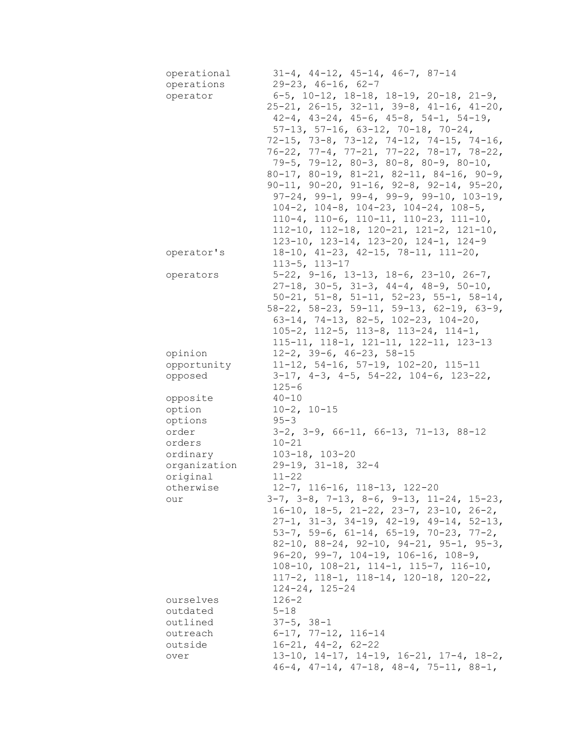| operational<br>operations<br>operator | $31-4$ , $44-12$ , $45-14$ , $46-7$ , $87-14$<br>$29-23, 46-16, 62-7$<br>$6-5$ , 10-12, 18-18, 18-19, 20-18, 21-9,<br>$25-21$ , $26-15$ , $32-11$ , $39-8$ , $41-16$ , $41-20$ ,<br>$42-4$ , $43-24$ , $45-6$ , $45-8$ , $54-1$ , $54-19$ ,<br>$57-13$ , $57-16$ , $63-12$ , $70-18$ , $70-24$ ,<br>$72-15$ , $73-8$ , $73-12$ , $74-12$ , $74-15$ , $74-16$ ,<br>$76-22$ , $77-4$ , $77-21$ , $77-22$ , $78-17$ , $78-22$ ,<br>$79-5$ , $79-12$ , $80-3$ , $80-8$ , $80-9$ , $80-10$ ,<br>80-17, 80-19, 81-21, 82-11, 84-16, 90-9,<br>$90-11, 90-20, 91-16, 92-8, 92-14, 95-20,$<br>$97-24$ , $99-1$ , $99-4$ , $99-9$ , $99-10$ , $103-19$ ,<br>$104-2$ , $104-8$ , $104-23$ , $104-24$ , $108-5$ ,<br>$110-4$ , $110-6$ , $110-11$ , $110-23$ , $111-10$ ,<br>$112-10$ , $112-18$ , $120-21$ , $121-2$ , $121-10$ ,<br>123-10, 123-14, 123-20, 124-1, 124-9 |
|---------------------------------------|----------------------------------------------------------------------------------------------------------------------------------------------------------------------------------------------------------------------------------------------------------------------------------------------------------------------------------------------------------------------------------------------------------------------------------------------------------------------------------------------------------------------------------------------------------------------------------------------------------------------------------------------------------------------------------------------------------------------------------------------------------------------------------------------------------------------------------------------------------------|
| operator's                            | $18-10$ , $41-23$ , $42-15$ , $78-11$ , $111-20$ ,<br>$113 - 5, 113 - 17$                                                                                                                                                                                                                                                                                                                                                                                                                                                                                                                                                                                                                                                                                                                                                                                      |
| operators                             | $5-22$ , $9-16$ , $13-13$ , $18-6$ , $23-10$ , $26-7$ ,<br>$27-18$ , 30-5, 31-3, 44-4, 48-9, 50-10,<br>$50-21$ , $51-8$ , $51-11$ , $52-23$ , $55-1$ , $58-14$ ,<br>$58-22$ , $58-23$ , $59-11$ , $59-13$ , $62-19$ , $63-9$ ,<br>63-14, 74-13, 82-5, 102-23, 104-20,<br>105-2, 112-5, 113-8, 113-24, 114-1,<br>115-11, 118-1, 121-11, 122-11, 123-13                                                                                                                                                                                                                                                                                                                                                                                                                                                                                                          |
| opinion                               | $12-2$ , 39-6, 46-23, 58-15                                                                                                                                                                                                                                                                                                                                                                                                                                                                                                                                                                                                                                                                                                                                                                                                                                    |
| opportunity<br>opposed                | $11-12$ , 54-16, 57-19, 102-20, 115-11<br>$3-17$ , $4-3$ , $4-5$ , $54-22$ , $104-6$ , $123-22$ ,<br>$125 - 6$                                                                                                                                                                                                                                                                                                                                                                                                                                                                                                                                                                                                                                                                                                                                                 |
| opposite                              | $40 - 10$                                                                                                                                                                                                                                                                                                                                                                                                                                                                                                                                                                                                                                                                                                                                                                                                                                                      |
| option                                | $10-2, 10-15$                                                                                                                                                                                                                                                                                                                                                                                                                                                                                                                                                                                                                                                                                                                                                                                                                                                  |
| options                               | $95 - 3$                                                                                                                                                                                                                                                                                                                                                                                                                                                                                                                                                                                                                                                                                                                                                                                                                                                       |
| order                                 | $3-2$ , $3-9$ , $66-11$ , $66-13$ , $71-13$ , $88-12$                                                                                                                                                                                                                                                                                                                                                                                                                                                                                                                                                                                                                                                                                                                                                                                                          |
| orders                                | $10 - 21$                                                                                                                                                                                                                                                                                                                                                                                                                                                                                                                                                                                                                                                                                                                                                                                                                                                      |
| ordinary                              | $103 - 18$ , $103 - 20$                                                                                                                                                                                                                                                                                                                                                                                                                                                                                                                                                                                                                                                                                                                                                                                                                                        |
| organization                          | $29-19, 31-18, 32-4$                                                                                                                                                                                                                                                                                                                                                                                                                                                                                                                                                                                                                                                                                                                                                                                                                                           |
| original<br>otherwise                 | $11 - 22$<br>$12-7$ , $116-16$ , $118-13$ , $122-20$                                                                                                                                                                                                                                                                                                                                                                                                                                                                                                                                                                                                                                                                                                                                                                                                           |
| our                                   | $3-7$ , $3-8$ , $7-13$ , $8-6$ , $9-13$ , $11-24$ , $15-23$ ,                                                                                                                                                                                                                                                                                                                                                                                                                                                                                                                                                                                                                                                                                                                                                                                                  |
|                                       | $16-10$ , $18-5$ , $21-22$ , $23-7$ , $23-10$ , $26-2$ ,<br>$27-1$ , $31-3$ , $34-19$ , $42-19$ , $49-14$ , $52-13$ ,<br>$53-7$ , $59-6$ , $61-14$ , $65-19$ , $70-23$ , $77-2$ ,<br>$82-10$ , $88-24$ , $92-10$ , $94-21$ , $95-1$ , $95-3$ ,<br>$96-20$ , $99-7$ , $104-19$ , $106-16$ , $108-9$ ,<br>$108-10$ , $108-21$ , $114-1$ , $115-7$ , $116-10$ ,<br>$117-2$ , $118-1$ , $118-14$ , $120-18$ , $120-22$ ,<br>$124 - 24$ , $125 - 24$                                                                                                                                                                                                                                                                                                                                                                                                                |
| ourselves<br>outdated                 | $126 - 2$<br>$5 - 18$                                                                                                                                                                                                                                                                                                                                                                                                                                                                                                                                                                                                                                                                                                                                                                                                                                          |
| outlined                              | $37 - 5$ , $38 - 1$                                                                                                                                                                                                                                                                                                                                                                                                                                                                                                                                                                                                                                                                                                                                                                                                                                            |
| outreach                              | $6-17$ , $77-12$ , $116-14$                                                                                                                                                                                                                                                                                                                                                                                                                                                                                                                                                                                                                                                                                                                                                                                                                                    |
| outside                               | $16-21, 44-2, 62-22$                                                                                                                                                                                                                                                                                                                                                                                                                                                                                                                                                                                                                                                                                                                                                                                                                                           |
| over                                  | $13-10$ , $14-17$ , $14-19$ , $16-21$ , $17-4$ , $18-2$ ,                                                                                                                                                                                                                                                                                                                                                                                                                                                                                                                                                                                                                                                                                                                                                                                                      |
|                                       | $46-4$ , $47-14$ , $47-18$ , $48-4$ , $75-11$ , $88-1$ ,                                                                                                                                                                                                                                                                                                                                                                                                                                                                                                                                                                                                                                                                                                                                                                                                       |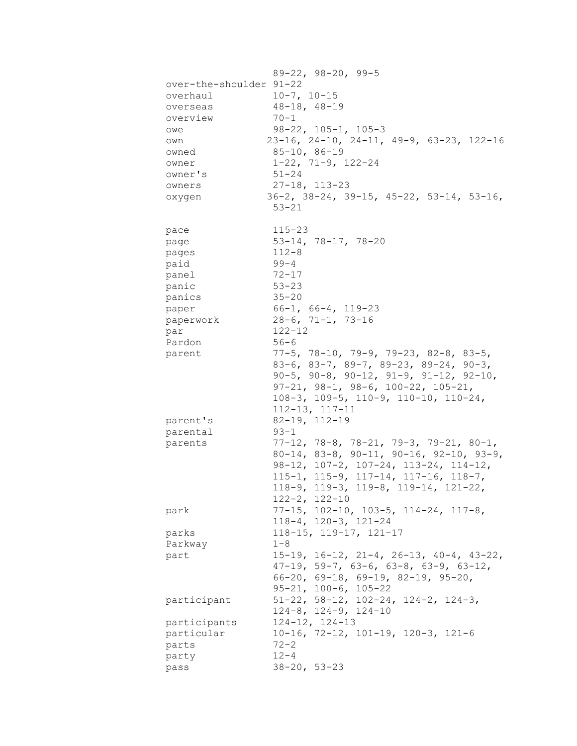|       |                         | $89 - 22$ , $98 - 20$ , $99 - 5$                           |  |  |  |
|-------|-------------------------|------------------------------------------------------------|--|--|--|
|       | over-the-shoulder 91-22 |                                                            |  |  |  |
|       | overhaul                | $10-7, 10-15$                                              |  |  |  |
|       | overseas                | $48 - 18, 48 - 19$                                         |  |  |  |
|       | overview                | $70 - 1$                                                   |  |  |  |
|       |                         | $98-22$ , $105-1$ , $105-3$                                |  |  |  |
| owe   |                         | 23-16, 24-10, 24-11, 49-9, 63-23, 122-16                   |  |  |  |
| own   |                         |                                                            |  |  |  |
|       | owned                   | $85 - 10, 86 - 19$                                         |  |  |  |
| owner |                         | $1-22$ , $71-9$ , $122-24$                                 |  |  |  |
|       | owner's                 | $51 - 24$                                                  |  |  |  |
|       | owners                  | $27 - 18$ , $113 - 23$                                     |  |  |  |
|       | oxygen                  | $36-2$ , $38-24$ , $39-15$ , $45-22$ , $53-14$ , $53-16$ , |  |  |  |
|       |                         | $53 - 21$                                                  |  |  |  |
|       |                         |                                                            |  |  |  |
| pace  |                         | $115 - 23$                                                 |  |  |  |
| page  |                         | $53-14, 78-17, 78-20$                                      |  |  |  |
| pages |                         | $112 - 8$                                                  |  |  |  |
| paid  |                         | 99-4                                                       |  |  |  |
| panel |                         | 72-17                                                      |  |  |  |
| panic |                         | $53 - 23$                                                  |  |  |  |
|       | panics                  | $35 - 20$                                                  |  |  |  |
| paper |                         | $66-1, 66-4, 119-23$                                       |  |  |  |
|       | paperwork               | 28-6, 71-1, 73-16                                          |  |  |  |
| par   |                         | $122 - 12$                                                 |  |  |  |
|       | Pardon                  | $56 - 6$                                                   |  |  |  |
|       | parent                  | $77-5$ , $78-10$ , $79-9$ , $79-23$ , $82-8$ , $83-5$ ,    |  |  |  |
|       |                         | $83-6$ , $83-7$ , $89-7$ , $89-23$ , $89-24$ , $90-3$ ,    |  |  |  |
|       |                         |                                                            |  |  |  |
|       |                         | 90-5, 90-8, 90-12, 91-9, 91-12, 92-10,                     |  |  |  |
|       |                         | $97-21, 98-1, 98-6, 100-22, 105-21,$                       |  |  |  |
|       |                         | 108-3, 109-5, 110-9, 110-10, 110-24,                       |  |  |  |
|       |                         | $112 - 13$ , $117 - 11$                                    |  |  |  |
|       | parent's                | $82-19$ , $112-19$                                         |  |  |  |
|       | parental                | $93 - 1$                                                   |  |  |  |
|       | parents                 | $77-12$ , $78-8$ , $78-21$ , $79-3$ , $79-21$ , $80-1$ ,   |  |  |  |
|       |                         | $80-14$ , $83-8$ , $90-11$ , $90-16$ , $92-10$ , $93-9$ ,  |  |  |  |
|       |                         | $98-12$ , $107-2$ , $107-24$ , $113-24$ , $114-12$ ,       |  |  |  |
|       |                         | 115-1, 115-9, 117-14, 117-16, 118-7,                       |  |  |  |
|       |                         | $118-9$ , $119-3$ , $119-8$ , $119-14$ , $121-22$ ,        |  |  |  |
|       |                         | $122 - 2, 122 - 10$                                        |  |  |  |
|       |                         |                                                            |  |  |  |
| park  |                         | $77-15$ , $102-10$ , $103-5$ , $114-24$ , $117-8$ ,        |  |  |  |
|       |                         | $118-4, 120-3, 121-24$                                     |  |  |  |
| parks |                         | $118 - 15$ , $119 - 17$ , $121 - 17$                       |  |  |  |
|       | Parkway                 | $1 - 8$                                                    |  |  |  |
| part  |                         | $15-19$ , $16-12$ , $21-4$ , $26-13$ , $40-4$ , $43-22$ ,  |  |  |  |
|       |                         | $47-19$ , 59-7, 63-6, 63-8, 63-9, 63-12,                   |  |  |  |
|       |                         | $66-20$ , $69-18$ , $69-19$ , $82-19$ , $95-20$ ,          |  |  |  |
|       |                         | $95 - 21, 100 - 6, 105 - 22$                               |  |  |  |
|       | participant             | $51-22$ , $58-12$ , $102-24$ , $124-2$ , $124-3$ ,         |  |  |  |
|       |                         | $124-8$ , $124-9$ , $124-10$                               |  |  |  |
|       | participants            | $124 - 12, 124 - 13$                                       |  |  |  |
|       | particular              | $10-16$ , 72-12, 101-19, 120-3, 121-6                      |  |  |  |
|       |                         |                                                            |  |  |  |
| parts |                         | $72 - 2$                                                   |  |  |  |
| party |                         | $12 - 4$                                                   |  |  |  |
| pass  |                         | $38 - 20, 53 - 23$                                         |  |  |  |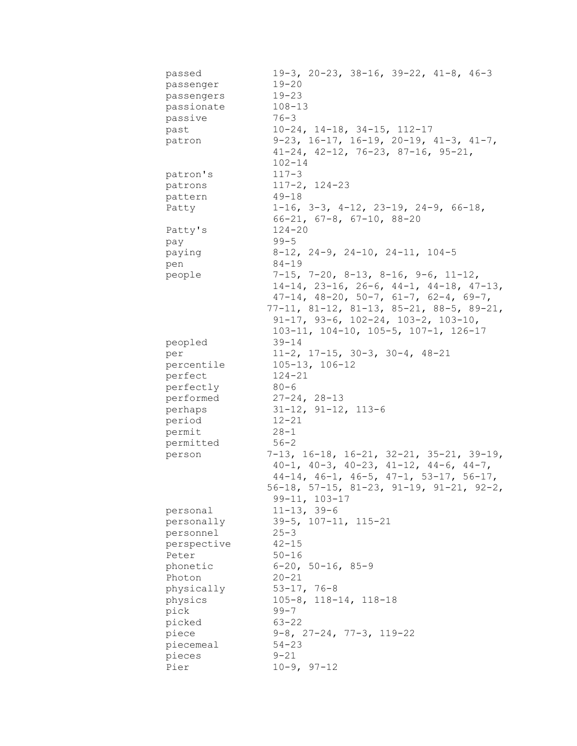| passed<br>passenger<br>passengers<br>passionate | $19-3$ , $20-23$ , $38-16$ , $39-22$ , $41-8$ , $46-3$<br>$19 - 20$<br>$19 - 23$<br>$108 - 13$ |
|-------------------------------------------------|------------------------------------------------------------------------------------------------|
| passive                                         | $76 - 3$                                                                                       |
| past                                            | $10-24$ , $14-18$ , $34-15$ , $112-17$                                                         |
| patron                                          | $9-23$ , $16-17$ , $16-19$ , $20-19$ , $41-3$ , $41-7$ ,                                       |
|                                                 | $41-24$ , $42-12$ , $76-23$ , $87-16$ , $95-21$ ,                                              |
|                                                 | $102 - 14$                                                                                     |
| patron's                                        | $117 - 3$                                                                                      |
| patrons                                         | $117 - 2, 124 - 23$                                                                            |
| pattern                                         | $49 - 18$                                                                                      |
| Patty                                           | $1-16$ , $3-3$ , $4-12$ , $23-19$ , $24-9$ , $66-18$ ,                                         |
|                                                 | $66-21, 67-8, 67-10, 88-20$                                                                    |
| Patty's                                         | $124 - 20$                                                                                     |
| pay                                             | $99 - 5$                                                                                       |
| paying                                          | $8-12$ , 24-9, 24-10, 24-11, 104-5                                                             |
| pen                                             | $84 - 19$                                                                                      |
| people                                          | $7-15$ , $7-20$ , $8-13$ , $8-16$ , $9-6$ , $11-12$ ,                                          |
|                                                 | 14-14, 23-16, 26-6, 44-1, 44-18, 47-13,                                                        |
|                                                 | $47-14$ , $48-20$ , $50-7$ , $61-7$ , $62-4$ , $69-7$ ,                                        |
|                                                 | $77-11, 81-12, 81-13, 85-21, 88-5, 89-21,$                                                     |
|                                                 | $91-17$ , $93-6$ , $102-24$ , $103-2$ , $103-10$ ,                                             |
|                                                 | 103-11, 104-10, 105-5, 107-1, 126-17                                                           |
| peopled                                         | $39 - 14$                                                                                      |
| per                                             | $11-2$ , $17-15$ , $30-3$ , $30-4$ , $48-21$                                                   |
| percentile                                      | $105 - 13, 106 - 12$                                                                           |
| perfect                                         | $124 - 21$                                                                                     |
| perfectly                                       | 80-6                                                                                           |
| performed                                       | $27 - 24, 28 - 13$                                                                             |
| perhaps                                         | $31-12$ , $91-12$ , $113-6$                                                                    |
| period                                          | $12 - 21$                                                                                      |
| permit                                          | $28 - 1$                                                                                       |
| permitted                                       | $56 - 2$                                                                                       |
| person                                          | $7-13$ , 16-18, 16-21, 32-21, 35-21, 39-19,                                                    |
|                                                 | $40-1$ , $40-3$ , $40-23$ , $41-12$ , $44-6$ , $44-7$ ,                                        |
|                                                 | $44-14$ , $46-1$ , $46-5$ , $47-1$ , $53-17$ , $56-17$ ,                                       |
|                                                 | 56-18, 57-15, 81-23, 91-19, 91-21, 92-2,                                                       |
|                                                 | $99 - 11, 103 - 17$                                                                            |
| personal                                        | $11 - 13, 39 - 6$                                                                              |
| personally                                      | $39-5$ , $107-11$ , $115-21$                                                                   |
| personnel                                       | $25 - 3$                                                                                       |
| perspective                                     | $42 - 15$                                                                                      |
| Peter                                           | $50 - 16$                                                                                      |
| phonetic                                        | $6 - 20$ , $50 - 16$ , $85 - 9$                                                                |
| Photon                                          | $20 - 21$                                                                                      |
| physically                                      | $53 - 17, 76 - 8$                                                                              |
| physics                                         | $105 - 8$ , $118 - 14$ , $118 - 18$                                                            |
| pick                                            | $99 - 7$                                                                                       |
| picked                                          | $63 - 22$                                                                                      |
| piece                                           | $9-8$ , $27-24$ , $77-3$ , $119-22$                                                            |
| piecemeal                                       | $54 - 23$                                                                                      |
| pieces                                          | $9 - 21$                                                                                       |
| Pier                                            | $10-9, 97-12$                                                                                  |
|                                                 |                                                                                                |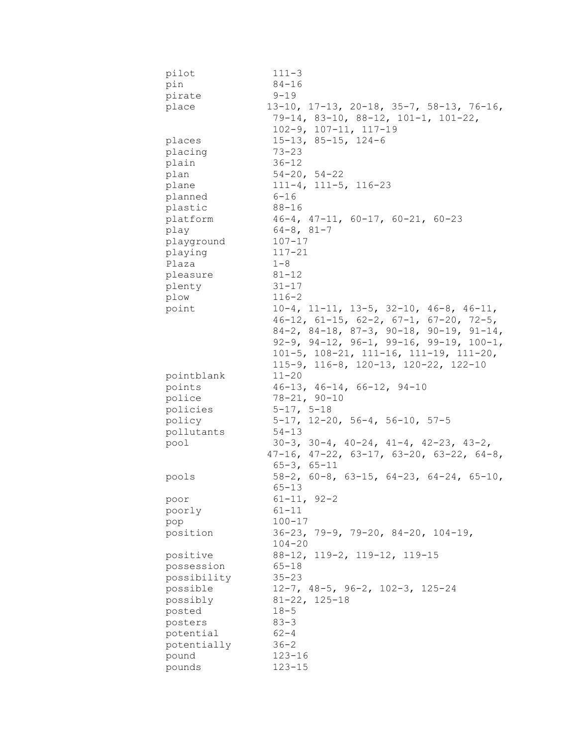| pilot       | $111 - 3$                                                  |
|-------------|------------------------------------------------------------|
| pin         | $84 - 16$                                                  |
| pirate      | $9 - 19$                                                   |
| place       | $13-10$ , $17-13$ , $20-18$ , $35-7$ , $58-13$ , $76-16$ , |
|             | 79-14, 83-10, 88-12, 101-1, 101-22,                        |
|             | $102 - 9$ , $107 - 11$ , $117 - 19$                        |
| places      | $15-13$ , 85-15, 124-6                                     |
| placing     | $73 - 23$                                                  |
| plain       | $36 - 12$                                                  |
| plan        | $54 - 20, 54 - 22$                                         |
| plane       | $111-4, 111-5, 116-23$                                     |
| planned     | $6 - 16$                                                   |
| plastic     | $88 - 16$                                                  |
| platform    | $46-4$ , $47-11$ , $60-17$ , $60-21$ , $60-23$             |
|             | $64 - 8, 81 - 7$                                           |
| play        | $107 - 17$                                                 |
| playground  |                                                            |
| playing     | $117 - 21$                                                 |
| Plaza       | $1 - 8$                                                    |
| pleasure    | $81 - 12$                                                  |
| plenty      | $31 - 17$                                                  |
| plow        | $116 - 2$                                                  |
| point       | $10-4$ , $11-11$ , $13-5$ , $32-10$ , $46-8$ , $46-11$ ,   |
|             | $46-12$ , $61-15$ , $62-2$ , $67-1$ , $67-20$ , $72-5$ ,   |
|             | 84-2, 84-18, 87-3, 90-18, 90-19, 91-14,                    |
|             | $92-9$ , $94-12$ , $96-1$ , $99-16$ , $99-19$ , $100-1$ ,  |
|             | $101-5$ , $108-21$ , $111-16$ , $111-19$ , $111-20$ ,      |
|             | 115-9, 116-8, 120-13, 120-22, 122-10                       |
| pointblank  | $11 - 20$                                                  |
| points      | $46-13$ , $46-14$ , $66-12$ , $94-10$                      |
| police      | $78 - 21, 90 - 10$                                         |
| policies    | $5 - 17, 5 - 18$                                           |
| policy      | $5-17$ , $12-20$ , $56-4$ , $56-10$ , $57-5$               |
| pollutants  | $54 - 13$                                                  |
| pool        | $30-3$ , $30-4$ , $40-24$ , $41-4$ , $42-23$ , $43-2$ ,    |
|             | $47-16$ , $47-22$ , $63-17$ , $63-20$ , $63-22$ , $64-8$ , |
|             | $65 - 3, 65 - 11$                                          |
| pools       | $58-2$ , 60-8, 63-15, 64-23, 64-24, 65-10,                 |
|             | $65 - 13$                                                  |
| poor        | $61 - 11, 92 - 2$                                          |
| poorly      | $61 - 11$                                                  |
| pop         | $100 - 17$                                                 |
| position    | $36-23$ , $79-9$ , $79-20$ , $84-20$ , $104-19$ ,          |
|             | $104 - 20$                                                 |
| positive    | 88-12, 119-2, 119-12, 119-15                               |
| possession  | $65 - 18$                                                  |
| possibility | $35 - 23$                                                  |
| possible    | $12-7$ , $48-5$ , $96-2$ , $102-3$ , $125-24$              |
| possibly    | $81 - 22$ , $125 - 18$                                     |
| posted      |                                                            |
|             | $18 - 5$                                                   |
| posters     | $83 - 3$                                                   |
| potential   | $62 - 4$                                                   |
| potentially | $36 - 2$                                                   |
| pound       | $123 - 16$                                                 |
| pounds      | $123 - 15$                                                 |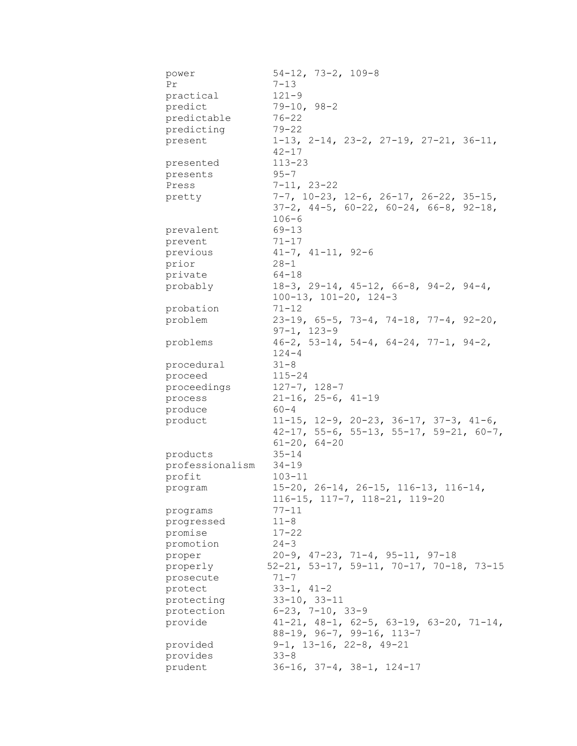| power<br>Pr       | $54-12$ , 73-2, 109-8<br>$7 - 13$                         |
|-------------------|-----------------------------------------------------------|
| practical         | $121 - 9$                                                 |
| predict           | $79-10, 98-2$                                             |
| predictable       | $76 - 22$                                                 |
| predicting        | $79 - 22$                                                 |
| present           | $1-13$ , $2-14$ , $23-2$ , $27-19$ , $27-21$ , $36-11$ ,  |
|                   | $42 - 17$                                                 |
|                   | $113 - 23$                                                |
| presented         | $95 - 7$                                                  |
| presents<br>Press | $7 - 11, 23 - 22$                                         |
|                   |                                                           |
| pretty            | $7-7$ , $10-23$ , $12-6$ , $26-17$ , $26-22$ , $35-15$ ,  |
|                   | $37-2$ , $44-5$ , $60-22$ , $60-24$ , $66-8$ , $92-18$ ,  |
|                   | $106 - 6$                                                 |
| prevalent         | $69 - 13$                                                 |
| prevent           | $71 - 17$                                                 |
| previous          | $41 - 7$ , $41 - 11$ , $92 - 6$                           |
| prior             | $28 - 1$                                                  |
| private           | $64 - 18$                                                 |
| probably          | $18-3$ , 29-14, 45-12, 66-8, 94-2, 94-4,                  |
|                   | $100-13$ , $101-20$ , $124-3$                             |
| probation         | $71 - 12$                                                 |
| problem           | $23-19$ , 65-5, 73-4, 74-18, 77-4, 92-20,                 |
|                   | $97 - 1, 123 - 9$                                         |
| problems          | $46-2$ , 53-14, 54-4, 64-24, 77-1, 94-2,                  |
|                   | $124 - 4$                                                 |
| procedural        | $31 - 8$                                                  |
| proceed           | $115 - 24$                                                |
| proceedings       | $127 - 7, 128 - 7$                                        |
| process           | $21-16$ , $25-6$ , $41-19$                                |
| produce           | $60 - 4$                                                  |
| product           | $11-15$ , $12-9$ , $20-23$ , $36-17$ , $37-3$ , $41-6$ ,  |
|                   | $42-17$ , 55-6, 55-13, 55-17, 59-21, 60-7,                |
|                   | $61 - 20$ , $64 - 20$                                     |
| products          | $35 - 14$                                                 |
| professionalism   | $34 - 19$                                                 |
| profit            | $103 - 11$                                                |
| program           | $15-20$ , $26-14$ , $26-15$ , $116-13$ , $116-14$ ,       |
|                   | 116-15, 117-7, 118-21, 119-20                             |
| programs          | $77 - 11$                                                 |
| progressed        | $11 - 8$                                                  |
| promise           | $17 - 22$                                                 |
| promotion         | $24 - 3$                                                  |
| proper            | $20-9$ , $47-23$ , $71-4$ , $95-11$ , $97-18$             |
| properly          | $52-21, 53-17, 59-11, 70-17, 70-18, 73-15$                |
| prosecute         | $71 - 7$                                                  |
| protect           | $33-1, 41-2$                                              |
| protecting        | $33-10, 33-11$                                            |
| protection        | $6-23$ , $7-10$ , $33-9$                                  |
| provide           | $41-21$ , $48-1$ , $62-5$ , $63-19$ , $63-20$ , $71-14$ , |
|                   | $88-19$ , $96-7$ , $99-16$ , $113-7$                      |
| provided          | $9-1$ , 13-16, 22-8, 49-21                                |
| provides          | $33 - 8$                                                  |
| prudent           | $36-16$ , $37-4$ , $38-1$ , $124-17$                      |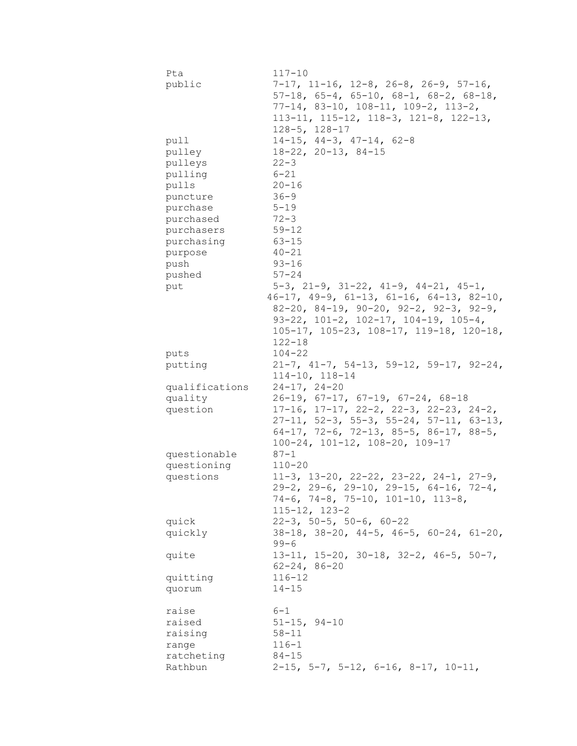| Pta<br>public                                                                      | $117 - 10$<br>$7-17$ , 11-16, 12-8, 26-8, 26-9, 57-16,<br>$57-18$ , $65-4$ , $65-10$ , $68-1$ , $68-2$ , $68-18$ ,<br>$77-14$ , 83-10, 108-11, 109-2, 113-2,<br>$113-11, 115-12, 118-3, 121-8, 122-13,$ |
|------------------------------------------------------------------------------------|---------------------------------------------------------------------------------------------------------------------------------------------------------------------------------------------------------|
| pull<br>pulley<br>pulleys<br>pulling<br>pulls<br>puncture<br>purchase<br>purchased | $128 - 5$ , $128 - 17$<br>$14-15$ , $44-3$ , $47-14$ , $62-8$<br>$18-22$ , $20-13$ , $84-15$<br>$22 - 3$<br>$6 - 21$<br>$20 - 16$<br>$36 - 9$<br>$5 - 19$<br>$72 - 3$<br>$59 - 12$                      |
| purchasers<br>purchasing                                                           | $63 - 15$                                                                                                                                                                                               |
| purpose                                                                            | $40 - 21$                                                                                                                                                                                               |
| push                                                                               | $93 - 16$                                                                                                                                                                                               |
| pushed                                                                             | $57 - 24$                                                                                                                                                                                               |
| put                                                                                | $5-3$ , $21-9$ , $31-22$ , $41-9$ , $44-21$ , $45-1$ ,<br>$46-17$ , $49-9$ , $61-13$ , $61-16$ , $64-13$ , $82-10$ ,                                                                                    |
|                                                                                    | $82-20$ , $84-19$ , $90-20$ , $92-2$ , $92-3$ , $92-9$ ,<br>$93-22$ , $101-2$ , $102-17$ , $104-19$ , $105-4$ ,<br>105-17, 105-23, 108-17, 119-18, 120-18,<br>$122 - 18$                                |
| puts                                                                               | $104 - 22$                                                                                                                                                                                              |
| putting                                                                            | $21-7$ , $41-7$ , $54-13$ , $59-12$ , $59-17$ , $92-24$ ,<br>$114 - 10, 118 - 14$                                                                                                                       |
| qualifications                                                                     | $24-17, 24-20$                                                                                                                                                                                          |
| quality                                                                            | $26-19$ , $67-17$ , $67-19$ , $67-24$ , $68-18$                                                                                                                                                         |
| question                                                                           | $17-16$ , $17-17$ , $22-2$ , $22-3$ , $22-23$ , $24-2$ ,                                                                                                                                                |
|                                                                                    | $27-11, 52-3, 55-3, 55-24, 57-11, 63-13,$<br>64-17, 72-6, 72-13, 85-5, 86-17, 88-5,<br>100-24, 101-12, 108-20, 109-17                                                                                   |
| questionable                                                                       | $87 - 1$                                                                                                                                                                                                |
| questioning                                                                        | $110 - 20$                                                                                                                                                                                              |
| questions                                                                          | 11-3, 13-20, 22-22, 23-22, 24-1, 27-9,<br>$29-2$ , $29-6$ , $29-10$ , $29-15$ , $64-16$ , $72-4$ ,<br>$74-6$ , $74-8$ , $75-10$ , $101-10$ , $113-8$ ,<br>$115 - 12$ , $123 - 2$                        |
| quick                                                                              | $22-3$ , 50-5, 50-6, 60-22                                                                                                                                                                              |
| quickly                                                                            | $38-18$ , $38-20$ , $44-5$ , $46-5$ , $60-24$ , $61-20$ ,<br>$99 - 6$                                                                                                                                   |
| quite                                                                              | $13-11$ , $15-20$ , $30-18$ , $32-2$ , $46-5$ , $50-7$ ,<br>$62 - 24, 86 - 20$                                                                                                                          |
| quitting                                                                           | $116 - 12$<br>$14 - 15$                                                                                                                                                                                 |
| quorum                                                                             |                                                                                                                                                                                                         |
| raise                                                                              | $6 - 1$                                                                                                                                                                                                 |
| raised                                                                             | $51 - 15$ , $94 - 10$                                                                                                                                                                                   |
| raising                                                                            | $58 - 11$                                                                                                                                                                                               |
| range                                                                              | $116 - 1$                                                                                                                                                                                               |
| ratcheting<br>Rathbun                                                              | $84 - 15$<br>$2-15$ , 5-7, 5-12, 6-16, 8-17, 10-11,                                                                                                                                                     |
|                                                                                    |                                                                                                                                                                                                         |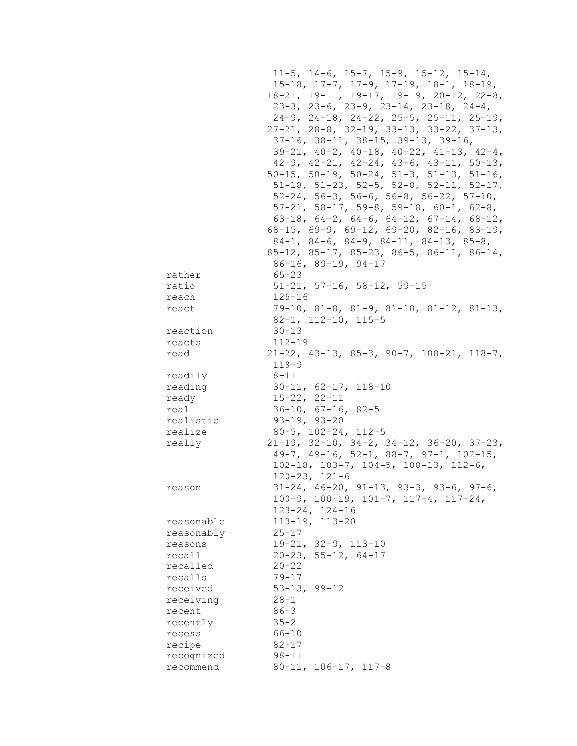$11-5$ ,  $14-6$ ,  $15-7$ ,  $15-9$ ,  $15-12$ ,  $15-14$ , 15-18, 17-7, 17-9, 17-19, 18-1, 18-19,  $18-21$ ,  $19-11$ ,  $19-17$ ,  $19-19$ ,  $20-12$ ,  $22-8$ ,  $23-3$ ,  $23-6$ ,  $23-9$ ,  $23-14$ ,  $23-18$ ,  $24-4$ , 24-9, 24-18, 24-22, 25-5, 25-11, 25-19, 27-21, 28-8, 32-19, 33-13, 33-22, 37-13,  $37-16$ ,  $38-11$ ,  $38-15$ ,  $39-13$ ,  $39-16$ ,  $39-21$ ,  $40-2$ ,  $40-18$ ,  $40-22$ ,  $41-13$ ,  $42-4$ ,  $42-9$ ,  $42-21$ ,  $42-24$ ,  $43-6$ ,  $43-11$ ,  $50-13$ , 50-15, 50-19, 50-24, 51-3, 51-13, 51-16,  $51-18$ ,  $51-23$ ,  $52-5$ ,  $52-8$ ,  $52-11$ ,  $52-17$ ,  $52-24$ ,  $56-3$ ,  $56-6$ ,  $56-8$ ,  $56-22$ ,  $57-10$ ,  $57-21, 58-17, 59-8, 59-18, 60-1, 62-8,$ 63-18, 64-2, 64-6, 64-12, 67-14, 68-12, 68-15, 69-9, 69-12, 69-20, 82-16, 83-19,  $84-1, 84-6, 84-9, 84-11, 84-13, 85-8,$ 85-12, 85-17, 85-23, 86-5, 86-11, 86-14,  $86-16$ ,  $89-19$ ,  $94-17$  $65 - 23$ rather  $51 - 21$ ,  $57 - 16$ ,  $58 - 12$ ,  $59 - 15$ ratio  $125 - 16$ reach 79-10, 81-8, 81-9, 81-10, 81-12, 81-13, react  $82 - 1$ ,  $112 - 10$ ,  $115 - 5$  $30 - 13$ reaction  $112 - 19$ reacts  $21-22$ ,  $43-13$ ,  $85-3$ ,  $90-7$ ,  $108-21$ ,  $118-7$ , read  $118 - 9$ readily  $8 - 11$  $30-11, 62-17, 118-10$ reading  $15 - 22, 22 - 11$ ready  $36 - 10$ ,  $67 - 16$ ,  $82 - 5$ real  $93 - 19, 93 - 20$ realistic  $80 - 5$ ,  $102 - 24$ ,  $112 - 5$ realize  $21-19$ ,  $32-10$ ,  $34-2$ ,  $34-12$ ,  $36-20$ ,  $37-23$ , really  $49-7$ ,  $49-16$ ,  $52-1$ ,  $88-7$ ,  $97-1$ ,  $102-15$ ,  $102-18$ ,  $103-7$ ,  $104-5$ ,  $108-13$ ,  $112-6$ ,  $120 - 23, 121 - 6$  $31-24$ ,  $46-20$ ,  $91-13$ ,  $93-3$ ,  $93-6$ ,  $97-6$ , reason  $100-9$ ,  $100-19$ ,  $101-7$ ,  $117-4$ ,  $117-24$ ,  $123 - 24, 124 - 16$ 113-19, 113-20 reasonable reasonably  $25 - 17$  $19-21, 32-9, 113-10$ reasons  $20 - 23$ , 55-12, 64-17 recall  $20 - 22$ recalled  $79 - 17$ recalls received  $53 - 13, 99 - 12$ receiving  $28 - 1$  $86 - 3$ recent  $35 - 2$ recently recess  $66 - 10$  $82 - 17$ recipe recognized  $98 - 11$ recommend  $80-11, 106-17, 117-8$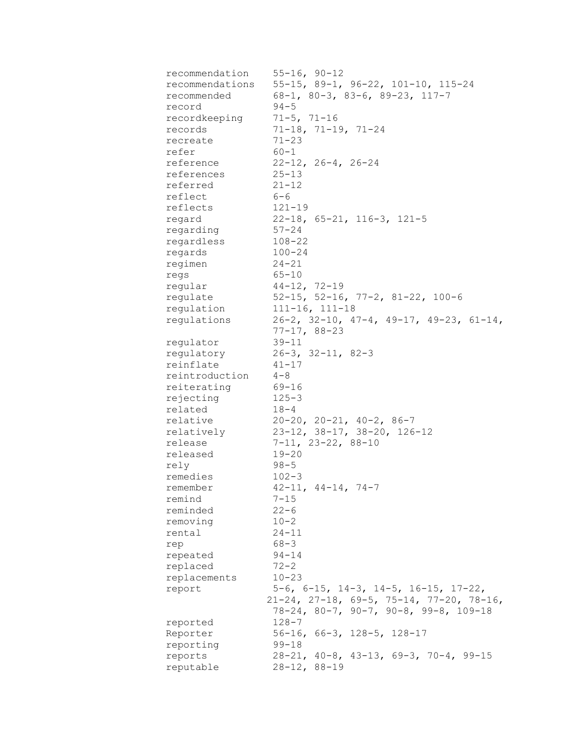| recommendation     | $55 - 16, 90 - 12$                                     |
|--------------------|--------------------------------------------------------|
| recommendations    | $55-15$ , 89-1, 96-22, 101-10, 115-24                  |
| recommended        | $68-1$ , $80-3$ , $83-6$ , $89-23$ , $117-7$           |
| record             | $94 - 5$                                               |
| recordkeeping      | $71 - 5, 71 - 16$                                      |
| records            | $71-18$ , $71-19$ , $71-24$                            |
| recreate           | $71 - 23$                                              |
| refer              | $60 - 1$                                               |
| reference          | $22-12, 26-4, 26-24$                                   |
| references         | $25 - 13$                                              |
| referred           | $21 - 12$                                              |
| reflect            | $6 - 6$                                                |
| reflects           | $121 - 19$                                             |
| regard             | $22-18$ , 65-21, 116-3, 121-5                          |
| regarding          | $57 - 24$                                              |
| regardless         | 108-22                                                 |
| regards            | $100 - 24$                                             |
| regimen            | 24-21                                                  |
|                    | $65 - 10$                                              |
| regs<br>regular    | $44-12, 72-19$                                         |
| regulate           | 52-15, 52-16, 77-2, 81-22, 100-6                       |
|                    | $111 - 16$ , $111 - 18$                                |
| regulation         | regulations 26-2, 32-10, 47-4, 49-17, 49-23, 61-14,    |
|                    |                                                        |
|                    | $77 - 17, 88 - 23$                                     |
| regulator          | $39 - 11$                                              |
|                    | regulatory 26-3, 32-11, 82-3                           |
| reinflate          | $41 - 17$                                              |
| reintroduction 4-8 |                                                        |
| reiterating        | 69-16                                                  |
| rejecting          | $125 - 3$                                              |
| related            | $18 - 4$                                               |
| relative           | $20-20$ , $20-21$ , $40-2$ , $86-7$                    |
| relatively         | 23-12, 38-17, 38-20, 126-12                            |
| release            | $7-11, 23-22, 88-10$                                   |
| released           | $19 - 20$                                              |
| rely               | $98 - 5$                                               |
| remedies           | $102 - 3$                                              |
| remember           | $42 - 11, 44 - 14, 74 - 7$                             |
| remind             | $7 - 15$                                               |
| reminded           | $22 - 6$                                               |
| removing           | $10 - 2$                                               |
| rental             | $24 - 11$                                              |
| rep                | $68 - 3$                                               |
| repeated           | $94 - 14$                                              |
| replaced           | $72 - 2$                                               |
| replacements       | $10 - 23$                                              |
| report             | $5-6$ , $6-15$ , $14-3$ , $14-5$ , $16-15$ , $17-22$ , |
|                    | $21-24$ , $27-18$ , 69-5, 75-14, 77-20, 78-16,         |
|                    | $78-24, 80-7, 90-7, 90-8, 99-8, 109-18$                |
| reported           | $128 - 7$                                              |
| Reporter           | $56-16$ , $66-3$ , $128-5$ , $128-17$                  |
| reporting          | $99 - 18$                                              |
| reports            | $28-21$ , $40-8$ , $43-13$ , $69-3$ , $70-4$ , $99-15$ |
| reputable          | $28 - 12, 88 - 19$                                     |
|                    |                                                        |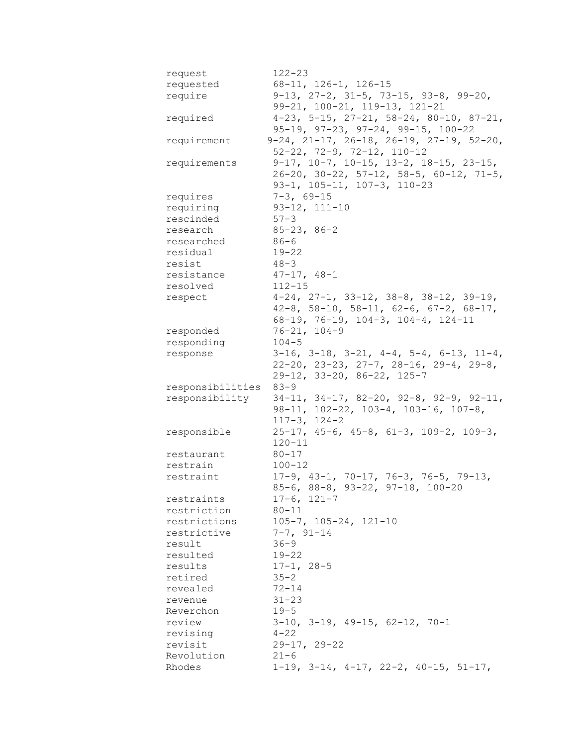| request          | $122 - 23$                                                   |
|------------------|--------------------------------------------------------------|
| requested        | 68-11, 126-1, 126-15                                         |
| require          | $9-13$ , $27-2$ , $31-5$ , $73-15$ , $93-8$ , $99-20$ ,      |
|                  | 99-21, 100-21, 119-13, 121-21                                |
| required         | $4-23$ , 5-15, 27-21, 58-24, 80-10, 87-21,                   |
|                  | $95-19$ , $97-23$ , $97-24$ , $99-15$ , $100-22$             |
| requirement      | $9-24$ , $21-17$ , $26-18$ , $26-19$ , $27-19$ , $52-20$ ,   |
|                  | $52-22$ , $72-9$ , $72-12$ , $110-12$                        |
| requirements     | $9-17$ , $10-7$ , $10-15$ , $13-2$ , $18-15$ , $23-15$ ,     |
|                  | $26-20$ , $30-22$ , $57-12$ , $58-5$ , $60-12$ , $71-5$ ,    |
|                  | $93-1, 105-11, 107-3, 110-23$                                |
| requires         | $7 - 3, 69 - 15$                                             |
| requiring        | $93-12, 111-10$                                              |
| rescinded        | $57 - 3$                                                     |
| research         | $85 - 23, 86 - 2$                                            |
| researched       | $86 - 6$                                                     |
| residual         | 19-22                                                        |
| resist           | $48 - 3$                                                     |
| resistance       | $47-17$ , $48-1$                                             |
| resolved         | $112 - 15$                                                   |
|                  | $4-24$ , $27-1$ , $33-12$ , $38-8$ , $38-12$ , $39-19$ ,     |
| respect          | $42-8$ , $58-10$ , $58-11$ , $62-6$ , $67-2$ , $68-17$ ,     |
|                  |                                                              |
|                  | $68-19$ , 76-19, 104-3, 104-4, 124-11                        |
| responded        | $76 - 21, 104 - 9$                                           |
| responding       | $104 - 5$                                                    |
| response         | $3-16$ , $3-18$ , $3-21$ , $4-4$ , $5-4$ , $6-13$ , $11-4$ , |
|                  | $22-20$ , $23-23$ , $27-7$ , $28-16$ , $29-4$ , $29-8$ ,     |
|                  | $29-12$ , $33-20$ , $86-22$ , $125-7$                        |
| responsibilities | $83 - 9$                                                     |
| responsibility   | $34-11$ , $34-17$ , $82-20$ , $92-8$ , $92-9$ , $92-11$ ,    |
|                  | $98-11$ , $102-22$ , $103-4$ , $103-16$ , $107-8$ ,          |
|                  | $117 - 3$ , $124 - 2$                                        |
| responsible      | $25-17$ , $45-6$ , $45-8$ , $61-3$ , $109-2$ , $109-3$ ,     |
|                  | $120 - 11$                                                   |
| restaurant       | $80 - 17$                                                    |
| restrain         | $100 - 12$                                                   |
| restraint        | $17-9$ , $43-1$ , $70-17$ , $76-3$ , $76-5$ , $79-13$ ,      |
|                  | $85-6$ , $88-8$ , $93-22$ , $97-18$ , $100-20$               |
| restraints       | $17-6, 121-7$                                                |
| restriction      | $80 - 11$                                                    |
| restrictions     | $105 - 7$ , $105 - 24$ , $121 - 10$                          |
| restrictive      | $7 - 7, 91 - 14$                                             |
| result           | $36 - 9$                                                     |
| resulted         | $19 - 22$                                                    |
| results          | $17 - 1, 28 - 5$                                             |
| retired          | $35 - 2$                                                     |
| revealed         | $72 - 14$                                                    |
| revenue          | $31 - 23$                                                    |
| Reverchon        | $19 - 5$                                                     |
| review           | $3-10$ , $3-19$ , $49-15$ , $62-12$ , $70-1$                 |
| revising         | $4 - 22$                                                     |
| revisit          | $29 - 17, 29 - 22$                                           |
| Revolution       | $21 - 6$                                                     |
| Rhodes           | $1-19$ , $3-14$ , $4-17$ , $22-2$ , $40-15$ , $51-17$ ,      |
|                  |                                                              |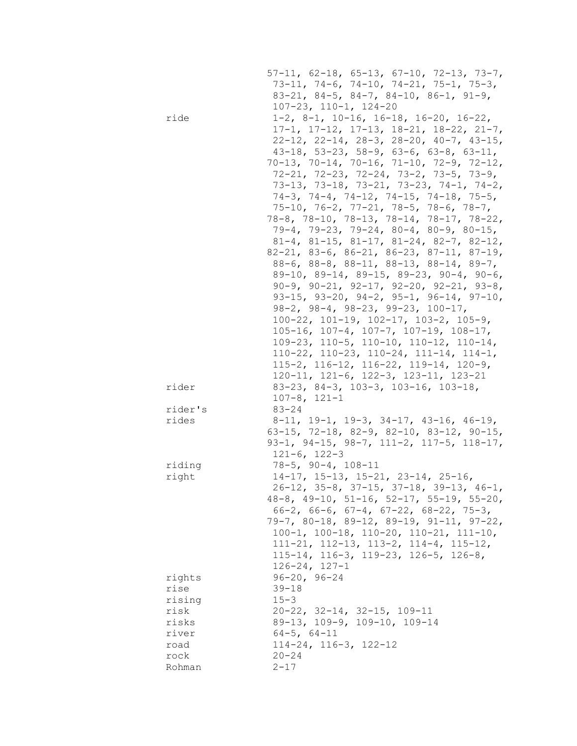|         | $57-11$ , $62-18$ , $65-13$ , $67-10$ , $72-13$ , $73-7$ ,<br>$73-11, 74-6, 74-10, 74-21, 75-1, 75-3,$                |
|---------|-----------------------------------------------------------------------------------------------------------------------|
|         | $83-21$ , $84-5$ , $84-7$ , $84-10$ , $86-1$ , $91-9$ ,                                                               |
|         | $107 - 23$ , $110 - 1$ , $124 - 20$                                                                                   |
| ride    | $1-2$ , 8-1, 10-16, 16-18, 16-20, 16-22,                                                                              |
|         | $17-1$ , $17-12$ , $17-13$ , $18-21$ , $18-22$ , $21-7$ ,                                                             |
|         | $22-12$ , $22-14$ , $28-3$ , $28-20$ , $40-7$ , $43-15$ ,<br>$43-18$ , 53-23, 58-9, 63-6, 63-8, 63-11,                |
|         | $70-13$ , $70-14$ , $70-16$ , $71-10$ , $72-9$ , $72-12$ ,                                                            |
|         | $72-21, 72-23, 72-24, 73-2, 73-5, 73-9,$                                                                              |
|         | 73-13, 73-18, 73-21, 73-23, 74-1, 74-2,                                                                               |
|         | $74-3$ , $74-4$ , $74-12$ , $74-15$ , $74-18$ , $75-5$ ,                                                              |
|         | $75-10$ , $76-2$ , $77-21$ , $78-5$ , $78-6$ , $78-7$ ,                                                               |
|         | 78-8, 78-10, 78-13, 78-14, 78-17, 78-22,                                                                              |
|         | $79-4$ , $79-23$ , $79-24$ , $80-4$ , $80-9$ , $80-15$ ,                                                              |
|         | 81-4, 81-15, 81-17, 81-24, 82-7, 82-12,                                                                               |
|         | $82-21$ , $83-6$ , $86-21$ , $86-23$ , $87-11$ , $87-19$ ,                                                            |
|         | $88-6$ , $88-8$ , $88-11$ , $88-13$ , $88-14$ , $89-7$ ,                                                              |
|         | 89-10, 89-14, 89-15, 89-23, 90-4, 90-6,                                                                               |
|         | $90-9$ , $90-21$ , $92-17$ , $92-20$ , $92-21$ , $93-8$ ,                                                             |
|         | 93-15, 93-20, 94-2, 95-1, 96-14, 97-10,                                                                               |
|         | $98-2$ , $98-4$ , $98-23$ , $99-23$ , $100-17$ ,                                                                      |
|         | $100-22$ , $101-19$ , $102-17$ , $103-2$ , $105-9$ ,                                                                  |
|         | $105-16$ , $107-4$ , $107-7$ , $107-19$ , $108-17$ ,                                                                  |
|         | $109-23$ , $110-5$ , $110-10$ , $110-12$ , $110-14$ ,<br>$110-22$ , $110-23$ , $110-24$ , $111-14$ , $114-1$ ,        |
|         | $115-2$ , $116-12$ , $116-22$ , $119-14$ , $120-9$ ,                                                                  |
|         | $120-11$ , $121-6$ , $122-3$ , $123-11$ , $123-21$                                                                    |
| rider   | $83-23$ , $84-3$ , $103-3$ , $103-16$ , $103-18$ ,                                                                    |
|         | $107 - 8$ , $121 - 1$                                                                                                 |
| rider's | $83 - 24$                                                                                                             |
| rides   | $8-11$ , 19-1, 19-3, 34-17, 43-16, 46-19,                                                                             |
|         | 63-15, 72-18, 82-9, 82-10, 83-12, 90-15,                                                                              |
|         | 93-1, 94-15, 98-7, 111-2, 117-5, 118-17,                                                                              |
|         | $121 - 6, 122 - 3$                                                                                                    |
| riding  | $78 - 5$ , $90 - 4$ , $108 - 11$                                                                                      |
| right   | $14-17$ , $15-13$ , $15-21$ , $23-14$ , $25-16$ ,                                                                     |
|         | $26-12$ , 35-8, 37-15, 37-18, 39-13, 46-1,                                                                            |
|         | $48-8$ , $49-10$ , $51-16$ , $52-17$ , $55-19$ , $55-20$ ,<br>$66-2$ , $66-6$ , $67-4$ , $67-22$ , $68-22$ , $75-3$ , |
|         | $79-7$ , 80-18, 89-12, 89-19, 91-11, 97-22,                                                                           |
|         | $100-1$ , $100-18$ , $110-20$ , $110-21$ , $111-10$ ,                                                                 |
|         | $111-21$ , $112-13$ , $113-2$ , $114-4$ , $115-12$ ,                                                                  |
|         | $115-14$ , $116-3$ , $119-23$ , $126-5$ , $126-8$ ,                                                                   |
|         | $126 - 24$ , $127 - 1$                                                                                                |
| rights  | $96 - 20, 96 - 24$                                                                                                    |
| rise    | $39 - 18$                                                                                                             |
| rising  | $15 - 3$                                                                                                              |
| risk    | $20-22$ , $32-14$ , $32-15$ , $109-11$                                                                                |
| risks   | 89-13, 109-9, 109-10, 109-14                                                                                          |
| river   | $64 - 5$ , $64 - 11$                                                                                                  |
| road    | $114-24, 116-3, 122-12$                                                                                               |
| rock    | $20 - 24$                                                                                                             |
| Rohman  | $2 - 17$                                                                                                              |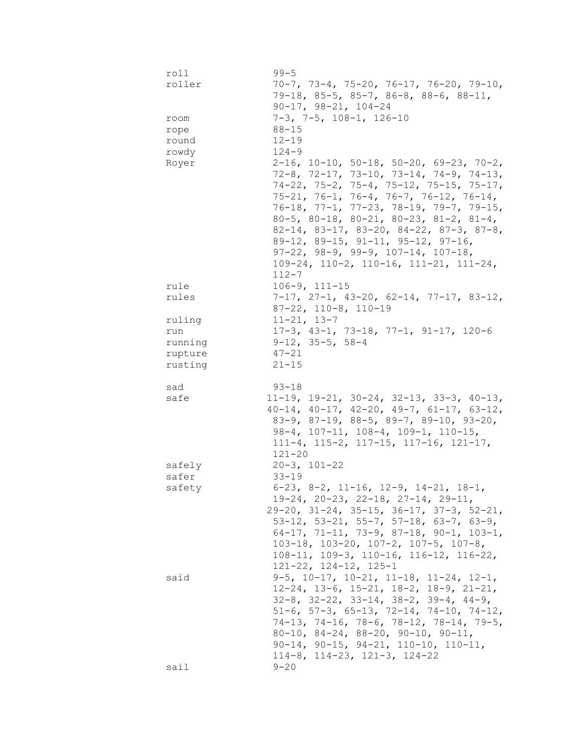| roll    | $99 - 5$                                                                                                            |
|---------|---------------------------------------------------------------------------------------------------------------------|
| roller  | $70-7$ , $73-4$ , $75-20$ , $76-17$ , $76-20$ , $79-10$ ,                                                           |
|         | $79-18$ , 85-5, 85-7, 86-8, 88-6, 88-11,                                                                            |
|         | $90-17, 98-21, 104-24$                                                                                              |
| room    | $7-3$ , $7-5$ , $108-1$ , $126-10$                                                                                  |
| rope    | $88 - 15$                                                                                                           |
| round   | $12 - 19$                                                                                                           |
| rowdy   | $124 - 9$                                                                                                           |
| Royer   | $2-16$ , $10-10$ , $50-18$ , $50-20$ , $69-23$ , $70-2$ ,                                                           |
|         | $72-8$ , $72-17$ , $73-10$ , $73-14$ , $74-9$ , $74-13$ ,                                                           |
|         | 74-22, 75-2, 75-4, 75-12, 75-15, 75-17,                                                                             |
|         | $75-21, 76-1, 76-4, 76-7, 76-12, 76-14,$                                                                            |
|         | 76-18, 77-1, 77-23, 78-19, 79-7, 79-15,                                                                             |
|         | $80-5$ , $80-18$ , $80-21$ , $80-23$ , $81-2$ , $81-4$ ,                                                            |
|         | 82-14, 83-17, 83-20, 84-22, 87-3, 87-8,                                                                             |
|         | 89-12, 89-15, 91-11, 95-12, 97-16,                                                                                  |
|         |                                                                                                                     |
|         | $97-22$ , $98-9$ , $99-9$ , $107-14$ , $107-18$ ,                                                                   |
|         | $109-24$ , $110-2$ , $110-16$ , $111-21$ , $111-24$ ,                                                               |
|         | $112 - 7$                                                                                                           |
| rule    | $106 - 9, 111 - 15$                                                                                                 |
| rules   | $7-17$ , $27-1$ , $43-20$ , $62-14$ , $77-17$ , $83-12$ ,                                                           |
|         | $87-22$ , $110-8$ , $110-19$                                                                                        |
| ruling  | $11 - 21, 13 - 7$                                                                                                   |
| run     | $17-3$ , $43-1$ , $73-18$ , $77-1$ , $91-17$ , $120-6$                                                              |
| running | $9-12$ , $35-5$ , $58-4$                                                                                            |
| rupture | $47 - 21$                                                                                                           |
| rusting | $21 - 15$                                                                                                           |
|         |                                                                                                                     |
|         |                                                                                                                     |
| sad     | $93 - 18$                                                                                                           |
| safe    | $11-19$ , $19-21$ , $30-24$ , $32-13$ , $33-3$ , $40-13$ ,                                                          |
|         | $40-14$ , $40-17$ , $42-20$ , $49-7$ , $61-17$ , $63-12$ ,                                                          |
|         | $83-9$ , $87-19$ , $88-5$ , $89-7$ , $89-10$ , $93-20$ ,                                                            |
|         | $98-4$ , $107-11$ , $108-4$ , $109-1$ , $110-15$ ,                                                                  |
|         | $111-4$ , $115-2$ , $117-15$ , $117-16$ , $121-17$ ,                                                                |
|         | $121 - 20$                                                                                                          |
| safely  | $20 - 3$ , $101 - 22$                                                                                               |
| safer   | $33 - 19$                                                                                                           |
| safety  | $6-23$ , $8-2$ , $11-16$ , $12-9$ , $14-21$ , $18-1$ ,                                                              |
|         | $19-24, 20-23, 22-18, 27-14, 29-11,$                                                                                |
|         | $29-20$ , $31-24$ , $35-15$ , $36-17$ , $37-3$ , $52-21$ ,                                                          |
|         | 53-12, 53-21, 55-7, 57-18, 63-7, 63-9,                                                                              |
|         | $64-17$ , 71-11, 73-9, 87-18, 90-1, 103-1,                                                                          |
|         | $103-18$ , $103-20$ , $107-2$ , $107-5$ , $107-8$ ,                                                                 |
|         | $108-11$ , $109-3$ , $110-16$ , $116-12$ , $116-22$ ,                                                               |
|         | $121-22$ , $124-12$ , $125-1$                                                                                       |
| said    | $9-5$ , $10-17$ , $10-21$ , $11-18$ , $11-24$ , $12-1$ ,                                                            |
|         |                                                                                                                     |
|         | $12-24$ , $13-6$ , $15-21$ , $18-2$ , $18-9$ , $21-21$ ,<br>$32-8$ , $32-22$ , $33-14$ , $38-2$ , $39-4$ , $44-9$ , |
|         | $51-6$ , $57-3$ , $65-13$ , $72-14$ , $74-10$ , $74-12$ ,                                                           |
|         | $74-13$ , $74-16$ , $78-6$ , $78-12$ , $78-14$ , $79-5$ ,                                                           |
|         | $80-10$ , $84-24$ , $88-20$ , $90-10$ , $90-11$ ,                                                                   |
|         |                                                                                                                     |
|         | $90-14$ , $90-15$ , $94-21$ , $110-10$ , $110-11$ ,<br>$114-8$ , $114-23$ , $121-3$ , $124-22$                      |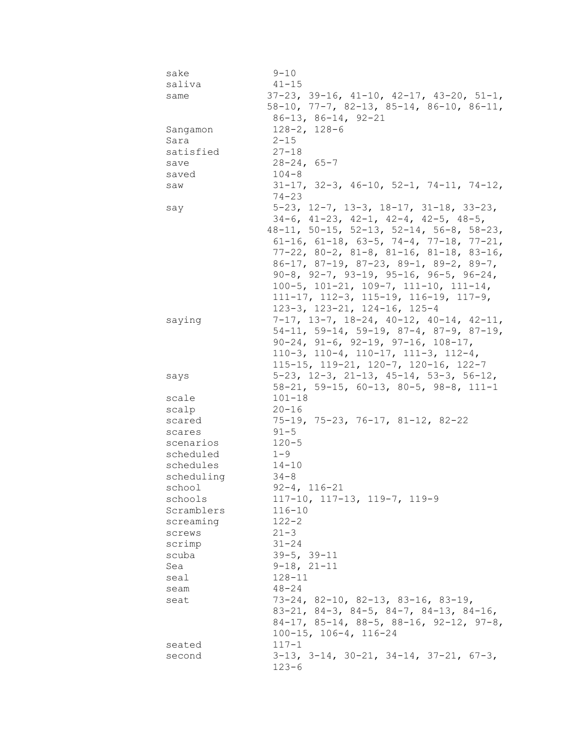| sake       | $9 - 10$                                                                                               |
|------------|--------------------------------------------------------------------------------------------------------|
| saliva     | $41 - 15$                                                                                              |
| same       | $37-23$ , $39-16$ , $41-10$ , $42-17$ , $43-20$ , $51-1$ ,                                             |
|            | $58-10$ , 77-7, 82-13, 85-14, 86-10, 86-11,                                                            |
|            | $86 - 13$ , $86 - 14$ , $92 - 21$                                                                      |
| Sangamon   | $128 - 2, 128 - 6$                                                                                     |
| Sara       | $2 - 15$                                                                                               |
| satisfied  | $27 - 18$                                                                                              |
| save       | $28 - 24, 65 - 7$                                                                                      |
| saved      | $104 - 8$                                                                                              |
| saw        | $31-17$ , $32-3$ , $46-10$ , $52-1$ , $74-11$ , $74-12$ ,                                              |
|            | $74 - 23$                                                                                              |
| say        | $5-23$ , $12-7$ , $13-3$ , $18-17$ , $31-18$ , $33-23$ ,                                               |
|            | $34-6$ , $41-23$ , $42-1$ , $42-4$ , $42-5$ , $48-5$ ,                                                 |
|            | 48-11, 50-15, 52-13, 52-14, 56-8, 58-23,                                                               |
|            | $61-16$ , $61-18$ , $63-5$ , $74-4$ , $77-18$ , $77-21$ ,                                              |
|            | $77-22$ , 80-2, 81-8, 81-16, 81-18, 83-16,                                                             |
|            | $86-17$ , $87-19$ , $87-23$ , $89-1$ , $89-2$ , $89-7$ ,                                               |
|            | $90-8$ , $92-7$ , $93-19$ , $95-16$ , $96-5$ , $96-24$ ,                                               |
|            | $100-5$ , $101-21$ , $109-7$ , $111-10$ , $111-14$ ,                                                   |
|            | $111-17$ , $112-3$ , $115-19$ , $116-19$ , $117-9$ ,                                                   |
|            | 123-3, 123-21, 124-16, 125-4                                                                           |
| saying     | $7-17$ , $13-7$ , $18-24$ , $40-12$ , $40-14$ , $42-11$ ,<br>$54-11, 59-14, 59-19, 87-4, 87-9, 87-19,$ |
|            | $90-24$ , $91-6$ , $92-19$ , $97-16$ , $108-17$ ,                                                      |
|            | $110-3$ , $110-4$ , $110-17$ , $111-3$ , $112-4$ ,                                                     |
|            | $115-15$ , $119-21$ , $120-7$ , $120-16$ , $122-7$                                                     |
| says       | $5-23$ , $12-3$ , $21-13$ , $45-14$ , $53-3$ , $56-12$ ,                                               |
|            | $58-21$ , $59-15$ , $60-13$ , $80-5$ , $98-8$ , $111-1$                                                |
| scale      | $101 - 18$                                                                                             |
| scalp      | $20 - 16$                                                                                              |
| scared     | $75-19$ , $75-23$ , $76-17$ , $81-12$ , $82-22$                                                        |
| scares     | $91 - 5$                                                                                               |
| scenarios  | $120 - 5$                                                                                              |
| scheduled  | $1 - 9$                                                                                                |
| schedules  | $14 - 10$                                                                                              |
| scheduling | $34 - 8$                                                                                               |
| school     | $92 - 4, 116 - 21$                                                                                     |
| schools    | $117-10$ , $117-13$ , $119-7$ , $119-9$                                                                |
| Scramblers | $116 - 10$                                                                                             |
| screaming  | $122 - 2$                                                                                              |
| screws     | $21 - 3$                                                                                               |
| scrimp     | $31 - 24$                                                                                              |
| scuba      | $39 - 5, 39 - 11$                                                                                      |
| Sea        | $9-18, 21-11$                                                                                          |
| seal       | $128 - 11$                                                                                             |
| seam       | $48 - 24$                                                                                              |
| seat       | $73-24$ , 82-10, 82-13, 83-16, 83-19,                                                                  |
|            | $83-21$ , $84-3$ , $84-5$ , $84-7$ , $84-13$ , $84-16$ ,                                               |
|            | $84-17$ , $85-14$ , $88-5$ , $88-16$ , $92-12$ , $97-8$ ,                                              |
|            | $100 - 15$ , $106 - 4$ , $116 - 24$                                                                    |
| seated     | $117 - 1$                                                                                              |
| second     | $3-13$ , $3-14$ , $30-21$ , $34-14$ , $37-21$ , $67-3$ ,                                               |
|            | $123 - 6$                                                                                              |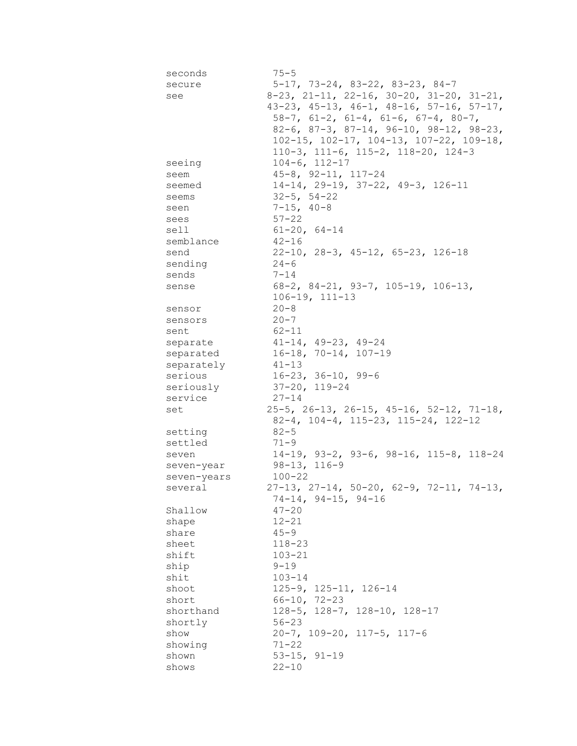| seconds         | $75 - 5$                                                   |
|-----------------|------------------------------------------------------------|
| secure          | $5-17$ , 73-24, 83-22, 83-23, 84-7                         |
| see             | $8-23$ , $21-11$ , $22-16$ , $30-20$ , $31-20$ , $31-21$ , |
|                 | $43-23$ , $45-13$ , $46-1$ , $48-16$ , $57-16$ , $57-17$ , |
|                 | $58-7$ , $61-2$ , $61-4$ , $61-6$ , $67-4$ , $80-7$ ,      |
|                 | 82-6, 87-3, 87-14, 96-10, 98-12, 98-23,                    |
|                 | $102-15$ , $102-17$ , $104-13$ , $107-22$ , $109-18$ ,     |
|                 | $110-3$ , $111-6$ , $115-2$ , $118-20$ , $124-3$           |
| seeing          | $104 - 6, 112 - 17$                                        |
| seem            | $45 - 8$ , $92 - 11$ , $117 - 24$                          |
| seemed          | $14-14$ , 29-19, 37-22, 49-3, 126-11                       |
| seems           | $32 - 5$ , $54 - 22$                                       |
|                 | $7 - 15, 40 - 8$                                           |
| seen            | $57 - 22$                                                  |
| sees            |                                                            |
| sell            | $61 - 20, 64 - 14$                                         |
| semblance       | $42 - 16$                                                  |
| send            | $22-10$ , $28-3$ , $45-12$ , $65-23$ , $126-18$            |
| sending         | $24 - 6$                                                   |
| sends           | $7 - 14$                                                   |
| sense           | $68-2$ , $84-21$ , $93-7$ , $105-19$ , $106-13$ ,          |
|                 | $106 - 19, 111 - 13$                                       |
| sensor          | $20 - 8$                                                   |
| sensors         | $20 - 7$                                                   |
| sent            | 62-11                                                      |
| separate        | $41-14$ , $49-23$ , $49-24$                                |
| separated       | $16-18$ , $70-14$ , $107-19$                               |
| separately      | 41-13                                                      |
| serious         | 16-23, 36-10, 99-6                                         |
| seriously       | $37-20$ , $119-24$                                         |
| service         | 27-14                                                      |
| set             | $25-5$ , $26-13$ , $26-15$ , $45-16$ , $52-12$ , $71-18$ , |
|                 | $82-4$ , 104-4, 115-23, 115-24, 122-12                     |
| setting         | $82 - 5$                                                   |
| settled         | $71 - 9$                                                   |
| seven           | $14-19$ , $93-2$ , $93-6$ , $98-16$ , $115-8$ , $118-24$   |
| seven-year      | 98-13, 116-9                                               |
| seven-years     | $100 - 22$                                                 |
| several         | $27-13$ , $27-14$ , $50-20$ , $62-9$ , $72-11$ , $74-13$ , |
|                 | $74-14, 94-15, 94-16$                                      |
| Shallow         | $47 - 20$                                                  |
| shape           | $12 - 21$                                                  |
| share           | $45 - 9$                                                   |
| sheet           | $118 - 23$                                                 |
| shift           | $103 - 21$                                                 |
| ship            | $9 - 19$                                                   |
| shit            | $103 - 14$                                                 |
| shoot           | $125 - 9$ , $125 - 11$ , $126 - 14$                        |
| short           | $66 - 10, 72 - 23$                                         |
| shorthand       | $128-5$ , $128-7$ , $128-10$ , $128-17$                    |
|                 | $56 - 23$                                                  |
| shortly<br>show | $20 - 7$ , $109 - 20$ , $117 - 5$ , $117 - 6$              |
| showing         | $71 - 22$                                                  |
|                 |                                                            |
| shown           | $53 - 15$ , $91 - 19$                                      |
| shows           | $22 - 10$                                                  |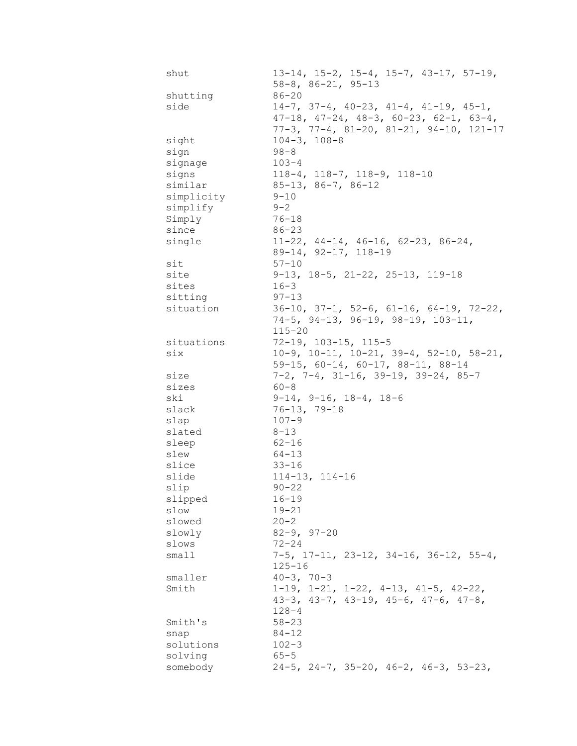| shut       | $13-14$ , $15-2$ , $15-4$ , $15-7$ , $43-17$ , $57-19$ ,<br>$58 - 8$ , $86 - 21$ , $95 - 13$         |
|------------|------------------------------------------------------------------------------------------------------|
| shutting   | $86 - 20$                                                                                            |
| side       | $14-7$ , 37-4, 40-23, 41-4, 41-19, 45-1,<br>$47-18$ , $47-24$ , $48-3$ , $60-23$ , $62-1$ , $63-4$ , |
|            | $77-3$ , $77-4$ , $81-20$ , $81-21$ , $94-10$ , $121-17$                                             |
| sight      | $104-3, 108-8$                                                                                       |
| sign       | $98 - 8$                                                                                             |
| signage    | $103 - 4$                                                                                            |
| signs      | $118-4$ , $118-7$ , $118-9$ , $118-10$                                                               |
| similar    | $85-13, 86-7, 86-12$                                                                                 |
| simplicity | $9 - 10$                                                                                             |
| simplify   | $9 - 2$                                                                                              |
| Simply     | $76 - 18$                                                                                            |
| since      | $86 - 23$                                                                                            |
| single     | $11-22$ , $44-14$ , $46-16$ , $62-23$ , $86-24$ ,                                                    |
|            | 89-14, 92-17, 118-19                                                                                 |
| sit        | $57 - 10$                                                                                            |
| site       | $9-13$ , $18-5$ , $21-22$ , $25-13$ , $119-18$                                                       |
| sites      | $16 - 3$                                                                                             |
| sitting    | $97 - 13$                                                                                            |
| situation  | $36-10$ , $37-1$ , $52-6$ , $61-16$ , $64-19$ , $72-22$ ,                                            |
|            | $74-5$ , $94-13$ , $96-19$ , $98-19$ , $103-11$ ,                                                    |
|            | $115 - 20$                                                                                           |
| situations | 72-19, 103-15, 115-5                                                                                 |
| six        | $10-9$ , $10-11$ , $10-21$ , $39-4$ , $52-10$ , $58-21$ ,                                            |
|            | 59-15, 60-14, 60-17, 88-11, 88-14                                                                    |
| size       | $7-2$ , $7-4$ , $31-16$ , $39-19$ , $39-24$ , $85-7$                                                 |
| sizes      | $60 - 8$                                                                                             |
| ski        | $9-14$ , $9-16$ , $18-4$ , $18-6$                                                                    |
| slack      | $76 - 13, 79 - 18$                                                                                   |
| slap       | $107 - 9$                                                                                            |
| slated     | $8 - 13$                                                                                             |
| sleep      | $62 - 16$                                                                                            |
| slew       | $64 - 13$                                                                                            |
| slice      | $33 - 16$                                                                                            |
| slide      | $114 - 13$ , $114 - 16$                                                                              |
| slip       | $90 - 22$                                                                                            |
| slipped    | $16 - 19$                                                                                            |
| slow       | $19 - 21$                                                                                            |
| slowed     | $20 - 2$                                                                                             |
| slowly     | $82 - 9, 97 - 20$                                                                                    |
| slows      | $72 - 24$                                                                                            |
| small      | $7-5$ , $17-11$ , $23-12$ , $34-16$ , $36-12$ , $55-4$ ,                                             |
|            | $125 - 16$                                                                                           |
| smaller    | $40 - 3, 70 - 3$                                                                                     |
| Smith      | $1-19$ , $1-21$ , $1-22$ , $4-13$ , $41-5$ , $42-22$ ,                                               |
|            | $43-3$ , $43-7$ , $43-19$ , $45-6$ , $47-6$ , $47-8$ ,                                               |
|            | $128 - 4$                                                                                            |
| Smith's    | $58 - 23$                                                                                            |
| snap       | $84 - 12$                                                                                            |
| solutions  | $102 - 3$                                                                                            |
| solving    | $65 - 5$                                                                                             |
| somebody   | $24-5$ , $24-7$ , $35-20$ , $46-2$ , $46-3$ , $53-23$ ,                                              |
|            |                                                                                                      |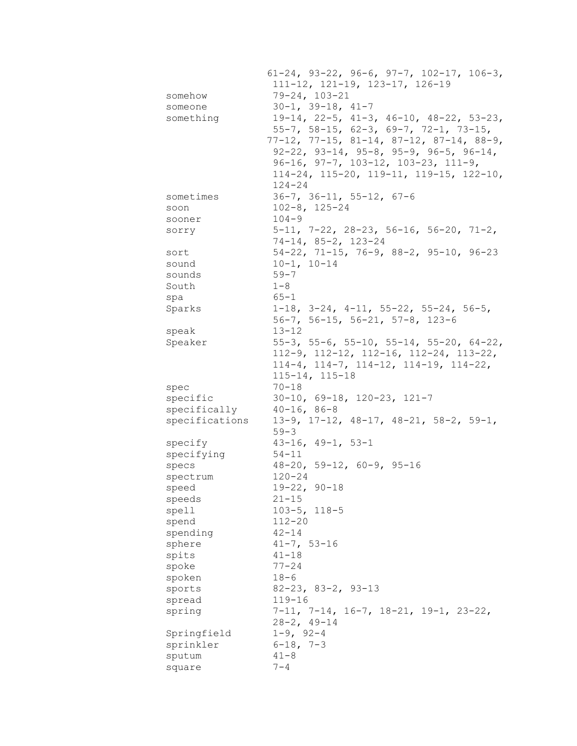|                | $61-24$ , $93-22$ , $96-6$ , $97-7$ , $102-17$ , $106-3$ , |
|----------------|------------------------------------------------------------|
|                | 111-12, 121-19, 123-17, 126-19                             |
| somehow        | $79 - 24, 103 - 21$                                        |
| someone        | $30-1, 39-18, 41-7$                                        |
| something      | 19-14, 22-5, 41-3, 46-10, 48-22, 53-23,                    |
|                | $55-7$ , $58-15$ , $62-3$ , $69-7$ , $72-1$ , $73-15$ ,    |
|                | 77-12, 77-15, 81-14, 87-12, 87-14, 88-9,                   |
|                | $92-22$ , $93-14$ , $95-8$ , $95-9$ , $96-5$ , $96-14$ ,   |
|                | $96-16$ , $97-7$ , $103-12$ , $103-23$ , $111-9$ ,         |
|                | 114-24, 115-20, 119-11, 119-15, 122-10,                    |
|                | $124 - 24$                                                 |
| sometimes      | $36-7$ , $36-11$ , $55-12$ , $67-6$                        |
| soon           | $102 - 8$ , $125 - 24$                                     |
| sooner         | $104 - 9$                                                  |
| sorry          | $5-11$ , $7-22$ , $28-23$ , $56-16$ , $56-20$ , $71-2$ ,   |
|                | $74-14, 85-2, 123-24$                                      |
| sort           | $54-22$ , 71-15, 76-9, 88-2, 95-10, 96-23                  |
| sound          | $10 - 1, 10 - 14$                                          |
| sounds         | $59 - 7$                                                   |
| South          | $1 - 8$                                                    |
| spa            | $65 - 1$                                                   |
| Sparks         | $1-18$ , $3-24$ , $4-11$ , $55-22$ , $55-24$ , $56-5$ ,    |
|                | $56-7$ , $56-15$ , $56-21$ , $57-8$ , $123-6$              |
| speak          | $13 - 12$                                                  |
| Speaker        | 55-3, 55-6, 55-10, 55-14, 55-20, 64-22,                    |
|                | $112-9$ , $112-12$ , $112-16$ , $112-24$ , $113-22$ ,      |
|                | $114-4$ , $114-7$ , $114-12$ , $114-19$ , $114-22$ ,       |
|                | $115 - 14, 115 - 18$                                       |
| spec           | $70 - 18$                                                  |
| specific       | $30-10$ , $69-18$ , $120-23$ , $121-7$                     |
| specifically   | $40 - 16, 86 - 8$                                          |
| specifications | $13-9$ , $17-12$ , $48-17$ , $48-21$ , $58-2$ , $59-1$ ,   |
|                | $59 - 3$                                                   |
| specify        | $43-16$ , $49-1$ , $53-1$                                  |
| specifying     | $54 - 11$                                                  |
| specs          | $48 - 20$ , 59-12, 60-9, 95-16                             |
| spectrum       | $120 - 24$                                                 |
|                | $19 - 22, 90 - 18$                                         |
| speed          | $21 - 15$                                                  |
| speeds         | $103 - 5$ , $118 - 5$                                      |
| spell<br>spend | $112 - 20$                                                 |
|                |                                                            |
| spending       | $42 - 14$                                                  |
| sphere         | $41 - 7, 53 - 16$<br>$41 - 18$                             |
| spits          |                                                            |
| spoke          | $77 - 24$                                                  |
| spoken         | $18 - 6$                                                   |
| sports         | $82 - 23$ , $83 - 2$ , $93 - 13$                           |
| spread         | $119 - 16$                                                 |
| spring         | $7-11, 7-14, 16-7, 18-21, 19-1, 23-22,$                    |
|                | $28 - 2, 49 - 14$                                          |
| Springfield    | $1 - 9, 92 - 4$                                            |
| sprinkler      | $6 - 18, 7 - 3$                                            |
| sputum         | $41 - 8$                                                   |
| square         | $7 - 4$                                                    |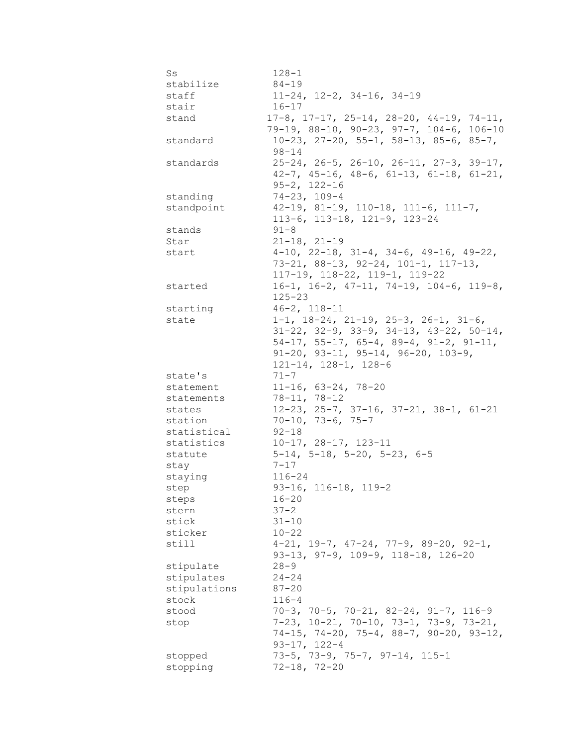| Ss           | $128 - 1$                                                  |
|--------------|------------------------------------------------------------|
| stabilize    | $84 - 19$                                                  |
| staff        | $11-24$ , $12-2$ , $34-16$ , $34-19$                       |
| stair        | $16 - 17$                                                  |
| stand        | $17-8$ , $17-17$ , $25-14$ , $28-20$ , $44-19$ , $74-11$ , |
|              | 79-19, 88-10, 90-23, 97-7, 104-6, 106-10                   |
| standard     | $10-23$ , $27-20$ , $55-1$ , $58-13$ , $85-6$ , $85-7$ ,   |
|              | $98 - 14$                                                  |
| standards    | $25-24$ , $26-5$ , $26-10$ , $26-11$ , $27-3$ , $39-17$ ,  |
|              | $42-7$ , $45-16$ , $48-6$ , $61-13$ , $61-18$ , $61-21$ ,  |
|              | $95 - 2, 122 - 16$                                         |
| standing     | $74 - 23, 109 - 4$                                         |
|              | $42-19$ , $81-19$ , $110-18$ , $111-6$ , $111-7$ ,         |
| standpoint   |                                                            |
|              | 113-6, 113-18, 121-9, 123-24                               |
| stands       | $91 - 8$                                                   |
| Star         | $21 - 18, 21 - 19$                                         |
| start        | $4-10$ , $22-18$ , $31-4$ , $34-6$ , $49-16$ , $49-22$ ,   |
|              | $73-21, 88-13, 92-24, 101-1, 117-13,$                      |
|              | 117-19, 118-22, 119-1, 119-22                              |
| started      | $16-1$ , $16-2$ , $47-11$ , $74-19$ , $104-6$ , $119-8$ ,  |
|              | $125 - 23$                                                 |
| starting     | $46 - 2$ , $118 - 11$                                      |
| state        | $1-1$ , $18-24$ , $21-19$ , $25-3$ , $26-1$ , $31-6$ ,     |
|              | $31-22$ , $32-9$ , $33-9$ , $34-13$ , $43-22$ , $50-14$ ,  |
|              | $54-17$ , $55-17$ , $65-4$ , $89-4$ , $91-2$ , $91-11$ ,   |
|              | $91-20$ , $93-11$ , $95-14$ , $96-20$ , $103-9$ ,          |
|              | $121-14, 128-1, 128-6$                                     |
| state's      | $71 - 7$                                                   |
| statement    | $11-16$ , 63-24, 78-20                                     |
| statements   | $78 - 11, 78 - 12$                                         |
| states       | $12-23$ , $25-7$ , $37-16$ , $37-21$ , $38-1$ , $61-21$    |
| station      | $70 - 10, 73 - 6, 75 - 7$                                  |
| statistical  | 92-18                                                      |
| statistics   | $10-17, 28-17, 123-11$                                     |
| statute      | $5-14$ , $5-18$ , $5-20$ , $5-23$ , $6-5$                  |
| stay         | $7 - 17$                                                   |
|              | $116 - 24$                                                 |
| staying      | $93 - 16$ , 116-18, 119-2                                  |
| step         |                                                            |
| steps        | $16 - 20$                                                  |
| stern        | $37 - 2$                                                   |
| stick        | $31 - 10$                                                  |
| sticker      | $10 - 22$                                                  |
| still        | $4-21$ , $19-7$ , $47-24$ , $77-9$ , $89-20$ , $92-1$ ,    |
|              | 93-13, 97-9, 109-9, 118-18, 126-20                         |
| stipulate    | $28 - 9$                                                   |
| stipulates   | $24 - 24$                                                  |
| stipulations | $87 - 20$                                                  |
| stock        | $116 - 4$                                                  |
| stood        | $70-3$ , $70-5$ , $70-21$ , $82-24$ , $91-7$ , $116-9$     |
| stop         | $7-23$ , $10-21$ , $70-10$ , $73-1$ , $73-9$ , $73-21$ ,   |
|              | 74-15, 74-20, 75-4, 88-7, 90-20, 93-12,                    |
|              | $93 - 17, 122 - 4$                                         |
| stopped      | $73-5$ , $73-9$ , $75-7$ , $97-14$ , $115-1$               |
| stopping     | $72 - 18, 72 - 20$                                         |
|              |                                                            |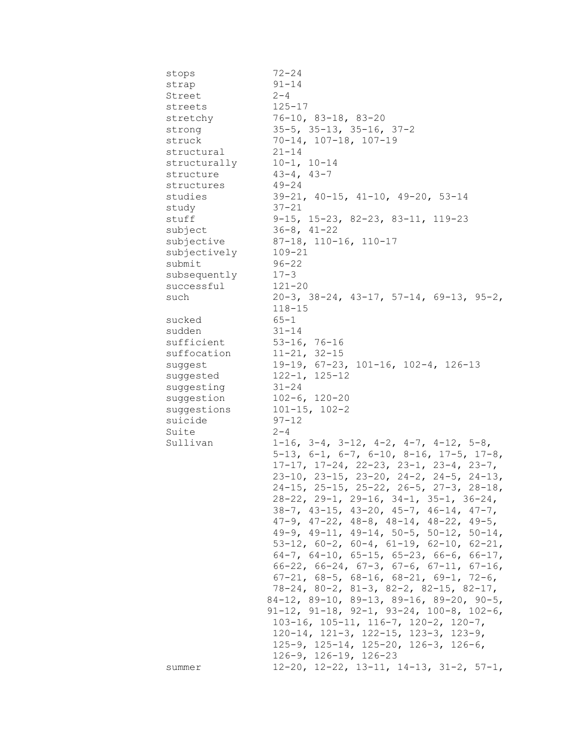| stops        | $72 - 24$                                                    |
|--------------|--------------------------------------------------------------|
| strap        | $91 - 14$                                                    |
| Street       | $2 - 4$                                                      |
| streets      | $125 - 17$                                                   |
| stretchy     | $76 - 10$ , 83-18, 83-20                                     |
| strong       | $35-5$ , $35-13$ , $35-16$ , $37-2$                          |
| struck       | $70-14, 107-18, 107-19$                                      |
| structural   | $21 - 14$                                                    |
| structurally | $10-1, 10-14$                                                |
| structure    | $43 - 4, 43 - 7$                                             |
| structures   | $49 - 24$                                                    |
| studies      | $39-21$ , $40-15$ , $41-10$ , $49-20$ , $53-14$              |
| study        | $37 - 21$                                                    |
| stuff        | $9-15$ , $15-23$ , $82-23$ , $83-11$ , $119-23$              |
| subject      | $36 - 8$ , $41 - 22$                                         |
| subjective   | 87-18, 110-16, 110-17                                        |
|              |                                                              |
| subjectively | $109 - 21$                                                   |
| submit       | $96 - 22$                                                    |
| subsequently | $17 - 3$                                                     |
| successful   | $121 - 20$                                                   |
| such         | $20-3$ , $38-24$ , $43-17$ , $57-14$ , $69-13$ , $95-2$ ,    |
|              | $118 - 15$                                                   |
| sucked       | $65 - 1$                                                     |
| sudden       | $31 - 14$                                                    |
| sufficient   | $53-16$ , 76-16                                              |
| suffocation  | $11-21, 32-15$                                               |
| suggest      | $19-19$ , $67-23$ , $101-16$ , $102-4$ , $126-13$            |
| suggested    | $122 - 1, 125 - 12$                                          |
| suggesting   | 31-24                                                        |
| suggestion   | $102-6, 120-20$                                              |
| suggestions  | $101 - 15$ , $102 - 2$                                       |
| suicide      | $97 - 12$                                                    |
| Suite        | $2 - 4$                                                      |
| Sullivan     | $1-16$ , $3-4$ , $3-12$ , $4-2$ , $4-7$ , $4-12$ , $5-8$ ,   |
|              | $5-13$ , $6-1$ , $6-7$ , $6-10$ , $8-16$ , $17-5$ , $17-8$ , |
|              | $17-17$ , $17-24$ , $22-23$ , $23-1$ , $23-4$ , $23-7$ ,     |
|              | $23-10$ , $23-15$ , $23-20$ , $24-2$ , $24-5$ , $24-13$ ,    |
|              | $24-15$ , $25-15$ , $25-22$ , $26-5$ , $27-3$ , $28-18$ ,    |
|              | $28-22$ , $29-1$ , $29-16$ , $34-1$ , $35-1$ , $36-24$ ,     |
|              | $38-7$ , $43-15$ , $43-20$ , $45-7$ , $46-14$ , $47-7$ ,     |
|              | $47-9$ , $47-22$ , $48-8$ , $48-14$ , $48-22$ , $49-5$ ,     |
|              | 49-9, 49-11, 49-14, 50-5, 50-12, 50-14,                      |
|              | 53-12, 60-2, 60-4, 61-19, 62-10, 62-21,                      |
|              | 64-7, 64-10, 65-15, 65-23, 66-6, 66-17,                      |
|              | $66-22$ , $66-24$ , $67-3$ , $67-6$ , $67-11$ , $67-16$ ,    |
|              | $67-21$ , $68-5$ , $68-16$ , $68-21$ , $69-1$ , $72-6$ ,     |
|              | $78-24$ , $80-2$ , $81-3$ , $82-2$ , $82-15$ , $82-17$ ,     |
|              | $84-12$ , $89-10$ , $89-13$ , $89-16$ , $89-20$ , $90-5$ ,   |
|              | $91-12$ , $91-18$ , $92-1$ , $93-24$ , $100-8$ , $102-6$ ,   |
|              | 103-16, 105-11, 116-7, 120-2, 120-7,                         |
|              | $120-14$ , $121-3$ , $122-15$ , $123-3$ , $123-9$ ,          |
|              | 125-9, 125-14, 125-20, 126-3, 126-6,                         |
|              | $126-9$ , $126-19$ , $126-23$                                |
| summer       | $12-20$ , $12-22$ , $13-11$ , $14-13$ , $31-2$ , $57-1$ ,    |
|              |                                                              |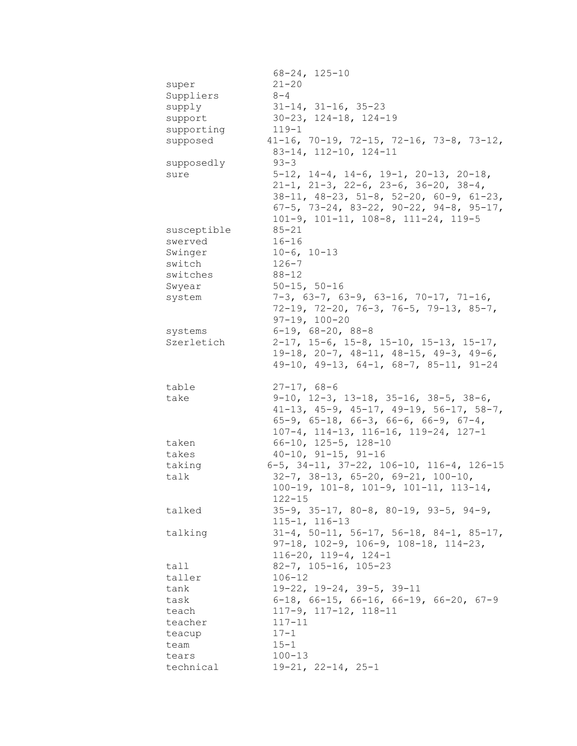|                    | $68 - 24, 125 - 10$                                                                                              |
|--------------------|------------------------------------------------------------------------------------------------------------------|
| super              | $21 - 20$                                                                                                        |
| Suppliers          | $8 - 4$                                                                                                          |
| supply             | $31-14$ , $31-16$ , $35-23$                                                                                      |
| support            | $30 - 23$ , $124 - 18$ , $124 - 19$                                                                              |
| supporting         | $119 - 1$                                                                                                        |
| supposed           | $41-16$ , $70-19$ , $72-15$ , $72-16$ , $73-8$ , $73-12$ ,                                                       |
|                    |                                                                                                                  |
|                    | 83-14, 112-10, 124-11                                                                                            |
| supposedly         | $93 - 3$                                                                                                         |
| sure               | $5-12$ , $14-4$ , $14-6$ , $19-1$ , $20-13$ , $20-18$ ,                                                          |
|                    | $21-1$ , $21-3$ , $22-6$ , $23-6$ , $36-20$ , $38-4$ ,                                                           |
|                    | $38-11$ , $48-23$ , $51-8$ , $52-20$ , $60-9$ , $61-23$ ,                                                        |
|                    | 67-5, 73-24, 83-22, 90-22, 94-8, 95-17,                                                                          |
|                    | $101-9$ , $101-11$ , $108-8$ , $111-24$ , $119-5$                                                                |
| susceptible        | $85 - 21$                                                                                                        |
| swerved            | $16 - 16$                                                                                                        |
| Swinger            | $10-6, 10-13$                                                                                                    |
| switch             | $126 - 7$                                                                                                        |
| switches           | $88 - 12$                                                                                                        |
| Swyear             | $50 - 15, 50 - 16$                                                                                               |
| system             | $7-3$ , 63-7, 63-9, 63-16, 70-17, 71-16,                                                                         |
|                    | $72-19$ , $72-20$ , $76-3$ , $76-5$ , $79-13$ , $85-7$ ,                                                         |
|                    | $97 - 19, 100 - 20$                                                                                              |
| systems            | $6-19$ , $68-20$ , $88-8$                                                                                        |
| Szerletich         | $2-17$ , 15-6, 15-8, 15-10, 15-13, 15-17,                                                                        |
|                    |                                                                                                                  |
|                    | $19-18$ , 20-7, 48-11, 48-15, 49-3, 49-6,                                                                        |
|                    | $49-10$ , $49-13$ , $64-1$ , $68-7$ , $85-11$ , $91-24$                                                          |
| table              | $27 - 17, 68 - 6$                                                                                                |
| take               |                                                                                                                  |
|                    | $9-10$ , $12-3$ , $13-18$ , $35-16$ , $38-5$ , $38-6$ ,                                                          |
|                    | $41-13$ , $45-9$ , $45-17$ , $49-19$ , $56-17$ , $58-7$ ,                                                        |
|                    | $65-9$ , $65-18$ , $66-3$ , $66-6$ , $66-9$ , $67-4$ ,                                                           |
|                    | 107-4, 114-13, 116-16, 119-24, 127-1                                                                             |
| taken              | $66-10$ , $125-5$ , $128-10$                                                                                     |
| takes              |                                                                                                                  |
|                    | $40-10$ , $91-15$ , $91-16$                                                                                      |
| taking             | 6-5, 34-11, 37-22, 106-10, 116-4, 126-15                                                                         |
| talk               | $32-7$ , $38-13$ , $65-20$ , $69-21$ , $100-10$ ,                                                                |
|                    | $100-19$ , $101-8$ , $101-9$ , $101-11$ , $113-14$ ,                                                             |
|                    | $122 - 15$                                                                                                       |
| talked             | $35-9$ , $35-17$ , $80-8$ , $80-19$ , $93-5$ , $94-9$ ,                                                          |
|                    | $115 - 1, 116 - 13$                                                                                              |
| talking            |                                                                                                                  |
|                    | $31-4$ , $50-11$ , $56-17$ , $56-18$ , $84-1$ , $85-17$ ,<br>$97-18$ , $102-9$ , $106-9$ , $108-18$ , $114-23$ , |
|                    |                                                                                                                  |
|                    | $116 - 20$ , $119 - 4$ , $124 - 1$                                                                               |
| tall               | $82 - 7$ , $105 - 16$ , $105 - 23$<br>$106 - 12$                                                                 |
| taller             |                                                                                                                  |
| tank               | 19-22, 19-24, 39-5, 39-11                                                                                        |
| task               | $6-18$ , $66-15$ , $66-16$ , $66-19$ , $66-20$ , $67-9$                                                          |
| teach              | $117-9$ , $117-12$ , $118-11$                                                                                    |
| teacher            | $117 - 11$                                                                                                       |
| teacup             | $17 - 1$                                                                                                         |
| team               | $15 - 1$                                                                                                         |
| tears<br>technical | $100 - 13$<br>$19-21, 22-14, 25-1$                                                                               |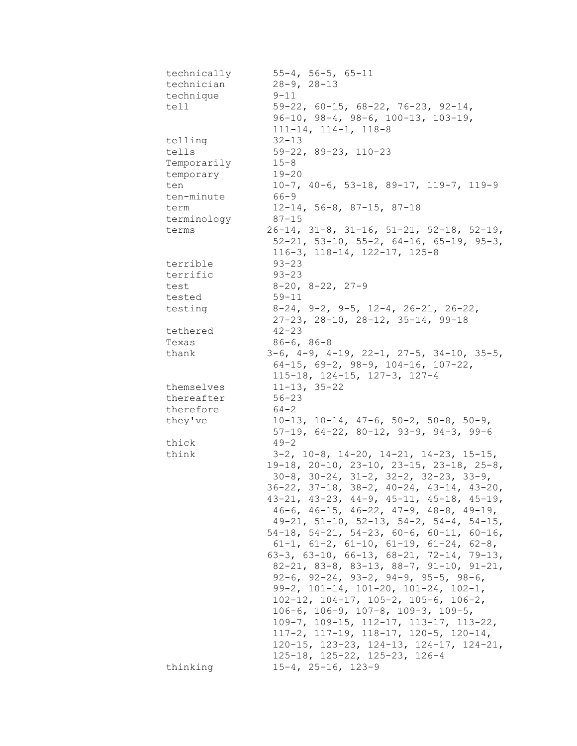| technically | $55 - 4$ , $56 - 5$ , $65 - 11$                               |
|-------------|---------------------------------------------------------------|
| technician  | $28 - 9, 28 - 13$                                             |
| technique   | $9 - 11$                                                      |
| tell        | $59-22$ , 60-15, 68-22, 76-23, 92-14,                         |
|             | $96-10$ , $98-4$ , $98-6$ , $100-13$ , $103-19$ ,             |
|             | $111 - 14$ , $114 - 1$ , $118 - 8$                            |
| telling     | $32 - 13$                                                     |
| tells       | $59-22, 89-23, 110-23$                                        |
| Temporarily | $15 - 8$                                                      |
| temporary   | $19 - 20$                                                     |
| ten         | $10-7$ , $40-6$ , $53-18$ , $89-17$ , $119-7$ , $119-9$       |
| ten-minute  | $66 - 9$                                                      |
| term        | $12-14$ , 56-8, 87-15, 87-18                                  |
| terminology | $87 - 15$                                                     |
| terms       | $26-14$ , $31-8$ , $31-16$ , $51-21$ , $52-18$ , $52-19$ ,    |
|             | $52-21$ , $53-10$ , $55-2$ , $64-16$ , $65-19$ , $95-3$ ,     |
|             | $116-3$ , $118-14$ , $122-17$ , $125-8$                       |
| terrible    | $93 - 23$                                                     |
| terrific    | $93 - 23$                                                     |
| test        | $8-20$ , $8-22$ , $27-9$                                      |
| tested      | $59 - 11$                                                     |
| testing     | $8-24$ , $9-2$ , $9-5$ , $12-4$ , $26-21$ , $26-22$ ,         |
|             | 27-23, 28-10, 28-12, 35-14, 99-18                             |
| tethered    | $42 - 23$                                                     |
| Texas       | $86 - 6, 86 - 8$                                              |
| thank       | $3-6$ , $4-9$ , $4-19$ , $22-1$ , $27-5$ , $34-10$ , $35-5$ , |
|             | $64-15$ , $69-2$ , $98-9$ , $104-16$ , $107-22$ ,             |
|             | 115-18, 124-15, 127-3, 127-4                                  |
| themselves  | $11 - 13, 35 - 22$                                            |
| thereafter  | $56 - 23$                                                     |
| therefore   | 64-2                                                          |
| they've     | $10-13$ , $10-14$ , $47-6$ , $50-2$ , $50-8$ , $50-9$ ,       |
|             | $57-19$ , 64-22, 80-12, 93-9, 94-3, 99-6                      |
| thick       | $49 - 2$                                                      |
| think       | $3-2$ , $10-8$ , $14-20$ , $14-21$ , $14-23$ , $15-15$ ,      |
|             | $19-18$ , $20-10$ , $23-10$ , $23-15$ , $23-18$ , $25-8$ ,    |
|             | $30-8$ , $30-24$ , $31-2$ , $32-2$ , $32-23$ , $33-9$ ,       |
|             | $36-22$ , $37-18$ , $38-2$ , $40-24$ , $43-14$ , $43-20$ ,    |
|             | $43-21$ , $43-23$ , $44-9$ , $45-11$ , $45-18$ , $45-19$ ,    |
|             | $46-6$ , $46-15$ , $46-22$ , $47-9$ , $48-8$ , $49-19$ ,      |
|             | $49-21$ , $51-10$ , $52-13$ , $54-2$ , $54-4$ , $54-15$ ,     |
|             | $54-18$ , $54-21$ , $54-23$ , $60-6$ , $60-11$ , $60-16$ ,    |
|             | $61-1$ , $61-2$ , $61-10$ , $61-19$ , $61-24$ , $62-8$ ,      |
|             | $63-3$ , $63-10$ , $66-13$ , $68-21$ , $72-14$ , $79-13$ ,    |
|             | 82-21, 83-8, 83-13, 88-7, 91-10, 91-21,                       |
|             | $92-6$ , $92-24$ , $93-2$ , $94-9$ , $95-5$ , $98-6$ ,        |
|             | 99-2, 101-14, 101-20, 101-24, 102-1,                          |
|             | $102-12$ , $104-17$ , $105-2$ , $105-6$ , $106-2$ ,           |
|             | $106-6$ , $106-9$ , $107-8$ , $109-3$ , $109-5$ ,             |
|             | $109-7$ , $109-15$ , $112-17$ , $113-17$ , $113-22$ ,         |
|             | $117-2$ , $117-19$ , $118-17$ , $120-5$ , $120-14$ ,          |
|             | $120-15$ , $123-23$ , $124-13$ , $124-17$ , $124-21$ ,        |
|             | $125-18$ , $125-22$ , $125-23$ , $126-4$                      |
| thinking    | $15 - 4$ , $25 - 16$ , $123 - 9$                              |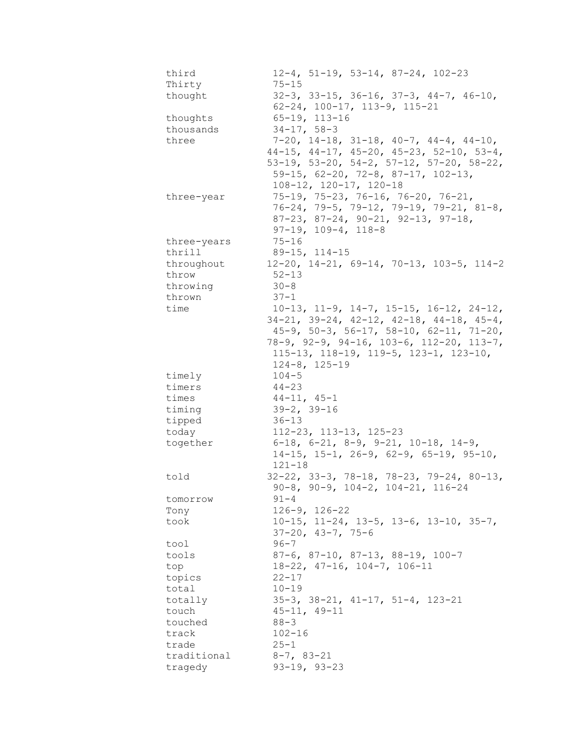| third<br>Thirty | $12-4$ , 51-19, 53-14, 87-24, 102-23<br>$75 - 15$                                                           |
|-----------------|-------------------------------------------------------------------------------------------------------------|
| thought         | $32-3$ , $33-15$ , $36-16$ , $37-3$ , $44-7$ , $46-10$ ,<br>$62 - 24$ , $100 - 17$ , $113 - 9$ , $115 - 21$ |
| thoughts        | $65 - 19, 113 - 16$                                                                                         |
| thousands       | $34 - 17, 58 - 3$                                                                                           |
| three           | $7-20$ , $14-18$ , $31-18$ , $40-7$ , $44-4$ , $44-10$ ,                                                    |
|                 | $44-15$ , $44-17$ , $45-20$ , $45-23$ , $52-10$ , $53-4$ ,                                                  |
|                 | 53-19, 53-20, 54-2, 57-12, 57-20, 58-22,                                                                    |
|                 | 59-15, 62-20, 72-8, 87-17, 102-13,                                                                          |
|                 | 108-12, 120-17, 120-18                                                                                      |
| three-year      | 75-19, 75-23, 76-16, 76-20, 76-21,                                                                          |
|                 | $76-24, 79-5, 79-12, 79-19, 79-21, 81-8,$                                                                   |
|                 | $87-23$ , $87-24$ , $90-21$ , $92-13$ , $97-18$ ,                                                           |
|                 | $97-19$ , $109-4$ , $118-8$                                                                                 |
| three-years     | $75 - 16$                                                                                                   |
| thrill          | $89 - 15, 114 - 15$                                                                                         |
| throughout      | $12-20$ , $14-21$ , $69-14$ , $70-13$ , $103-5$ , $114-2$                                                   |
| throw           | $52 - 13$                                                                                                   |
| throwing        | $30 - 8$                                                                                                    |
| thrown          | $37 - 1$                                                                                                    |
| time            | $10-13$ , $11-9$ , $14-7$ , $15-15$ , $16-12$ , $24-12$ ,                                                   |
|                 | $34-21$ , $39-24$ , $42-12$ , $42-18$ , $44-18$ , $45-4$ ,                                                  |
|                 | $45-9$ , $50-3$ , $56-17$ , $58-10$ , $62-11$ , $71-20$ ,                                                   |
|                 | 78-9, 92-9, 94-16, 103-6, 112-20, 113-7,                                                                    |
|                 | $115-13$ , $118-19$ , $119-5$ , $123-1$ , $123-10$ ,                                                        |
|                 | $124 - 8$ , $125 - 19$                                                                                      |
| timely          | $104 - 5$                                                                                                   |
| timers          | $44 - 23$                                                                                                   |
| times           | $44-11, 45-1$                                                                                               |
| timing          | $39 - 2, 39 - 16$                                                                                           |
| tipped          | $36 - 13$                                                                                                   |
| today           | $112 - 23$ , $113 - 13$ , $125 - 23$                                                                        |
| together        | $6-18$ , $6-21$ , $8-9$ , $9-21$ , $10-18$ , $14-9$ ,                                                       |
|                 | $14-15$ , $15-1$ , $26-9$ , $62-9$ , $65-19$ , $95-10$ ,                                                    |
|                 | $121 - 18$                                                                                                  |
| told            | $32-22$ , $33-3$ , $78-18$ , $78-23$ , $79-24$ , $80-13$ ,                                                  |
|                 | 90-8, 90-9, 104-2, 104-21, 116-24                                                                           |
| tomorrow        | 91-4<br>$126 - 9$ , $126 - 22$                                                                              |
| Tony<br>took    | $10-15$ , $11-24$ , $13-5$ , $13-6$ , $13-10$ , $35-7$ ,                                                    |
|                 | $37 - 20$ , $43 - 7$ , $75 - 6$                                                                             |
| tool            | $96 - 7$                                                                                                    |
| tools           | $87-6$ , $87-10$ , $87-13$ , $88-19$ , $100-7$                                                              |
| top             | $18-22$ , $47-16$ , $104-7$ , $106-11$                                                                      |
| topics          | $22 - 17$                                                                                                   |
| total           | $10 - 19$                                                                                                   |
| totally         | $35-3$ , $38-21$ , $41-17$ , $51-4$ , $123-21$                                                              |
| touch           | $45 - 11, 49 - 11$                                                                                          |
| touched         | $88 - 3$                                                                                                    |
| track           | $102 - 16$                                                                                                  |
| trade           | $25 - 1$                                                                                                    |
| traditional     | $8-7, 83-21$                                                                                                |
| tragedy         | $93 - 19, 93 - 23$                                                                                          |
|                 |                                                                                                             |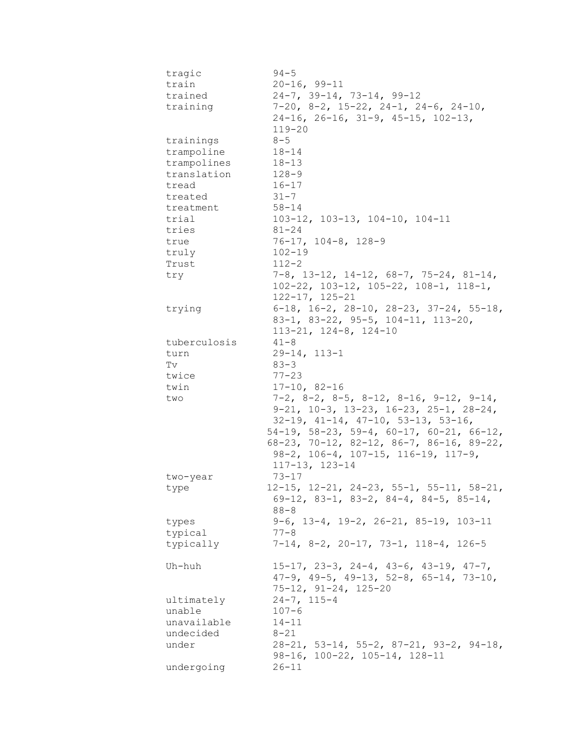| tragic       | $94 - 5$                                                       |
|--------------|----------------------------------------------------------------|
| train        | $20 - 16, 99 - 11$                                             |
| trained      | $24-7$ , $39-14$ , $73-14$ , $99-12$                           |
| training     | 7-20, 8-2, 15-22, 24-1, 24-6, 24-10,                           |
|              | $24-16$ , $26-16$ , $31-9$ , $45-15$ , $102-13$ ,              |
|              | $119 - 20$                                                     |
| trainings    | $8 - 5$                                                        |
| trampoline   | $18 - 14$                                                      |
| trampolines  | $18 - 13$                                                      |
| translation  | 128-9                                                          |
|              |                                                                |
| tread        | $16 - 17$                                                      |
| treated      | $31 - 7$                                                       |
| treatment    | $58 - 14$                                                      |
| trial        | 103-12, 103-13, 104-10, 104-11                                 |
| tries        | $81 - 24$                                                      |
| true         | $76 - 17$ , $104 - 8$ , $128 - 9$                              |
| truly        | $102 - 19$                                                     |
| Trust        | $112 - 2$                                                      |
| try          | $7-8$ , 13-12, 14-12, 68-7, 75-24, 81-14,                      |
|              | $102 - 22$ , $103 - 12$ , $105 - 22$ , $108 - 1$ , $118 - 1$ , |
|              | $122 - 17$ , $125 - 21$                                        |
| trying       | $6-18$ , $16-2$ , $28-10$ , $28-23$ , $37-24$ , $55-18$ ,      |
|              | 83-1, 83-22, 95-5, 104-11, 113-20,                             |
|              | $113 - 21, 124 - 8, 124 - 10$                                  |
| tuberculosis | $41 - 8$                                                       |
| turn         | $29 - 14, 113 - 1$                                             |
| Tv           | $83 - 3$                                                       |
| twice        | $77 - 23$                                                      |
| twin         | $17-10, 82-16$                                                 |
| two          | $7-2$ , $8-2$ , $8-5$ , $8-12$ , $8-16$ , $9-12$ , $9-14$ ,    |
|              | $9-21$ , $10-3$ , $13-23$ , $16-23$ , $25-1$ , $28-24$ ,       |
|              | $32-19$ , $41-14$ , $47-10$ , $53-13$ , $53-16$ ,              |
|              | $54-19$ , $58-23$ , $59-4$ , $60-17$ , $60-21$ , $66-12$ ,     |
|              | $68-23$ , 70-12, 82-12, 86-7, 86-16, 89-22,                    |
|              | $98-2$ , $106-4$ , $107-15$ , $116-19$ , $117-9$ ,             |
|              | $117 - 13$ , $123 - 14$                                        |
| two-year     | 73-17                                                          |
|              | $12-15$ , $12-21$ , $24-23$ , $55-1$ , $55-11$ , $58-21$ ,     |
| type         | $69-12$ , 83-1, 83-2, 84-4, 84-5, 85-14,                       |
|              | $88 - 8$                                                       |
|              | $9-6$ , $13-4$ , $19-2$ , $26-21$ , $85-19$ , $103-11$         |
| types        |                                                                |
| typical      | $77 - 8$                                                       |
| typically    | $7-14$ , 8-2, 20-17, 73-1, 118-4, 126-5                        |
| Uh-huh       | $15-17$ , $23-3$ , $24-4$ , $43-6$ , $43-19$ , $47-7$ ,        |
|              | $47-9$ , $49-5$ , $49-13$ , $52-8$ , $65-14$ , $73-10$ ,       |
|              | $75 - 12$ , $91 - 24$ , $125 - 20$                             |
|              | $24 - 7, 115 - 4$                                              |
| ultimately   |                                                                |
| unable       | $107 - 6$                                                      |
| unavailable  | $14 - 11$                                                      |
| undecided    | $8 - 21$                                                       |
| under        | $28-21$ , 53-14, 55-2, 87-21, 93-2, 94-18,                     |
|              | 98-16, 100-22, 105-14, 128-11                                  |
| undergoing   | $26 - 11$                                                      |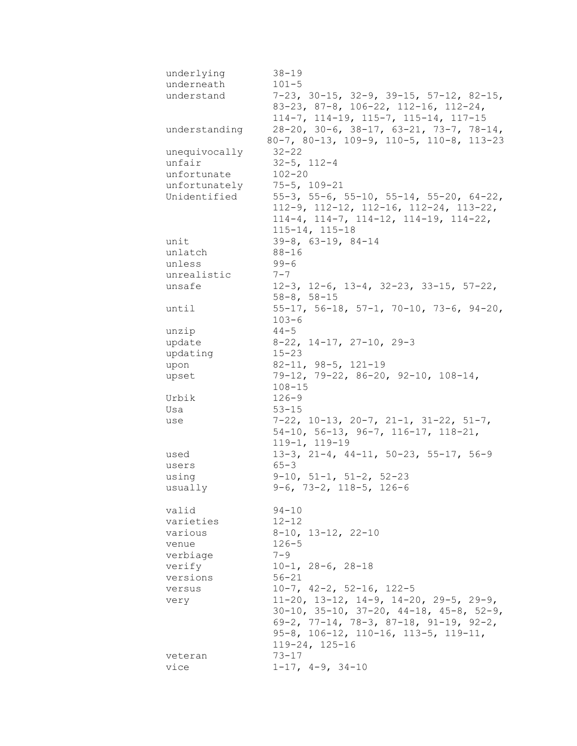| underlying         | $38 - 19$                                                                                           |
|--------------------|-----------------------------------------------------------------------------------------------------|
| underneath         | $101 - 5$                                                                                           |
| understand         | $7-23$ , $30-15$ , $32-9$ , $39-15$ , $57-12$ , $82-15$ ,                                           |
|                    | 83-23, 87-8, 106-22, 112-16, 112-24,                                                                |
|                    | 114-7, 114-19, 115-7, 115-14, 117-15                                                                |
| understanding      | $28-20$ , $30-6$ , $38-17$ , $63-21$ , $73-7$ , $78-14$ ,                                           |
|                    | 80-7, 80-13, 109-9, 110-5, 110-8, 113-23                                                            |
| unequivocally      | $32 - 22$                                                                                           |
| unfair             | $32 - 5$ , $112 - 4$                                                                                |
| unfortunate        | $102 - 20$                                                                                          |
| unfortunately      | $75 - 5$ , $109 - 21$                                                                               |
| Unidentified       | $55-3$ , $55-6$ , $55-10$ , $55-14$ , $55-20$ , $64-22$ ,                                           |
|                    | $112-9$ , $112-12$ , $112-16$ , $112-24$ , $113-22$ ,                                               |
|                    | $114-4$ , $114-7$ , $114-12$ , $114-19$ , $114-22$ ,                                                |
|                    | $115 - 14, 115 - 18$                                                                                |
| unit               | $39-8$ , $63-19$ , $84-14$                                                                          |
| unlatch            | $88 - 16$                                                                                           |
| unless             | $99 - 6$                                                                                            |
| unrealistic        | $7 - 7$                                                                                             |
| unsafe             | $12-3$ , $12-6$ , $13-4$ , $32-23$ , $33-15$ , $57-22$ ,                                            |
|                    | $58 - 8, 58 - 15$                                                                                   |
| until              | $55-17$ , $56-18$ , $57-1$ , $70-10$ , $73-6$ , $94-20$ ,                                           |
|                    | $103 - 6$                                                                                           |
| unzip              | $44 - 5$                                                                                            |
| update             | $8-22$ , $14-17$ , $27-10$ , $29-3$                                                                 |
| updating           | $15 - 23$                                                                                           |
| upon               | $82-11, 98-5, 121-19$                                                                               |
|                    | $79-12$ , $79-22$ , $86-20$ , $92-10$ , $108-14$ ,                                                  |
| upset              | $108 - 15$                                                                                          |
|                    | $126 - 9$                                                                                           |
| Urbik              |                                                                                                     |
| Usa                | $53 - 15$                                                                                           |
| use                | $7-22$ , $10-13$ , $20-7$ , $21-1$ , $31-22$ , $51-7$ ,                                             |
|                    | $54-10$ , $56-13$ , $96-7$ , $116-17$ , $118-21$ ,                                                  |
|                    | $119 - 1, 119 - 19$                                                                                 |
| used               | $13-3$ , $21-4$ , $44-11$ , $50-23$ , $55-17$ , $56-9$                                              |
| users              | $65 - 3$                                                                                            |
| using              | $9-10$ , $51-1$ , $51-2$ , $52-23$                                                                  |
| usually            | $9-6$ , 73-2, 118-5, 126-6                                                                          |
| valid              | $94 - 10$                                                                                           |
| varieties          | $12 - 12$                                                                                           |
|                    |                                                                                                     |
| various            | $8-10$ , 13-12, 22-10<br>$126 - 5$                                                                  |
| venue              | $7 - 9$                                                                                             |
| verbiage           | $10-1, 28-6, 28-18$                                                                                 |
| verify<br>versions | $56 - 21$                                                                                           |
|                    | $10-7$ , $42-2$ , $52-16$ , $122-5$                                                                 |
| versus             | $11-20$ , $13-12$ , $14-9$ , $14-20$ , $29-5$ , $29-9$ ,                                            |
| very               |                                                                                                     |
|                    | $30-10$ , $35-10$ , $37-20$ , $44-18$ , $45-8$ , $52-9$ ,<br>69-2, 77-14, 78-3, 87-18, 91-19, 92-2, |
|                    | 95-8, 106-12, 110-16, 113-5, 119-11,                                                                |
|                    | $119 - 24, 125 - 16$                                                                                |
|                    |                                                                                                     |
| veteran            | $73 - 17$                                                                                           |
| vice               | $1-17$ , $4-9$ , $34-10$                                                                            |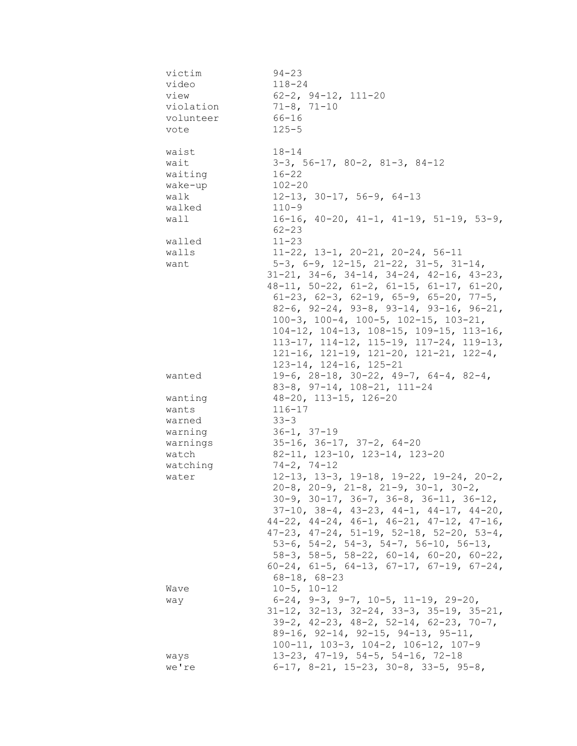| victim    | $94 - 23$                                                  |
|-----------|------------------------------------------------------------|
| video     | $118 - 24$                                                 |
| view      | $62 - 2$ , $94 - 12$ , $111 - 20$                          |
| violation | $71 - 8, 71 - 10$                                          |
| volunteer | 66-16                                                      |
| vote      | $125 - 5$                                                  |
|           |                                                            |
| waist     | $18 - 14$                                                  |
| wait      | $3-3$ , 56-17, 80-2, 81-3, 84-12                           |
| waiting   | $16 - 22$                                                  |
| wake-up   | $102 - 20$                                                 |
| walk      | $12-13$ , $30-17$ , $56-9$ , $64-13$                       |
| walked    | $110 - 9$                                                  |
| wall      | $16-16$ , $40-20$ , $41-1$ , $41-19$ , $51-19$ , $53-9$ ,  |
|           | $62 - 23$                                                  |
| walled    | $11 - 23$                                                  |
| walls     | $11-22$ , $13-1$ , $20-21$ , $20-24$ , $56-11$             |
| want      | $5-3$ , $6-9$ , $12-15$ , $21-22$ , $31-5$ , $31-14$ ,     |
|           | $31-21$ , $34-6$ , $34-14$ , $34-24$ , $42-16$ , $43-23$ , |
|           | $48-11$ , $50-22$ , $61-2$ , $61-15$ , $61-17$ , $61-20$ , |
|           | $61-23$ , $62-3$ , $62-19$ , $65-9$ , $65-20$ , $77-5$ ,   |
|           | 82-6, 92-24, 93-8, 93-14, 93-16, 96-21,                    |
|           | $100-3$ , $100-4$ , $100-5$ , $102-15$ , $103-21$ ,        |
|           | $104-12$ , $104-13$ , $108-15$ , $109-15$ , $113-16$ ,     |
|           | $113-17$ , $114-12$ , $115-19$ , $117-24$ , $119-13$ ,     |
|           | $121-16$ , $121-19$ , $121-20$ , $121-21$ , $122-4$ ,      |
|           | $123 - 14$ , $124 - 16$ , $125 - 21$                       |
| wanted    | 19-6, 28-18, 30-22, 49-7, 64-4, 82-4,                      |
|           | $83-8$ , $97-14$ , $108-21$ , $111-24$                     |
| wanting   | 48-20, 113-15, 126-20                                      |
| wants     | $116 - 17$                                                 |
| warned    | $33 - 3$                                                   |
| warning   | $36-1, 37-19$                                              |
| warnings  | $35-16$ , $36-17$ , $37-2$ , $64-20$                       |
| watch     | 82-11, 123-10, 123-14, 123-20                              |
| watching  | $74-2, 74-12$                                              |
| water     | $12-13$ , $13-3$ , $19-18$ , $19-22$ , $19-24$ , $20-2$ ,  |
|           | $20-8$ , $20-9$ , $21-8$ , $21-9$ , $30-1$ , $30-2$ ,      |
|           | $30-9$ , $30-17$ , $36-7$ , $36-8$ , $36-11$ , $36-12$ ,   |
|           | $37-10$ , $38-4$ , $43-23$ , $44-1$ , $44-17$ , $44-20$ ,  |
|           | $44-22$ , $44-24$ , $46-1$ , $46-21$ , $47-12$ , $47-16$ , |
|           | $47-23$ , $47-24$ , $51-19$ , $52-18$ , $52-20$ , $53-4$ , |
|           | 53-6, 54-2, 54-3, 54-7, 56-10, 56-13,                      |
|           | $58-3$ , $58-5$ , $58-22$ , $60-14$ , $60-20$ , $60-22$ ,  |
|           | $60-24$ , $61-5$ , $64-13$ , $67-17$ , $67-19$ , $67-24$ , |
|           | $68 - 18$ , $68 - 23$                                      |
| Wave      | $10-5, 10-12$                                              |
| way       | $6-24$ , $9-3$ , $9-7$ , $10-5$ , $11-19$ , $29-20$ ,      |
|           | $31-12$ , $32-13$ , $32-24$ , $33-3$ , $35-19$ , $35-21$ , |
|           | $39-2$ , $42-23$ , $48-2$ , $52-14$ , $62-23$ , $70-7$ ,   |
|           | $89-16$ , $92-14$ , $92-15$ , $94-13$ , $95-11$ ,          |
|           | $100-11$ , $103-3$ , $104-2$ , $106-12$ , $107-9$          |
| ways      | $13-23$ , $47-19$ , $54-5$ , $54-16$ , $72-18$             |
| we're     | $6-17$ , $8-21$ , $15-23$ , $30-8$ , $33-5$ , $95-8$ ,     |
|           |                                                            |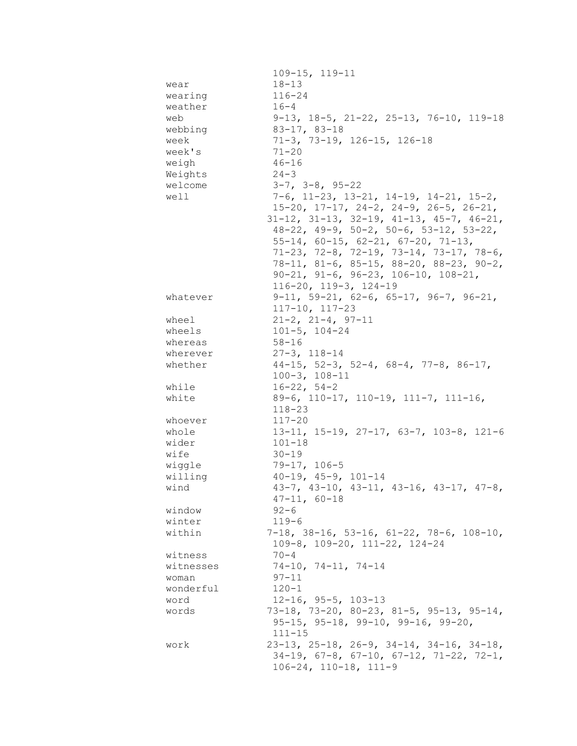|                 | $109 - 15, 119 - 11$                                       |
|-----------------|------------------------------------------------------------|
| wear            | $18 - 13$                                                  |
| wearing         | $116 - 24$                                                 |
| weather         | $16 - 4$                                                   |
| web             | $9-13$ , $18-5$ , $21-22$ , $25-13$ , $76-10$ , $119-18$   |
| webbing         | $83 - 17, 83 - 18$                                         |
| week            | 71-3, 73-19, 126-15, 126-18                                |
| week's          | $71 - 20$                                                  |
| weigh           | $46 - 16$                                                  |
| Weights         | $24 - 3$                                                   |
| welcome         | $3-7$ , $3-8$ , $95-22$                                    |
| well            | $7-6$ , 11-23, 13-21, 14-19, 14-21, 15-2,                  |
|                 | $15-20$ , $17-17$ , $24-2$ , $24-9$ , $26-5$ , $26-21$ ,   |
|                 | $31-12$ , $31-13$ , $32-19$ , $41-13$ , $45-7$ , $46-21$ , |
|                 | $48-22$ , $49-9$ , $50-2$ , $50-6$ , $53-12$ , $53-22$ ,   |
|                 | $55-14$ , 60-15, 62-21, 67-20, 71-13,                      |
|                 | $71-23$ , $72-8$ , $72-19$ , $73-14$ , $73-17$ , $78-6$ ,  |
|                 | $78-11, 81-6, 85-15, 88-20, 88-23, 90-2,$                  |
|                 | $90-21, 91-6, 96-23, 106-10, 108-21,$                      |
|                 | $116 - 20$ , $119 - 3$ , $124 - 19$                        |
| whatever        | $9-11, 59-21, 62-6, 65-17, 96-7, 96-21,$                   |
|                 | $117 - 10$ , $117 - 23$                                    |
| wheel<br>wheels | $21-2$ , $21-4$ , $97-11$<br>$101 - 5$ , $104 - 24$        |
| whereas         | $58 - 16$                                                  |
| wherever        | $27 - 3$ , $118 - 14$                                      |
| whether         | $44-15$ , 52-3, 52-4, 68-4, 77-8, 86-17,                   |
|                 | $100 - 3$ , $108 - 11$                                     |
| while           | $16 - 22, 54 - 2$                                          |
| white           | 89-6, 110-17, 110-19, 111-7, 111-16,                       |
|                 | $118 - 23$                                                 |
| whoever         | $117 - 20$                                                 |
| whole           | 13-11, 15-19, 27-17, 63-7, 103-8, 121-6                    |
| wider           | $101 - 18$                                                 |
| wife            | $30 - 19$                                                  |
| wiggle          | $79 - 17, 106 - 5$                                         |
| willing         | $40-19$ , $45-9$ , $101-14$                                |
| wind            | $43-7$ , $43-10$ , $43-11$ , $43-16$ , $43-17$ , $47-8$ ,  |
|                 | $47 - 11, 60 - 18$                                         |
| window          | $92 - 6$                                                   |
| winter          | $119 - 6$                                                  |
| within          | $7-18$ , 38-16, 53-16, 61-22, 78-6, 108-10,                |
|                 | $109-8$ , $109-20$ , $111-22$ , $124-24$                   |
| witness         | $70 - 4$                                                   |
| witnesses       | $74-10, 74-11, 74-14$                                      |
| woman           | $97 - 11$                                                  |
| wonderful       | $120 - 1$                                                  |
| word            | $12 - 16$ , $95 - 5$ , $103 - 13$                          |
| words           | 73-18, 73-20, 80-23, 81-5, 95-13, 95-14,                   |
|                 | $95-15$ , $95-18$ , $99-10$ , $99-16$ , $99-20$ ,          |
|                 | $111 - 15$                                                 |
| work            | $23-13$ , $25-18$ , $26-9$ , $34-14$ , $34-16$ , $34-18$ , |
|                 | $34-19$ , $67-8$ , $67-10$ , $67-12$ , $71-22$ , $72-1$ ,  |
|                 | $106 - 24, 110 - 18, 111 - 9$                              |